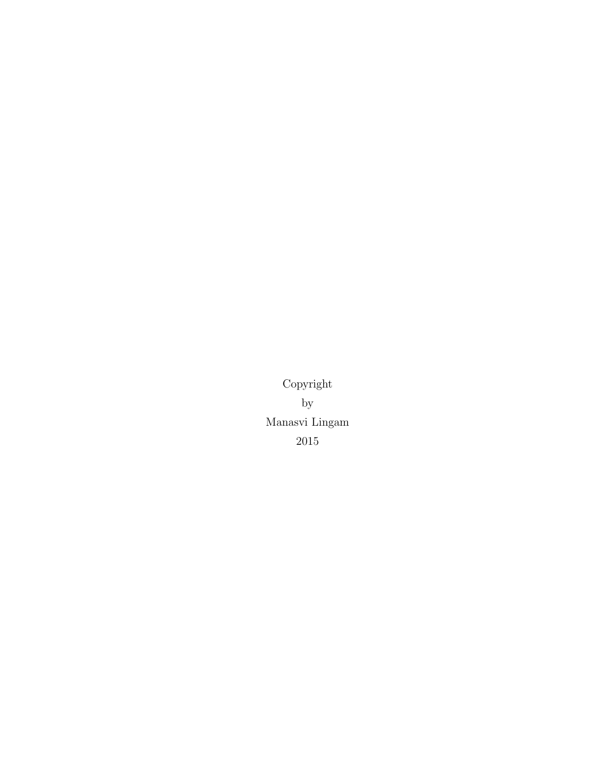Copyright by Manasvi Lingam 2015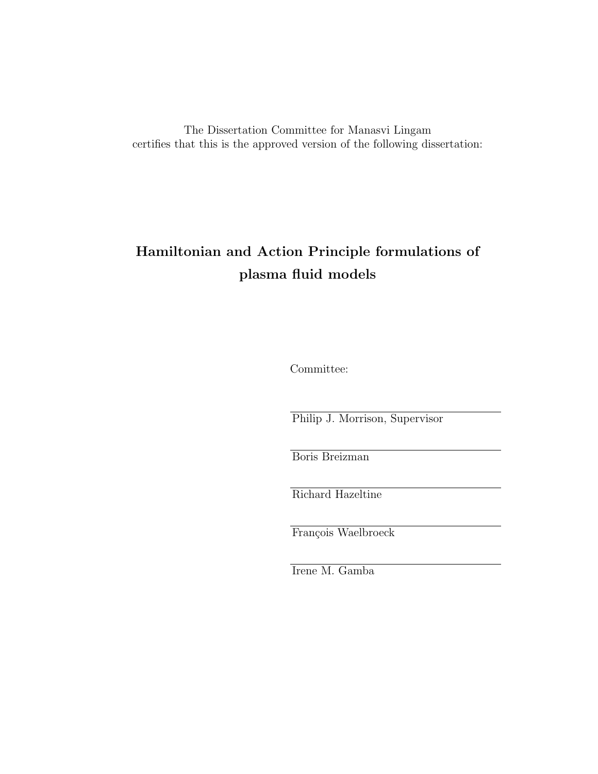The Dissertation Committee for Manasvi Lingam certifies that this is the approved version of the following dissertation:

## Hamiltonian and Action Principle formulations of plasma fluid models

Committee:

Philip J. Morrison, Supervisor

Boris Breizman

Richard Hazeltine

François Waelbroeck

Irene M. Gamba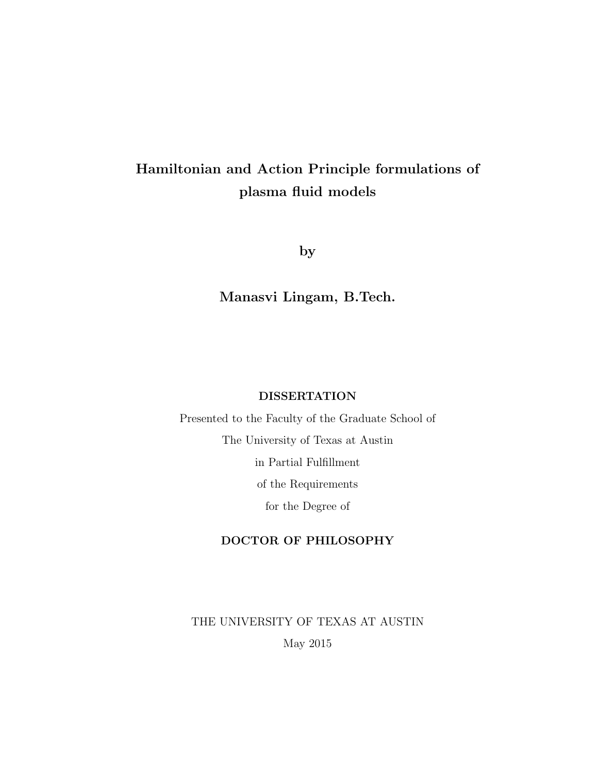## Hamiltonian and Action Principle formulations of plasma fluid models

by

Manasvi Lingam, B.Tech.

#### DISSERTATION

Presented to the Faculty of the Graduate School of The University of Texas at Austin in Partial Fulfillment of the Requirements for the Degree of

#### DOCTOR OF PHILOSOPHY

THE UNIVERSITY OF TEXAS AT AUSTIN May 2015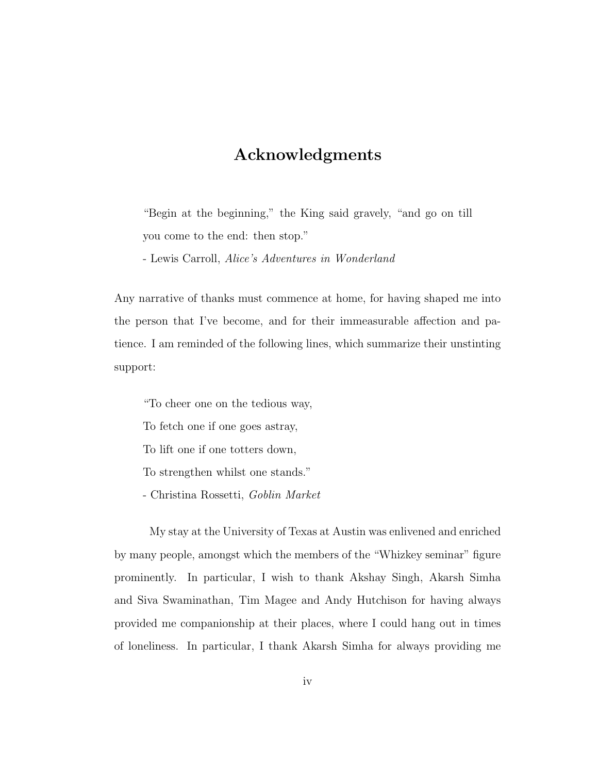### Acknowledgments

"Begin at the beginning," the King said gravely, "and go on till you come to the end: then stop."

- Lewis Carroll, Alice's Adventures in Wonderland

Any narrative of thanks must commence at home, for having shaped me into the person that I've become, and for their immeasurable affection and patience. I am reminded of the following lines, which summarize their unstinting support:

"To cheer one on the tedious way,

To fetch one if one goes astray,

To lift one if one totters down,

To strengthen whilst one stands."

- Christina Rossetti, Goblin Market

My stay at the University of Texas at Austin was enlivened and enriched by many people, amongst which the members of the "Whizkey seminar" figure prominently. In particular, I wish to thank Akshay Singh, Akarsh Simha and Siva Swaminathan, Tim Magee and Andy Hutchison for having always provided me companionship at their places, where I could hang out in times of loneliness. In particular, I thank Akarsh Simha for always providing me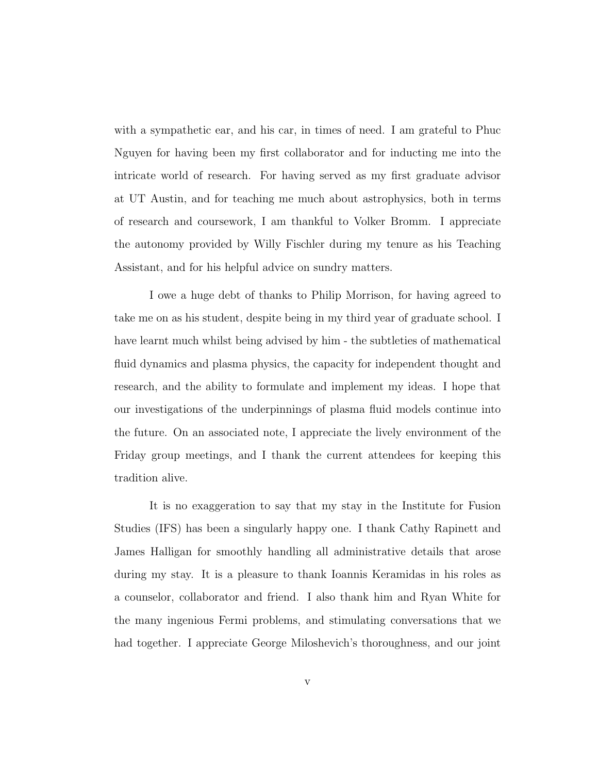with a sympathetic ear, and his car, in times of need. I am grateful to Phuc Nguyen for having been my first collaborator and for inducting me into the intricate world of research. For having served as my first graduate advisor at UT Austin, and for teaching me much about astrophysics, both in terms of research and coursework, I am thankful to Volker Bromm. I appreciate the autonomy provided by Willy Fischler during my tenure as his Teaching Assistant, and for his helpful advice on sundry matters.

I owe a huge debt of thanks to Philip Morrison, for having agreed to take me on as his student, despite being in my third year of graduate school. I have learnt much whilst being advised by him - the subtleties of mathematical fluid dynamics and plasma physics, the capacity for independent thought and research, and the ability to formulate and implement my ideas. I hope that our investigations of the underpinnings of plasma fluid models continue into the future. On an associated note, I appreciate the lively environment of the Friday group meetings, and I thank the current attendees for keeping this tradition alive.

It is no exaggeration to say that my stay in the Institute for Fusion Studies (IFS) has been a singularly happy one. I thank Cathy Rapinett and James Halligan for smoothly handling all administrative details that arose during my stay. It is a pleasure to thank Ioannis Keramidas in his roles as a counselor, collaborator and friend. I also thank him and Ryan White for the many ingenious Fermi problems, and stimulating conversations that we had together. I appreciate George Miloshevich's thoroughness, and our joint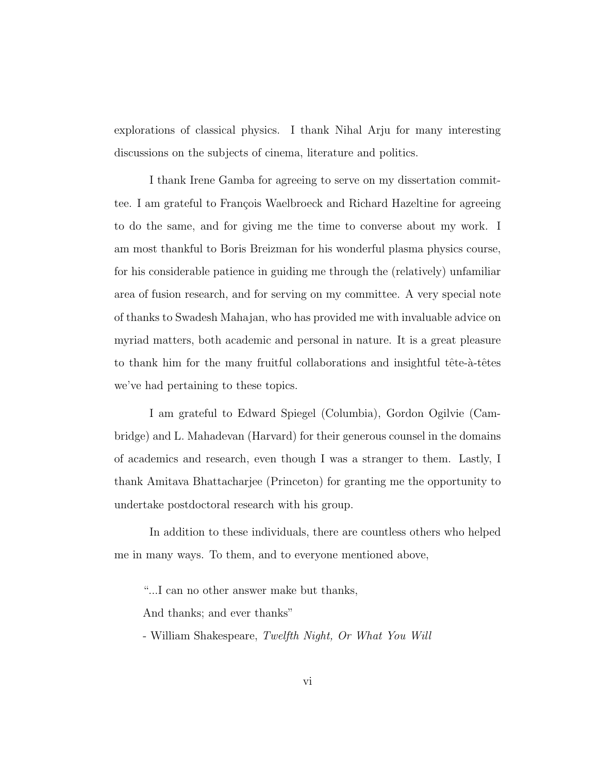explorations of classical physics. I thank Nihal Arju for many interesting discussions on the subjects of cinema, literature and politics.

I thank Irene Gamba for agreeing to serve on my dissertation committee. I am grateful to François Waelbroeck and Richard Hazeltine for agreeing to do the same, and for giving me the time to converse about my work. I am most thankful to Boris Breizman for his wonderful plasma physics course, for his considerable patience in guiding me through the (relatively) unfamiliar area of fusion research, and for serving on my committee. A very special note of thanks to Swadesh Mahajan, who has provided me with invaluable advice on myriad matters, both academic and personal in nature. It is a great pleasure to thank him for the many fruitful collaborations and insightful tête- $\grave{a}$ -têtes we've had pertaining to these topics.

I am grateful to Edward Spiegel (Columbia), Gordon Ogilvie (Cambridge) and L. Mahadevan (Harvard) for their generous counsel in the domains of academics and research, even though I was a stranger to them. Lastly, I thank Amitava Bhattacharjee (Princeton) for granting me the opportunity to undertake postdoctoral research with his group.

In addition to these individuals, there are countless others who helped me in many ways. To them, and to everyone mentioned above,

"...I can no other answer make but thanks,

And thanks; and ever thanks"

- William Shakespeare, Twelfth Night, Or What You Will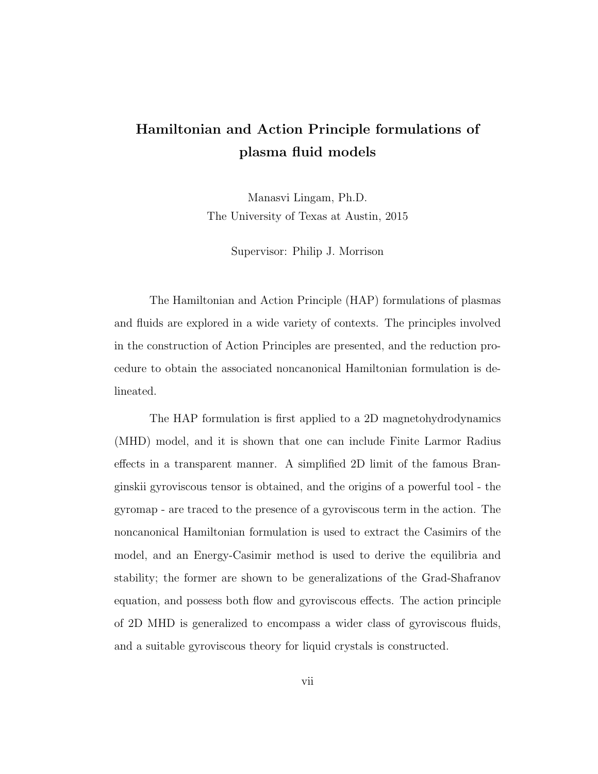## Hamiltonian and Action Principle formulations of plasma fluid models

Manasvi Lingam, Ph.D. The University of Texas at Austin, 2015

Supervisor: Philip J. Morrison

The Hamiltonian and Action Principle (HAP) formulations of plasmas and fluids are explored in a wide variety of contexts. The principles involved in the construction of Action Principles are presented, and the reduction procedure to obtain the associated noncanonical Hamiltonian formulation is delineated.

The HAP formulation is first applied to a 2D magnetohydrodynamics (MHD) model, and it is shown that one can include Finite Larmor Radius effects in a transparent manner. A simplified 2D limit of the famous Branginskii gyroviscous tensor is obtained, and the origins of a powerful tool - the gyromap - are traced to the presence of a gyroviscous term in the action. The noncanonical Hamiltonian formulation is used to extract the Casimirs of the model, and an Energy-Casimir method is used to derive the equilibria and stability; the former are shown to be generalizations of the Grad-Shafranov equation, and possess both flow and gyroviscous effects. The action principle of 2D MHD is generalized to encompass a wider class of gyroviscous fluids, and a suitable gyroviscous theory for liquid crystals is constructed.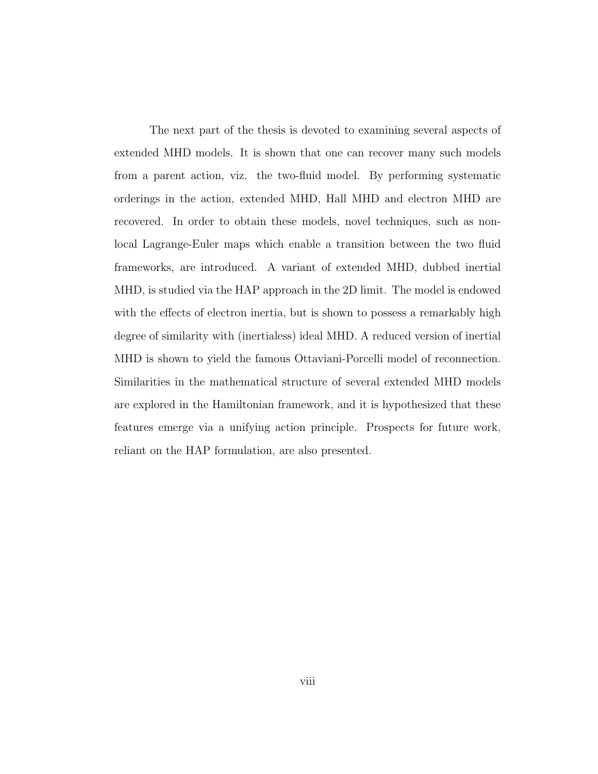The next part of the thesis is devoted to examining several aspects of extended MHD models. It is shown that one can recover many such models from a parent action, viz. the two-fluid model. By performing systematic orderings in the action, extended MHD, Hall MHD and electron MHD are recovered. In order to obtain these models, novel techniques, such as nonlocal Lagrange-Euler maps which enable a transition between the two fluid frameworks, are introduced. A variant of extended MHD, dubbed inertial MHD, is studied via the HAP approach in the 2D limit. The model is endowed with the effects of electron inertia, but is shown to possess a remarkably high degree of similarity with (inertialess) ideal MHD. A reduced version of inertial MHD is shown to yield the famous Ottaviani-Porcelli model of reconnection. Similarities in the mathematical structure of several extended MHD models are explored in the Hamiltonian framework, and it is hypothesized that these features emerge via a unifying action principle. Prospects for future work, reliant on the HAP formulation, are also presented.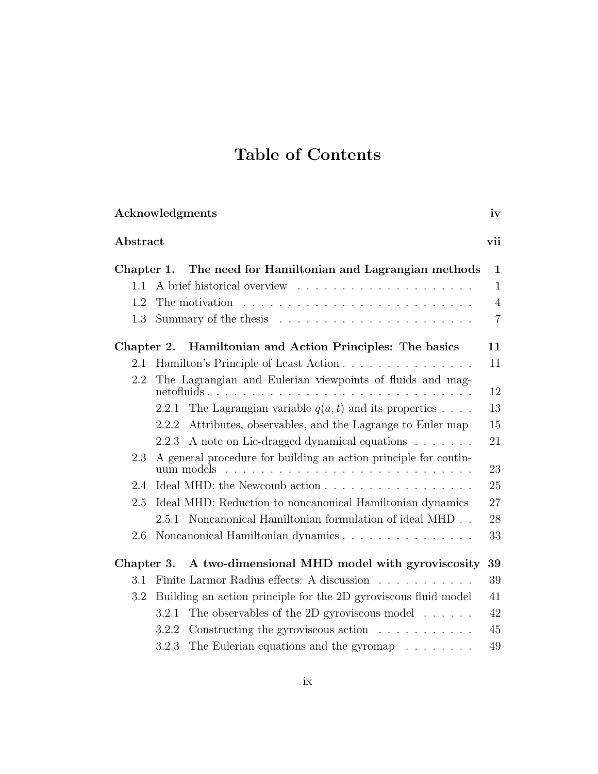# Table of Contents

|            | Acknowledgments<br>iv                                                                |              |  |  |  |
|------------|--------------------------------------------------------------------------------------|--------------|--|--|--|
| Abstract   |                                                                                      | vii          |  |  |  |
| Chapter 1. | The need for Hamiltonian and Lagrangian methods                                      | $\mathbf 1$  |  |  |  |
| 1.1        |                                                                                      | $\mathbf{1}$ |  |  |  |
| 1.2        | The motivation $\ldots \ldots \ldots \ldots \ldots \ldots \ldots \ldots \ldots$      |              |  |  |  |
| 1.3        | $\overline{7}$                                                                       |              |  |  |  |
| Chapter 2. | Hamiltonian and Action Principles: The basics                                        | 11           |  |  |  |
| 2.1        | Hamilton's Principle of Least Action<br>11                                           |              |  |  |  |
| 2.2        | The Lagrangian and Eulerian viewpoints of fluids and mag-<br>$net of l and l.$<br>.  | 12           |  |  |  |
|            | The Lagrangian variable $q(a, t)$ and its properties<br>2.2.1                        | 13           |  |  |  |
|            | Attributes, observables, and the Lagrange to Euler map<br>2.2.2                      | 15           |  |  |  |
|            | A note on Lie-dragged dynamical equations<br>2.2.3                                   | 21           |  |  |  |
| 2.3        | A general procedure for building an action principle for contin-<br>23<br>uum models |              |  |  |  |
| 2.4        | Ideal MHD: the Newcomb action<br>25                                                  |              |  |  |  |
| 2.5        | Ideal MHD: Reduction to noncanonical Hamiltonian dynamics                            | 27           |  |  |  |
|            | 2.5.1 Noncanonical Hamiltonian formulation of ideal MHD.                             | 28           |  |  |  |
| 2.6        | Noncanonical Hamiltonian dynamics                                                    | 33           |  |  |  |
| Chapter 3. | A two-dimensional MHD model with gyroviscosity                                       | 39           |  |  |  |
| 3.1        | Finite Larmor Radius effects: A discussion                                           | 39           |  |  |  |
| 3.2        | Building an action principle for the 2D gyroviscous fluid model                      | 41           |  |  |  |
|            | The observables of the 2D gyroviscous model $\dots \dots$<br>3.2.1                   | 42           |  |  |  |
|            | Constructing the gyroviscous action $\ldots \ldots \ldots$<br>3.2.2                  | 45           |  |  |  |
|            | The Eulerian equations and the gyromap $\ldots \ldots$<br>3.2.3                      | 49           |  |  |  |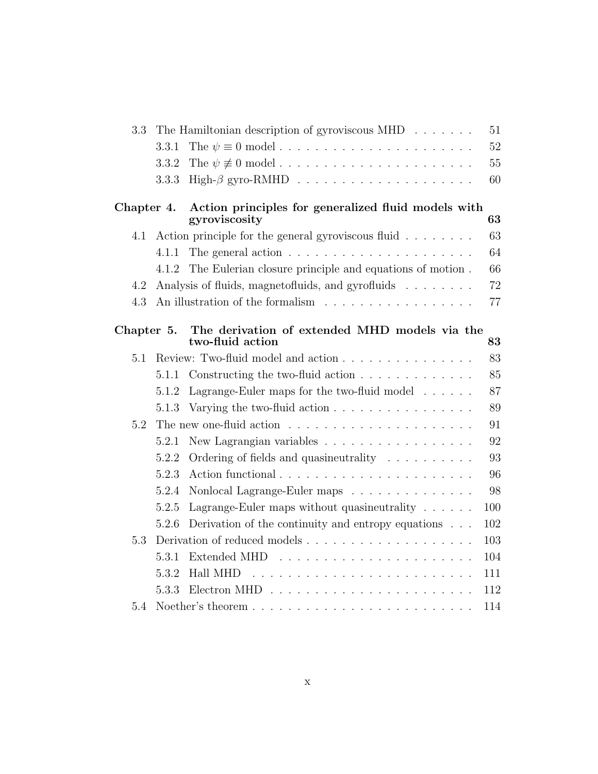| 3.3        |       | The Hamiltonian description of gyroviscous MHD $\ldots \ldots$       | 51  |  |
|------------|-------|----------------------------------------------------------------------|-----|--|
|            | 3.3.1 |                                                                      | 52  |  |
|            | 3.3.2 |                                                                      | 55  |  |
|            | 3.3.3 |                                                                      | 60  |  |
| Chapter 4. |       | Action principles for generalized fluid models with<br>gyroviscosity | 63  |  |
| 4.1        |       | Action principle for the general gyroviscous fluid $\ldots \ldots$   | 63  |  |
|            | 4.1.1 | The general action $\dots \dots \dots \dots \dots \dots \dots \dots$ | 64  |  |
|            | 4.1.2 | The Eulerian closure principle and equations of motion.              | 66  |  |
| 4.2        |       | Analysis of fluids, magnetofluids, and gyrofluids                    | 72  |  |
| 4.3        |       | An illustration of the formalism                                     | 77  |  |
| Chapter 5. |       | The derivation of extended MHD models via the<br>two-fluid action    | 83  |  |
| 5.1        |       | Review: Two-fluid model and action                                   | 83  |  |
|            | 5.1.1 | Constructing the two-fluid action                                    | 85  |  |
|            | 5.1.2 | Lagrange-Euler maps for the two-fluid model $\ldots \ldots$          | 87  |  |
|            | 5.1.3 | Varying the two-fluid action                                         | 89  |  |
| 5.2        | 91    |                                                                      |     |  |
|            | 5.2.1 | New Lagrangian variables                                             | 92  |  |
|            | 5.2.2 | Ordering of fields and quasineutrality                               | 93  |  |
|            | 5.2.3 |                                                                      | 96  |  |
|            | 5.2.4 | Nonlocal Lagrange-Euler maps                                         | 98  |  |
|            | 5.2.5 | Lagrange-Euler maps without quasineutrality $\ldots \ldots$          | 100 |  |
|            | 5.2.6 | Derivation of the continuity and entropy equations                   | 102 |  |
| 5.3        |       |                                                                      | 103 |  |
|            | 5.3.1 |                                                                      | 104 |  |
|            | 5.3.2 | Hall MHD                                                             | 111 |  |
|            | 5.3.3 |                                                                      | 112 |  |
| 5.4        |       |                                                                      | 114 |  |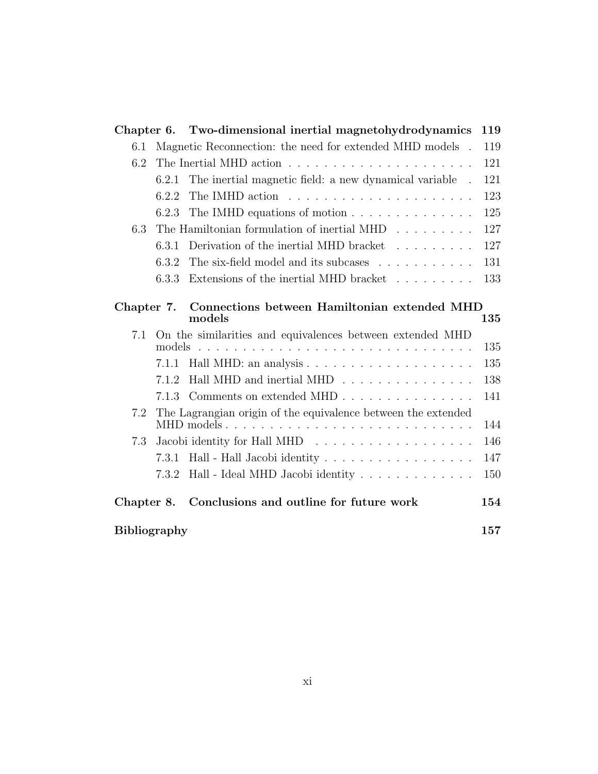| Chapter 6.          |        | Two-dimensional inertial magnetohydrodynamics                      | 119 |  |
|---------------------|--------|--------------------------------------------------------------------|-----|--|
| 6.1                 |        | Magnetic Reconnection: the need for extended MHD models .          | 119 |  |
| 6.2                 |        |                                                                    |     |  |
|                     | 6.2.1  | The inertial magnetic field: a new dynamical variable .            | 121 |  |
|                     | 6.2.2  |                                                                    | 123 |  |
|                     | 6.2.3  | The IMHD equations of motion                                       | 125 |  |
| 6.3                 |        | The Hamiltonian formulation of inertial MHD $\ldots \ldots \ldots$ | 127 |  |
|                     | 6.3.1  | Derivation of the inertial MHD bracket                             | 127 |  |
|                     | 6.3.2  | The six-field model and its subcases                               | 131 |  |
|                     | 6.3.3  | Extensions of the inertial MHD bracket                             | 133 |  |
| Chapter 7.          |        | Connections between Hamiltonian extended MHD<br>models             | 135 |  |
| 7.1                 | models | On the similarities and equivalences between extended MHD          | 135 |  |
|                     | 7.1.1  |                                                                    | 135 |  |
|                     | 7.1.2  | Hall MHD and inertial MHD                                          | 138 |  |
|                     | 7.1.3  | Comments on extended MHD                                           | 141 |  |
| 7.2                 |        | The Lagrangian origin of the equivalence between the extended      |     |  |
|                     |        |                                                                    | 144 |  |
| 7.3                 |        | Jacobi identity for Hall MHD                                       | 146 |  |
|                     | 7.3.1  | Hall - Hall Jacobi identity                                        | 147 |  |
|                     | 7.3.2  |                                                                    | 150 |  |
| Chapter 8.          |        | Conclusions and outline for future work                            | 154 |  |
| <b>Bibliography</b> |        |                                                                    |     |  |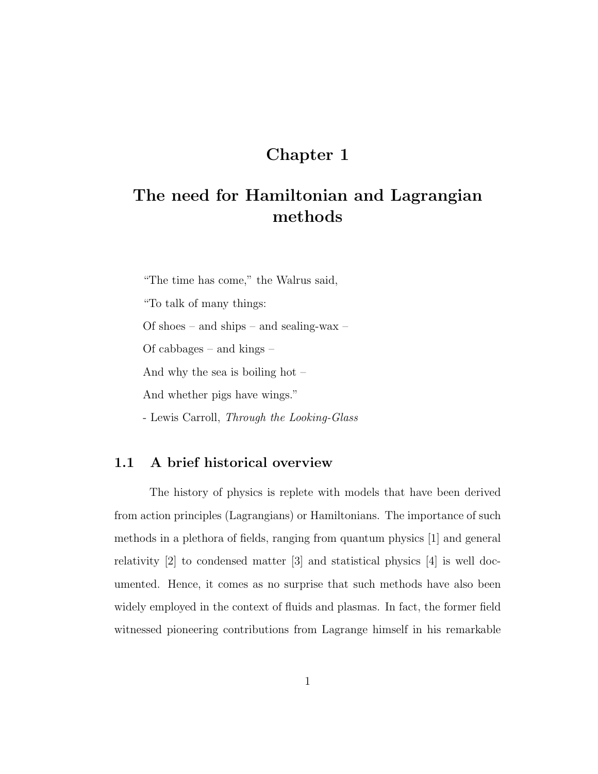### Chapter 1

## The need for Hamiltonian and Lagrangian methods

"The time has come," the Walrus said, "To talk of many things: Of shoes – and ships – and sealing-wax – Of cabbages – and kings – And why the sea is boiling hot – And whether pigs have wings." - Lewis Carroll, Through the Looking-Glass

#### 1.1 A brief historical overview

The history of physics is replete with models that have been derived from action principles (Lagrangians) or Hamiltonians. The importance of such methods in a plethora of fields, ranging from quantum physics [1] and general relativity [2] to condensed matter [3] and statistical physics [4] is well documented. Hence, it comes as no surprise that such methods have also been widely employed in the context of fluids and plasmas. In fact, the former field witnessed pioneering contributions from Lagrange himself in his remarkable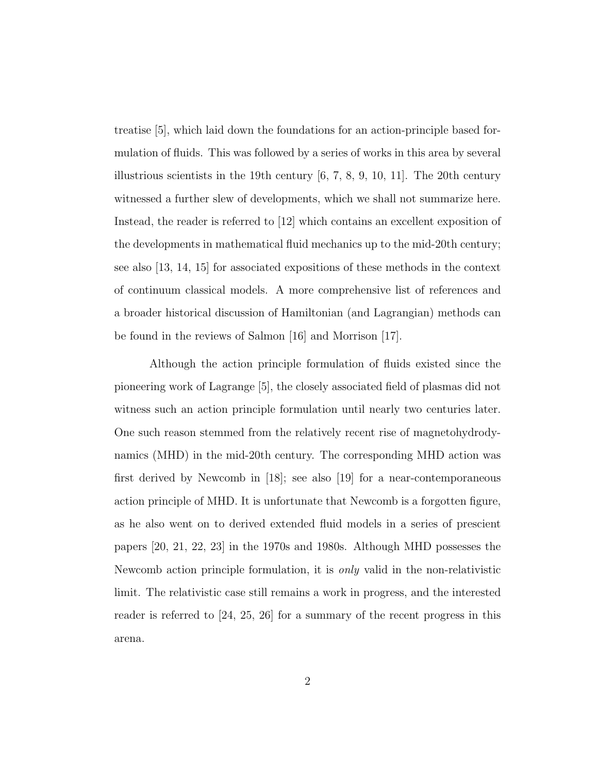treatise [5], which laid down the foundations for an action-principle based formulation of fluids. This was followed by a series of works in this area by several illustrious scientists in the 19th century  $[6, 7, 8, 9, 10, 11]$ . The 20th century witnessed a further slew of developments, which we shall not summarize here. Instead, the reader is referred to [12] which contains an excellent exposition of the developments in mathematical fluid mechanics up to the mid-20th century; see also [13, 14, 15] for associated expositions of these methods in the context of continuum classical models. A more comprehensive list of references and a broader historical discussion of Hamiltonian (and Lagrangian) methods can be found in the reviews of Salmon [16] and Morrison [17].

Although the action principle formulation of fluids existed since the pioneering work of Lagrange [5], the closely associated field of plasmas did not witness such an action principle formulation until nearly two centuries later. One such reason stemmed from the relatively recent rise of magnetohydrodynamics (MHD) in the mid-20th century. The corresponding MHD action was first derived by Newcomb in [18]; see also [19] for a near-contemporaneous action principle of MHD. It is unfortunate that Newcomb is a forgotten figure, as he also went on to derived extended fluid models in a series of prescient papers [20, 21, 22, 23] in the 1970s and 1980s. Although MHD possesses the Newcomb action principle formulation, it is only valid in the non-relativistic limit. The relativistic case still remains a work in progress, and the interested reader is referred to [24, 25, 26] for a summary of the recent progress in this arena.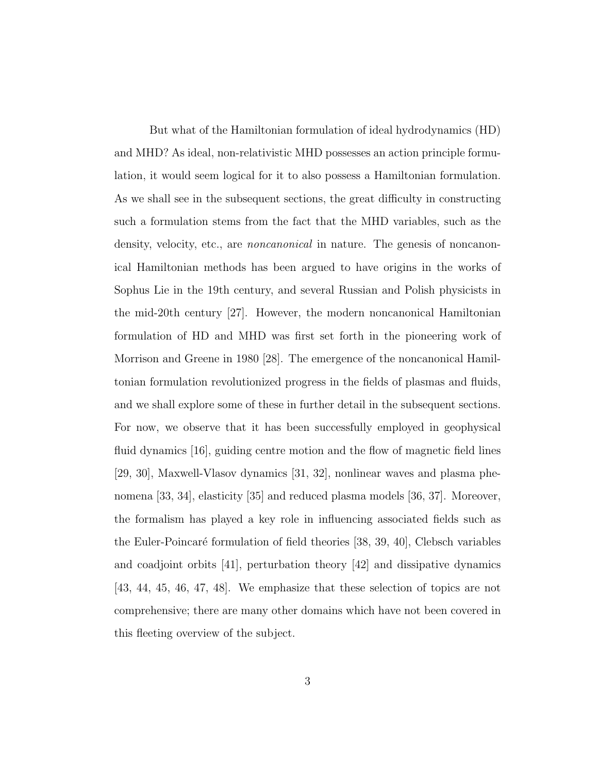But what of the Hamiltonian formulation of ideal hydrodynamics (HD) and MHD? As ideal, non-relativistic MHD possesses an action principle formulation, it would seem logical for it to also possess a Hamiltonian formulation. As we shall see in the subsequent sections, the great difficulty in constructing such a formulation stems from the fact that the MHD variables, such as the density, velocity, etc., are *noncanonical* in nature. The genesis of noncanonical Hamiltonian methods has been argued to have origins in the works of Sophus Lie in the 19th century, and several Russian and Polish physicists in the mid-20th century [27]. However, the modern noncanonical Hamiltonian formulation of HD and MHD was first set forth in the pioneering work of Morrison and Greene in 1980 [28]. The emergence of the noncanonical Hamiltonian formulation revolutionized progress in the fields of plasmas and fluids, and we shall explore some of these in further detail in the subsequent sections. For now, we observe that it has been successfully employed in geophysical fluid dynamics [16], guiding centre motion and the flow of magnetic field lines [29, 30], Maxwell-Vlasov dynamics [31, 32], nonlinear waves and plasma phenomena [33, 34], elasticity [35] and reduced plasma models [36, 37]. Moreover, the formalism has played a key role in influencing associated fields such as the Euler-Poincaré formulation of field theories [38, 39, 40], Clebsch variables and coadjoint orbits [41], perturbation theory [42] and dissipative dynamics [43, 44, 45, 46, 47, 48]. We emphasize that these selection of topics are not comprehensive; there are many other domains which have not been covered in this fleeting overview of the subject.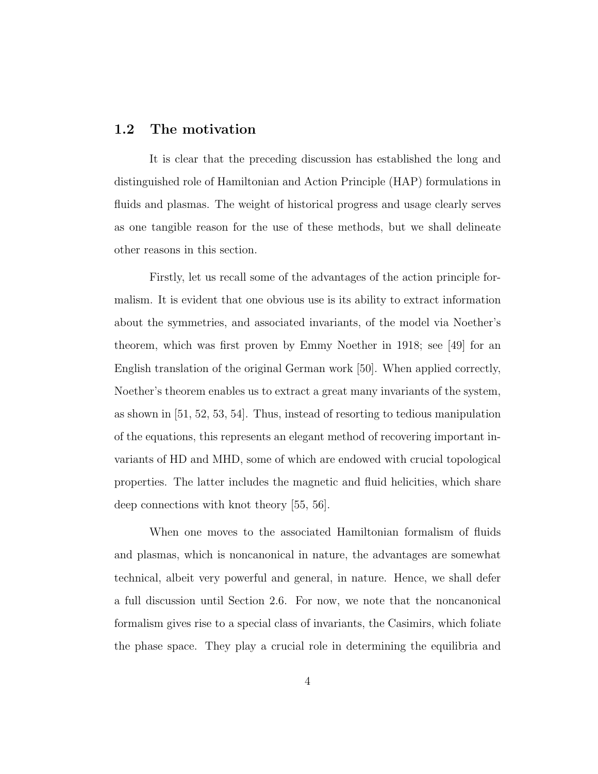#### 1.2 The motivation

It is clear that the preceding discussion has established the long and distinguished role of Hamiltonian and Action Principle (HAP) formulations in fluids and plasmas. The weight of historical progress and usage clearly serves as one tangible reason for the use of these methods, but we shall delineate other reasons in this section.

Firstly, let us recall some of the advantages of the action principle formalism. It is evident that one obvious use is its ability to extract information about the symmetries, and associated invariants, of the model via Noether's theorem, which was first proven by Emmy Noether in 1918; see [49] for an English translation of the original German work [50]. When applied correctly, Noether's theorem enables us to extract a great many invariants of the system, as shown in [51, 52, 53, 54]. Thus, instead of resorting to tedious manipulation of the equations, this represents an elegant method of recovering important invariants of HD and MHD, some of which are endowed with crucial topological properties. The latter includes the magnetic and fluid helicities, which share deep connections with knot theory [55, 56].

When one moves to the associated Hamiltonian formalism of fluids and plasmas, which is noncanonical in nature, the advantages are somewhat technical, albeit very powerful and general, in nature. Hence, we shall defer a full discussion until Section 2.6. For now, we note that the noncanonical formalism gives rise to a special class of invariants, the Casimirs, which foliate the phase space. They play a crucial role in determining the equilibria and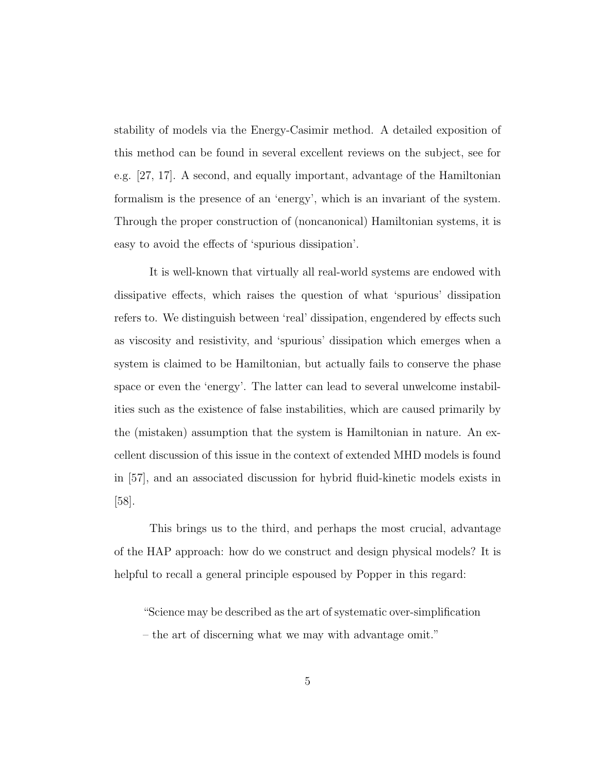stability of models via the Energy-Casimir method. A detailed exposition of this method can be found in several excellent reviews on the subject, see for e.g. [27, 17]. A second, and equally important, advantage of the Hamiltonian formalism is the presence of an 'energy', which is an invariant of the system. Through the proper construction of (noncanonical) Hamiltonian systems, it is easy to avoid the effects of 'spurious dissipation'.

It is well-known that virtually all real-world systems are endowed with dissipative effects, which raises the question of what 'spurious' dissipation refers to. We distinguish between 'real' dissipation, engendered by effects such as viscosity and resistivity, and 'spurious' dissipation which emerges when a system is claimed to be Hamiltonian, but actually fails to conserve the phase space or even the 'energy'. The latter can lead to several unwelcome instabilities such as the existence of false instabilities, which are caused primarily by the (mistaken) assumption that the system is Hamiltonian in nature. An excellent discussion of this issue in the context of extended MHD models is found in [57], and an associated discussion for hybrid fluid-kinetic models exists in [58].

This brings us to the third, and perhaps the most crucial, advantage of the HAP approach: how do we construct and design physical models? It is helpful to recall a general principle espoused by Popper in this regard:

"Science may be described as the art of systematic over-simplification

– the art of discerning what we may with advantage omit."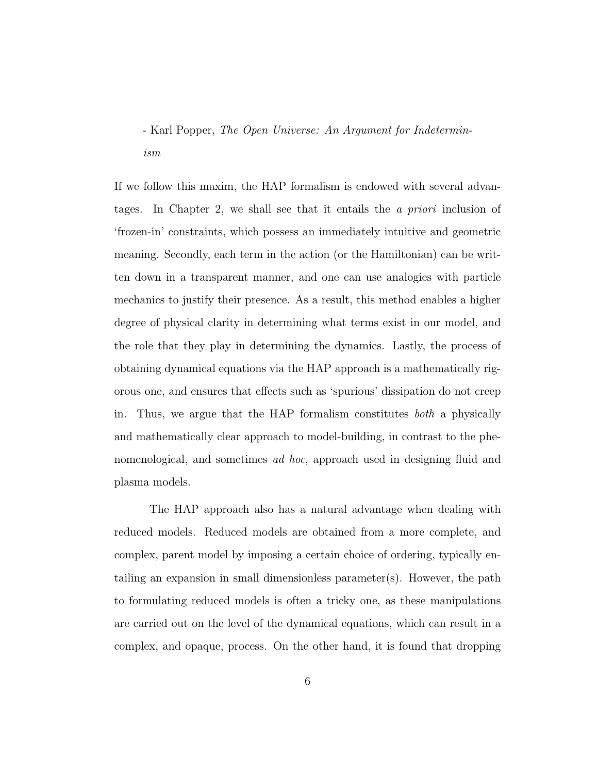## - Karl Popper, The Open Universe: An Argument for Indeterminism

If we follow this maxim, the HAP formalism is endowed with several advantages. In Chapter 2, we shall see that it entails the a priori inclusion of 'frozen-in' constraints, which possess an immediately intuitive and geometric meaning. Secondly, each term in the action (or the Hamiltonian) can be written down in a transparent manner, and one can use analogies with particle mechanics to justify their presence. As a result, this method enables a higher degree of physical clarity in determining what terms exist in our model, and the role that they play in determining the dynamics. Lastly, the process of obtaining dynamical equations via the HAP approach is a mathematically rigorous one, and ensures that effects such as 'spurious' dissipation do not creep in. Thus, we argue that the HAP formalism constitutes both a physically and mathematically clear approach to model-building, in contrast to the phenomenological, and sometimes ad hoc, approach used in designing fluid and plasma models.

The HAP approach also has a natural advantage when dealing with reduced models. Reduced models are obtained from a more complete, and complex, parent model by imposing a certain choice of ordering, typically entailing an expansion in small dimensionless parameter(s). However, the path to formulating reduced models is often a tricky one, as these manipulations are carried out on the level of the dynamical equations, which can result in a complex, and opaque, process. On the other hand, it is found that dropping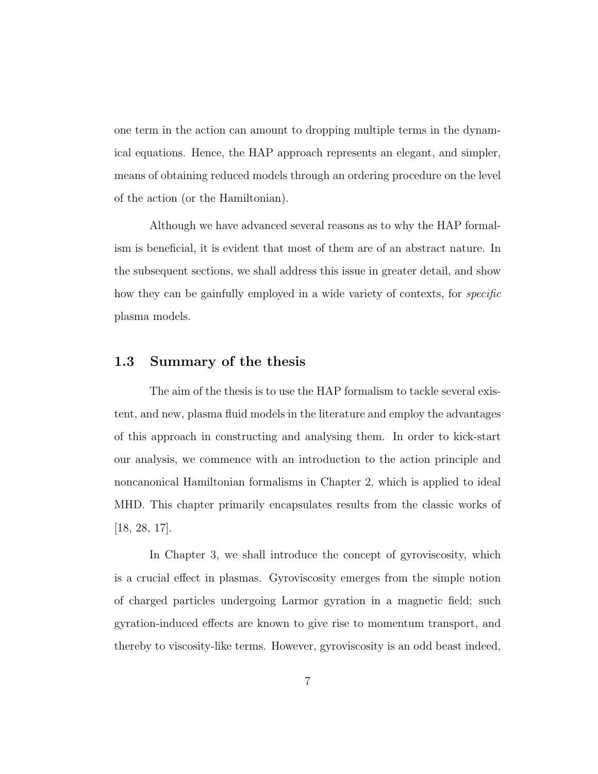one term in the action can amount to dropping multiple terms in the dynamical equations. Hence, the HAP approach represents an elegant, and simpler, means of obtaining reduced models through an ordering procedure on the level of the action (or the Hamiltonian).

Although we have advanced several reasons as to why the HAP formalism is beneficial, it is evident that most of them are of an abstract nature. In the subsequent sections, we shall address this issue in greater detail, and show how they can be gainfully employed in a wide variety of contexts, for *specific* plasma models.

#### 1.3 Summary of the thesis

The aim of the thesis is to use the HAP formalism to tackle several existent, and new, plasma fluid models in the literature and employ the advantages of this approach in constructing and analysing them. In order to kick-start our analysis, we commence with an introduction to the action principle and noncanonical Hamiltonian formalisms in Chapter 2, which is applied to ideal MHD. This chapter primarily encapsulates results from the classic works of [18, 28, 17].

In Chapter 3, we shall introduce the concept of gyroviscosity, which is a crucial effect in plasmas. Gyroviscosity emerges from the simple notion of charged particles undergoing Larmor gyration in a magnetic field; such gyration-induced effects are known to give rise to momentum transport, and thereby to viscosity-like terms. However, gyroviscosity is an odd beast indeed,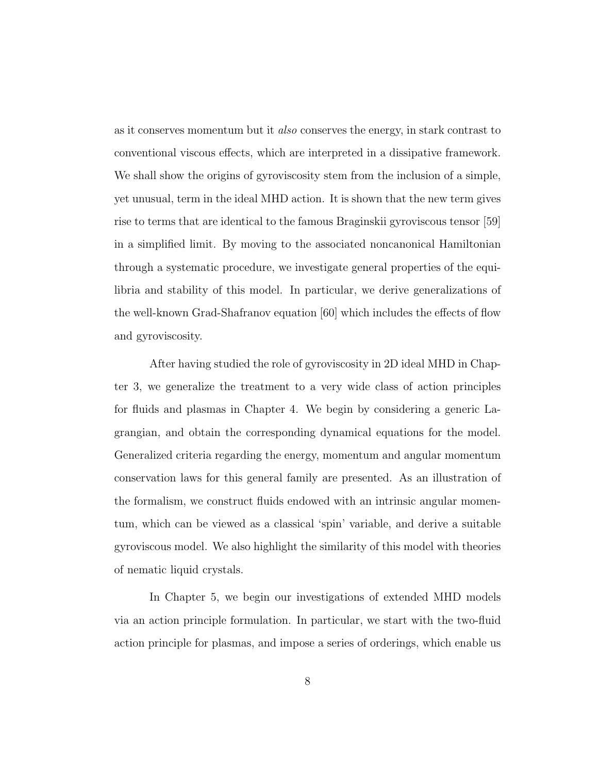as it conserves momentum but it also conserves the energy, in stark contrast to conventional viscous effects, which are interpreted in a dissipative framework. We shall show the origins of gyroviscosity stem from the inclusion of a simple, yet unusual, term in the ideal MHD action. It is shown that the new term gives rise to terms that are identical to the famous Braginskii gyroviscous tensor [59] in a simplified limit. By moving to the associated noncanonical Hamiltonian through a systematic procedure, we investigate general properties of the equilibria and stability of this model. In particular, we derive generalizations of the well-known Grad-Shafranov equation [60] which includes the effects of flow and gyroviscosity.

After having studied the role of gyroviscosity in 2D ideal MHD in Chapter 3, we generalize the treatment to a very wide class of action principles for fluids and plasmas in Chapter 4. We begin by considering a generic Lagrangian, and obtain the corresponding dynamical equations for the model. Generalized criteria regarding the energy, momentum and angular momentum conservation laws for this general family are presented. As an illustration of the formalism, we construct fluids endowed with an intrinsic angular momentum, which can be viewed as a classical 'spin' variable, and derive a suitable gyroviscous model. We also highlight the similarity of this model with theories of nematic liquid crystals.

In Chapter 5, we begin our investigations of extended MHD models via an action principle formulation. In particular, we start with the two-fluid action principle for plasmas, and impose a series of orderings, which enable us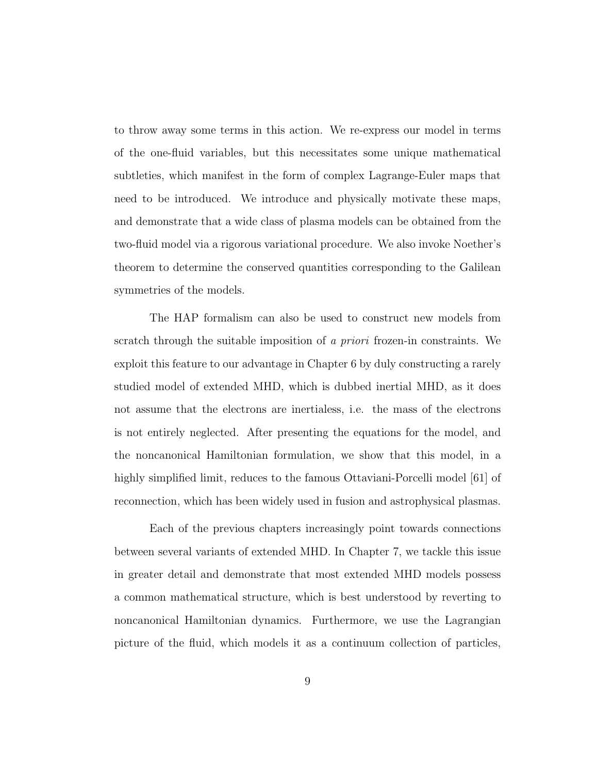to throw away some terms in this action. We re-express our model in terms of the one-fluid variables, but this necessitates some unique mathematical subtleties, which manifest in the form of complex Lagrange-Euler maps that need to be introduced. We introduce and physically motivate these maps, and demonstrate that a wide class of plasma models can be obtained from the two-fluid model via a rigorous variational procedure. We also invoke Noether's theorem to determine the conserved quantities corresponding to the Galilean symmetries of the models.

The HAP formalism can also be used to construct new models from scratch through the suitable imposition of a priori frozen-in constraints. We exploit this feature to our advantage in Chapter 6 by duly constructing a rarely studied model of extended MHD, which is dubbed inertial MHD, as it does not assume that the electrons are inertialess, i.e. the mass of the electrons is not entirely neglected. After presenting the equations for the model, and the noncanonical Hamiltonian formulation, we show that this model, in a highly simplified limit, reduces to the famous Ottaviani-Porcelli model [61] of reconnection, which has been widely used in fusion and astrophysical plasmas.

Each of the previous chapters increasingly point towards connections between several variants of extended MHD. In Chapter 7, we tackle this issue in greater detail and demonstrate that most extended MHD models possess a common mathematical structure, which is best understood by reverting to noncanonical Hamiltonian dynamics. Furthermore, we use the Lagrangian picture of the fluid, which models it as a continuum collection of particles,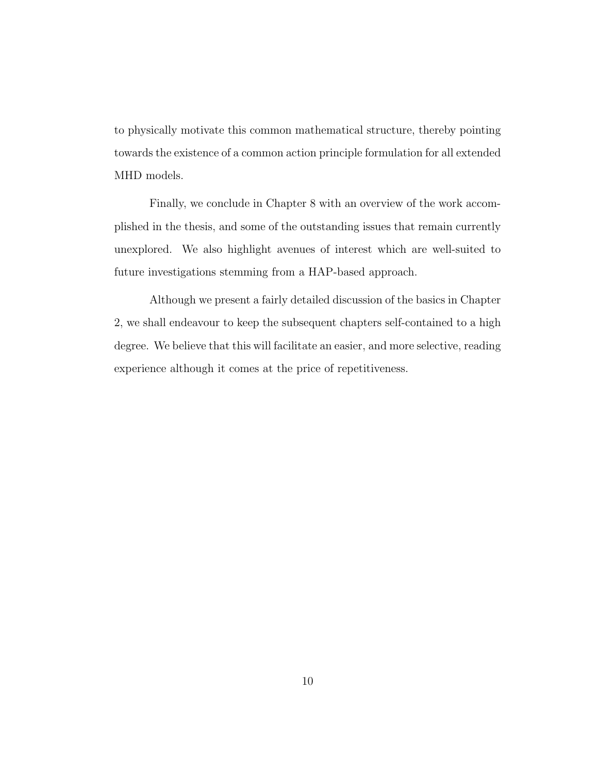to physically motivate this common mathematical structure, thereby pointing towards the existence of a common action principle formulation for all extended MHD models.

Finally, we conclude in Chapter 8 with an overview of the work accomplished in the thesis, and some of the outstanding issues that remain currently unexplored. We also highlight avenues of interest which are well-suited to future investigations stemming from a HAP-based approach.

Although we present a fairly detailed discussion of the basics in Chapter 2, we shall endeavour to keep the subsequent chapters self-contained to a high degree. We believe that this will facilitate an easier, and more selective, reading experience although it comes at the price of repetitiveness.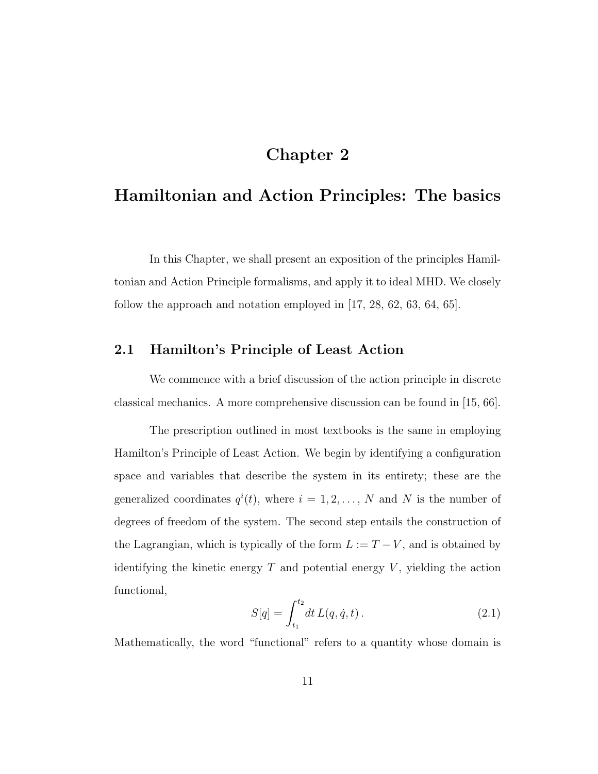### Chapter 2

## Hamiltonian and Action Principles: The basics

In this Chapter, we shall present an exposition of the principles Hamiltonian and Action Principle formalisms, and apply it to ideal MHD. We closely follow the approach and notation employed in [17, 28, 62, 63, 64, 65].

#### 2.1 Hamilton's Principle of Least Action

We commence with a brief discussion of the action principle in discrete classical mechanics. A more comprehensive discussion can be found in [15, 66].

The prescription outlined in most textbooks is the same in employing Hamilton's Principle of Least Action. We begin by identifying a configuration space and variables that describe the system in its entirety; these are the generalized coordinates  $q^{i}(t)$ , where  $i = 1, 2, ..., N$  and N is the number of degrees of freedom of the system. The second step entails the construction of the Lagrangian, which is typically of the form  $L := T - V$ , and is obtained by identifying the kinetic energy  $T$  and potential energy  $V$ , yielding the action functional,

$$
S[q] = \int_{t_1}^{t_2} dt \, L(q, \dot{q}, t) \,. \tag{2.1}
$$

Mathematically, the word "functional" refers to a quantity whose domain is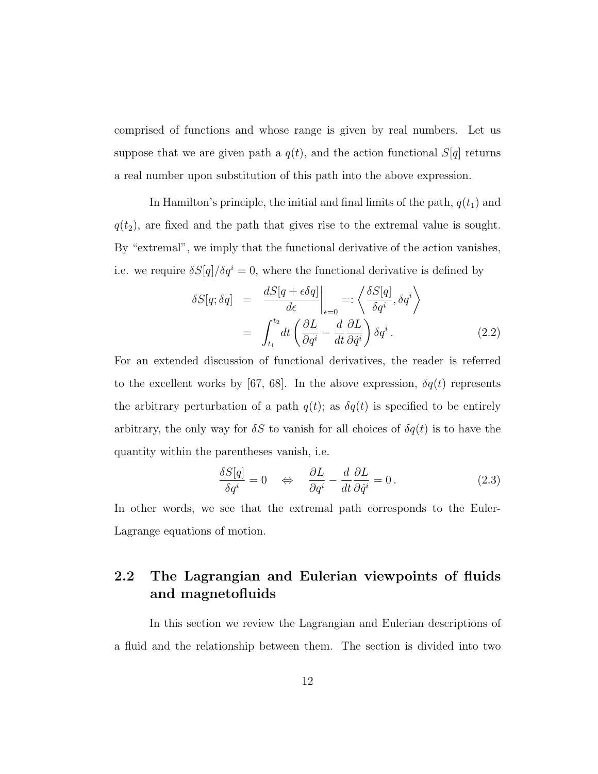comprised of functions and whose range is given by real numbers. Let us suppose that we are given path a  $q(t)$ , and the action functional  $S[q]$  returns a real number upon substitution of this path into the above expression.

In Hamilton's principle, the initial and final limits of the path,  $q(t_1)$  and  $q(t_2)$ , are fixed and the path that gives rise to the extremal value is sought. By "extremal", we imply that the functional derivative of the action vanishes, i.e. we require  $\delta S[q]/\delta q^i = 0$ , where the functional derivative is defined by

$$
\delta S[q; \delta q] = \frac{dS[q + \epsilon \delta q]}{d\epsilon} \bigg|_{\epsilon=0} =: \left\langle \frac{\delta S[q]}{\delta q^i}, \delta q^i \right\rangle
$$

$$
= \int_{t_1}^{t_2} dt \left( \frac{\partial L}{\partial q^i} - \frac{d}{dt} \frac{\partial L}{\partial \dot{q}^i} \right) \delta q^i.
$$
(2.2)

For an extended discussion of functional derivatives, the reader is referred to the excellent works by [67, 68]. In the above expression,  $\delta q(t)$  represents the arbitrary perturbation of a path  $q(t)$ ; as  $\delta q(t)$  is specified to be entirely arbitrary, the only way for  $\delta S$  to vanish for all choices of  $\delta q(t)$  is to have the quantity within the parentheses vanish, i.e.

$$
\frac{\delta S[q]}{\delta q^i} = 0 \quad \Leftrightarrow \quad \frac{\partial L}{\partial q^i} - \frac{d}{dt} \frac{\partial L}{\partial \dot{q}^i} = 0. \tag{2.3}
$$

In other words, we see that the extremal path corresponds to the Euler-Lagrange equations of motion.

### 2.2 The Lagrangian and Eulerian viewpoints of fluids and magnetofluids

In this section we review the Lagrangian and Eulerian descriptions of a fluid and the relationship between them. The section is divided into two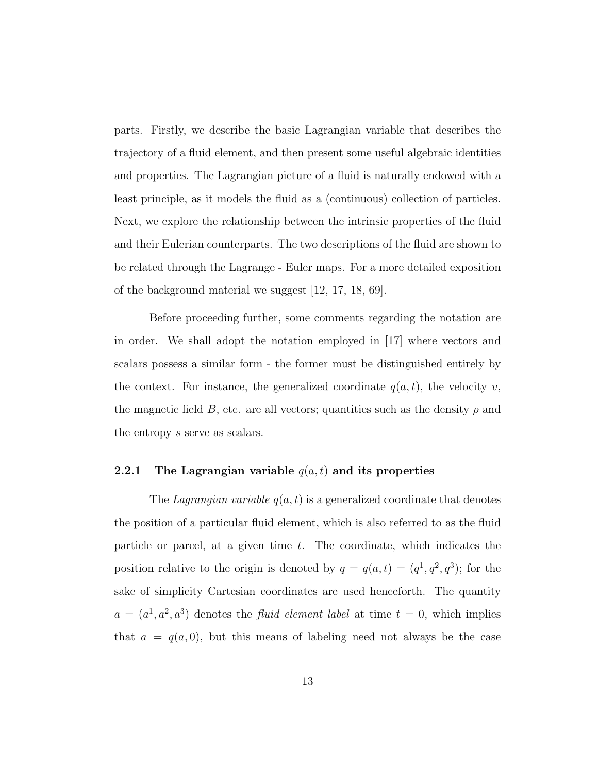parts. Firstly, we describe the basic Lagrangian variable that describes the trajectory of a fluid element, and then present some useful algebraic identities and properties. The Lagrangian picture of a fluid is naturally endowed with a least principle, as it models the fluid as a (continuous) collection of particles. Next, we explore the relationship between the intrinsic properties of the fluid and their Eulerian counterparts. The two descriptions of the fluid are shown to be related through the Lagrange - Euler maps. For a more detailed exposition of the background material we suggest [12, 17, 18, 69].

Before proceeding further, some comments regarding the notation are in order. We shall adopt the notation employed in [17] where vectors and scalars possess a similar form - the former must be distinguished entirely by the context. For instance, the generalized coordinate  $q(a, t)$ , the velocity v, the magnetic field B, etc. are all vectors; quantities such as the density  $\rho$  and the entropy s serve as scalars.

#### 2.2.1 The Lagrangian variable  $q(a,t)$  and its properties

The Lagrangian variable  $q(a, t)$  is a generalized coordinate that denotes the position of a particular fluid element, which is also referred to as the fluid particle or parcel, at a given time t. The coordinate, which indicates the position relative to the origin is denoted by  $q = q(a,t) = (q^1, q^2, q^3)$ ; for the sake of simplicity Cartesian coordinates are used henceforth. The quantity  $a = (a^1, a^2, a^3)$  denotes the *fluid element label* at time  $t = 0$ , which implies that  $a = q(a, 0)$ , but this means of labeling need not always be the case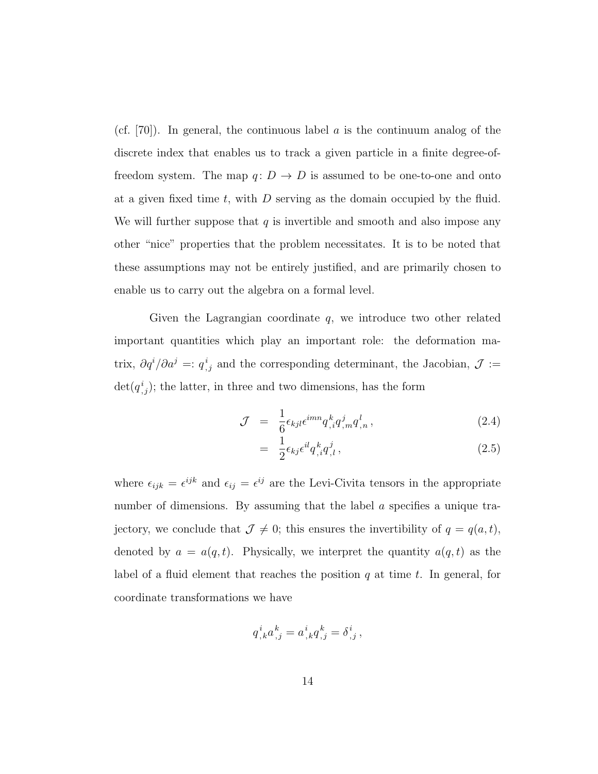(cf.  $[70]$ ). In general, the continuous label a is the continuum analog of the discrete index that enables us to track a given particle in a finite degree-offreedom system. The map  $q: D \to D$  is assumed to be one-to-one and onto at a given fixed time t, with  $D$  serving as the domain occupied by the fluid. We will further suppose that  $q$  is invertible and smooth and also impose any other "nice" properties that the problem necessitates. It is to be noted that these assumptions may not be entirely justified, and are primarily chosen to enable us to carry out the algebra on a formal level.

Given the Lagrangian coordinate  $q$ , we introduce two other related important quantities which play an important role: the deformation matrix,  $\partial q^{i}/\partial a^{j} =: q^{i}_{j}$  and the corresponding determinant, the Jacobian,  $\mathcal{J} :=$  $\det(q_{,j}^{i});$  the latter, in three and two dimensions, has the form

$$
\mathcal{J} = \frac{1}{6} \epsilon_{kjl} \epsilon^{imn} q^k_{,i} q^j_{,m} q^l_{,n} , \qquad (2.4)
$$

$$
= \frac{1}{2} \epsilon_{kj} \epsilon^{il} q^k_{,l} q^j_{,l} , \qquad (2.5)
$$

where  $\epsilon_{ijk} = \epsilon^{ijk}$  and  $\epsilon_{ij} = \epsilon^{ij}$  are the Levi-Civita tensors in the appropriate number of dimensions. By assuming that the label a specifies a unique trajectory, we conclude that  $\mathcal{J} \neq 0$ ; this ensures the invertibility of  $q = q(a, t)$ , denoted by  $a = a(q, t)$ . Physically, we interpret the quantity  $a(q, t)$  as the label of a fluid element that reaches the position  $q$  at time  $t$ . In general, for coordinate transformations we have

$$
q^i_{\,k}a^k_{\,,j}=a^i_{\,,k}q^k_{\,,j}=\delta^i_{\,,j}\,,
$$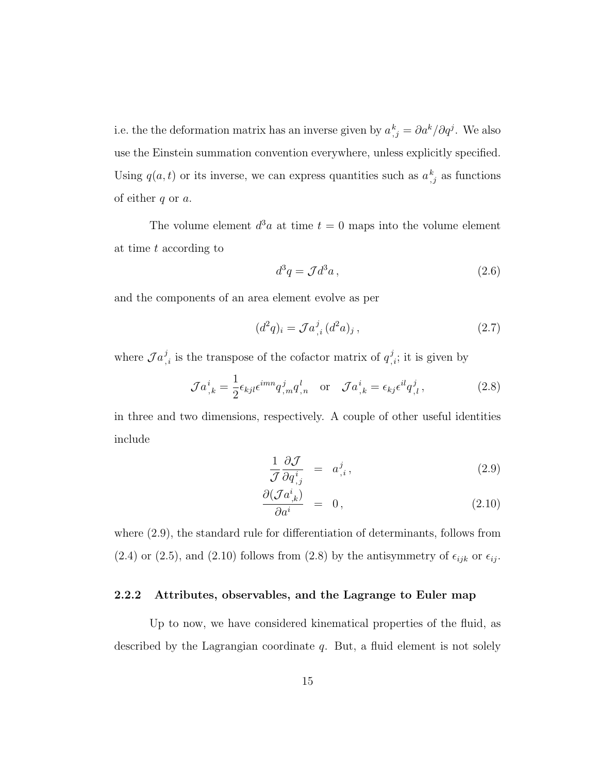i.e. the the deformation matrix has an inverse given by  $a_{j}^{k} = \partial a^{k} / \partial q^{j}$ . We also use the Einstein summation convention everywhere, unless explicitly specified. Using  $q(a, t)$  or its inverse, we can express quantities such as  $a_{i,j}^k$  as functions of either  $q$  or  $a$ .

The volume element  $d^3a$  at time  $t = 0$  maps into the volume element at time t according to

$$
d^3q = \mathcal{J}d^3a\,,\tag{2.6}
$$

and the components of an area element evolve as per

$$
(d^2q)_i = \mathcal{J}a^j_{,i} (d^2a)_j , \qquad (2.7)
$$

where  $\mathcal{J} a_{,i}^j$  is the transpose of the cofactor matrix of  $q_{,i}^j$ ; it is given by

$$
\mathcal{J}a_{,k}^{i} = \frac{1}{2} \epsilon_{kjl} \epsilon^{imn} q_{,m}^{j} q_{,n}^{l} \quad \text{or} \quad \mathcal{J}a_{,k}^{i} = \epsilon_{kj} \epsilon^{il} q_{,l}^{j} \,, \tag{2.8}
$$

in three and two dimensions, respectively. A couple of other useful identities include

$$
\frac{1}{\mathcal{J}} \frac{\partial \mathcal{J}}{\partial q^i_{,j}} = a^j_{,i},\tag{2.9}
$$

$$
\frac{\partial(\mathcal{J}a^i_{,k})}{\partial a^i} = 0, \qquad (2.10)
$$

where (2.9), the standard rule for differentiation of determinants, follows from (2.4) or (2.5), and (2.10) follows from (2.8) by the antisymmetry of  $\epsilon_{ijk}$  or  $\epsilon_{ij}$ .

#### 2.2.2 Attributes, observables, and the Lagrange to Euler map

Up to now, we have considered kinematical properties of the fluid, as described by the Lagrangian coordinate  $q$ . But, a fluid element is not solely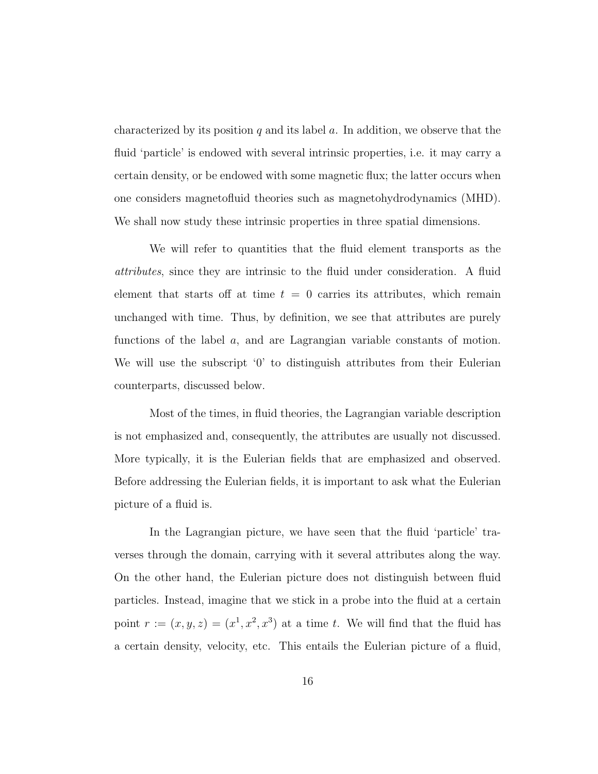characterized by its position q and its label  $a$ . In addition, we observe that the fluid 'particle' is endowed with several intrinsic properties, i.e. it may carry a certain density, or be endowed with some magnetic flux; the latter occurs when one considers magnetofluid theories such as magnetohydrodynamics (MHD). We shall now study these intrinsic properties in three spatial dimensions.

We will refer to quantities that the fluid element transports as the attributes, since they are intrinsic to the fluid under consideration. A fluid element that starts off at time  $t = 0$  carries its attributes, which remain unchanged with time. Thus, by definition, we see that attributes are purely functions of the label a, and are Lagrangian variable constants of motion. We will use the subscript '0' to distinguish attributes from their Eulerian counterparts, discussed below.

Most of the times, in fluid theories, the Lagrangian variable description is not emphasized and, consequently, the attributes are usually not discussed. More typically, it is the Eulerian fields that are emphasized and observed. Before addressing the Eulerian fields, it is important to ask what the Eulerian picture of a fluid is.

In the Lagrangian picture, we have seen that the fluid 'particle' traverses through the domain, carrying with it several attributes along the way. On the other hand, the Eulerian picture does not distinguish between fluid particles. Instead, imagine that we stick in a probe into the fluid at a certain point  $r := (x, y, z) = (x^1, x^2, x^3)$  at a time t. We will find that the fluid has a certain density, velocity, etc. This entails the Eulerian picture of a fluid,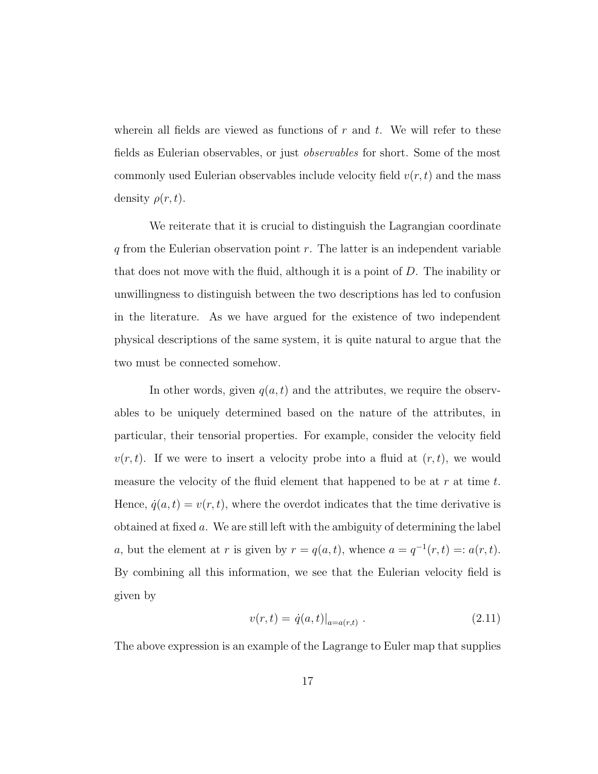wherein all fields are viewed as functions of  $r$  and  $t$ . We will refer to these fields as Eulerian observables, or just observables for short. Some of the most commonly used Eulerian observables include velocity field  $v(r, t)$  and the mass density  $\rho(r, t)$ .

We reiterate that it is crucial to distinguish the Lagrangian coordinate  $q$  from the Eulerian observation point  $r$ . The latter is an independent variable that does not move with the fluid, although it is a point of D. The inability or unwillingness to distinguish between the two descriptions has led to confusion in the literature. As we have argued for the existence of two independent physical descriptions of the same system, it is quite natural to argue that the two must be connected somehow.

In other words, given  $q(a, t)$  and the attributes, we require the observables to be uniquely determined based on the nature of the attributes, in particular, their tensorial properties. For example, consider the velocity field  $v(r, t)$ . If we were to insert a velocity probe into a fluid at  $(r, t)$ , we would measure the velocity of the fluid element that happened to be at r at time  $t$ . Hence,  $\dot{q}(a, t) = v(r, t)$ , where the overdot indicates that the time derivative is obtained at fixed a. We are still left with the ambiguity of determining the label a, but the element at r is given by  $r = q(a, t)$ , whence  $a = q^{-1}(r, t) = a(r, t)$ . By combining all this information, we see that the Eulerian velocity field is given by

$$
v(r,t) = \dot{q}(a,t)|_{a=a(r,t)}.
$$
\n(2.11)

The above expression is an example of the Lagrange to Euler map that supplies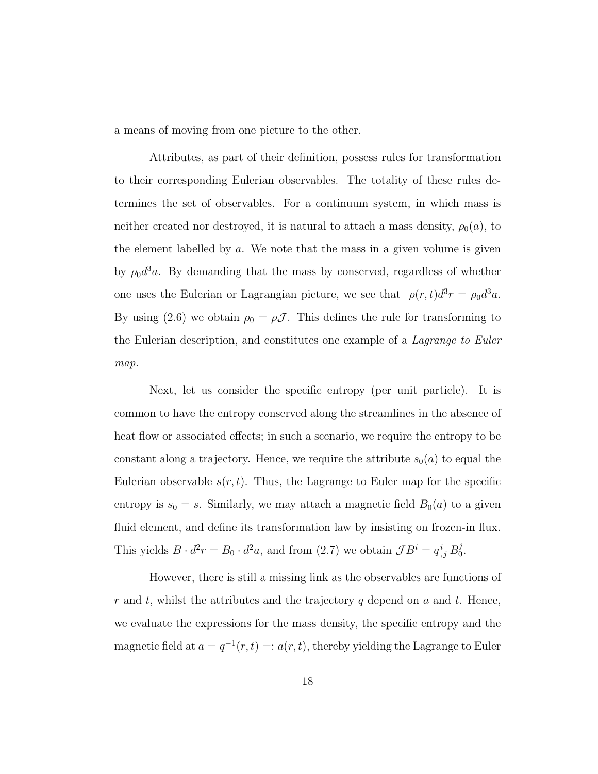a means of moving from one picture to the other.

Attributes, as part of their definition, possess rules for transformation to their corresponding Eulerian observables. The totality of these rules determines the set of observables. For a continuum system, in which mass is neither created nor destroyed, it is natural to attach a mass density,  $\rho_0(a)$ , to the element labelled by  $a$ . We note that the mass in a given volume is given by  $\rho_0 d^3 a$ . By demanding that the mass by conserved, regardless of whether one uses the Eulerian or Lagrangian picture, we see that  $\rho(r,t)d^3r = \rho_0 d^3a$ . By using (2.6) we obtain  $\rho_0 = \rho \mathcal{J}$ . This defines the rule for transforming to the Eulerian description, and constitutes one example of a Lagrange to Euler map.

Next, let us consider the specific entropy (per unit particle). It is common to have the entropy conserved along the streamlines in the absence of heat flow or associated effects; in such a scenario, we require the entropy to be constant along a trajectory. Hence, we require the attribute  $s_0(a)$  to equal the Eulerian observable  $s(r, t)$ . Thus, the Lagrange to Euler map for the specific entropy is  $s_0 = s$ . Similarly, we may attach a magnetic field  $B_0(a)$  to a given fluid element, and define its transformation law by insisting on frozen-in flux. This yields  $B \cdot d^2r = B_0 \cdot d^2a$ , and from (2.7) we obtain  $\mathcal{J}B^i = q^i_{,j} B_0^j$  $_{0}^{\jmath}.$ 

However, there is still a missing link as the observables are functions of r and t, whilst the attributes and the trajectory q depend on  $a$  and  $t$ . Hence, we evaluate the expressions for the mass density, the specific entropy and the magnetic field at  $a = q^{-1}(r, t) =: a(r, t)$ , thereby yielding the Lagrange to Euler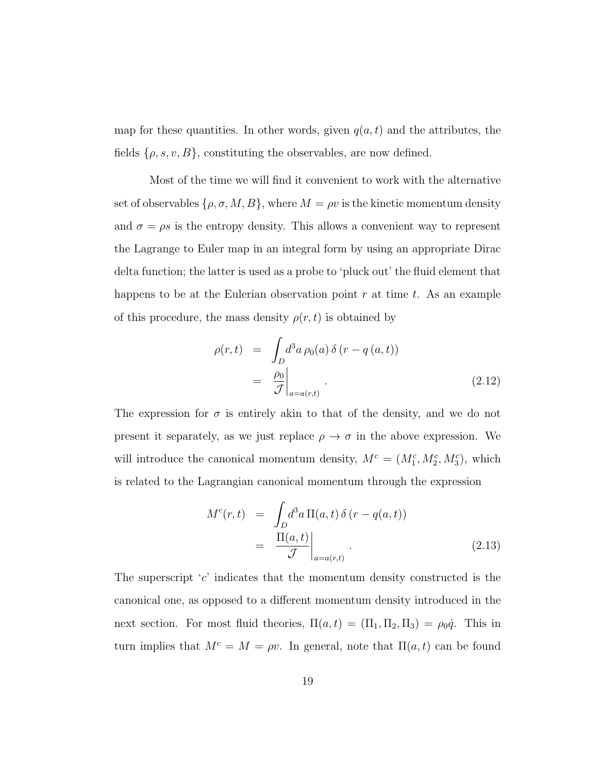map for these quantities. In other words, given  $q(a, t)$  and the attributes, the fields  $\{\rho, s, v, B\}$ , constituting the observables, are now defined.

Most of the time we will find it convenient to work with the alternative set of observables  $\{\rho, \sigma, M, B\}$ , where  $M = \rho v$  is the kinetic momentum density and  $\sigma = \rho s$  is the entropy density. This allows a convenient way to represent the Lagrange to Euler map in an integral form by using an appropriate Dirac delta function; the latter is used as a probe to 'pluck out' the fluid element that happens to be at the Eulerian observation point  $r$  at time  $t$ . As an example of this procedure, the mass density  $\rho(r, t)$  is obtained by

$$
\rho(r,t) = \int_D d^3a \,\rho_0(a) \,\delta(r - q(a,t))
$$

$$
= \left. \frac{\rho_0}{\mathcal{J}} \right|_{a = a(r,t)}.
$$
\n(2.12)

The expression for  $\sigma$  is entirely akin to that of the density, and we do not present it separately, as we just replace  $\rho \to \sigma$  in the above expression. We will introduce the canonical momentum density,  $M^c = (M_1^c, M_2^c, M_3^c)$ , which is related to the Lagrangian canonical momentum through the expression

$$
M^{c}(r,t) = \int_{D} d^{3}a \, \Pi(a,t) \, \delta(r - q(a,t))
$$

$$
= \frac{\Pi(a,t)}{\mathcal{J}} \bigg|_{a=a(r,t)}.
$$
(2.13)

The superscript  $c'$  indicates that the momentum density constructed is the canonical one, as opposed to a different momentum density introduced in the next section. For most fluid theories,  $\Pi(a, t) = (\Pi_1, \Pi_2, \Pi_3) = \rho_0 \dot{q}$ . This in turn implies that  $M^c = M = \rho v$ . In general, note that  $\Pi(a, t)$  can be found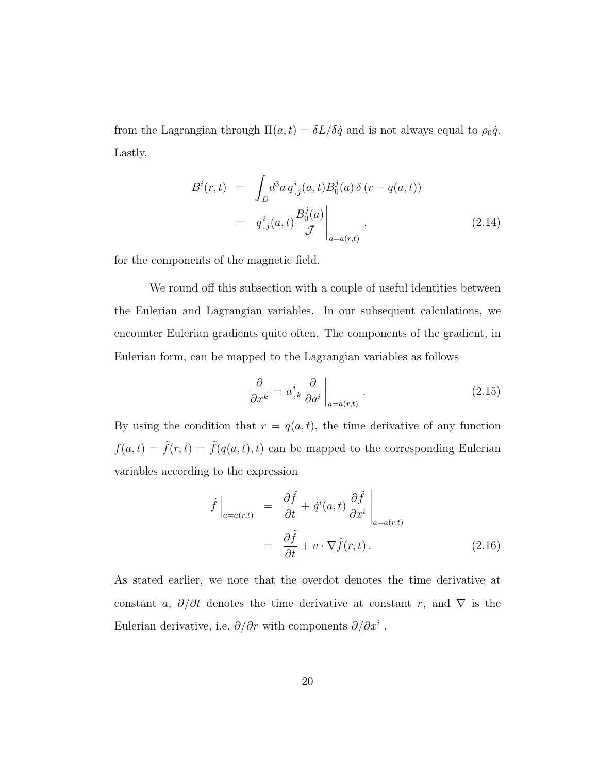from the Lagrangian through  $\Pi(a, t) = \delta L/\delta \dot{q}$  and is not always equal to  $\rho_0 \dot{q}$ . Lastly,

$$
B^{i}(r,t) = \int_{D} d^{3}a \, q^{i}_{,j}(a,t) B^{j}_{0}(a) \, \delta(r - q(a,t))
$$
  

$$
= q^{i}_{,j}(a,t) \frac{B^{j}_{0}(a)}{\mathcal{J}} \Big|_{a=a(r,t)}, \qquad (2.14)
$$

for the components of the magnetic field.

We round off this subsection with a couple of useful identities between the Eulerian and Lagrangian variables. In our subsequent calculations, we encounter Eulerian gradients quite often. The components of the gradient, in Eulerian form, can be mapped to the Lagrangian variables as follows

$$
\frac{\partial}{\partial x^k} = a^i_{,k} \frac{\partial}{\partial a^i} \bigg|_{a=a(r,t)}.
$$
\n(2.15)

By using the condition that  $r = q(a, t)$ , the time derivative of any function  $f(a, t) = \tilde{f}(r, t) = \tilde{f}(q(a, t), t)$  can be mapped to the corresponding Eulerian variables according to the expression

$$
\dot{f}\Big|_{a=a(r,t)} = \frac{\partial \tilde{f}}{\partial t} + \dot{q}^i(a,t) \frac{\partial \tilde{f}}{\partial x^i}\Big|_{a=a(r,t)}
$$
\n
$$
= \frac{\partial \tilde{f}}{\partial t} + v \cdot \nabla \tilde{f}(r,t) \,. \tag{2.16}
$$

As stated earlier, we note that the overdot denotes the time derivative at constant a,  $\partial/\partial t$  denotes the time derivative at constant r, and  $\nabla$  is the Eulerian derivative, i.e.  $\partial/\partial r$  with components  $\partial/\partial x^i$ .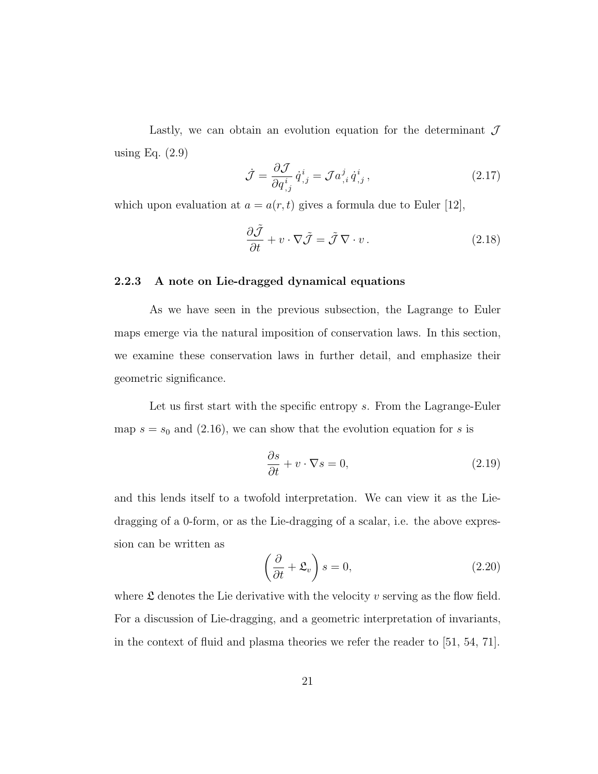Lastly, we can obtain an evolution equation for the determinant  $\mathcal J$ using Eq. (2.9)

$$
\dot{\mathcal{J}} = \frac{\partial \mathcal{J}}{\partial q^i_{,j}} \dot{q}^i_{,j} = \mathcal{J} a^j_{,i} \dot{q}^i_{,j},\tag{2.17}
$$

which upon evaluation at  $a = a(r, t)$  gives a formula due to Euler [12],

$$
\frac{\partial \tilde{\mathcal{J}}}{\partial t} + v \cdot \nabla \tilde{\mathcal{J}} = \tilde{\mathcal{J}} \nabla \cdot v. \tag{2.18}
$$

#### 2.2.3 A note on Lie-dragged dynamical equations

As we have seen in the previous subsection, the Lagrange to Euler maps emerge via the natural imposition of conservation laws. In this section, we examine these conservation laws in further detail, and emphasize their geometric significance.

Let us first start with the specific entropy s. From the Lagrange-Euler map  $s = s_0$  and (2.16), we can show that the evolution equation for s is

$$
\frac{\partial s}{\partial t} + v \cdot \nabla s = 0,\tag{2.19}
$$

and this lends itself to a twofold interpretation. We can view it as the Liedragging of a 0-form, or as the Lie-dragging of a scalar, i.e. the above expression can be written as

$$
\left(\frac{\partial}{\partial t} + \mathfrak{L}_v\right)s = 0,\tag{2.20}
$$

where  $\mathfrak L$  denotes the Lie derivative with the velocity v serving as the flow field. For a discussion of Lie-dragging, and a geometric interpretation of invariants, in the context of fluid and plasma theories we refer the reader to [51, 54, 71].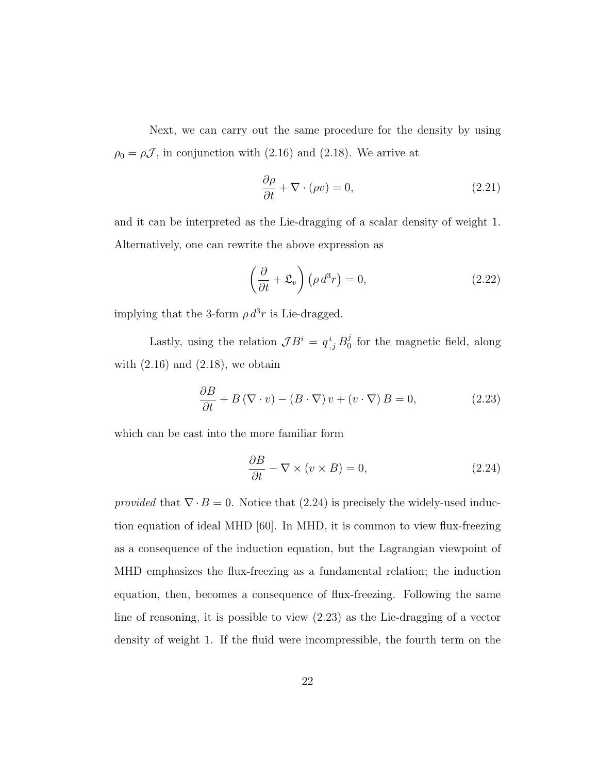Next, we can carry out the same procedure for the density by using  $\rho_0 = \rho \mathcal{J}$ , in conjunction with (2.16) and (2.18). We arrive at

$$
\frac{\partial \rho}{\partial t} + \nabla \cdot (\rho v) = 0,\tag{2.21}
$$

and it can be interpreted as the Lie-dragging of a scalar density of weight 1. Alternatively, one can rewrite the above expression as

$$
\left(\frac{\partial}{\partial t} + \mathfrak{L}_v\right) \left(\rho \, d^3 r\right) = 0,\tag{2.22}
$$

implying that the 3-form  $\rho d^3r$  is Lie-dragged.

Lastly, using the relation  $\mathcal{J}B^i = q^i_{,j} B^j_0$  $\frac{3}{0}$  for the magnetic field, along with  $(2.16)$  and  $(2.18)$ , we obtain

$$
\frac{\partial B}{\partial t} + B(\nabla \cdot v) - (B \cdot \nabla) v + (v \cdot \nabla) B = 0,
$$
\n(2.23)

which can be cast into the more familiar form

$$
\frac{\partial B}{\partial t} - \nabla \times (v \times B) = 0,\tag{2.24}
$$

provided that  $\nabla \cdot B = 0$ . Notice that (2.24) is precisely the widely-used induction equation of ideal MHD [60]. In MHD, it is common to view flux-freezing as a consequence of the induction equation, but the Lagrangian viewpoint of MHD emphasizes the flux-freezing as a fundamental relation; the induction equation, then, becomes a consequence of flux-freezing. Following the same line of reasoning, it is possible to view (2.23) as the Lie-dragging of a vector density of weight 1. If the fluid were incompressible, the fourth term on the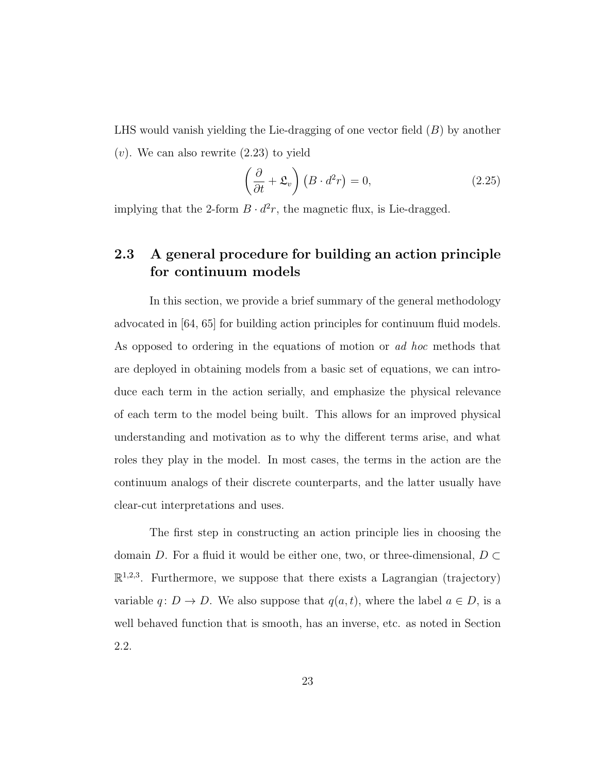LHS would vanish yielding the Lie-dragging of one vector field  $(B)$  by another

 $(v)$ . We can also rewrite  $(2.23)$  to yield

$$
\left(\frac{\partial}{\partial t} + \mathfrak{L}_v\right) \left(B \cdot d^2 r\right) = 0, \tag{2.25}
$$

implying that the 2-form  $B \cdot d^2r$ , the magnetic flux, is Lie-dragged.

### 2.3 A general procedure for building an action principle for continuum models

In this section, we provide a brief summary of the general methodology advocated in [64, 65] for building action principles for continuum fluid models. As opposed to ordering in the equations of motion or ad hoc methods that are deployed in obtaining models from a basic set of equations, we can introduce each term in the action serially, and emphasize the physical relevance of each term to the model being built. This allows for an improved physical understanding and motivation as to why the different terms arise, and what roles they play in the model. In most cases, the terms in the action are the continuum analogs of their discrete counterparts, and the latter usually have clear-cut interpretations and uses.

The first step in constructing an action principle lies in choosing the domain D. For a fluid it would be either one, two, or three-dimensional,  $D \subset$  $\mathbb{R}^{1,2,3}$ . Furthermore, we suppose that there exists a Lagrangian (trajectory) variable  $q: D \to D$ . We also suppose that  $q(a, t)$ , where the label  $a \in D$ , is a well behaved function that is smooth, has an inverse, etc. as noted in Section 2.2.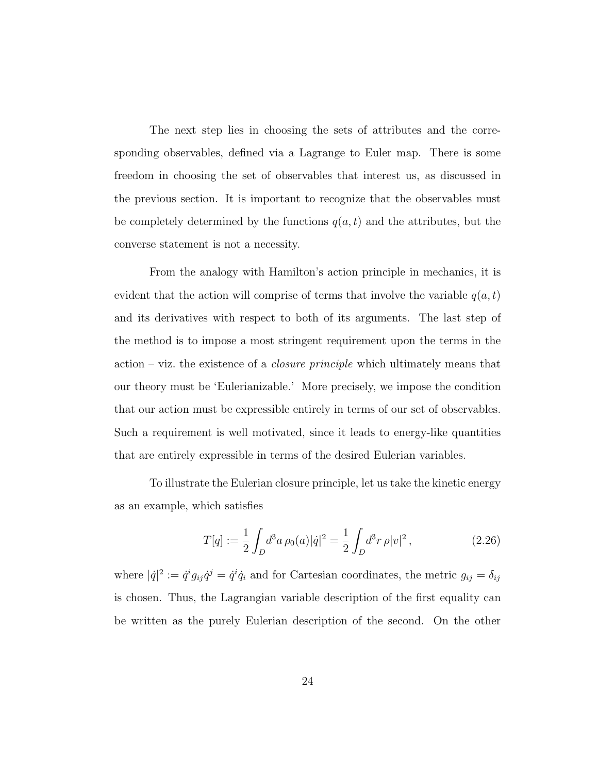The next step lies in choosing the sets of attributes and the corresponding observables, defined via a Lagrange to Euler map. There is some freedom in choosing the set of observables that interest us, as discussed in the previous section. It is important to recognize that the observables must be completely determined by the functions  $q(a, t)$  and the attributes, but the converse statement is not a necessity.

From the analogy with Hamilton's action principle in mechanics, it is evident that the action will comprise of terms that involve the variable  $q(a, t)$ and its derivatives with respect to both of its arguments. The last step of the method is to impose a most stringent requirement upon the terms in the action – viz. the existence of a closure principle which ultimately means that our theory must be 'Eulerianizable.' More precisely, we impose the condition that our action must be expressible entirely in terms of our set of observables. Such a requirement is well motivated, since it leads to energy-like quantities that are entirely expressible in terms of the desired Eulerian variables.

To illustrate the Eulerian closure principle, let us take the kinetic energy as an example, which satisfies

$$
T[q] := \frac{1}{2} \int_D d^3a \,\rho_0(a)|\dot{q}|^2 = \frac{1}{2} \int_D d^3r \,\rho |v|^2 \,, \tag{2.26}
$$

where  $|\dot{q}|^2 := \dot{q}^i g_{ij} \dot{q}^j = \dot{q}^i \dot{q}_i$  and for Cartesian coordinates, the metric  $g_{ij} = \delta_{ij}$ is chosen. Thus, the Lagrangian variable description of the first equality can be written as the purely Eulerian description of the second. On the other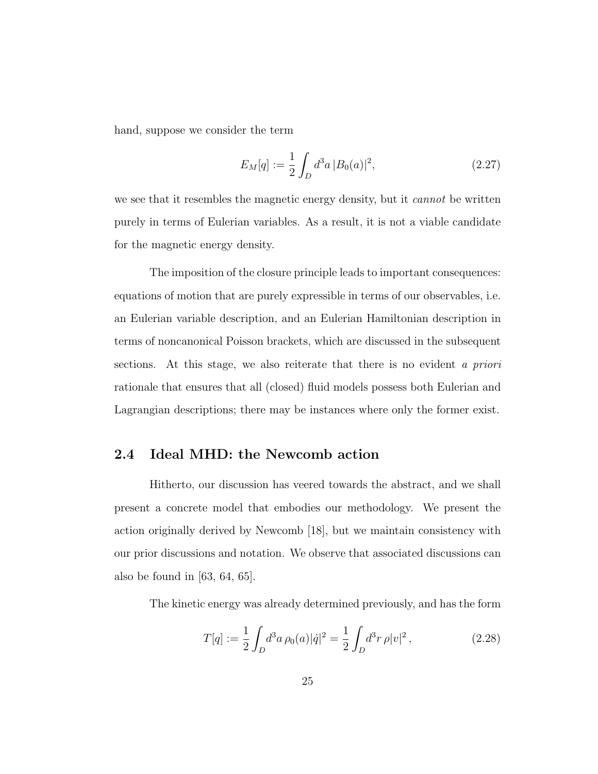hand, suppose we consider the term

$$
E_M[q] := \frac{1}{2} \int_D d^3a \, |B_0(a)|^2,\tag{2.27}
$$

we see that it resembles the magnetic energy density, but it *cannot* be written purely in terms of Eulerian variables. As a result, it is not a viable candidate for the magnetic energy density.

The imposition of the closure principle leads to important consequences: equations of motion that are purely expressible in terms of our observables, i.e. an Eulerian variable description, and an Eulerian Hamiltonian description in terms of noncanonical Poisson brackets, which are discussed in the subsequent sections. At this stage, we also reiterate that there is no evident a priori rationale that ensures that all (closed) fluid models possess both Eulerian and Lagrangian descriptions; there may be instances where only the former exist.

#### 2.4 Ideal MHD: the Newcomb action

Hitherto, our discussion has veered towards the abstract, and we shall present a concrete model that embodies our methodology. We present the action originally derived by Newcomb [18], but we maintain consistency with our prior discussions and notation. We observe that associated discussions can also be found in [63, 64, 65].

The kinetic energy was already determined previously, and has the form

$$
T[q] := \frac{1}{2} \int_D d^3a \,\rho_0(a)|\dot{q}|^2 = \frac{1}{2} \int_D d^3r \,\rho |v|^2 \,, \tag{2.28}
$$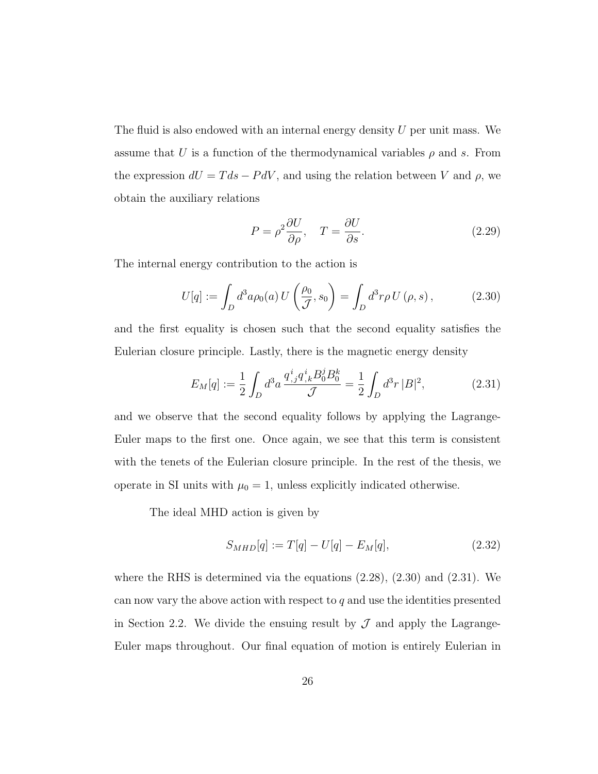The fluid is also endowed with an internal energy density  $U$  per unit mass. We assume that U is a function of the thermodynamical variables  $\rho$  and s. From the expression  $dU = T ds - P dV$ , and using the relation between V and  $\rho$ , we obtain the auxiliary relations

$$
P = \rho^2 \frac{\partial U}{\partial \rho}, \quad T = \frac{\partial U}{\partial s}.
$$
\n(2.29)

The internal energy contribution to the action is

$$
U[q] := \int_D d^3a \rho_0(a) U\left(\frac{\rho_0}{\mathcal{J}}, s_0\right) = \int_D d^3r \rho U\left(\rho, s\right),\tag{2.30}
$$

and the first equality is chosen such that the second equality satisfies the Eulerian closure principle. Lastly, there is the magnetic energy density

$$
E_M[q] := \frac{1}{2} \int_D d^3a \, \frac{q^i_{,j} q^i_{,k} B^j_0 B^k_0}{\mathcal{J}} = \frac{1}{2} \int_D d^3r \, |B|^2,\tag{2.31}
$$

and we observe that the second equality follows by applying the Lagrange-Euler maps to the first one. Once again, we see that this term is consistent with the tenets of the Eulerian closure principle. In the rest of the thesis, we operate in SI units with  $\mu_0 = 1$ , unless explicitly indicated otherwise.

The ideal MHD action is given by

$$
S_{MHD}[q] := T[q] - U[q] - E_M[q], \qquad (2.32)
$$

where the RHS is determined via the equations  $(2.28)$ ,  $(2.30)$  and  $(2.31)$ . We can now vary the above action with respect to  $q$  and use the identities presented in Section 2.2. We divide the ensuing result by  $\mathcal J$  and apply the Lagrange-Euler maps throughout. Our final equation of motion is entirely Eulerian in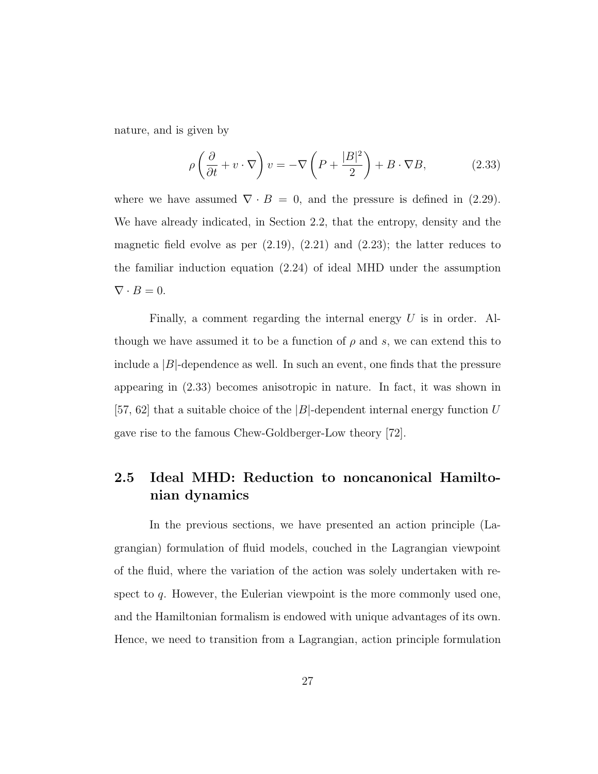nature, and is given by

$$
\rho \left( \frac{\partial}{\partial t} + v \cdot \nabla \right) v = -\nabla \left( P + \frac{|B|^2}{2} \right) + B \cdot \nabla B, \tag{2.33}
$$

where we have assumed  $\nabla \cdot B = 0$ , and the pressure is defined in (2.29). We have already indicated, in Section 2.2, that the entropy, density and the magnetic field evolve as per  $(2.19)$ ,  $(2.21)$  and  $(2.23)$ ; the latter reduces to the familiar induction equation (2.24) of ideal MHD under the assumption  $\nabla \cdot B = 0.$ 

Finally, a comment regarding the internal energy  $U$  is in order. Although we have assumed it to be a function of  $\rho$  and s, we can extend this to include a  $|B|$ -dependence as well. In such an event, one finds that the pressure appearing in (2.33) becomes anisotropic in nature. In fact, it was shown in [57, 62] that a suitable choice of the  $|B|$ -dependent internal energy function U gave rise to the famous Chew-Goldberger-Low theory [72].

# 2.5 Ideal MHD: Reduction to noncanonical Hamiltonian dynamics

In the previous sections, we have presented an action principle (Lagrangian) formulation of fluid models, couched in the Lagrangian viewpoint of the fluid, where the variation of the action was solely undertaken with respect to  $q$ . However, the Eulerian viewpoint is the more commonly used one, and the Hamiltonian formalism is endowed with unique advantages of its own. Hence, we need to transition from a Lagrangian, action principle formulation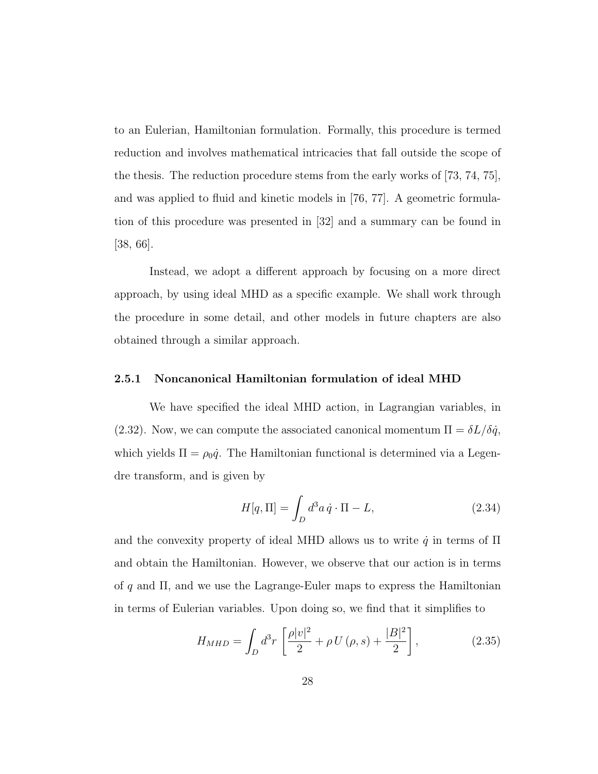to an Eulerian, Hamiltonian formulation. Formally, this procedure is termed reduction and involves mathematical intricacies that fall outside the scope of the thesis. The reduction procedure stems from the early works of [73, 74, 75], and was applied to fluid and kinetic models in [76, 77]. A geometric formulation of this procedure was presented in [32] and a summary can be found in [38, 66].

Instead, we adopt a different approach by focusing on a more direct approach, by using ideal MHD as a specific example. We shall work through the procedure in some detail, and other models in future chapters are also obtained through a similar approach.

#### 2.5.1 Noncanonical Hamiltonian formulation of ideal MHD

We have specified the ideal MHD action, in Lagrangian variables, in (2.32). Now, we can compute the associated canonical momentum  $\Pi = \delta L / \delta \dot{q}$ , which yields  $\Pi = \rho_0 \dot{q}$ . The Hamiltonian functional is determined via a Legendre transform, and is given by

$$
H[q,\Pi] = \int_D d^3a \,\dot{q} \cdot \Pi - L,\tag{2.34}
$$

and the convexity property of ideal MHD allows us to write  $\dot{q}$  in terms of  $\Pi$ and obtain the Hamiltonian. However, we observe that our action is in terms of  $q$  and  $\Pi$ , and we use the Lagrange-Euler maps to express the Hamiltonian in terms of Eulerian variables. Upon doing so, we find that it simplifies to

$$
H_{MHD} = \int_{D} d^{3}r \left[ \frac{\rho |v|^{2}}{2} + \rho U(\rho, s) + \frac{|B|^{2}}{2} \right],
$$
 (2.35)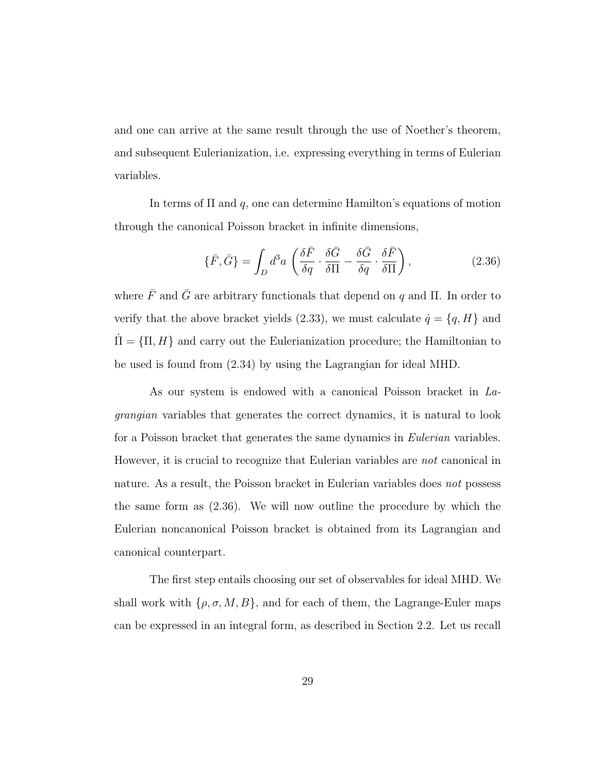and one can arrive at the same result through the use of Noether's theorem, and subsequent Eulerianization, i.e. expressing everything in terms of Eulerian variables.

In terms of  $\Pi$  and  $q$ , one can determine Hamilton's equations of motion through the canonical Poisson bracket in infinite dimensions,

$$
\{\bar{F}, \bar{G}\} = \int_D d^3a \left( \frac{\delta \bar{F}}{\delta q} \cdot \frac{\delta \bar{G}}{\delta \Pi} - \frac{\delta \bar{G}}{\delta q} \cdot \frac{\delta \bar{F}}{\delta \Pi} \right),\tag{2.36}
$$

where  $\bar{F}$  and  $\bar{G}$  are arbitrary functionals that depend on  $q$  and  $\Pi$ . In order to verify that the above bracket yields (2.33), we must calculate  $\dot{q} = \{q, H\}$  and  $\Pi = \{\Pi, H\}$  and carry out the Eulerianization procedure; the Hamiltonian to be used is found from (2.34) by using the Lagrangian for ideal MHD.

As our system is endowed with a canonical Poisson bracket in Lagrangian variables that generates the correct dynamics, it is natural to look for a Poisson bracket that generates the same dynamics in Eulerian variables. However, it is crucial to recognize that Eulerian variables are not canonical in nature. As a result, the Poisson bracket in Eulerian variables does not possess the same form as (2.36). We will now outline the procedure by which the Eulerian noncanonical Poisson bracket is obtained from its Lagrangian and canonical counterpart.

The first step entails choosing our set of observables for ideal MHD. We shall work with  $\{\rho, \sigma, M, B\}$ , and for each of them, the Lagrange-Euler maps can be expressed in an integral form, as described in Section 2.2. Let us recall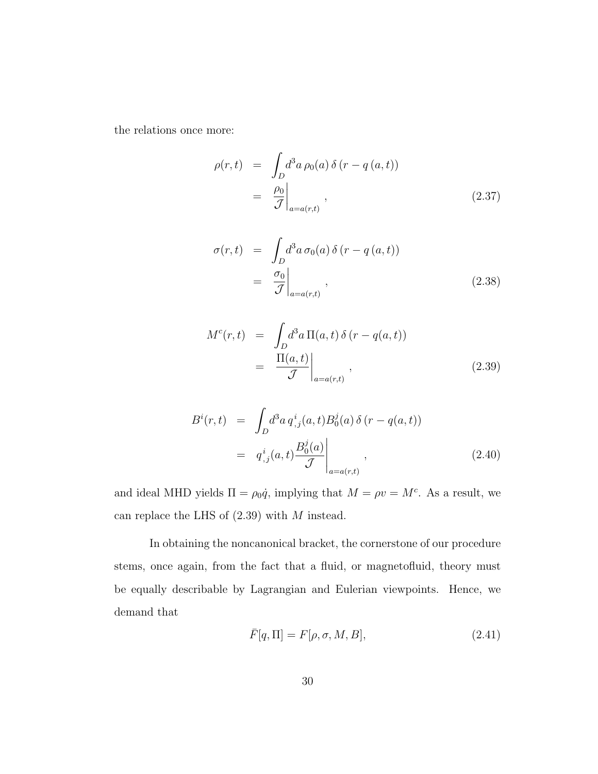the relations once more:

$$
\rho(r,t) = \int_D d^3a \,\rho_0(a) \,\delta(r - q(a,t))
$$

$$
= \left. \frac{\rho_0}{\mathcal{J}} \right|_{a = a(r,t)}, \tag{2.37}
$$

$$
\sigma(r,t) = \int_D d^3a \,\sigma_0(a) \,\delta(r-q(a,t))
$$
  
=  $\frac{\sigma_0}{\mathcal{J}}\Big|_{a=a(r,t)},$  (2.38)

$$
M^{c}(r,t) = \int_{D} d^{3}a \, \Pi(a,t) \, \delta(r - q(a,t))
$$

$$
= \frac{\Pi(a,t)}{\mathcal{J}} \bigg|_{a=a(r,t)}, \qquad (2.39)
$$

$$
B^{i}(r,t) = \int_{D} d^{3}a \, q^{i}_{,j}(a,t) B^{j}_{0}(a) \, \delta(r - q(a,t))
$$

$$
= q^{i}_{,j}(a,t) \frac{B^{j}_{0}(a)}{\mathcal{J}} \Big|_{a=a(r,t)}, \tag{2.40}
$$

and ideal MHD yields  $\Pi = \rho_0 \dot{q}$ , implying that  $M = \rho v = M^c$ . As a result, we can replace the LHS of  $(2.39)$  with  $M$  instead.

In obtaining the noncanonical bracket, the cornerstone of our procedure stems, once again, from the fact that a fluid, or magnetofluid, theory must be equally describable by Lagrangian and Eulerian viewpoints. Hence, we demand that

$$
\bar{F}[q,\Pi] = F[\rho,\sigma,M,B],\tag{2.41}
$$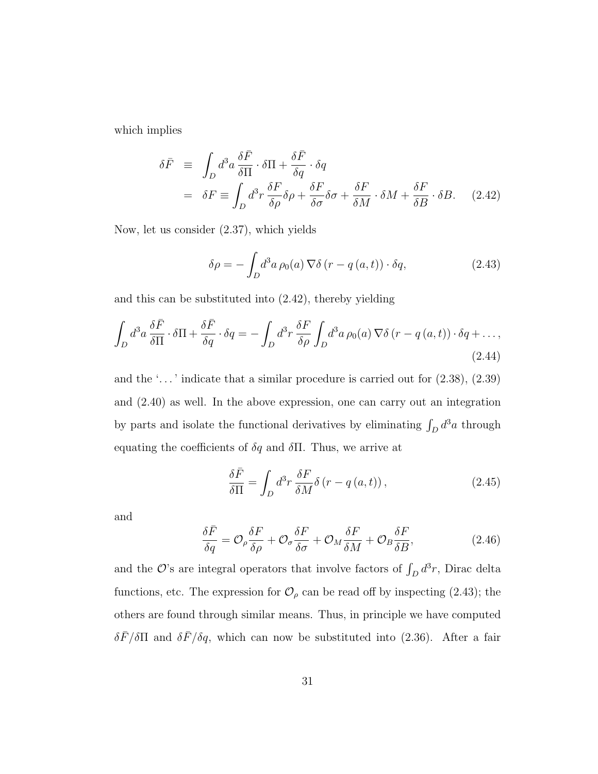which implies

$$
\delta \bar{F} \equiv \int_{D} d^{3}a \frac{\delta \bar{F}}{\delta \Pi} \cdot \delta \Pi + \frac{\delta \bar{F}}{\delta q} \cdot \delta q
$$
  
= 
$$
\delta F \equiv \int_{D} d^{3}r \frac{\delta F}{\delta \rho} \delta \rho + \frac{\delta F}{\delta \sigma} \delta \sigma + \frac{\delta F}{\delta M} \cdot \delta M + \frac{\delta F}{\delta B} \cdot \delta B. \quad (2.42)
$$

Now, let us consider (2.37), which yields

$$
\delta \rho = -\int_{D} d^{3}a \, \rho_{0}(a) \, \nabla \delta \left( r - q \left( a, t \right) \right) \cdot \delta q, \tag{2.43}
$$

and this can be substituted into (2.42), thereby yielding

$$
\int_{D} d^{3}a \frac{\delta \bar{F}}{\delta \Pi} \cdot \delta \Pi + \frac{\delta \bar{F}}{\delta q} \cdot \delta q = -\int_{D} d^{3}r \frac{\delta F}{\delta \rho} \int_{D} d^{3}a \,\rho_{0}(a) \,\nabla \delta \left(r - q\left(a, t\right)\right) \cdot \delta q + \dots,
$$
\n(2.44)

and the '...' indicate that a similar procedure is carried out for  $(2.38)$ ,  $(2.39)$ and (2.40) as well. In the above expression, one can carry out an integration by parts and isolate the functional derivatives by eliminating  $\int_D d^3a$  through equating the coefficients of  $\delta q$  and  $\delta \Pi$ . Thus, we arrive at

$$
\frac{\delta \bar{F}}{\delta \Pi} = \int_{D} d^{3}r \, \frac{\delta F}{\delta M} \delta \left( r - q \left( a, t \right) \right),\tag{2.45}
$$

and

$$
\frac{\delta \bar{F}}{\delta q} = \mathcal{O}_{\rho} \frac{\delta F}{\delta \rho} + \mathcal{O}_{\sigma} \frac{\delta F}{\delta \sigma} + \mathcal{O}_{M} \frac{\delta F}{\delta M} + \mathcal{O}_{B} \frac{\delta F}{\delta B},\tag{2.46}
$$

and the  $\mathcal{O}$ 's are integral operators that involve factors of  $\int_D d^3r$ , Dirac delta functions, etc. The expression for  $\mathcal{O}_{\rho}$  can be read off by inspecting (2.43); the others are found through similar means. Thus, in principle we have computed  $\delta\bar{F}/\delta\Pi$  and  $\delta\bar{F}/\delta q$ , which can now be substituted into (2.36). After a fair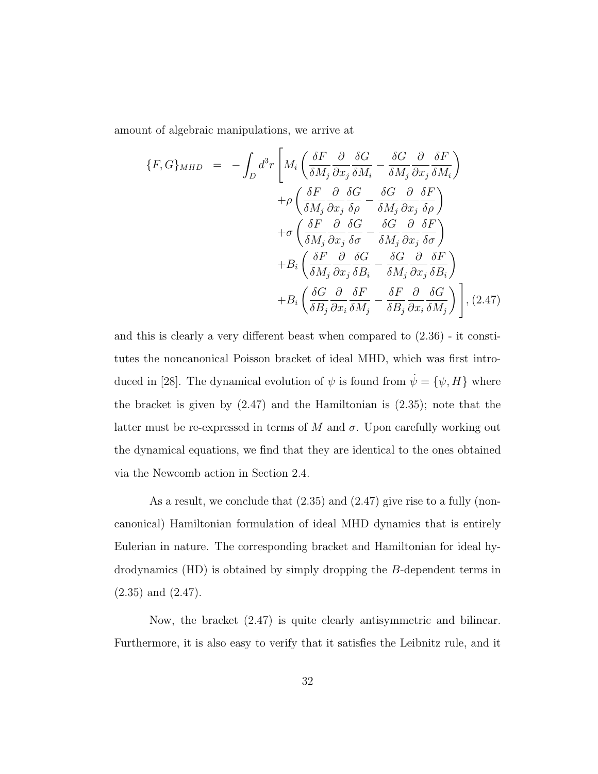amount of algebraic manipulations, we arrive at

$$
\{F, G\}_{MHD} = -\int_{D} d^{3}r \left[ M_{i} \left( \frac{\delta F}{\delta M_{j}} \frac{\partial}{\partial x_{j}} \frac{\delta G}{\delta M_{i}} - \frac{\delta G}{\delta M_{j}} \frac{\partial}{\partial x_{j}} \frac{\delta F}{\delta M_{i}} \right) \right. \\
\left. + \rho \left( \frac{\delta F}{\delta M_{j}} \frac{\partial}{\partial x_{j}} \frac{\delta G}{\delta \rho} - \frac{\delta G}{\delta M_{j}} \frac{\partial}{\partial x_{j}} \frac{\delta F}{\delta \rho} \right) \right. \\
\left. + \sigma \left( \frac{\delta F}{\delta M_{j}} \frac{\partial}{\partial x_{j}} \frac{\delta G}{\delta \sigma} - \frac{\delta G}{\delta M_{j}} \frac{\partial}{\partial x_{j}} \frac{\delta F}{\delta \sigma} \right) \right. \\
\left. + B_{i} \left( \frac{\delta F}{\delta M_{j}} \frac{\partial}{\partial x_{j}} \frac{\delta G}{\delta B_{i}} - \frac{\delta G}{\delta M_{j}} \frac{\partial}{\partial x_{j}} \frac{\delta F}{\delta B_{i}} \right) \right. \\
\left. + B_{i} \left( \frac{\delta G}{\delta B_{j}} \frac{\partial}{\partial x_{i}} \frac{\delta F}{\delta M_{j}} - \frac{\delta F}{\delta B_{j}} \frac{\partial}{\partial x_{i}} \frac{\delta G}{\delta M_{j}} \right) \right], (2.47)
$$

and this is clearly a very different beast when compared to (2.36) - it constitutes the noncanonical Poisson bracket of ideal MHD, which was first introduced in [28]. The dynamical evolution of  $\psi$  is found from  $\dot{\psi} = {\psi, H}$  where the bracket is given by  $(2.47)$  and the Hamiltonian is  $(2.35)$ ; note that the latter must be re-expressed in terms of M and  $\sigma$ . Upon carefully working out the dynamical equations, we find that they are identical to the ones obtained via the Newcomb action in Section 2.4.

As a result, we conclude that (2.35) and (2.47) give rise to a fully (noncanonical) Hamiltonian formulation of ideal MHD dynamics that is entirely Eulerian in nature. The corresponding bracket and Hamiltonian for ideal hydrodynamics (HD) is obtained by simply dropping the B-dependent terms in (2.35) and (2.47).

Now, the bracket (2.47) is quite clearly antisymmetric and bilinear. Furthermore, it is also easy to verify that it satisfies the Leibnitz rule, and it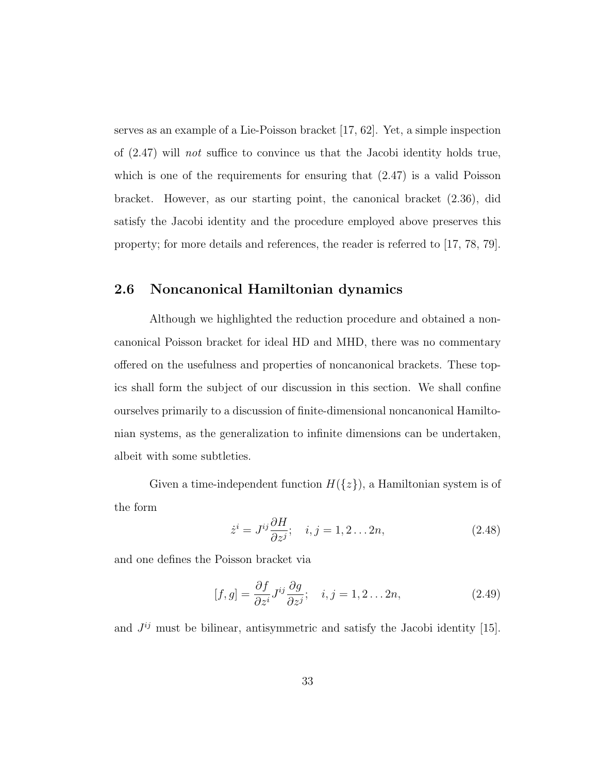serves as an example of a Lie-Poisson bracket [17, 62]. Yet, a simple inspection of (2.47) will not suffice to convince us that the Jacobi identity holds true, which is one of the requirements for ensuring that  $(2.47)$  is a valid Poisson bracket. However, as our starting point, the canonical bracket (2.36), did satisfy the Jacobi identity and the procedure employed above preserves this property; for more details and references, the reader is referred to [17, 78, 79].

### 2.6 Noncanonical Hamiltonian dynamics

Although we highlighted the reduction procedure and obtained a noncanonical Poisson bracket for ideal HD and MHD, there was no commentary offered on the usefulness and properties of noncanonical brackets. These topics shall form the subject of our discussion in this section. We shall confine ourselves primarily to a discussion of finite-dimensional noncanonical Hamiltonian systems, as the generalization to infinite dimensions can be undertaken, albeit with some subtleties.

Given a time-independent function  $H({z})$ , a Hamiltonian system is of the form

$$
\dot{z}^i = J^{ij} \frac{\partial H}{\partial z^j}; \quad i, j = 1, 2 \dots 2n,
$$
\n(2.48)

and one defines the Poisson bracket via

$$
[f,g] = \frac{\partial f}{\partial z^i} J^{ij} \frac{\partial g}{\partial z^j}; \quad i, j = 1, 2 \dots 2n,
$$
\n(2.49)

and  $J^{ij}$  must be bilinear, antisymmetric and satisfy the Jacobi identity [15].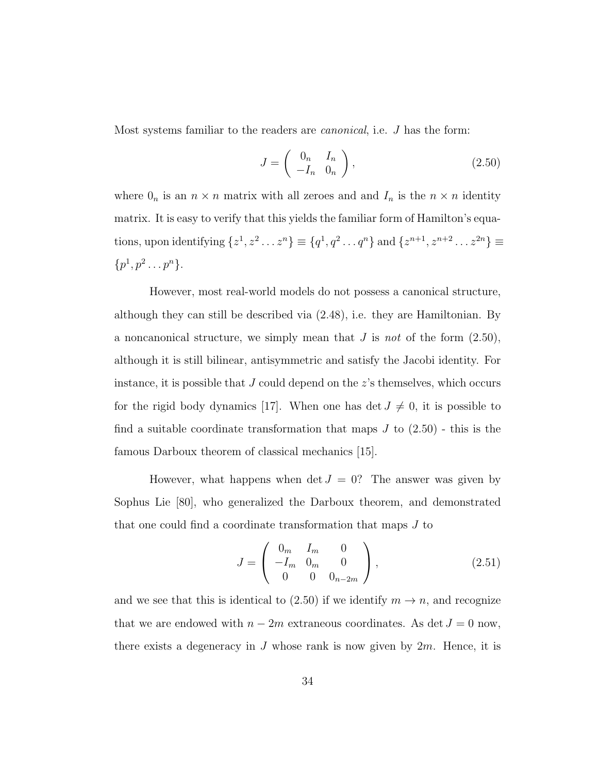Most systems familiar to the readers are canonical, i.e. J has the form:

$$
J = \begin{pmatrix} 0_n & I_n \\ -I_n & 0_n \end{pmatrix},
$$
\n(2.50)

where  $0_n$  is an  $n \times n$  matrix with all zeroes and and  $I_n$  is the  $n \times n$  identity matrix. It is easy to verify that this yields the familiar form of Hamilton's equations, upon identifying  $\{z^1, z^2 \dots z^n\} \equiv \{q^1, q^2 \dots q^n\}$  and  $\{z^{n+1}, z^{n+2} \dots z^{2n}\} \equiv$  $\{p^1, p^2 \ldots p^n\}.$ 

However, most real-world models do not possess a canonical structure, although they can still be described via (2.48), i.e. they are Hamiltonian. By a noncanonical structure, we simply mean that  $J$  is not of the form  $(2.50)$ , although it is still bilinear, antisymmetric and satisfy the Jacobi identity. For instance, it is possible that  $J$  could depend on the  $z$ 's themselves, which occurs for the rigid body dynamics [17]. When one has det  $J \neq 0$ , it is possible to find a suitable coordinate transformation that maps  $J$  to  $(2.50)$  - this is the famous Darboux theorem of classical mechanics [15].

However, what happens when det  $J = 0$ ? The answer was given by Sophus Lie [80], who generalized the Darboux theorem, and demonstrated that one could find a coordinate transformation that maps J to

$$
J = \begin{pmatrix} 0_m & I_m & 0 \\ -I_m & 0_m & 0 \\ 0 & 0 & 0_{n-2m} \end{pmatrix},
$$
 (2.51)

and we see that this is identical to (2.50) if we identify  $m \to n$ , and recognize that we are endowed with  $n-2m$  extraneous coordinates. As det  $J=0$  now, there exists a degeneracy in J whose rank is now given by  $2m$ . Hence, it is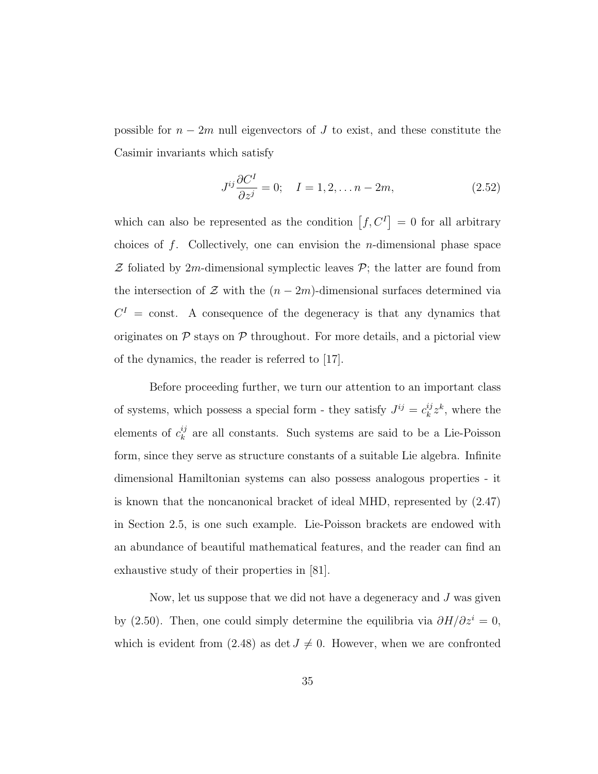possible for  $n-2m$  null eigenvectors of J to exist, and these constitute the Casimir invariants which satisfy

$$
J^{ij}\frac{\partial C^I}{\partial z^j} = 0; \quad I = 1, 2, \dots n - 2m,
$$
\n(2.52)

which can also be represented as the condition  $[f, C^I] = 0$  for all arbitrary choices of  $f$ . Collectively, one can envision the *n*-dimensional phase space  $Z$  foliated by 2m-dimensional symplectic leaves  $\mathcal{P}$ ; the latter are found from the intersection of  $\mathcal Z$  with the  $(n-2m)$ -dimensional surfaces determined via  $C<sup>I</sup>$  = const. A consequence of the degeneracy is that any dynamics that originates on  $P$  stays on  $P$  throughout. For more details, and a pictorial view of the dynamics, the reader is referred to [17].

Before proceeding further, we turn our attention to an important class of systems, which possess a special form - they satisfy  $J^{ij} = c_k^{ij}$  $k^{ij}z^k$ , where the elements of  $c_k^{ij}$  $\frac{y}{k}$  are all constants. Such systems are said to be a Lie-Poisson form, since they serve as structure constants of a suitable Lie algebra. Infinite dimensional Hamiltonian systems can also possess analogous properties - it is known that the noncanonical bracket of ideal MHD, represented by (2.47) in Section 2.5, is one such example. Lie-Poisson brackets are endowed with an abundance of beautiful mathematical features, and the reader can find an exhaustive study of their properties in [81].

Now, let us suppose that we did not have a degeneracy and  $J$  was given by (2.50). Then, one could simply determine the equilibria via  $\partial H/\partial z^i = 0$ , which is evident from (2.48) as det  $J \neq 0$ . However, when we are confronted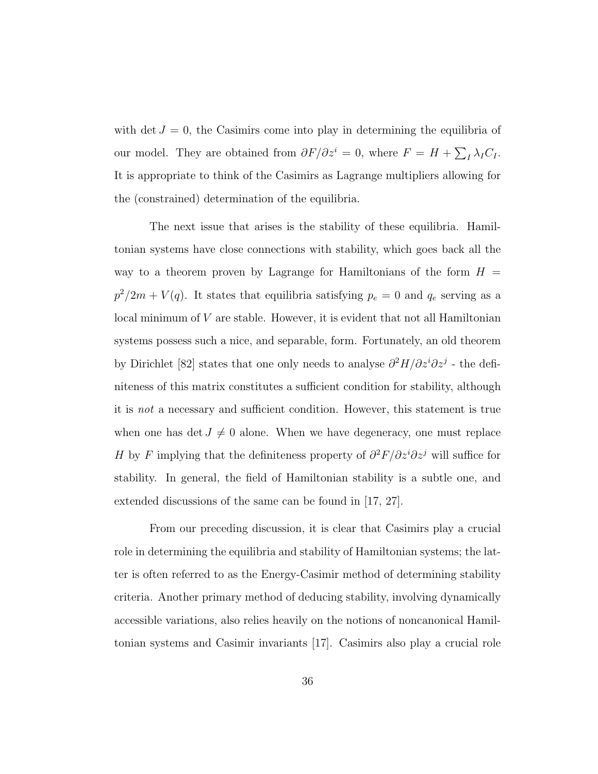with det  $J = 0$ , the Casimirs come into play in determining the equilibria of our model. They are obtained from  $\partial F/\partial z^i = 0$ , where  $F = H + \sum_I \lambda_I C_I$ . It is appropriate to think of the Casimirs as Lagrange multipliers allowing for the (constrained) determination of the equilibria.

The next issue that arises is the stability of these equilibria. Hamiltonian systems have close connections with stability, which goes back all the way to a theorem proven by Lagrange for Hamiltonians of the form  $H =$  $p^2/2m + V(q)$ . It states that equilibria satisfying  $p_e = 0$  and  $q_e$  serving as a local minimum of V are stable. However, it is evident that not all Hamiltonian systems possess such a nice, and separable, form. Fortunately, an old theorem by Dirichlet [82] states that one only needs to analyse  $\partial^2 H/\partial z^i \partial z^j$  - the definiteness of this matrix constitutes a sufficient condition for stability, although it is not a necessary and sufficient condition. However, this statement is true when one has det  $J \neq 0$  alone. When we have degeneracy, one must replace H by F implying that the definiteness property of  $\partial^2 F/\partial z^i \partial z^j$  will suffice for stability. In general, the field of Hamiltonian stability is a subtle one, and extended discussions of the same can be found in [17, 27].

From our preceding discussion, it is clear that Casimirs play a crucial role in determining the equilibria and stability of Hamiltonian systems; the latter is often referred to as the Energy-Casimir method of determining stability criteria. Another primary method of deducing stability, involving dynamically accessible variations, also relies heavily on the notions of noncanonical Hamiltonian systems and Casimir invariants [17]. Casimirs also play a crucial role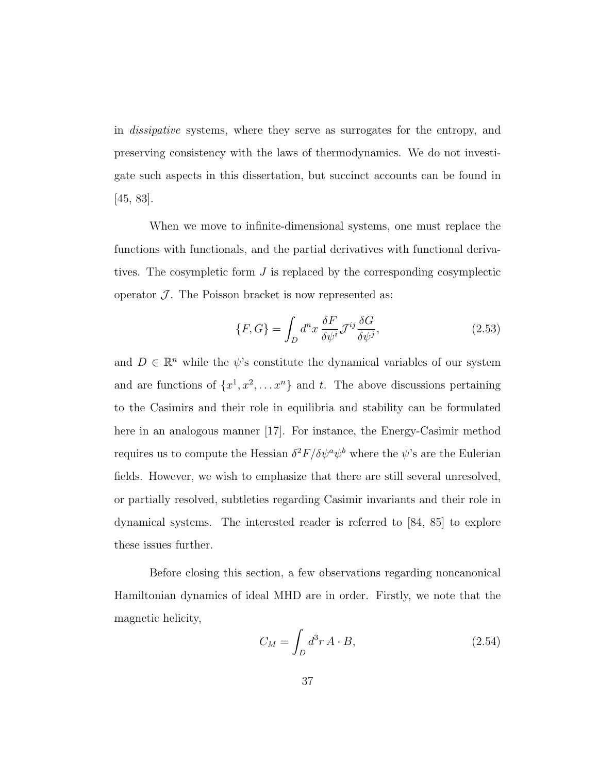in dissipative systems, where they serve as surrogates for the entropy, and preserving consistency with the laws of thermodynamics. We do not investigate such aspects in this dissertation, but succinct accounts can be found in [45, 83].

When we move to infinite-dimensional systems, one must replace the functions with functionals, and the partial derivatives with functional derivatives. The cosympletic form J is replaced by the corresponding cosymplectic operator  $\mathcal{J}$ . The Poisson bracket is now represented as:

$$
\{F, G\} = \int_{D} d^{n}x \frac{\delta F}{\delta \psi^{i}} \mathcal{J}^{ij} \frac{\delta G}{\delta \psi^{j}},
$$
\n(2.53)

and  $D \in \mathbb{R}^n$  while the  $\psi$ 's constitute the dynamical variables of our system and are functions of  $\{x^1, x^2, \ldots x^n\}$  and t. The above discussions pertaining to the Casimirs and their role in equilibria and stability can be formulated here in an analogous manner [17]. For instance, the Energy-Casimir method requires us to compute the Hessian  $\delta^2 F/\delta \psi^a \psi^b$  where the  $\psi$ 's are the Eulerian fields. However, we wish to emphasize that there are still several unresolved, or partially resolved, subtleties regarding Casimir invariants and their role in dynamical systems. The interested reader is referred to [84, 85] to explore these issues further.

Before closing this section, a few observations regarding noncanonical Hamiltonian dynamics of ideal MHD are in order. Firstly, we note that the magnetic helicity,

$$
C_M = \int_D d^3r \, A \cdot B,\tag{2.54}
$$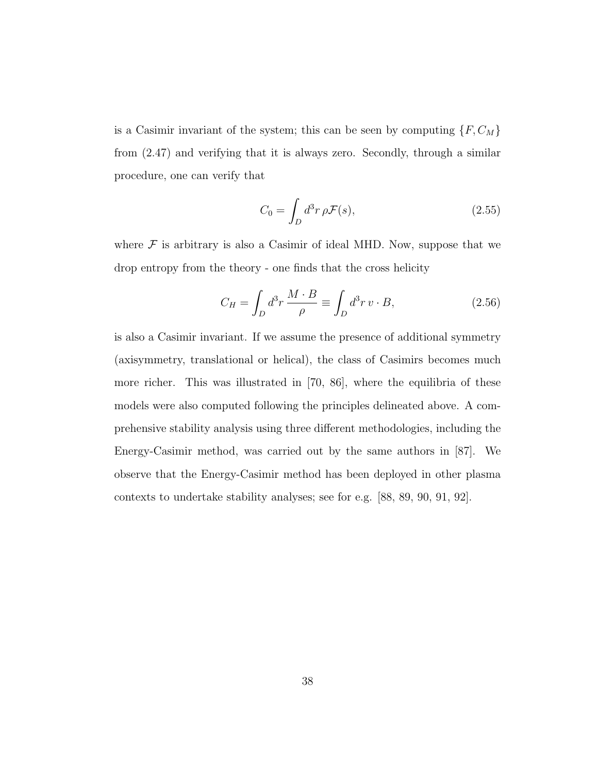is a Casimir invariant of the system; this can be seen by computing  $\{F, C_M\}$ from (2.47) and verifying that it is always zero. Secondly, through a similar procedure, one can verify that

$$
C_0 = \int_D d^3r \,\rho \mathcal{F}(s),\tag{2.55}
$$

where  $\mathcal F$  is arbitrary is also a Casimir of ideal MHD. Now, suppose that we drop entropy from the theory - one finds that the cross helicity

$$
C_H = \int_D d^3r \, \frac{M \cdot B}{\rho} \equiv \int_D d^3r \, v \cdot B,\tag{2.56}
$$

is also a Casimir invariant. If we assume the presence of additional symmetry (axisymmetry, translational or helical), the class of Casimirs becomes much more richer. This was illustrated in [70, 86], where the equilibria of these models were also computed following the principles delineated above. A comprehensive stability analysis using three different methodologies, including the Energy-Casimir method, was carried out by the same authors in [87]. We observe that the Energy-Casimir method has been deployed in other plasma contexts to undertake stability analyses; see for e.g. [88, 89, 90, 91, 92].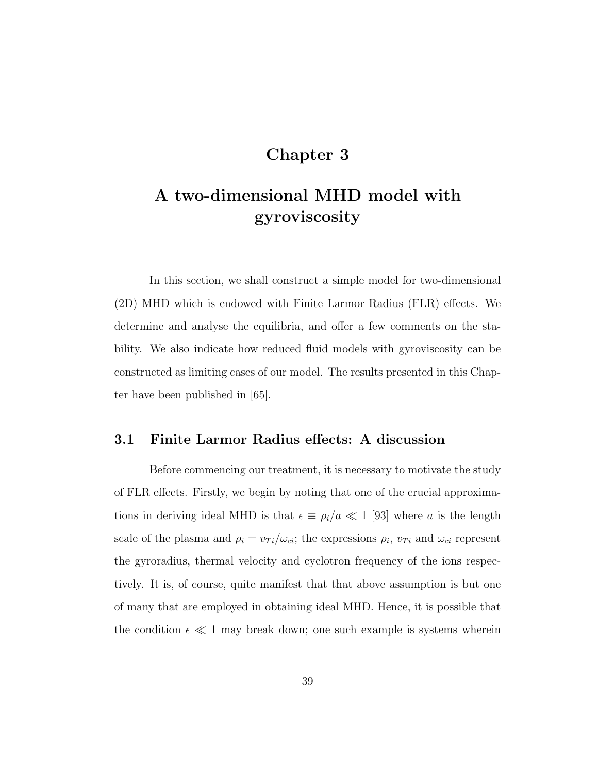# Chapter 3

# A two-dimensional MHD model with gyroviscosity

In this section, we shall construct a simple model for two-dimensional (2D) MHD which is endowed with Finite Larmor Radius (FLR) effects. We determine and analyse the equilibria, and offer a few comments on the stability. We also indicate how reduced fluid models with gyroviscosity can be constructed as limiting cases of our model. The results presented in this Chapter have been published in [65].

## 3.1 Finite Larmor Radius effects: A discussion

Before commencing our treatment, it is necessary to motivate the study of FLR effects. Firstly, we begin by noting that one of the crucial approximations in deriving ideal MHD is that  $\epsilon \equiv \rho_i/a \ll 1$  [93] where a is the length scale of the plasma and  $\rho_i = v_{Ti}/\omega_{ci}$ ; the expressions  $\rho_i$ ,  $v_{Ti}$  and  $\omega_{ci}$  represent the gyroradius, thermal velocity and cyclotron frequency of the ions respectively. It is, of course, quite manifest that that above assumption is but one of many that are employed in obtaining ideal MHD. Hence, it is possible that the condition  $\epsilon \ll 1$  may break down; one such example is systems wherein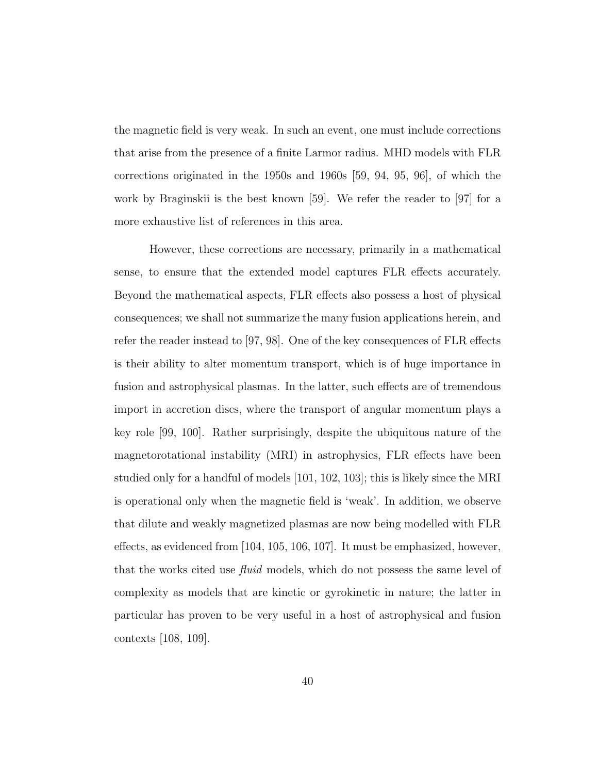the magnetic field is very weak. In such an event, one must include corrections that arise from the presence of a finite Larmor radius. MHD models with FLR corrections originated in the 1950s and 1960s [59, 94, 95, 96], of which the work by Braginskii is the best known [59]. We refer the reader to [97] for a more exhaustive list of references in this area.

However, these corrections are necessary, primarily in a mathematical sense, to ensure that the extended model captures FLR effects accurately. Beyond the mathematical aspects, FLR effects also possess a host of physical consequences; we shall not summarize the many fusion applications herein, and refer the reader instead to [97, 98]. One of the key consequences of FLR effects is their ability to alter momentum transport, which is of huge importance in fusion and astrophysical plasmas. In the latter, such effects are of tremendous import in accretion discs, where the transport of angular momentum plays a key role [99, 100]. Rather surprisingly, despite the ubiquitous nature of the magnetorotational instability (MRI) in astrophysics, FLR effects have been studied only for a handful of models [101, 102, 103]; this is likely since the MRI is operational only when the magnetic field is 'weak'. In addition, we observe that dilute and weakly magnetized plasmas are now being modelled with FLR effects, as evidenced from [104, 105, 106, 107]. It must be emphasized, however, that the works cited use *fluid* models, which do not possess the same level of complexity as models that are kinetic or gyrokinetic in nature; the latter in particular has proven to be very useful in a host of astrophysical and fusion contexts [108, 109].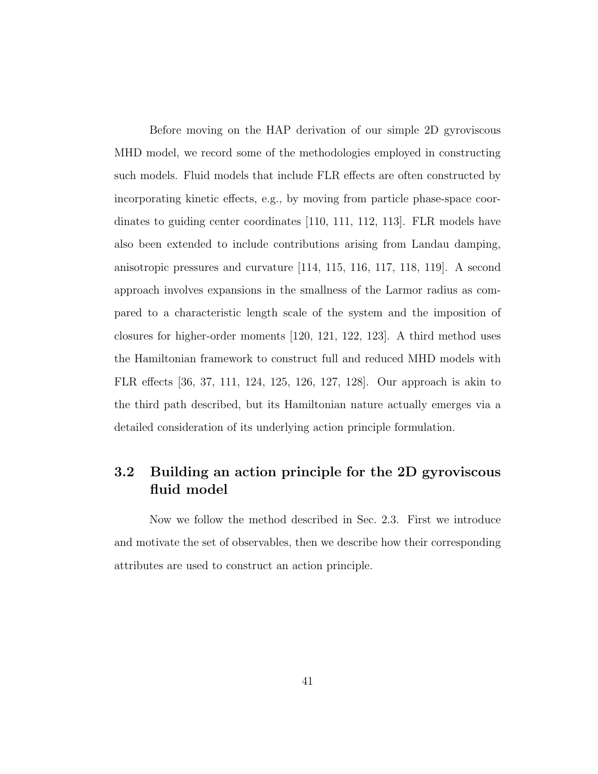Before moving on the HAP derivation of our simple 2D gyroviscous MHD model, we record some of the methodologies employed in constructing such models. Fluid models that include FLR effects are often constructed by incorporating kinetic effects, e.g., by moving from particle phase-space coordinates to guiding center coordinates [110, 111, 112, 113]. FLR models have also been extended to include contributions arising from Landau damping, anisotropic pressures and curvature [114, 115, 116, 117, 118, 119]. A second approach involves expansions in the smallness of the Larmor radius as compared to a characteristic length scale of the system and the imposition of closures for higher-order moments [120, 121, 122, 123]. A third method uses the Hamiltonian framework to construct full and reduced MHD models with FLR effects [36, 37, 111, 124, 125, 126, 127, 128]. Our approach is akin to the third path described, but its Hamiltonian nature actually emerges via a detailed consideration of its underlying action principle formulation.

# 3.2 Building an action principle for the 2D gyroviscous fluid model

Now we follow the method described in Sec. 2.3. First we introduce and motivate the set of observables, then we describe how their corresponding attributes are used to construct an action principle.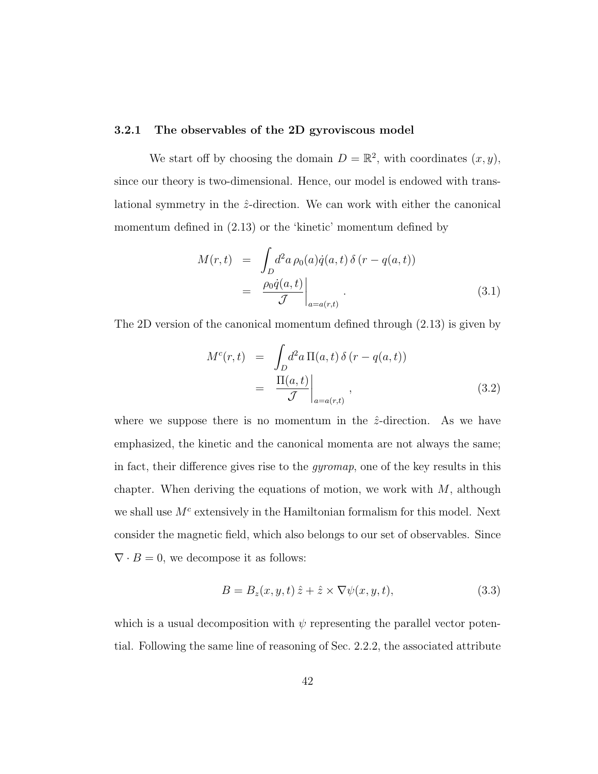#### 3.2.1 The observables of the 2D gyroviscous model

We start off by choosing the domain  $D = \mathbb{R}^2$ , with coordinates  $(x, y)$ , since our theory is two-dimensional. Hence, our model is endowed with translational symmetry in the  $\hat{z}$ -direction. We can work with either the canonical momentum defined in (2.13) or the 'kinetic' momentum defined by

$$
M(r,t) = \int_D d^2a \,\rho_0(a)\dot{q}(a,t)\,\delta(r-q(a,t))
$$

$$
= \left.\frac{\rho_0\dot{q}(a,t)}{\mathcal{J}}\right|_{a=a(r,t)}.\tag{3.1}
$$

The 2D version of the canonical momentum defined through (2.13) is given by

$$
M^{c}(r,t) = \int_{D} d^{2} a \Pi(a,t) \delta(r - q(a,t))
$$
  
= 
$$
\frac{\Pi(a,t)}{\mathcal{J}} \bigg|_{a=a(r,t)},
$$
 (3.2)

where we suppose there is no momentum in the  $\hat{z}$ -direction. As we have emphasized, the kinetic and the canonical momenta are not always the same; in fact, their difference gives rise to the gyromap, one of the key results in this chapter. When deriving the equations of motion, we work with  $M$ , although we shall use  $M<sup>c</sup>$  extensively in the Hamiltonian formalism for this model. Next consider the magnetic field, which also belongs to our set of observables. Since  $\nabla \cdot B = 0$ , we decompose it as follows:

$$
B = B_z(x, y, t) \hat{z} + \hat{z} \times \nabla \psi(x, y, t), \tag{3.3}
$$

which is a usual decomposition with  $\psi$  representing the parallel vector potential. Following the same line of reasoning of Sec. 2.2.2, the associated attribute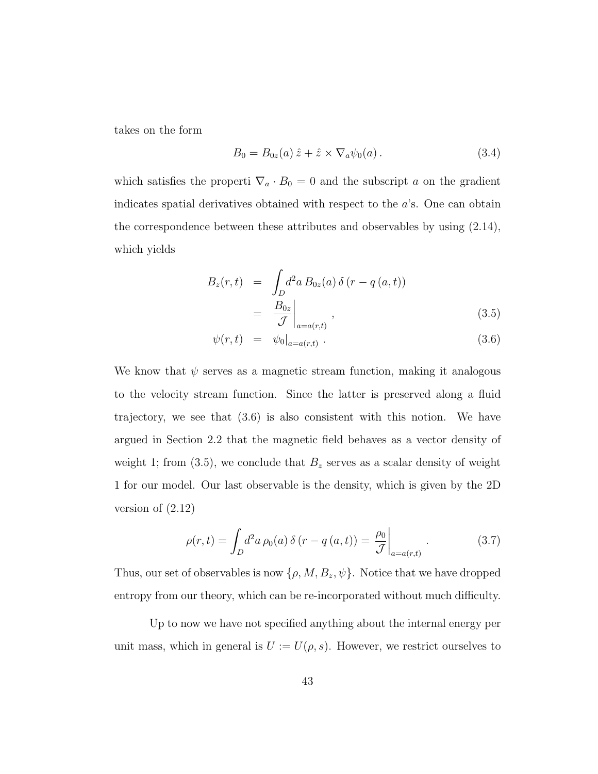takes on the form

$$
B_0 = B_{0z}(a) \hat{z} + \hat{z} \times \nabla_a \psi_0(a) \,. \tag{3.4}
$$

which satisfies the properti  $\nabla_a \cdot B_0 = 0$  and the subscript a on the gradient indicates spatial derivatives obtained with respect to the a's. One can obtain the correspondence between these attributes and observables by using (2.14), which yields

$$
B_z(r,t) = \int_D d^2a B_{0z}(a) \delta(r - q(a,t))
$$
  
=  $\left. \frac{B_{0z}}{\mathcal{J}} \right|_{a=a(r,t)},$  (3.5)

$$
\psi(r,t) = \psi_0|_{a=a(r,t)}.
$$
\n(3.6)

We know that  $\psi$  serves as a magnetic stream function, making it analogous to the velocity stream function. Since the latter is preserved along a fluid trajectory, we see that (3.6) is also consistent with this notion. We have argued in Section 2.2 that the magnetic field behaves as a vector density of weight 1; from (3.5), we conclude that  $B_z$  serves as a scalar density of weight 1 for our model. Our last observable is the density, which is given by the 2D version of (2.12)

$$
\rho(r,t) = \int_D d^2a \,\rho_0(a) \,\delta(r - q(a,t)) = \frac{\rho_0}{\mathcal{J}} \bigg|_{a = a(r,t)} \,. \tag{3.7}
$$

Thus, our set of observables is now  $\{\rho, M, B_z, \psi\}$ . Notice that we have dropped entropy from our theory, which can be re-incorporated without much difficulty.

Up to now we have not specified anything about the internal energy per unit mass, which in general is  $U := U(\rho, s)$ . However, we restrict ourselves to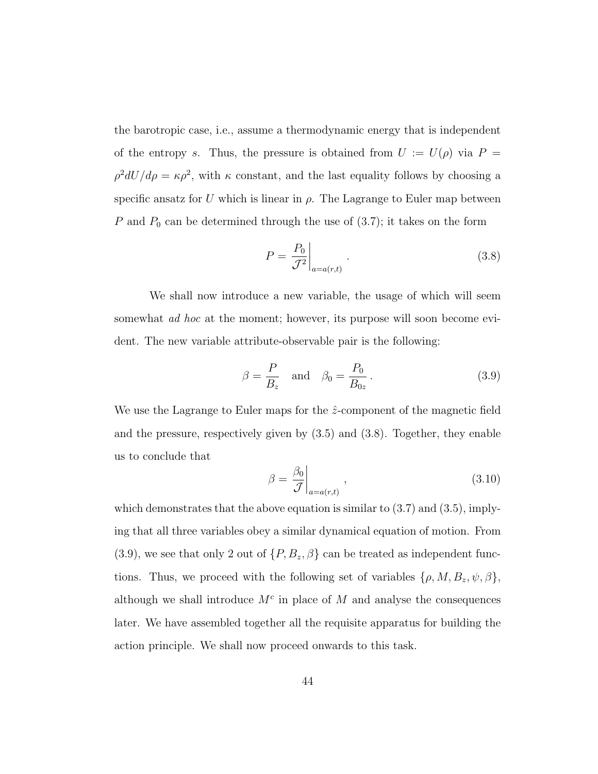the barotropic case, i.e., assume a thermodynamic energy that is independent of the entropy s. Thus, the pressure is obtained from  $U := U(\rho)$  via  $P =$  $\rho^2 dU/d\rho = \kappa \rho^2$ , with  $\kappa$  constant, and the last equality follows by choosing a specific ansatz for U which is linear in  $\rho$ . The Lagrange to Euler map between P and  $P_0$  can be determined through the use of  $(3.7)$ ; it takes on the form

$$
P = \left. \frac{P_0}{\mathcal{J}^2} \right|_{a = a(r,t)}.
$$
\n(3.8)

We shall now introduce a new variable, the usage of which will seem somewhat *ad hoc* at the moment; however, its purpose will soon become evident. The new variable attribute-observable pair is the following:

$$
\beta = \frac{P}{B_z} \quad \text{and} \quad \beta_0 = \frac{P_0}{B_{0z}}.
$$
\n(3.9)

We use the Lagrange to Euler maps for the  $\hat{z}$ -component of the magnetic field and the pressure, respectively given by (3.5) and (3.8). Together, they enable us to conclude that

$$
\beta = \frac{\beta_0}{\mathcal{J}}\bigg|_{a=a(r,t)},\tag{3.10}
$$

which demonstrates that the above equation is similar to  $(3.7)$  and  $(3.5)$ , implying that all three variables obey a similar dynamical equation of motion. From  $(3.9)$ , we see that only 2 out of  $\{P, B_z, \beta\}$  can be treated as independent functions. Thus, we proceed with the following set of variables  $\{\rho, M, B_z, \psi, \beta\},\$ although we shall introduce  $M<sup>c</sup>$  in place of M and analyse the consequences later. We have assembled together all the requisite apparatus for building the action principle. We shall now proceed onwards to this task.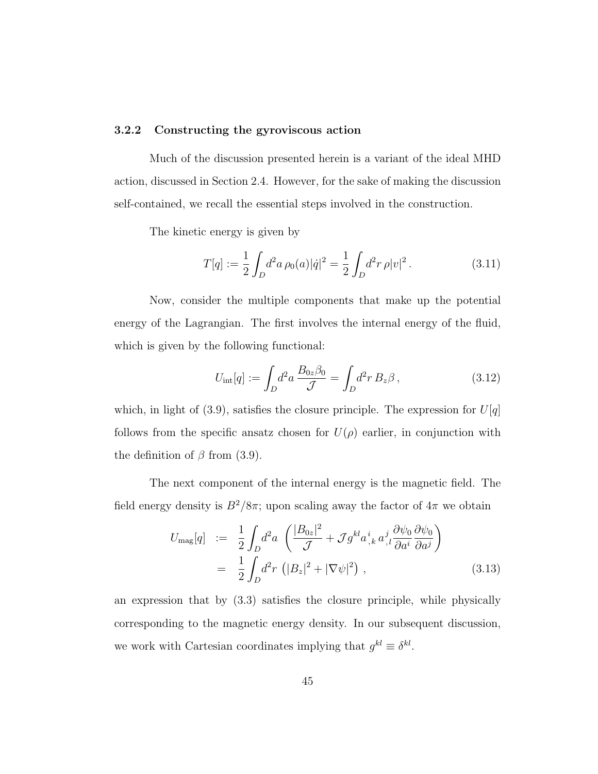#### 3.2.2 Constructing the gyroviscous action

Much of the discussion presented herein is a variant of the ideal MHD action, discussed in Section 2.4. However, for the sake of making the discussion self-contained, we recall the essential steps involved in the construction.

The kinetic energy is given by

$$
T[q] := \frac{1}{2} \int_D d^2 a \, \rho_0(a) |\dot{q}|^2 = \frac{1}{2} \int_D d^2 r \, \rho |v|^2 \,. \tag{3.11}
$$

Now, consider the multiple components that make up the potential energy of the Lagrangian. The first involves the internal energy of the fluid, which is given by the following functional:

$$
U_{\rm int}[q] := \int_D d^2 a \, \frac{B_{0z} \beta_0}{\mathcal{J}} = \int_D d^2 r \, B_z \beta \,, \tag{3.12}
$$

which, in light of (3.9), satisfies the closure principle. The expression for  $U[q]$ follows from the specific ansatz chosen for  $U(\rho)$  earlier, in conjunction with the definition of  $\beta$  from (3.9).

The next component of the internal energy is the magnetic field. The field energy density is  $B^2/8\pi$ ; upon scaling away the factor of  $4\pi$  we obtain

$$
U_{\text{mag}}[q] := \frac{1}{2} \int_D d^2 a \left( \frac{|B_{0z}|^2}{\mathcal{J}} + \mathcal{J} g^{kl} a^i_{,k} a^j_{,l} \frac{\partial \psi_0}{\partial a^i} \frac{\partial \psi_0}{\partial a^j} \right)
$$
  

$$
= \frac{1}{2} \int_D d^2 r \left( |B_z|^2 + |\nabla \psi|^2 \right) , \qquad (3.13)
$$

an expression that by (3.3) satisfies the closure principle, while physically corresponding to the magnetic energy density. In our subsequent discussion, we work with Cartesian coordinates implying that  $g^{kl} \equiv \delta^{kl}$ .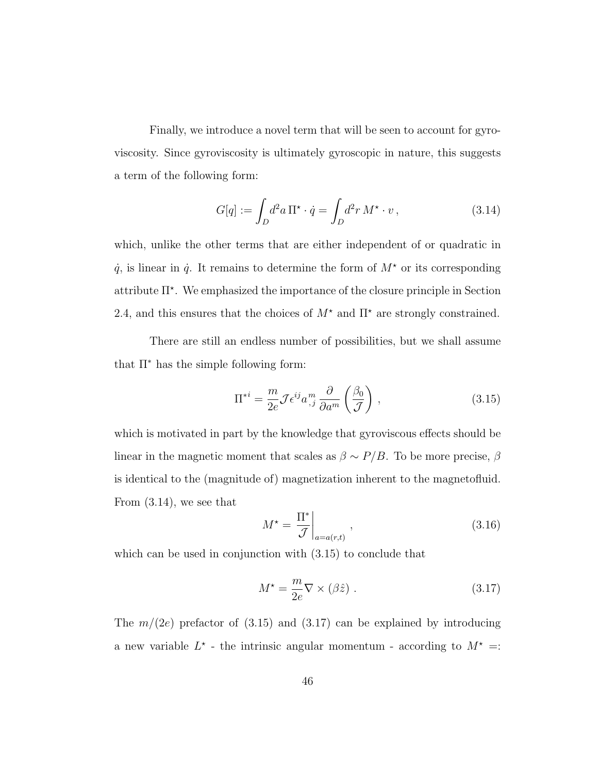Finally, we introduce a novel term that will be seen to account for gyroviscosity. Since gyroviscosity is ultimately gyroscopic in nature, this suggests a term of the following form:

$$
G[q] := \int_D d^2a \, \Pi^\star \cdot \dot{q} = \int_D d^2r \, M^\star \cdot v \,, \tag{3.14}
$$

which, unlike the other terms that are either independent of or quadratic in  $\dot{q}$ , is linear in  $\dot{q}$ . It remains to determine the form of  $M^*$  or its corresponding attribute  $\Pi^*$ . We emphasized the importance of the closure principle in Section 2.4, and this ensures that the choices of  $M^*$  and  $\Pi^*$  are strongly constrained.

There are still an endless number of possibilities, but we shall assume that  $\Pi^*$  has the simple following form:

$$
\Pi^{*i} = \frac{m}{2e} \mathcal{J} \epsilon^{ij} a_{,j}^m \frac{\partial}{\partial a^m} \left( \frac{\beta_0}{\mathcal{J}} \right) , \qquad (3.15)
$$

which is motivated in part by the knowledge that gyroviscous effects should be linear in the magnetic moment that scales as  $\beta \sim P/B$ . To be more precise,  $\beta$ is identical to the (magnitude of) magnetization inherent to the magnetofluid. From (3.14), we see that

$$
M^* = \left. \frac{\Pi^*}{\mathcal{J}} \right|_{a = a(r,t)}, \tag{3.16}
$$

which can be used in conjunction with  $(3.15)$  to conclude that

$$
M^* = \frac{m}{2e} \nabla \times (\beta \hat{z}) \tag{3.17}
$$

The  $m/(2e)$  prefactor of  $(3.15)$  and  $(3.17)$  can be explained by introducing a new variable  $L^*$  - the intrinsic angular momentum - according to  $M^* =$ :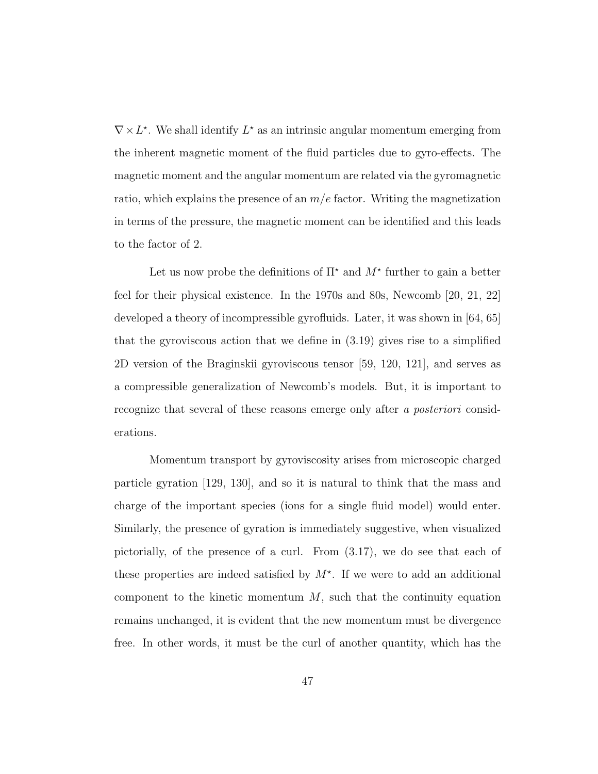$\nabla \times L^*$ . We shall identify  $L^*$  as an intrinsic angular momentum emerging from the inherent magnetic moment of the fluid particles due to gyro-effects. The magnetic moment and the angular momentum are related via the gyromagnetic ratio, which explains the presence of an  $m/e$  factor. Writing the magnetization in terms of the pressure, the magnetic moment can be identified and this leads to the factor of 2.

Let us now probe the definitions of  $\Pi^*$  and  $M^*$  further to gain a better feel for their physical existence. In the 1970s and 80s, Newcomb [20, 21, 22] developed a theory of incompressible gyrofluids. Later, it was shown in [64, 65] that the gyroviscous action that we define in (3.19) gives rise to a simplified 2D version of the Braginskii gyroviscous tensor [59, 120, 121], and serves as a compressible generalization of Newcomb's models. But, it is important to recognize that several of these reasons emerge only after a posteriori considerations.

Momentum transport by gyroviscosity arises from microscopic charged particle gyration [129, 130], and so it is natural to think that the mass and charge of the important species (ions for a single fluid model) would enter. Similarly, the presence of gyration is immediately suggestive, when visualized pictorially, of the presence of a curl. From (3.17), we do see that each of these properties are indeed satisfied by  $M^*$ . If we were to add an additional component to the kinetic momentum  $M$ , such that the continuity equation remains unchanged, it is evident that the new momentum must be divergence free. In other words, it must be the curl of another quantity, which has the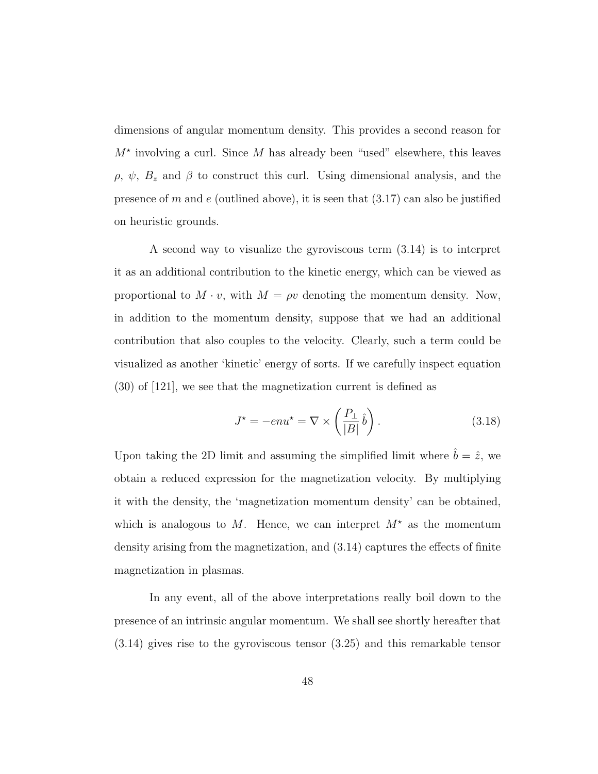dimensions of angular momentum density. This provides a second reason for  $M^*$  involving a curl. Since M has already been "used" elsewhere, this leaves  $\rho, \psi, B_z$  and  $\beta$  to construct this curl. Using dimensional analysis, and the presence of m and e (outlined above), it is seen that  $(3.17)$  can also be justified on heuristic grounds.

A second way to visualize the gyroviscous term (3.14) is to interpret it as an additional contribution to the kinetic energy, which can be viewed as proportional to  $M \cdot v$ , with  $M = \rho v$  denoting the momentum density. Now, in addition to the momentum density, suppose that we had an additional contribution that also couples to the velocity. Clearly, such a term could be visualized as another 'kinetic' energy of sorts. If we carefully inspect equation (30) of [121], we see that the magnetization current is defined as

$$
J^* = -e n u^* = \nabla \times \left(\frac{P_\perp}{|B|} \hat{b}\right). \tag{3.18}
$$

Upon taking the 2D limit and assuming the simplified limit where  $\hat{b} = \hat{z}$ , we obtain a reduced expression for the magnetization velocity. By multiplying it with the density, the 'magnetization momentum density' can be obtained, which is analogous to M. Hence, we can interpret  $M^*$  as the momentum density arising from the magnetization, and (3.14) captures the effects of finite magnetization in plasmas.

In any event, all of the above interpretations really boil down to the presence of an intrinsic angular momentum. We shall see shortly hereafter that (3.14) gives rise to the gyroviscous tensor (3.25) and this remarkable tensor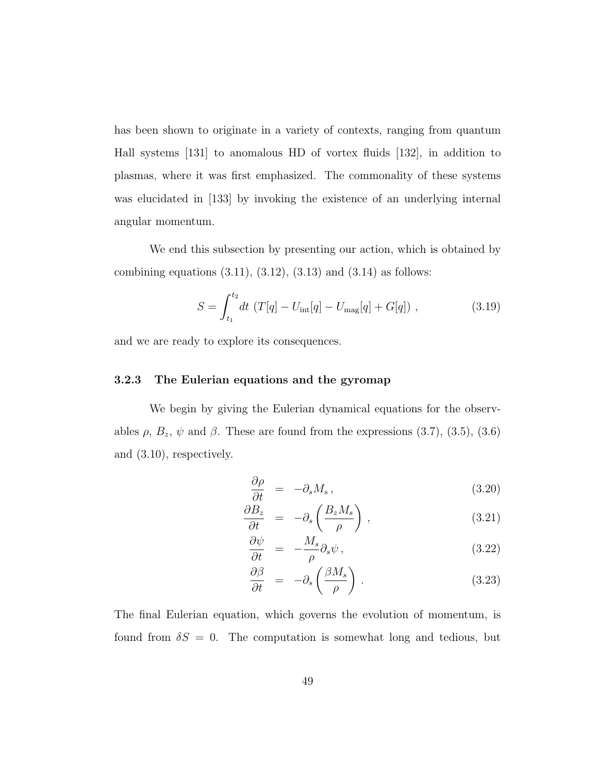has been shown to originate in a variety of contexts, ranging from quantum Hall systems [131] to anomalous HD of vortex fluids [132], in addition to plasmas, where it was first emphasized. The commonality of these systems was elucidated in [133] by invoking the existence of an underlying internal angular momentum.

We end this subsection by presenting our action, which is obtained by combining equations  $(3.11)$ ,  $(3.12)$ ,  $(3.13)$  and  $(3.14)$  as follows:

$$
S = \int_{t_1}^{t_2} dt \ (T[q] - U_{\text{int}}[q] - U_{\text{mag}}[q] + G[q]) \ , \tag{3.19}
$$

and we are ready to explore its consequences.

#### 3.2.3 The Eulerian equations and the gyromap

We begin by giving the Eulerian dynamical equations for the observables  $\rho$ ,  $B_z$ ,  $\psi$  and  $\beta$ . These are found from the expressions (3.7), (3.5), (3.6) and (3.10), respectively.

$$
\frac{\partial \rho}{\partial t} = -\partial_s M_s \,, \tag{3.20}
$$

$$
\frac{\partial B_z}{\partial t} = -\partial_s \left( \frac{B_z M_s}{\rho} \right), \tag{3.21}
$$

$$
\frac{\partial \psi}{\partial t} = -\frac{M_s}{\rho} \partial_s \psi \,, \tag{3.22}
$$

$$
\frac{\partial \beta}{\partial t} = -\partial_s \left( \frac{\beta M_s}{\rho} \right) . \tag{3.23}
$$

The final Eulerian equation, which governs the evolution of momentum, is found from  $\delta S = 0$ . The computation is somewhat long and tedious, but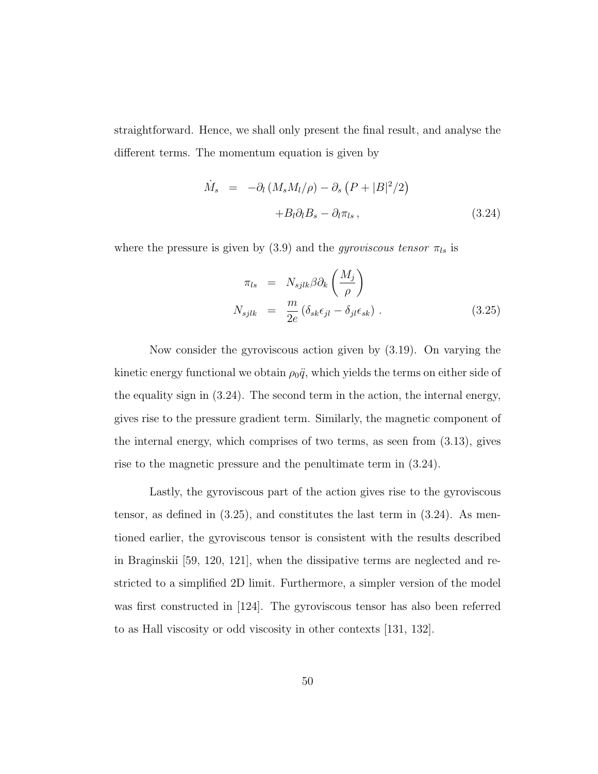straightforward. Hence, we shall only present the final result, and analyse the different terms. The momentum equation is given by

$$
\dot{M}_s = -\partial_l (M_s M_l/\rho) - \partial_s (P + |B|^2/2) \n+ B_l \partial_l B_s - \partial_l \pi_{ls},
$$
\n(3.24)

where the pressure is given by (3.9) and the *gyroviscous tensor*  $\pi_{ls}$  is

$$
\pi_{ls} = N_{sjlk} \beta \partial_k \left( \frac{M_j}{\rho} \right)
$$
  

$$
N_{sjlk} = \frac{m}{2e} \left( \delta_{sk} \epsilon_{jl} - \delta_{jl} \epsilon_{sk} \right).
$$
 (3.25)

Now consider the gyroviscous action given by (3.19). On varying the kinetic energy functional we obtain  $\rho_0 \ddot{q}$ , which yields the terms on either side of the equality sign in (3.24). The second term in the action, the internal energy, gives rise to the pressure gradient term. Similarly, the magnetic component of the internal energy, which comprises of two terms, as seen from (3.13), gives rise to the magnetic pressure and the penultimate term in (3.24).

Lastly, the gyroviscous part of the action gives rise to the gyroviscous tensor, as defined in (3.25), and constitutes the last term in (3.24). As mentioned earlier, the gyroviscous tensor is consistent with the results described in Braginskii [59, 120, 121], when the dissipative terms are neglected and restricted to a simplified 2D limit. Furthermore, a simpler version of the model was first constructed in [124]. The gyroviscous tensor has also been referred to as Hall viscosity or odd viscosity in other contexts [131, 132].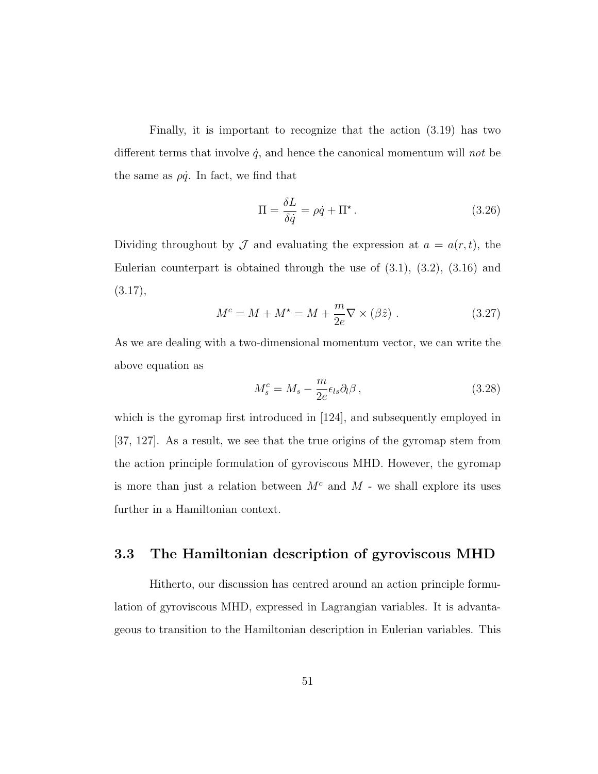Finally, it is important to recognize that the action (3.19) has two different terms that involve  $\dot{q}$ , and hence the canonical momentum will not be the same as  $\rho \dot{q}$ . In fact, we find that

$$
\Pi = \frac{\delta L}{\delta \dot{q}} = \rho \dot{q} + \Pi^*.
$$
\n(3.26)

Dividing throughout by  $\mathcal J$  and evaluating the expression at  $a = a(r, t)$ , the Eulerian counterpart is obtained through the use of  $(3.1)$ ,  $(3.2)$ ,  $(3.16)$  and (3.17),

$$
M^{c} = M + M^{\star} = M + \frac{m}{2e} \nabla \times (\beta \hat{z}) . \qquad (3.27)
$$

As we are dealing with a two-dimensional momentum vector, we can write the above equation as

$$
M_s^c = M_s - \frac{m}{2e} \epsilon_{ls} \partial_l \beta \,, \tag{3.28}
$$

which is the gyromap first introduced in [124], and subsequently employed in [37, 127]. As a result, we see that the true origins of the gyromap stem from the action principle formulation of gyroviscous MHD. However, the gyromap is more than just a relation between  $M^c$  and  $M$  - we shall explore its uses further in a Hamiltonian context.

## 3.3 The Hamiltonian description of gyroviscous MHD

Hitherto, our discussion has centred around an action principle formulation of gyroviscous MHD, expressed in Lagrangian variables. It is advantageous to transition to the Hamiltonian description in Eulerian variables. This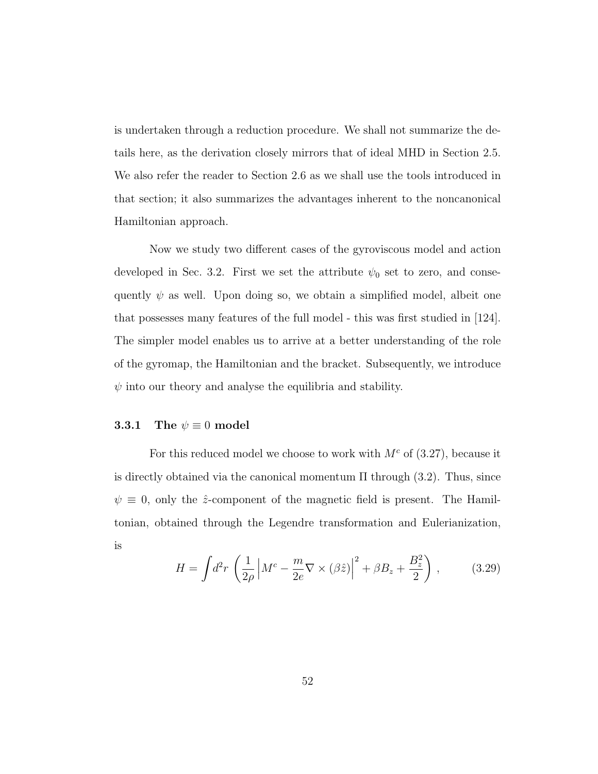is undertaken through a reduction procedure. We shall not summarize the details here, as the derivation closely mirrors that of ideal MHD in Section 2.5. We also refer the reader to Section 2.6 as we shall use the tools introduced in that section; it also summarizes the advantages inherent to the noncanonical Hamiltonian approach.

Now we study two different cases of the gyroviscous model and action developed in Sec. 3.2. First we set the attribute  $\psi_0$  set to zero, and consequently  $\psi$  as well. Upon doing so, we obtain a simplified model, albeit one that possesses many features of the full model - this was first studied in [124]. The simpler model enables us to arrive at a better understanding of the role of the gyromap, the Hamiltonian and the bracket. Subsequently, we introduce  $\psi$  into our theory and analyse the equilibria and stability.

#### 3.3.1 The  $\psi \equiv 0$  model

For this reduced model we choose to work with  $M<sup>c</sup>$  of (3.27), because it is directly obtained via the canonical momentum  $\Pi$  through (3.2). Thus, since  $\psi \equiv 0$ , only the  $\hat{z}$ -component of the magnetic field is present. The Hamiltonian, obtained through the Legendre transformation and Eulerianization, is

$$
H = \int d^2r \left(\frac{1}{2\rho} \left|M^c - \frac{m}{2e}\nabla \times (\beta \hat{z})\right|^2 + \beta B_z + \frac{B_z^2}{2}\right),\tag{3.29}
$$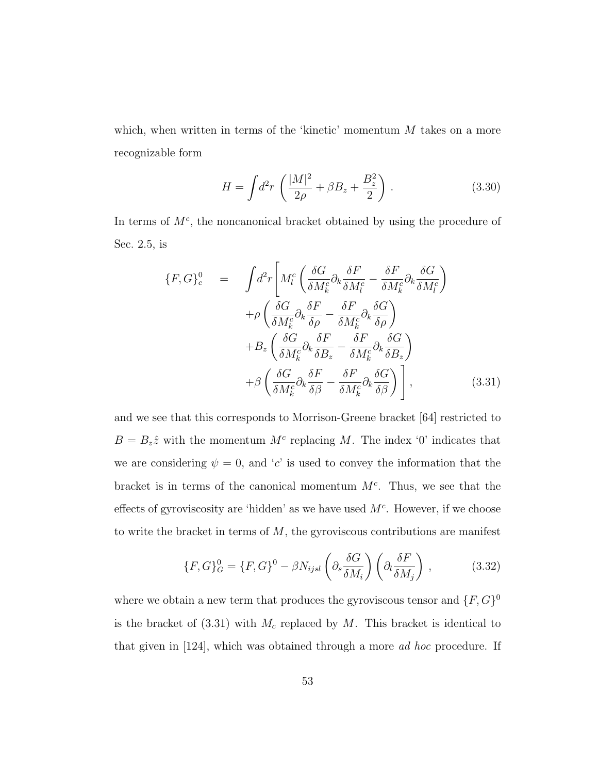which, when written in terms of the 'kinetic' momentum  $M$  takes on a more recognizable form

$$
H = \int d^2 r \left( \frac{|M|^2}{2\rho} + \beta B_z + \frac{B_z^2}{2} \right) . \tag{3.30}
$$

In terms of  $M<sup>c</sup>$ , the noncanonical bracket obtained by using the procedure of Sec. 2.5, is

$$
\{F, G\}^{0}_{c} = \int d^{2}r \left[ M_{l}^{c} \left( \frac{\delta G}{\delta M_{k}^{c}} \partial_{k} \frac{\delta F}{\delta M_{l}^{c}} - \frac{\delta F}{\delta M_{k}^{c}} \partial_{k} \frac{\delta G}{\delta M_{l}^{c}} \right) \right. \left. + \rho \left( \frac{\delta G}{\delta M_{k}^{c}} \partial_{k} \frac{\delta F}{\delta \rho} - \frac{\delta F}{\delta M_{k}^{c}} \partial_{k} \frac{\delta G}{\delta \rho} \right) \right. \left. + B_{z} \left( \frac{\delta G}{\delta M_{k}^{c}} \partial_{k} \frac{\delta F}{\delta B_{z}} - \frac{\delta F}{\delta M_{k}^{c}} \partial_{k} \frac{\delta G}{\delta B_{z}} \right) \right. \left. + \beta \left( \frac{\delta G}{\delta M_{k}^{c}} \partial_{k} \frac{\delta F}{\delta \beta} - \frac{\delta F}{\delta M_{k}^{c}} \partial_{k} \frac{\delta G}{\delta \beta} \right) \right], \tag{3.31}
$$

and we see that this corresponds to Morrison-Greene bracket [64] restricted to  $B = B_z\hat{z}$  with the momentum  $M<sup>c</sup>$  replacing M. The index '0' indicates that we are considering  $\psi = 0$ , and 'c' is used to convey the information that the bracket is in terms of the canonical momentum  $M<sup>c</sup>$ . Thus, we see that the effects of gyroviscosity are 'hidden' as we have used  $M<sup>c</sup>$ . However, if we choose to write the bracket in terms of  $M$ , the gyroviscous contributions are manifest

$$
\{F, G\}_G^0 = \{F, G\}^0 - \beta N_{ijsl} \left(\partial_s \frac{\delta G}{\delta M_i}\right) \left(\partial_l \frac{\delta F}{\delta M_j}\right) ,\qquad (3.32)
$$

where we obtain a new term that produces the gyroviscous tensor and  $\{F, G\}^0$ is the bracket of  $(3.31)$  with  $M_c$  replaced by  $M$ . This bracket is identical to that given in [124], which was obtained through a more ad hoc procedure. If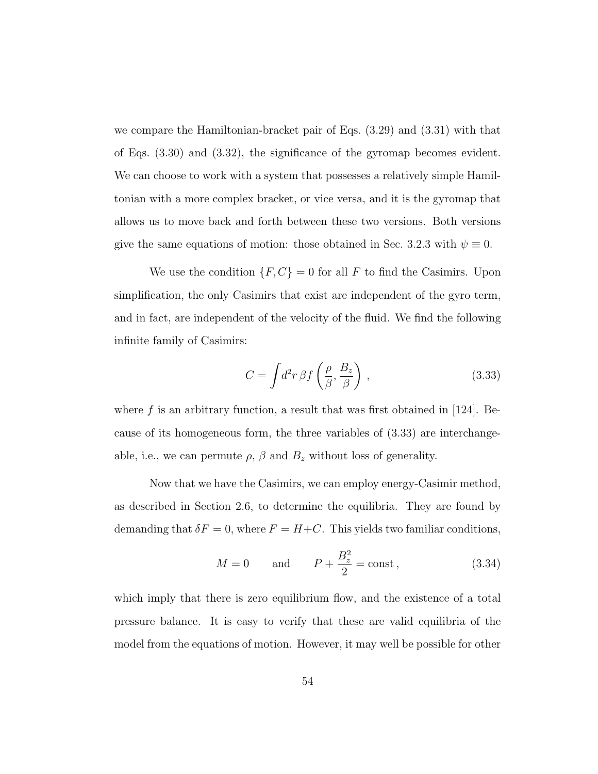we compare the Hamiltonian-bracket pair of Eqs. (3.29) and (3.31) with that of Eqs. (3.30) and (3.32), the significance of the gyromap becomes evident. We can choose to work with a system that possesses a relatively simple Hamiltonian with a more complex bracket, or vice versa, and it is the gyromap that allows us to move back and forth between these two versions. Both versions give the same equations of motion: those obtained in Sec. 3.2.3 with  $\psi \equiv 0$ .

We use the condition  $\{F, C\} = 0$  for all F to find the Casimirs. Upon simplification, the only Casimirs that exist are independent of the gyro term, and in fact, are independent of the velocity of the fluid. We find the following infinite family of Casimirs:

$$
C = \int d^2r \,\beta f\left(\frac{\rho}{\beta}, \frac{B_z}{\beta}\right) \,,\tag{3.33}
$$

where f is an arbitrary function, a result that was first obtained in  $[124]$ . Because of its homogeneous form, the three variables of (3.33) are interchangeable, i.e., we can permute  $\rho$ ,  $\beta$  and  $B_z$  without loss of generality.

Now that we have the Casimirs, we can employ energy-Casimir method, as described in Section 2.6, to determine the equilibria. They are found by demanding that  $\delta F = 0$ , where  $F = H + C$ . This yields two familiar conditions,

$$
M = 0
$$
 and  $P + \frac{B_z^2}{2} = \text{const}$ , (3.34)

which imply that there is zero equilibrium flow, and the existence of a total pressure balance. It is easy to verify that these are valid equilibria of the model from the equations of motion. However, it may well be possible for other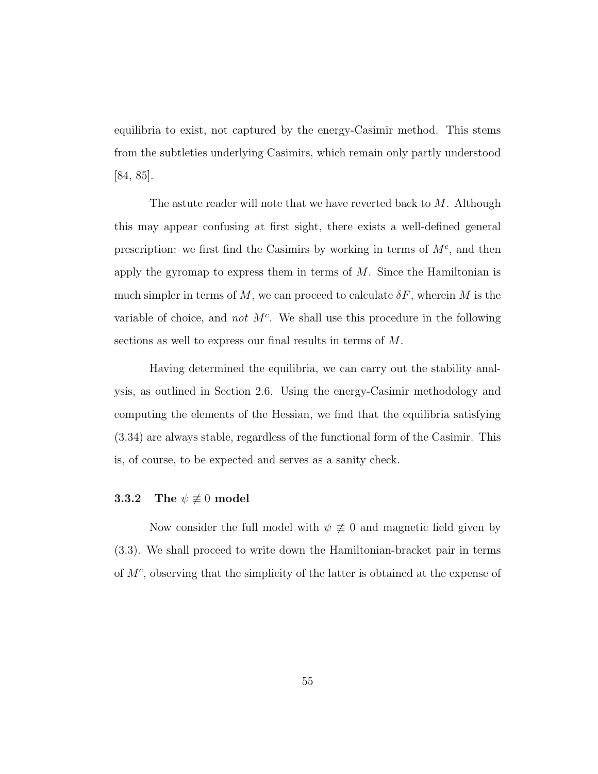equilibria to exist, not captured by the energy-Casimir method. This stems from the subtleties underlying Casimirs, which remain only partly understood [84, 85].

The astute reader will note that we have reverted back to  $M$ . Although this may appear confusing at first sight, there exists a well-defined general prescription: we first find the Casimirs by working in terms of  $M<sup>c</sup>$ , and then apply the gyromap to express them in terms of  $M$ . Since the Hamiltonian is much simpler in terms of M, we can proceed to calculate  $\delta F$ , wherein M is the variable of choice, and not  $M<sup>c</sup>$ . We shall use this procedure in the following sections as well to express our final results in terms of M.

Having determined the equilibria, we can carry out the stability analysis, as outlined in Section 2.6. Using the energy-Casimir methodology and computing the elements of the Hessian, we find that the equilibria satisfying (3.34) are always stable, regardless of the functional form of the Casimir. This is, of course, to be expected and serves as a sanity check.

#### **3.3.2** The  $\psi \not\equiv 0$  model

Now consider the full model with  $\psi \neq 0$  and magnetic field given by (3.3). We shall proceed to write down the Hamiltonian-bracket pair in terms of  $M<sup>c</sup>$ , observing that the simplicity of the latter is obtained at the expense of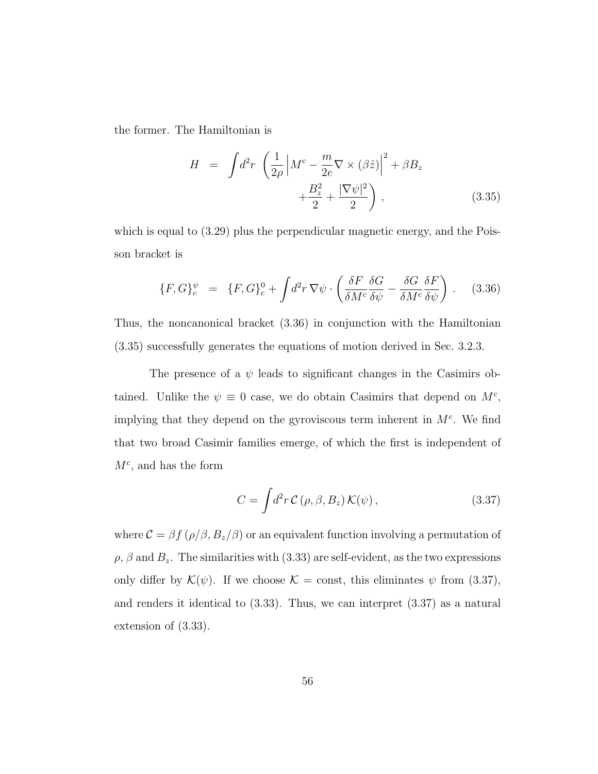the former. The Hamiltonian is

$$
H = \int d^2 r \left( \frac{1}{2\rho} \left| M^c - \frac{m}{2e} \nabla \times (\beta \hat{z}) \right|^2 + \beta B_z + \frac{B_z^2}{2} + \frac{|\nabla \psi|^2}{2} \right), \tag{3.35}
$$

which is equal to (3.29) plus the perpendicular magnetic energy, and the Poisson bracket is

$$
\{F, G\}^{\psi}_{c} = \{F, G\}^{0}_{c} + \int d^{2}r \, \nabla \psi \cdot \left(\frac{\delta F}{\delta M^{c}} \frac{\delta G}{\delta \psi} - \frac{\delta G}{\delta M^{c}} \frac{\delta F}{\delta \psi}\right). \tag{3.36}
$$

Thus, the noncanonical bracket (3.36) in conjunction with the Hamiltonian (3.35) successfully generates the equations of motion derived in Sec. 3.2.3.

The presence of a  $\psi$  leads to significant changes in the Casimirs obtained. Unlike the  $\psi \equiv 0$  case, we do obtain Casimirs that depend on  $M<sup>c</sup>$ , implying that they depend on the gyroviscous term inherent in  $M<sup>c</sup>$ . We find that two broad Casimir families emerge, of which the first is independent of  $M<sup>c</sup>$ , and has the form

$$
C = \int d^2r \, \mathcal{C} \left( \rho, \beta, B_z \right) \mathcal{K}(\psi) \,, \tag{3.37}
$$

where  $C = \beta f (\rho/\beta, B_z/\beta)$  or an equivalent function involving a permutation of  $\rho$ ,  $\beta$  and  $B_z$ . The similarities with (3.33) are self-evident, as the two expressions only differ by  $\mathcal{K}(\psi)$ . If we choose  $\mathcal{K} = \text{const}$ , this eliminates  $\psi$  from (3.37), and renders it identical to (3.33). Thus, we can interpret (3.37) as a natural extension of (3.33).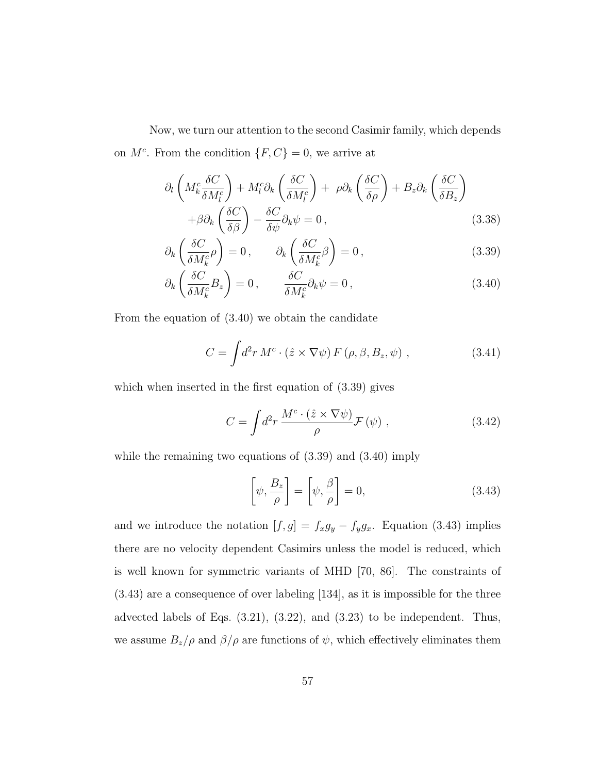Now, we turn our attention to the second Casimir family, which depends on  $M^c$ . From the condition  $\{F, C\} = 0$ , we arrive at

$$
\partial_l \left( M_k^c \frac{\delta C}{\delta M_l^c} \right) + M_l^c \partial_k \left( \frac{\delta C}{\delta M_l^c} \right) + \rho \partial_k \left( \frac{\delta C}{\delta \rho} \right) + B_z \partial_k \left( \frac{\delta C}{\delta B_z} \right) + \beta \partial_k \left( \frac{\delta C}{\delta \beta} \right) - \frac{\delta C}{\delta \psi} \partial_k \psi = 0,
$$
\n(3.38)

$$
\partial_k \left( \frac{\delta C}{\delta M_k^c} \rho \right) = 0, \qquad \partial_k \left( \frac{\delta C}{\delta M_k^c} \beta \right) = 0, \tag{3.39}
$$

$$
\partial_k \left( \frac{\delta C}{\delta M_k^c} B_z \right) = 0, \qquad \frac{\delta C}{\delta M_k^c} \partial_k \psi = 0, \qquad (3.40)
$$

From the equation of (3.40) we obtain the candidate

$$
C = \int d^2r \, M^c \cdot (\hat{z} \times \nabla \psi) \, F(\rho, \beta, B_z, \psi) \tag{3.41}
$$

which when inserted in the first equation of (3.39) gives

$$
C = \int d^2r \, \frac{M^c \cdot (\hat{z} \times \nabla \psi)}{\rho} \mathcal{F}(\psi) \;, \tag{3.42}
$$

while the remaining two equations of  $(3.39)$  and  $(3.40)$  imply

$$
\left[\psi, \frac{B_z}{\rho}\right] = \left[\psi, \frac{\beta}{\rho}\right] = 0,\tag{3.43}
$$

and we introduce the notation  $[f, g] = f_x g_y - f_y g_x$ . Equation (3.43) implies there are no velocity dependent Casimirs unless the model is reduced, which is well known for symmetric variants of MHD [70, 86]. The constraints of (3.43) are a consequence of over labeling [134], as it is impossible for the three advected labels of Eqs.  $(3.21)$ ,  $(3.22)$ , and  $(3.23)$  to be independent. Thus, we assume  $B_z/\rho$  and  $\beta/\rho$  are functions of  $\psi$ , which effectively eliminates them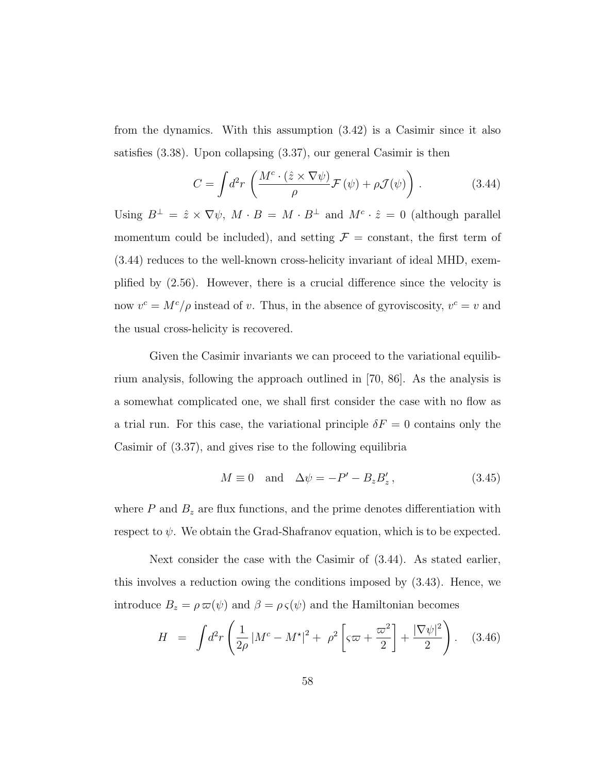from the dynamics. With this assumption (3.42) is a Casimir since it also satisfies (3.38). Upon collapsing (3.37), our general Casimir is then

$$
C = \int d^2r \left( \frac{M^c \cdot (\hat{z} \times \nabla \psi)}{\rho} \mathcal{F}(\psi) + \rho \mathcal{J}(\psi) \right). \tag{3.44}
$$

Using  $B^{\perp} = \hat{z} \times \nabla \psi$ ,  $M \cdot B = M \cdot B^{\perp}$  and  $M^c \cdot \hat{z} = 0$  (although parallel momentum could be included), and setting  $\mathcal{F} = \text{constant}$ , the first term of (3.44) reduces to the well-known cross-helicity invariant of ideal MHD, exemplified by (2.56). However, there is a crucial difference since the velocity is now  $v^c = M^c/\rho$  instead of v. Thus, in the absence of gyroviscosity,  $v^c = v$  and the usual cross-helicity is recovered.

Given the Casimir invariants we can proceed to the variational equilibrium analysis, following the approach outlined in [70, 86]. As the analysis is a somewhat complicated one, we shall first consider the case with no flow as a trial run. For this case, the variational principle  $\delta F = 0$  contains only the Casimir of (3.37), and gives rise to the following equilibria

$$
M \equiv 0 \quad \text{and} \quad \Delta \psi = -P' - B_z B_z', \tag{3.45}
$$

where  $P$  and  $B_z$  are flux functions, and the prime denotes differentiation with respect to  $\psi$ . We obtain the Grad-Shafranov equation, which is to be expected.

Next consider the case with the Casimir of (3.44). As stated earlier, this involves a reduction owing the conditions imposed by (3.43). Hence, we introduce  $B_z = \rho \,\varpi(\psi)$  and  $\beta = \rho \,\varsigma(\psi)$  and the Hamiltonian becomes

$$
H = \int d^2 r \left( \frac{1}{2\rho} |M^c - M^{\star}|^2 + \rho^2 \left[ \varsigma \varpi + \frac{\varpi^2}{2} \right] + \frac{|\nabla \psi|^2}{2} \right). \quad (3.46)
$$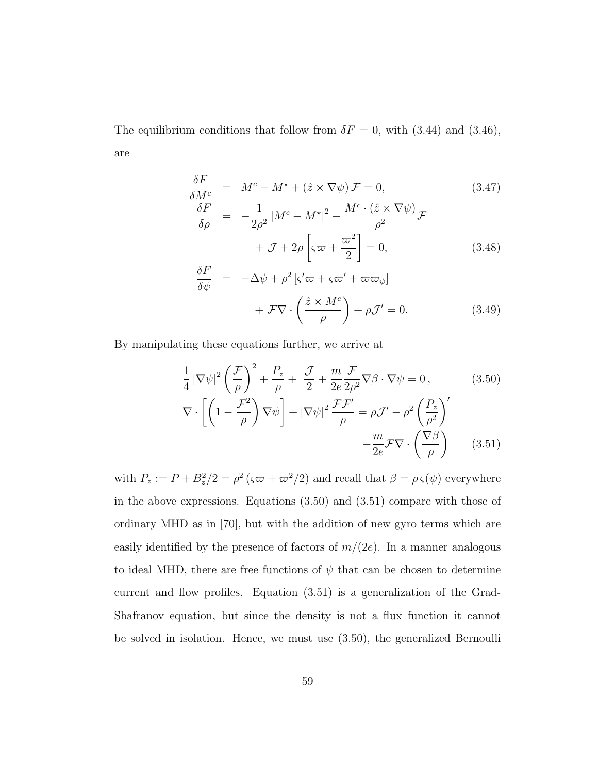The equilibrium conditions that follow from  $\delta F = 0$ , with (3.44) and (3.46), are

$$
\frac{\delta F}{\delta M^{c}} = M^{c} - M^{\star} + (\hat{z} \times \nabla \psi) \mathcal{F} = 0,
$$
\n(3.47)  
\n
$$
\frac{\delta F}{\delta \rho} = -\frac{1}{2\rho^{2}} |M^{c} - M^{\star}|^{2} - \frac{M^{c} \cdot (\hat{z} \times \nabla \psi)}{\rho^{2}} \mathcal{F}
$$
\n
$$
+ \mathcal{J} + 2\rho \left[\varsigma \varpi + \frac{\varpi^{2}}{2}\right] = 0,
$$
\n(3.48)  
\n
$$
\frac{\delta F}{\delta \psi} = -\Delta \psi + \rho^{2} [\varsigma' \varpi + \varsigma \varpi' + \varpi \varpi_{\psi}]
$$

$$
+ \mathcal{F}\nabla \cdot \left(\frac{\hat{z} \times M^c}{\rho}\right) + \rho \mathcal{J}' = 0. \tag{3.49}
$$

By manipulating these equations further, we arrive at

$$
\frac{1}{4} |\nabla \psi|^2 \left(\frac{\mathcal{F}}{\rho}\right)^2 + \frac{P_z}{\rho} + \frac{\mathcal{J}}{2} + \frac{m}{2e} \frac{\mathcal{F}}{2\rho^2} \nabla \beta \cdot \nabla \psi = 0, \qquad (3.50)
$$

$$
\nabla \cdot \left[ \left(1 - \frac{\mathcal{F}^2}{\rho}\right) \nabla \psi \right] + |\nabla \psi|^2 \frac{\mathcal{F} \mathcal{F}'}{\rho} = \rho \mathcal{J}' - \rho^2 \left(\frac{P_z}{\rho^2}\right)'
$$

$$
-\frac{m}{2e} \mathcal{F} \nabla \cdot \left(\frac{\nabla \beta}{\rho}\right) \qquad (3.51)
$$

with  $P_z := P + B_z^2/2 = \rho^2 (\varsigma \varpi + \varpi^2/2)$  and recall that  $\beta = \rho \varsigma(\psi)$  everywhere in the above expressions. Equations (3.50) and (3.51) compare with those of ordinary MHD as in [70], but with the addition of new gyro terms which are easily identified by the presence of factors of  $m/(2e)$ . In a manner analogous to ideal MHD, there are free functions of  $\psi$  that can be chosen to determine current and flow profiles. Equation (3.51) is a generalization of the Grad-Shafranov equation, but since the density is not a flux function it cannot be solved in isolation. Hence, we must use (3.50), the generalized Bernoulli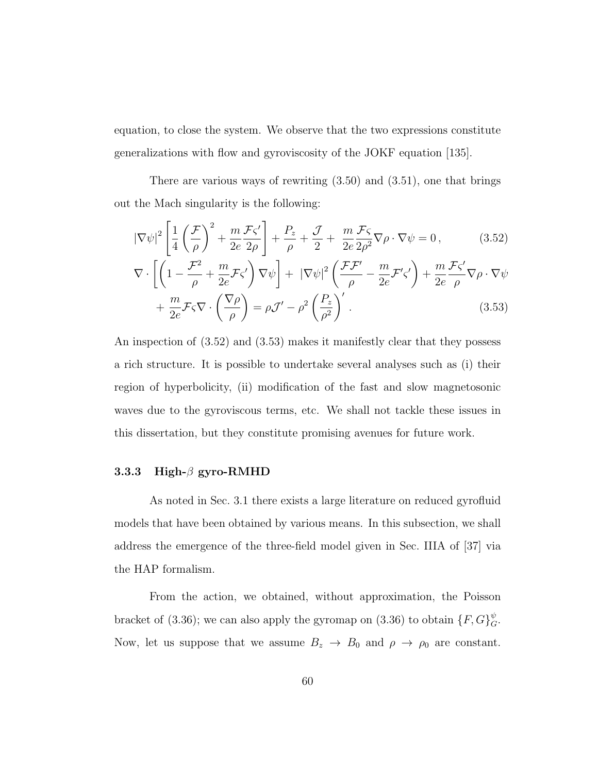equation, to close the system. We observe that the two expressions constitute generalizations with flow and gyroviscosity of the JOKF equation [135].

There are various ways of rewriting  $(3.50)$  and  $(3.51)$ , one that brings out the Mach singularity is the following:

$$
|\nabla \psi|^2 \left[ \frac{1}{4} \left( \frac{\mathcal{F}}{\rho} \right)^2 + \frac{m}{2e} \frac{\mathcal{F}\varsigma'}{2\rho} \right] + \frac{P_z}{\rho} + \frac{\mathcal{J}}{2} + \frac{m}{2e} \frac{\mathcal{F}\varsigma}{2\rho^2} \nabla \rho \cdot \nabla \psi = 0, \qquad (3.52)
$$

$$
\nabla \cdot \left[ \left( 1 - \frac{\mathcal{F}^2}{\rho} + \frac{m}{2e} \mathcal{F} \zeta' \right) \nabla \psi \right] + \left| \nabla \psi \right|^2 \left( \frac{\mathcal{F} \mathcal{F}'}{\rho} - \frac{m}{2e} \mathcal{F}' \zeta' \right) + \frac{m}{2e} \frac{\mathcal{F} \zeta'}{\rho} \nabla \rho \cdot \nabla \psi + \frac{m}{2e} \mathcal{F} \zeta \nabla \cdot \left( \frac{\nabla \rho}{\rho} \right) = \rho \mathcal{J}' - \rho^2 \left( \frac{P_z}{\rho^2} \right)' .
$$
 (3.53)

An inspection of (3.52) and (3.53) makes it manifestly clear that they possess a rich structure. It is possible to undertake several analyses such as (i) their region of hyperbolicity, (ii) modification of the fast and slow magnetosonic waves due to the gyroviscous terms, etc. We shall not tackle these issues in this dissertation, but they constitute promising avenues for future work.

#### 3.3.3 High- $\beta$  gyro-RMHD

As noted in Sec. 3.1 there exists a large literature on reduced gyrofluid models that have been obtained by various means. In this subsection, we shall address the emergence of the three-field model given in Sec. IIIA of [37] via the HAP formalism.

From the action, we obtained, without approximation, the Poisson bracket of (3.36); we can also apply the gyromap on (3.36) to obtain  $\{F, G\}^{\psi}_{G}$ . Now, let us suppose that we assume  $B_z \to B_0$  and  $\rho \to \rho_0$  are constant.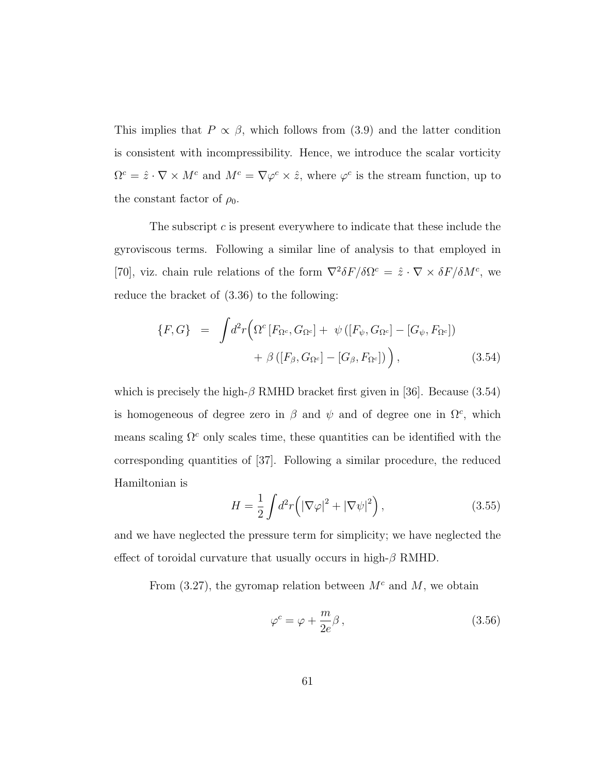This implies that  $P \propto \beta$ , which follows from (3.9) and the latter condition is consistent with incompressibility. Hence, we introduce the scalar vorticity  $\Omega^c = \hat{z} \cdot \nabla \times M^c$  and  $M^c = \nabla \varphi^c \times \hat{z}$ , where  $\varphi^c$  is the stream function, up to the constant factor of  $\rho_0$ .

The subscript c is present everywhere to indicate that these include the gyroviscous terms. Following a similar line of analysis to that employed in [70], viz. chain rule relations of the form  $\nabla^2 \delta F/\delta \Omega^c = \hat{z} \cdot \nabla \times \delta F/\delta M^c$ , we reduce the bracket of (3.36) to the following:

$$
\{F, G\} = \int d^2r \left( \Omega^c \left[ F_{\Omega^c}, G_{\Omega^c} \right] + \psi \left( \left[ F_{\psi}, G_{\Omega^c} \right] - \left[ G_{\psi}, F_{\Omega^c} \right] \right) \right. \\ \left. + \beta \left( \left[ F_{\beta}, G_{\Omega^c} \right] - \left[ G_{\beta}, F_{\Omega^c} \right] \right) \right), \tag{3.54}
$$

which is precisely the high- $\beta$  RMHD bracket first given in [36]. Because (3.54) is homogeneous of degree zero in  $\beta$  and  $\psi$  and of degree one in  $\Omega^c$ , which means scaling  $\Omega^c$  only scales time, these quantities can be identified with the corresponding quantities of [37]. Following a similar procedure, the reduced Hamiltonian is

$$
H = \frac{1}{2} \int d^2 r \left( \left| \nabla \varphi \right|^2 + \left| \nabla \psi \right|^2 \right), \tag{3.55}
$$

and we have neglected the pressure term for simplicity; we have neglected the effect of toroidal curvature that usually occurs in high- $\beta$  RMHD.

From  $(3.27)$ , the gyromap relation between  $M<sup>c</sup>$  and M, we obtain

$$
\varphi^c = \varphi + \frac{m}{2e}\beta\,,\tag{3.56}
$$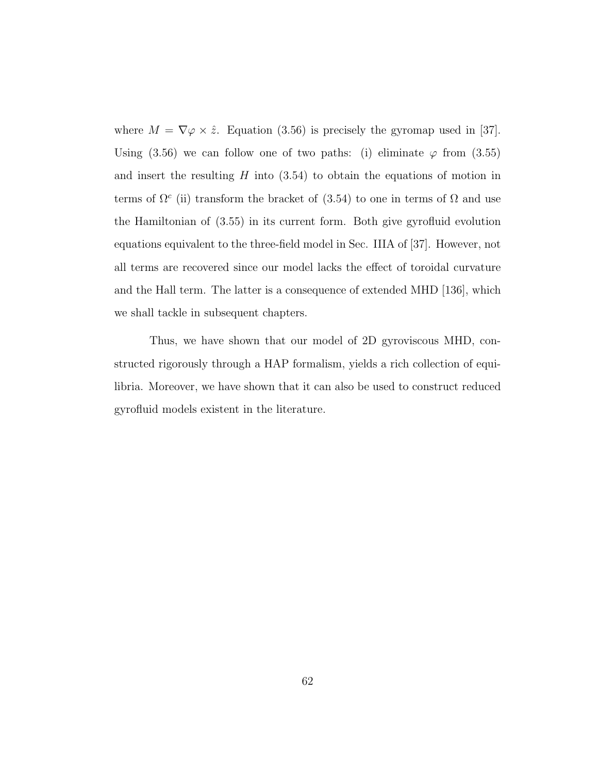where  $M = \nabla \varphi \times \hat{z}$ . Equation (3.56) is precisely the gyromap used in [37]. Using (3.56) we can follow one of two paths: (i) eliminate  $\varphi$  from (3.55) and insert the resulting  $H$  into  $(3.54)$  to obtain the equations of motion in terms of  $\Omega^c$  (ii) transform the bracket of (3.54) to one in terms of  $\Omega$  and use the Hamiltonian of (3.55) in its current form. Both give gyrofluid evolution equations equivalent to the three-field model in Sec. IIIA of [37]. However, not all terms are recovered since our model lacks the effect of toroidal curvature and the Hall term. The latter is a consequence of extended MHD [136], which we shall tackle in subsequent chapters.

Thus, we have shown that our model of 2D gyroviscous MHD, constructed rigorously through a HAP formalism, yields a rich collection of equilibria. Moreover, we have shown that it can also be used to construct reduced gyrofluid models existent in the literature.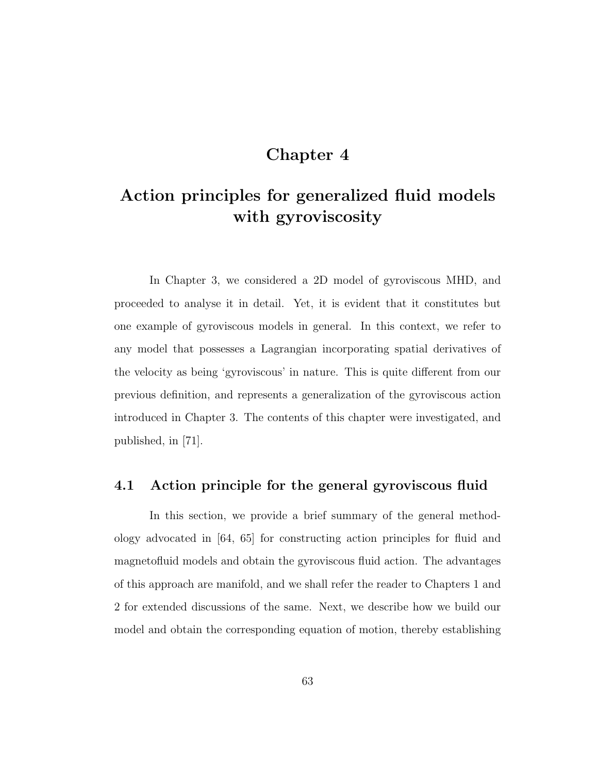## Chapter 4

# Action principles for generalized fluid models with gyroviscosity

In Chapter 3, we considered a 2D model of gyroviscous MHD, and proceeded to analyse it in detail. Yet, it is evident that it constitutes but one example of gyroviscous models in general. In this context, we refer to any model that possesses a Lagrangian incorporating spatial derivatives of the velocity as being 'gyroviscous' in nature. This is quite different from our previous definition, and represents a generalization of the gyroviscous action introduced in Chapter 3. The contents of this chapter were investigated, and published, in [71].

## 4.1 Action principle for the general gyroviscous fluid

In this section, we provide a brief summary of the general methodology advocated in [64, 65] for constructing action principles for fluid and magnetofluid models and obtain the gyroviscous fluid action. The advantages of this approach are manifold, and we shall refer the reader to Chapters 1 and 2 for extended discussions of the same. Next, we describe how we build our model and obtain the corresponding equation of motion, thereby establishing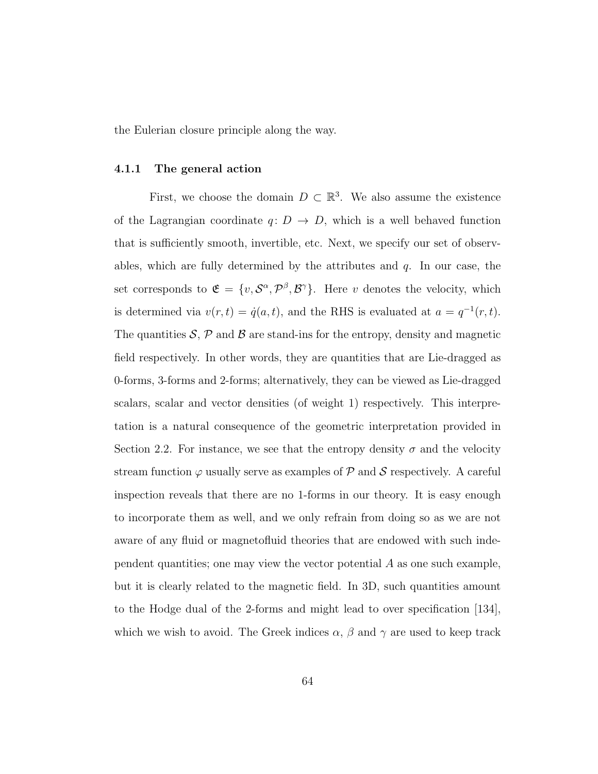the Eulerian closure principle along the way.

#### 4.1.1 The general action

First, we choose the domain  $D \subset \mathbb{R}^3$ . We also assume the existence of the Lagrangian coordinate  $q: D \to D$ , which is a well behaved function that is sufficiently smooth, invertible, etc. Next, we specify our set of observables, which are fully determined by the attributes and  $q$ . In our case, the set corresponds to  $\mathfrak{E} = \{v, \mathcal{S}^{\alpha}, \mathcal{P}^{\beta}, \mathcal{B}^{\gamma}\}\$ . Here v denotes the velocity, which is determined via  $v(r,t) = \dot{q}(a,t)$ , and the RHS is evaluated at  $a = q^{-1}(r,t)$ . The quantities  $S$ ,  $\mathcal{P}$  and  $\mathcal{B}$  are stand-ins for the entropy, density and magnetic field respectively. In other words, they are quantities that are Lie-dragged as 0-forms, 3-forms and 2-forms; alternatively, they can be viewed as Lie-dragged scalars, scalar and vector densities (of weight 1) respectively. This interpretation is a natural consequence of the geometric interpretation provided in Section 2.2. For instance, we see that the entropy density  $\sigma$  and the velocity stream function  $\varphi$  usually serve as examples of  $\mathcal P$  and  $\mathcal S$  respectively. A careful inspection reveals that there are no 1-forms in our theory. It is easy enough to incorporate them as well, and we only refrain from doing so as we are not aware of any fluid or magnetofluid theories that are endowed with such independent quantities; one may view the vector potential  $A$  as one such example, but it is clearly related to the magnetic field. In 3D, such quantities amount to the Hodge dual of the 2-forms and might lead to over specification [134], which we wish to avoid. The Greek indices  $\alpha$ ,  $\beta$  and  $\gamma$  are used to keep track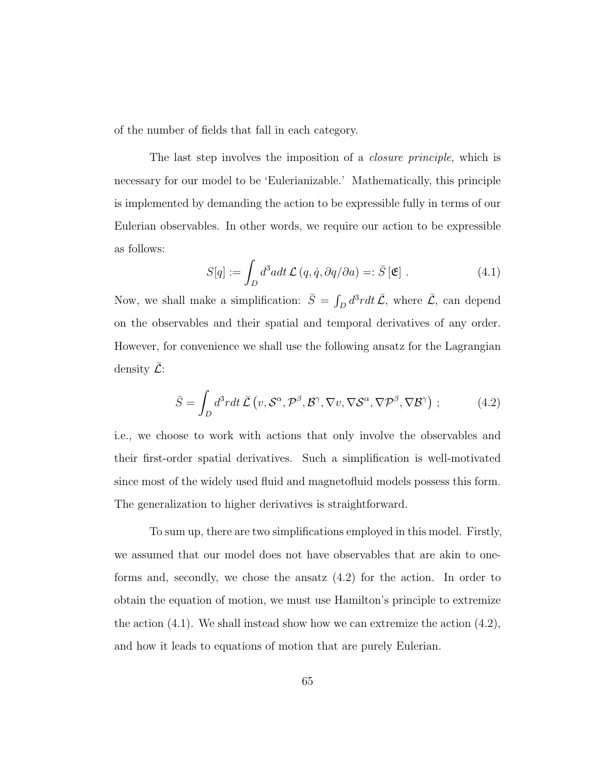of the number of fields that fall in each category.

The last step involves the imposition of a *closure principle*, which is necessary for our model to be 'Eulerianizable.' Mathematically, this principle is implemented by demanding the action to be expressible fully in terms of our Eulerian observables. In other words, we require our action to be expressible as follows:

$$
S[q] := \int_D d^3 a dt \mathcal{L}(q, \dot{q}, \partial q/\partial a) =: \bar{S}[\mathfrak{E}]. \qquad (4.1)
$$

Now, we shall make a simplification:  $\bar{S} = \int_D d^3r dt \, \bar{\mathcal{L}}$ , where  $\bar{\mathcal{L}}$ , can depend on the observables and their spatial and temporal derivatives of any order. However, for convenience we shall use the following ansatz for the Lagrangian density  $\mathcal{L}$ :

$$
\bar{S} = \int_{D} d^{3}r dt \,\bar{\mathcal{L}}\left(v, \mathcal{S}^{\alpha}, \mathcal{P}^{\beta}, \mathcal{B}^{\gamma}, \nabla v, \nabla \mathcal{S}^{\alpha}, \nabla \mathcal{P}^{\beta}, \nabla \mathcal{B}^{\gamma}\right) ;\tag{4.2}
$$

i.e., we choose to work with actions that only involve the observables and their first-order spatial derivatives. Such a simplification is well-motivated since most of the widely used fluid and magnetofluid models possess this form. The generalization to higher derivatives is straightforward.

To sum up, there are two simplifications employed in this model. Firstly, we assumed that our model does not have observables that are akin to oneforms and, secondly, we chose the ansatz (4.2) for the action. In order to obtain the equation of motion, we must use Hamilton's principle to extremize the action  $(4.1)$ . We shall instead show how we can extremize the action  $(4.2)$ , and how it leads to equations of motion that are purely Eulerian.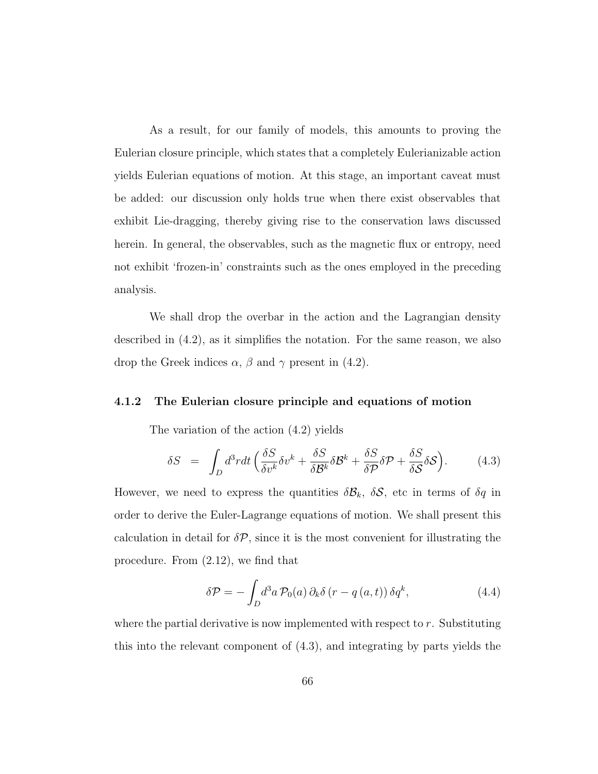As a result, for our family of models, this amounts to proving the Eulerian closure principle, which states that a completely Eulerianizable action yields Eulerian equations of motion. At this stage, an important caveat must be added: our discussion only holds true when there exist observables that exhibit Lie-dragging, thereby giving rise to the conservation laws discussed herein. In general, the observables, such as the magnetic flux or entropy, need not exhibit 'frozen-in' constraints such as the ones employed in the preceding analysis.

We shall drop the overbar in the action and the Lagrangian density described in (4.2), as it simplifies the notation. For the same reason, we also drop the Greek indices  $\alpha$ ,  $\beta$  and  $\gamma$  present in (4.2).

#### 4.1.2 The Eulerian closure principle and equations of motion

The variation of the action (4.2) yields

$$
\delta S = \int_D d^3r dt \left( \frac{\delta S}{\delta v^k} \delta v^k + \frac{\delta S}{\delta \mathcal{B}^k} \delta \mathcal{B}^k + \frac{\delta S}{\delta \mathcal{P}} \delta \mathcal{P} + \frac{\delta S}{\delta \mathcal{S}} \delta \mathcal{S} \right).
$$
 (4.3)

However, we need to express the quantities  $\delta \mathcal{B}_k$ ,  $\delta \mathcal{S}$ , etc in terms of  $\delta q$  in order to derive the Euler-Lagrange equations of motion. We shall present this calculation in detail for  $\delta \mathcal{P}$ , since it is the most convenient for illustrating the procedure. From (2.12), we find that

$$
\delta \mathcal{P} = -\int_{D} d^{3} a \, \mathcal{P}_{0}(a) \, \partial_{k} \delta \left( r - q \left( a, t \right) \right) \delta q^{k}, \tag{4.4}
$$

where the partial derivative is now implemented with respect to  $r$ . Substituting this into the relevant component of (4.3), and integrating by parts yields the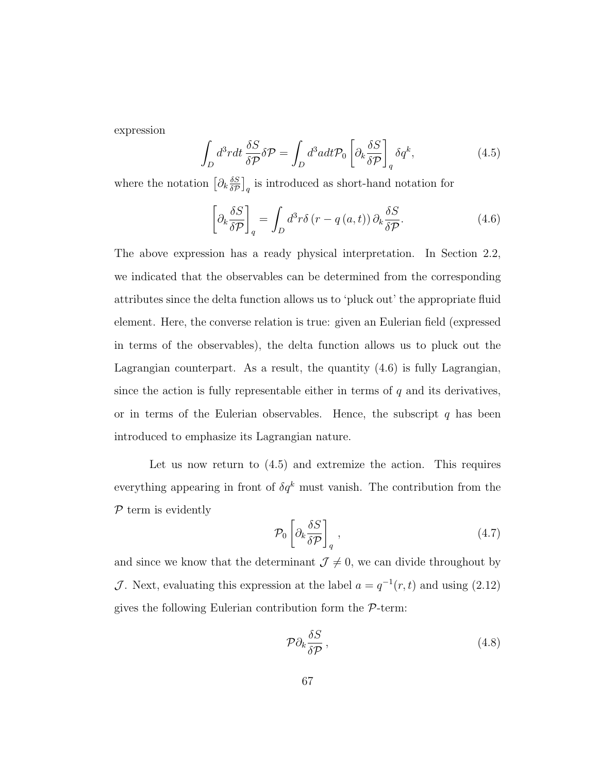expression

$$
\int_{D} d^{3}r dt \frac{\delta S}{\delta \mathcal{P}} \delta \mathcal{P} = \int_{D} d^{3}a dt \mathcal{P}_{0} \left[ \partial_{k} \frac{\delta S}{\delta \mathcal{P}} \right]_{q} \delta q^{k}, \qquad (4.5)
$$

where the notation  $\left[\partial_k \frac{\delta S}{\delta \mathcal{P}}\right]$  $\frac{\delta S}{\delta \mathcal{P}}$  is introduced as short-hand notation for

$$
\left[\partial_k \frac{\delta S}{\delta \mathcal{P}}\right]_q = \int_D d^3 r \delta \left(r - q\left(a, t\right)\right) \partial_k \frac{\delta S}{\delta \mathcal{P}}.\tag{4.6}
$$

The above expression has a ready physical interpretation. In Section 2.2, we indicated that the observables can be determined from the corresponding attributes since the delta function allows us to 'pluck out' the appropriate fluid element. Here, the converse relation is true: given an Eulerian field (expressed in terms of the observables), the delta function allows us to pluck out the Lagrangian counterpart. As a result, the quantity (4.6) is fully Lagrangian, since the action is fully representable either in terms of  $q$  and its derivatives, or in terms of the Eulerian observables. Hence, the subscript  $q$  has been introduced to emphasize its Lagrangian nature.

Let us now return to (4.5) and extremize the action. This requires everything appearing in front of  $\delta q^k$  must vanish. The contribution from the  $P$  term is evidently

$$
\mathcal{P}_0 \left[ \partial_k \frac{\delta S}{\delta \mathcal{P}} \right]_q , \qquad (4.7)
$$

and since we know that the determinant  $\mathcal{J} \neq 0$ , we can divide throughout by J. Next, evaluating this expression at the label  $a = q^{-1}(r, t)$  and using (2.12) gives the following Eulerian contribution form the  $P$ -term:

$$
\mathcal{P}\partial_k \frac{\delta S}{\delta \mathcal{P}},\tag{4.8}
$$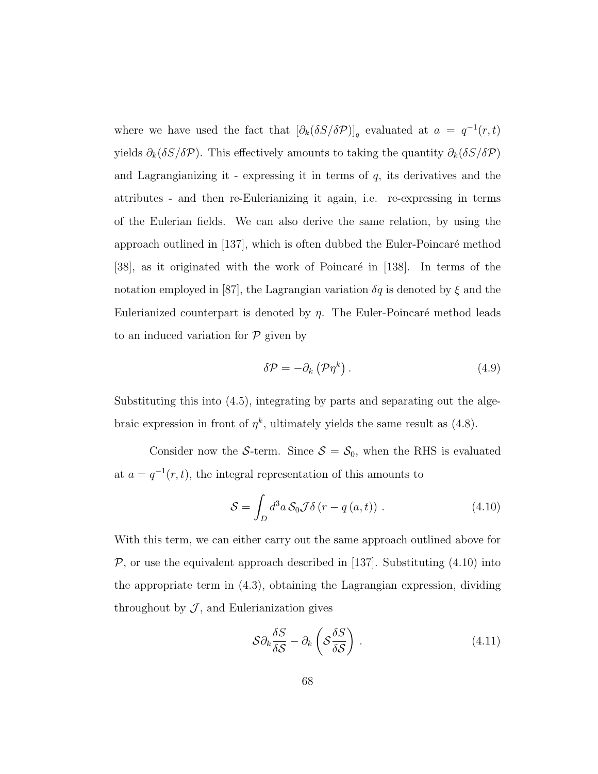where we have used the fact that  $\left[\partial_k(\delta S/\delta P)\right]_q$  evaluated at  $a = q^{-1}(r, t)$ yields  $\partial_k(\delta S/\delta \mathcal{P})$ . This effectively amounts to taking the quantity  $\partial_k(\delta S/\delta \mathcal{P})$ and Lagrangianizing it - expressing it in terms of  $q$ , its derivatives and the attributes - and then re-Eulerianizing it again, i.e. re-expressing in terms of the Eulerian fields. We can also derive the same relation, by using the approach outlined in  $[137]$ , which is often dubbed the Euler-Poincaré method [38], as it originated with the work of Poincaré in [138]. In terms of the notation employed in [87], the Lagrangian variation  $\delta q$  is denoted by  $\xi$  and the Eulerianized counterpart is denoted by  $\eta$ . The Euler-Poincaré method leads to an induced variation for  $P$  given by

$$
\delta \mathcal{P} = -\partial_k \left( \mathcal{P} \eta^k \right). \tag{4.9}
$$

Substituting this into (4.5), integrating by parts and separating out the algebraic expression in front of  $\eta^k$ , ultimately yields the same result as (4.8).

Consider now the S-term. Since  $S = S_0$ , when the RHS is evaluated at  $a = q^{-1}(r, t)$ , the integral representation of this amounts to

$$
S = \int_D d^3a \, \mathcal{S}_0 \mathcal{J} \delta \left( r - q \left( a, t \right) \right) \,. \tag{4.10}
$$

With this term, we can either carry out the same approach outlined above for  $P$ , or use the equivalent approach described in [137]. Substituting  $(4.10)$  into the appropriate term in (4.3), obtaining the Lagrangian expression, dividing throughout by  $J$ , and Eulerianization gives

$$
\mathcal{S}\partial_k \frac{\delta S}{\delta \mathcal{S}} - \partial_k \left( \mathcal{S} \frac{\delta S}{\delta \mathcal{S}} \right) \,. \tag{4.11}
$$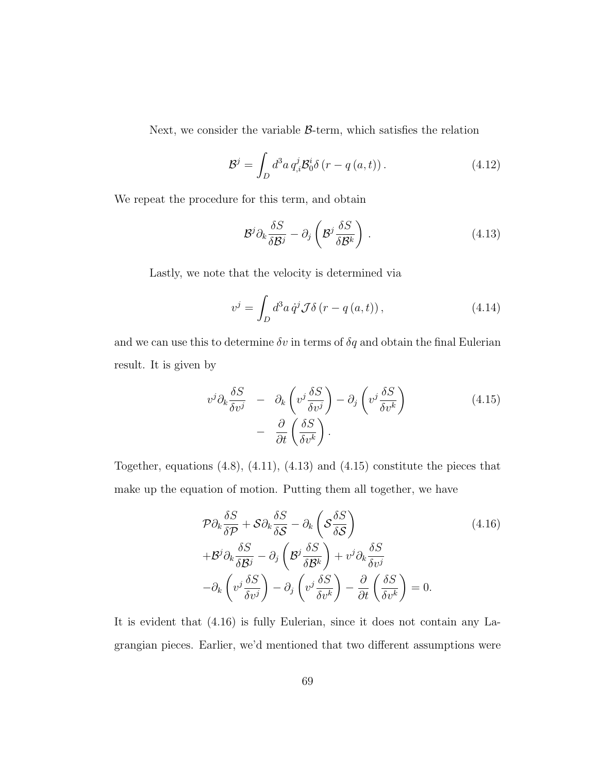Next, we consider the variable  $\beta$ -term, which satisfies the relation

$$
\mathcal{B}^{j} = \int_{D} d^{3}a \, q_{,i}^{j} \mathcal{B}_{0}^{i} \delta\left(r - q\left(a, t\right)\right). \tag{4.12}
$$

We repeat the procedure for this term, and obtain

$$
\mathcal{B}^j \partial_k \frac{\delta S}{\delta \mathcal{B}^j} - \partial_j \left( \mathcal{B}^j \frac{\delta S}{\delta \mathcal{B}^k} \right) . \tag{4.13}
$$

Lastly, we note that the velocity is determined via

$$
v^{j} = \int_{D} d^{3}a \dot{q}^{j} \mathcal{J} \delta(r - q(a, t)), \qquad (4.14)
$$

and we can use this to determine  $\delta v$  in terms of  $\delta q$  and obtain the final Eulerian result. It is given by

$$
v^{j}\partial_{k}\frac{\delta S}{\delta v^{j}} - \partial_{k}\left(v^{j}\frac{\delta S}{\delta v^{j}}\right) - \partial_{j}\left(v^{j}\frac{\delta S}{\delta v^{k}}\right) - \frac{\partial}{\partial t}\left(\frac{\delta S}{\delta v^{k}}\right).
$$
 (4.15)

Together, equations  $(4.8)$ ,  $(4.11)$ ,  $(4.13)$  and  $(4.15)$  constitute the pieces that make up the equation of motion. Putting them all together, we have

$$
\mathcal{P}\partial_k \frac{\delta S}{\delta \mathcal{P}} + \mathcal{S}\partial_k \frac{\delta S}{\delta \mathcal{S}} - \partial_k \left( \mathcal{S} \frac{\delta S}{\delta \mathcal{S}} \right) \n+ \mathcal{B}^j \partial_k \frac{\delta S}{\delta \mathcal{B}^j} - \partial_j \left( \mathcal{B}^j \frac{\delta S}{\delta \mathcal{B}^k} \right) + v^j \partial_k \frac{\delta S}{\delta v^j} \n- \partial_k \left( v^j \frac{\delta S}{\delta v^j} \right) - \partial_j \left( v^j \frac{\delta S}{\delta v^k} \right) - \frac{\partial}{\partial t} \left( \frac{\delta S}{\delta v^k} \right) = 0.
$$
\n(4.16)

It is evident that (4.16) is fully Eulerian, since it does not contain any Lagrangian pieces. Earlier, we'd mentioned that two different assumptions were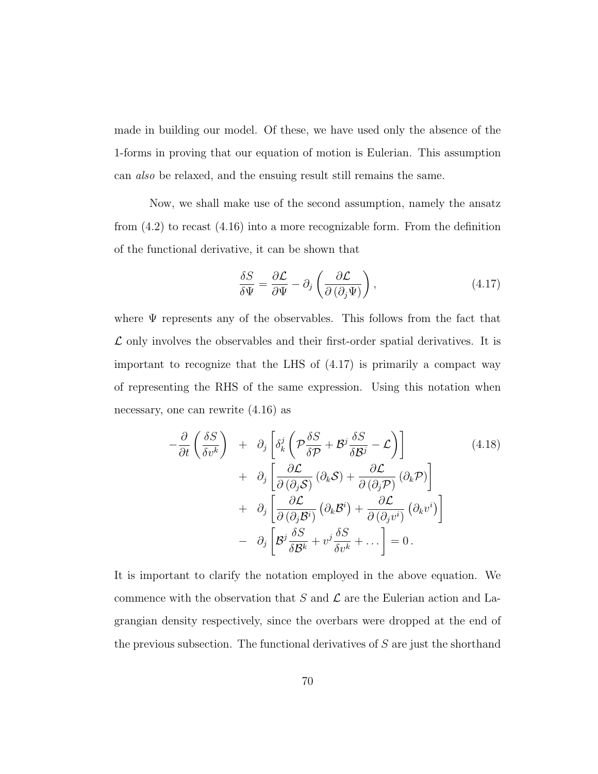made in building our model. Of these, we have used only the absence of the 1-forms in proving that our equation of motion is Eulerian. This assumption can also be relaxed, and the ensuing result still remains the same.

Now, we shall make use of the second assumption, namely the ansatz from  $(4.2)$  to recast  $(4.16)$  into a more recognizable form. From the definition of the functional derivative, it can be shown that

$$
\frac{\delta S}{\delta \Psi} = \frac{\partial \mathcal{L}}{\partial \Psi} - \partial_j \left( \frac{\partial \mathcal{L}}{\partial (\partial_j \Psi)} \right),\tag{4.17}
$$

where  $\Psi$  represents any of the observables. This follows from the fact that  $\mathcal L$  only involves the observables and their first-order spatial derivatives. It is important to recognize that the LHS of (4.17) is primarily a compact way of representing the RHS of the same expression. Using this notation when necessary, one can rewrite (4.16) as

$$
-\frac{\partial}{\partial t} \left( \frac{\delta S}{\delta v^k} \right) + \partial_j \left[ \delta_k^j \left( \mathcal{P} \frac{\delta S}{\delta \mathcal{P}} + \mathcal{B}^j \frac{\delta S}{\delta \mathcal{B}^j} - \mathcal{L} \right) \right]
$$
  
+  $\partial_j \left[ \frac{\partial \mathcal{L}}{\partial (\partial_j \mathcal{S})} (\partial_k \mathcal{S}) + \frac{\partial \mathcal{L}}{\partial (\partial_j \mathcal{P})} (\partial_k \mathcal{P}) \right]$   
+  $\partial_j \left[ \frac{\partial \mathcal{L}}{\partial (\partial_j \mathcal{B}^i)} (\partial_k \mathcal{B}^i) + \frac{\partial \mathcal{L}}{\partial (\partial_j v^i)} (\partial_k v^i) \right]$   
-  $\partial_j \left[ \mathcal{B}^j \frac{\delta S}{\delta \mathcal{B}^k} + v^j \frac{\delta S}{\delta v^k} + \dots \right] = 0.$  (4.18)

It is important to clarify the notation employed in the above equation. We commence with the observation that S and  $\mathcal L$  are the Eulerian action and Lagrangian density respectively, since the overbars were dropped at the end of the previous subsection. The functional derivatives of  $S$  are just the shorthand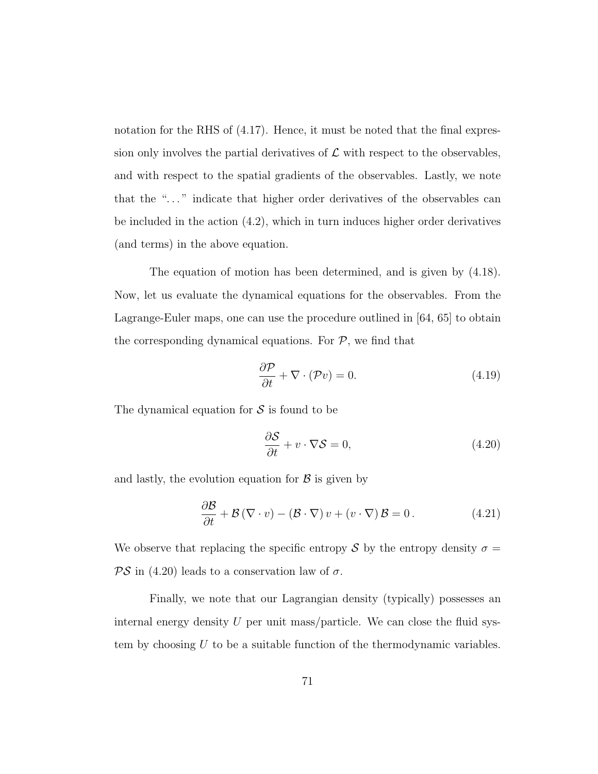notation for the RHS of (4.17). Hence, it must be noted that the final expression only involves the partial derivatives of  $\mathcal L$  with respect to the observables, and with respect to the spatial gradients of the observables. Lastly, we note that the ". . . " indicate that higher order derivatives of the observables can be included in the action (4.2), which in turn induces higher order derivatives (and terms) in the above equation.

The equation of motion has been determined, and is given by (4.18). Now, let us evaluate the dynamical equations for the observables. From the Lagrange-Euler maps, one can use the procedure outlined in [64, 65] to obtain the corresponding dynamical equations. For  $P$ , we find that

$$
\frac{\partial \mathcal{P}}{\partial t} + \nabla \cdot (\mathcal{P}v) = 0.
$$
\n(4.19)

The dynamical equation for  $S$  is found to be

$$
\frac{\partial S}{\partial t} + v \cdot \nabla S = 0, \qquad (4.20)
$$

and lastly, the evolution equation for  $\beta$  is given by

$$
\frac{\partial \mathcal{B}}{\partial t} + \mathcal{B} (\nabla \cdot v) - (\mathcal{B} \cdot \nabla) v + (v \cdot \nabla) \mathcal{B} = 0.
$$
 (4.21)

We observe that replacing the specific entropy S by the entropy density  $\sigma =$  $\mathcal{PS}$  in (4.20) leads to a conservation law of  $\sigma$ .

Finally, we note that our Lagrangian density (typically) possesses an internal energy density  $U$  per unit mass/particle. We can close the fluid system by choosing  $U$  to be a suitable function of the thermodynamic variables.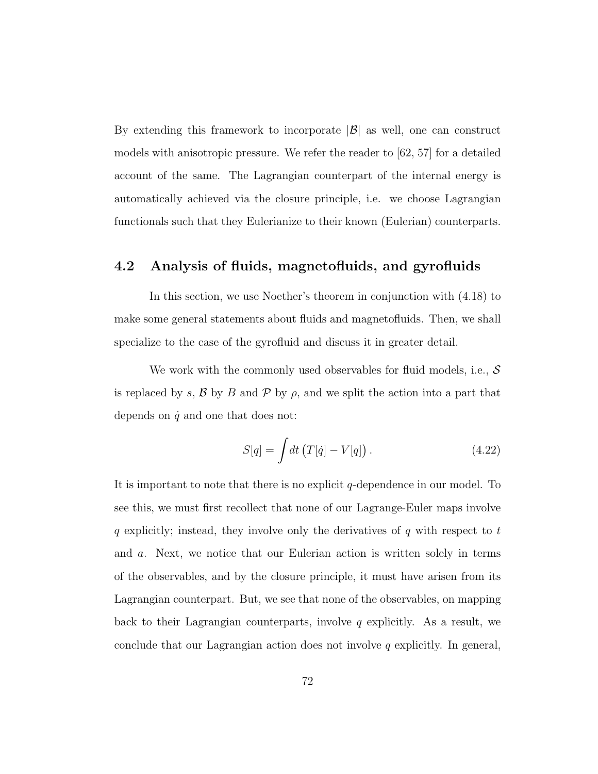By extending this framework to incorporate  $|\mathcal{B}|$  as well, one can construct models with anisotropic pressure. We refer the reader to [62, 57] for a detailed account of the same. The Lagrangian counterpart of the internal energy is automatically achieved via the closure principle, i.e. we choose Lagrangian functionals such that they Eulerianize to their known (Eulerian) counterparts.

## 4.2 Analysis of fluids, magnetofluids, and gyrofluids

In this section, we use Noether's theorem in conjunction with (4.18) to make some general statements about fluids and magnetofluids. Then, we shall specialize to the case of the gyrofluid and discuss it in greater detail.

We work with the commonly used observables for fluid models, i.e.,  $\mathcal S$ is replaced by s,  $\beta$  by  $B$  and  $\beta$  by  $\rho$ , and we split the action into a part that depends on  $\dot{q}$  and one that does not:

$$
S[q] = \int dt \left( T[\dot{q}] - V[q] \right). \tag{4.22}
$$

It is important to note that there is no explicit  $q$ -dependence in our model. To see this, we must first recollect that none of our Lagrange-Euler maps involve  $q$  explicitly; instead, they involve only the derivatives of  $q$  with respect to  $t$ and a. Next, we notice that our Eulerian action is written solely in terms of the observables, and by the closure principle, it must have arisen from its Lagrangian counterpart. But, we see that none of the observables, on mapping back to their Lagrangian counterparts, involve q explicitly. As a result, we conclude that our Lagrangian action does not involve  $q$  explicitly. In general,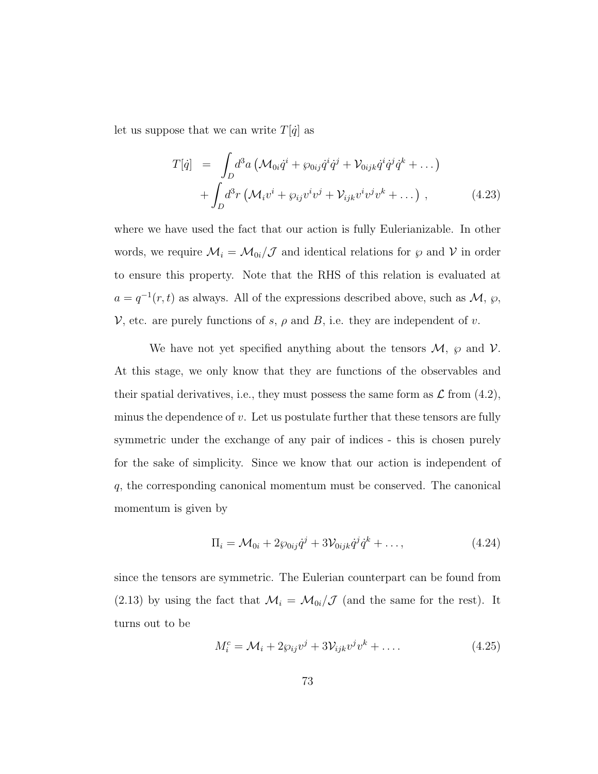let us suppose that we can write  $T[\dot{q}]$  as

$$
T[\dot{q}] = \int_D d^3a \left( \mathcal{M}_{0i} \dot{q}^i + \wp_{0ij} \dot{q}^i \dot{q}^j + \mathcal{V}_{0ijk} \dot{q}^i \dot{q}^j \dot{q}^k + \dots \right) + \int_D d^3r \left( \mathcal{M}_i v^i + \wp_{ij} v^i v^j + \mathcal{V}_{ijk} v^i v^j v^k + \dots \right) ,
$$
 (4.23)

where we have used the fact that our action is fully Eulerianizable. In other words, we require  $\mathcal{M}_i = \mathcal{M}_{0i}/\mathcal{J}$  and identical relations for  $\wp$  and  $\mathcal{V}$  in order to ensure this property. Note that the RHS of this relation is evaluated at  $a = q^{-1}(r, t)$  as always. All of the expressions described above, such as  $\mathcal{M}, \varphi$ ,  $\mathcal V$ , etc. are purely functions of s,  $\rho$  and B, i.e. they are independent of v.

We have not yet specified anything about the tensors  $\mathcal{M}, \varphi$  and  $\mathcal{V}.$ At this stage, we only know that they are functions of the observables and their spatial derivatives, i.e., they must possess the same form as  $\mathcal L$  from (4.2), minus the dependence of  $v$ . Let us postulate further that these tensors are fully symmetric under the exchange of any pair of indices - this is chosen purely for the sake of simplicity. Since we know that our action is independent of q, the corresponding canonical momentum must be conserved. The canonical momentum is given by

$$
\Pi_i = \mathcal{M}_{0i} + 2\wp_{0ij}\dot{q}^j + 3\mathcal{V}_{0ijk}\dot{q}^j\dot{q}^k + \dots, \tag{4.24}
$$

since the tensors are symmetric. The Eulerian counterpart can be found from (2.13) by using the fact that  $\mathcal{M}_i = \mathcal{M}_{0i}/\mathcal{J}$  (and the same for the rest). It turns out to be

$$
M_i^c = \mathcal{M}_i + 2\wp_{ij}v^j + 3\mathcal{V}_{ijk}v^jv^k + \dots
$$
\n(4.25)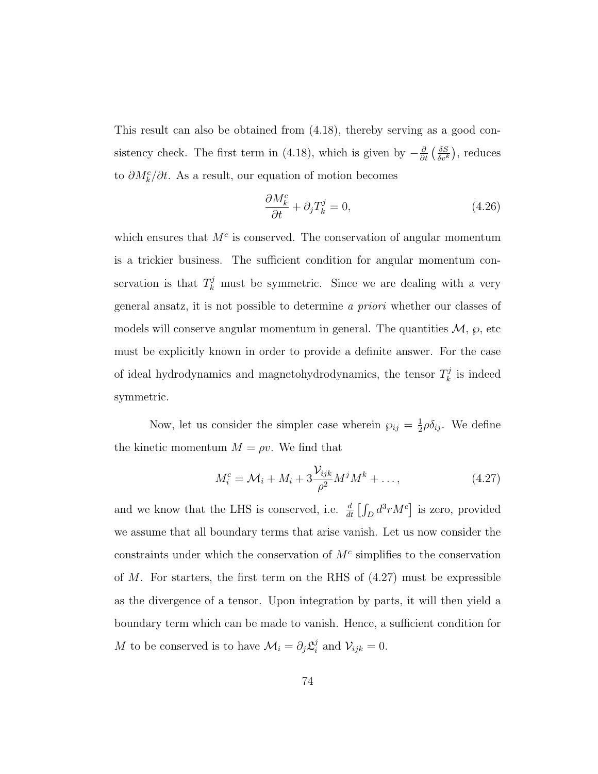This result can also be obtained from (4.18), thereby serving as a good consistency check. The first term in (4.18), which is given by  $-\frac{\partial}{\partial t} \left( \frac{\delta S}{\delta v^h} \right)$  $\frac{\delta S}{\delta v^k}$ ), reduces to  $\partial M_k^c/\partial t$ . As a result, our equation of motion becomes

$$
\frac{\partial M_k^c}{\partial t} + \partial_j T_k^j = 0,\t\t(4.26)
$$

which ensures that  $M<sup>c</sup>$  is conserved. The conservation of angular momentum is a trickier business. The sufficient condition for angular momentum conservation is that  $T_k^j$  must be symmetric. Since we are dealing with a very general ansatz, it is not possible to determine a priori whether our classes of models will conserve angular momentum in general. The quantities  $\mathcal{M}, \varphi$ , etc must be explicitly known in order to provide a definite answer. For the case of ideal hydrodynamics and magnetohydrodynamics, the tensor  $T_k^j$  $\mathbf{r}_k^j$  is indeed symmetric.

Now, let us consider the simpler case wherein  $\wp_{ij} = \frac{1}{2}$  $\frac{1}{2}\rho \delta_{ij}$ . We define the kinetic momentum  $M = \rho v$ . We find that

$$
M_i^c = \mathcal{M}_i + M_i + 3\frac{\mathcal{V}_{ijk}}{\rho^2} M^j M^k + \dots,\tag{4.27}
$$

and we know that the LHS is conserved, i.e.  $\frac{d}{dt} \left[ \int_D d^3r M^c \right]$  is zero, provided we assume that all boundary terms that arise vanish. Let us now consider the constraints under which the conservation of  $M<sup>c</sup>$  simplifies to the conservation of  $M$ . For starters, the first term on the RHS of  $(4.27)$  must be expressible as the divergence of a tensor. Upon integration by parts, it will then yield a boundary term which can be made to vanish. Hence, a sufficient condition for M to be conserved is to have  $\mathcal{M}_i = \partial_j \mathcal{L}_i^j$  $\nu_{ijk}^j = 0.$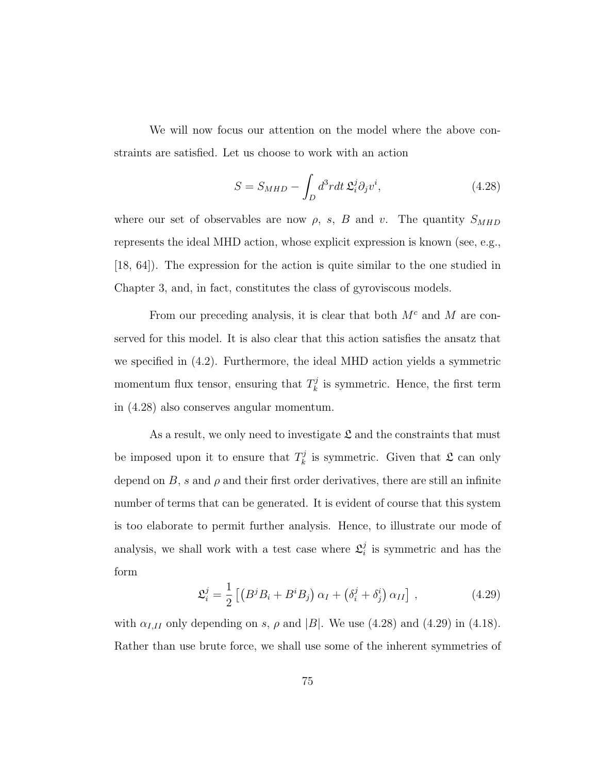We will now focus our attention on the model where the above constraints are satisfied. Let us choose to work with an action

$$
S = S_{MHD} - \int_{D} d^3r dt \, \mathfrak{L}_i^j \partial_j v^i, \tag{4.28}
$$

where our set of observables are now  $\rho$ , s, B and v. The quantity  $S_{MHD}$ represents the ideal MHD action, whose explicit expression is known (see, e.g., [18, 64]). The expression for the action is quite similar to the one studied in Chapter 3, and, in fact, constitutes the class of gyroviscous models.

From our preceding analysis, it is clear that both  $M<sup>c</sup>$  and M are conserved for this model. It is also clear that this action satisfies the ansatz that we specified in (4.2). Furthermore, the ideal MHD action yields a symmetric momentum flux tensor, ensuring that  $T_k^j$  $\frac{d^j}{dt^j}$  is symmetric. Hence, the first term in (4.28) also conserves angular momentum.

As a result, we only need to investigate  $\mathfrak{L}$  and the constraints that must be imposed upon it to ensure that  $T_k^j$  $\mathcal{E}_k^j$  is symmetric. Given that  $\mathfrak{L}$  can only depend on  $B$ , s and  $\rho$  and their first order derivatives, there are still an infinite number of terms that can be generated. It is evident of course that this system is too elaborate to permit further analysis. Hence, to illustrate our mode of analysis, we shall work with a test case where  $\mathcal{L}_i^j$  $i$  is symmetric and has the form

$$
\mathfrak{L}_i^j = \frac{1}{2} \left[ \left( B^j B_i + B^i B_j \right) \alpha_I + \left( \delta_i^j + \delta_j^i \right) \alpha_{II} \right], \tag{4.29}
$$

with  $\alpha_{I,II}$  only depending on s,  $\rho$  and |B|. We use (4.28) and (4.29) in (4.18). Rather than use brute force, we shall use some of the inherent symmetries of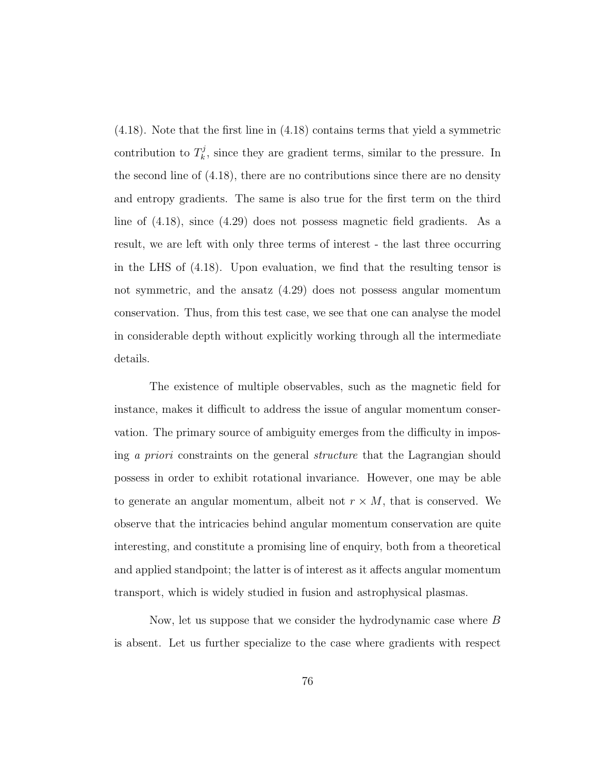(4.18). Note that the first line in (4.18) contains terms that yield a symmetric contribution to  $T_k^j$  $k_k^j$ , since they are gradient terms, similar to the pressure. In the second line of (4.18), there are no contributions since there are no density and entropy gradients. The same is also true for the first term on the third line of (4.18), since (4.29) does not possess magnetic field gradients. As a result, we are left with only three terms of interest - the last three occurring in the LHS of (4.18). Upon evaluation, we find that the resulting tensor is not symmetric, and the ansatz (4.29) does not possess angular momentum conservation. Thus, from this test case, we see that one can analyse the model in considerable depth without explicitly working through all the intermediate details.

The existence of multiple observables, such as the magnetic field for instance, makes it difficult to address the issue of angular momentum conservation. The primary source of ambiguity emerges from the difficulty in imposing a priori constraints on the general structure that the Lagrangian should possess in order to exhibit rotational invariance. However, one may be able to generate an angular momentum, albeit not  $r \times M$ , that is conserved. We observe that the intricacies behind angular momentum conservation are quite interesting, and constitute a promising line of enquiry, both from a theoretical and applied standpoint; the latter is of interest as it affects angular momentum transport, which is widely studied in fusion and astrophysical plasmas.

Now, let us suppose that we consider the hydrodynamic case where B is absent. Let us further specialize to the case where gradients with respect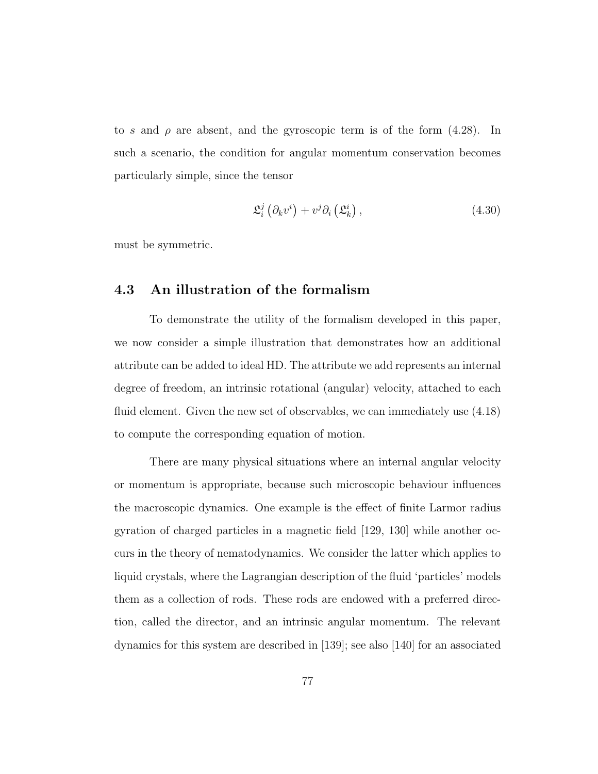to s and  $\rho$  are absent, and the gyroscopic term is of the form (4.28). In such a scenario, the condition for angular momentum conservation becomes particularly simple, since the tensor

$$
\mathfrak{L}_{i}^{j}\left(\partial_{k}v^{i}\right)+v^{j}\partial_{i}\left(\mathfrak{L}_{k}^{i}\right),\tag{4.30}
$$

must be symmetric.

## 4.3 An illustration of the formalism

To demonstrate the utility of the formalism developed in this paper, we now consider a simple illustration that demonstrates how an additional attribute can be added to ideal HD. The attribute we add represents an internal degree of freedom, an intrinsic rotational (angular) velocity, attached to each fluid element. Given the new set of observables, we can immediately use (4.18) to compute the corresponding equation of motion.

There are many physical situations where an internal angular velocity or momentum is appropriate, because such microscopic behaviour influences the macroscopic dynamics. One example is the effect of finite Larmor radius gyration of charged particles in a magnetic field [129, 130] while another occurs in the theory of nematodynamics. We consider the latter which applies to liquid crystals, where the Lagrangian description of the fluid 'particles' models them as a collection of rods. These rods are endowed with a preferred direction, called the director, and an intrinsic angular momentum. The relevant dynamics for this system are described in [139]; see also [140] for an associated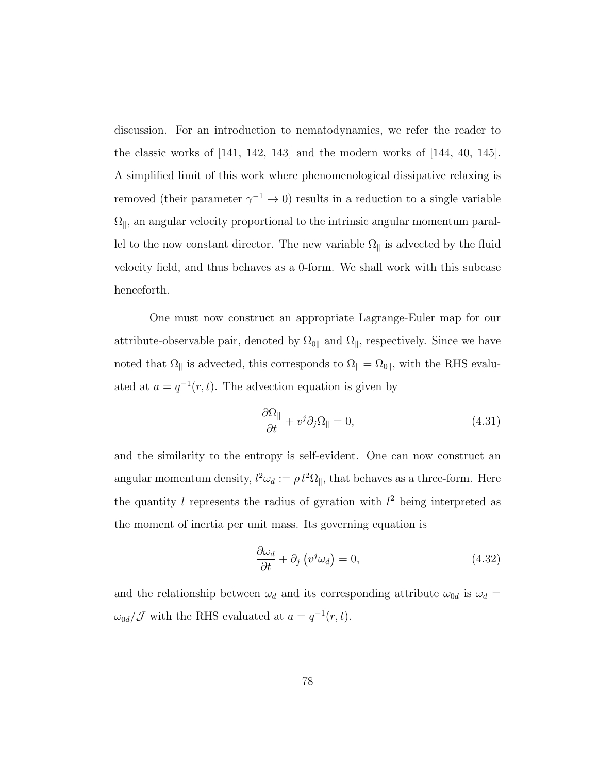discussion. For an introduction to nematodynamics, we refer the reader to the classic works of [141, 142, 143] and the modern works of [144, 40, 145]. A simplified limit of this work where phenomenological dissipative relaxing is removed (their parameter  $\gamma^{-1} \to 0$ ) results in a reduction to a single variable  $\Omega_\parallel,$  an angular velocity proportional to the intrinsic angular momentum parallel to the now constant director. The new variable  $\Omega_{\parallel}$  is advected by the fluid velocity field, and thus behaves as a 0-form. We shall work with this subcase henceforth.

One must now construct an appropriate Lagrange-Euler map for our attribute-observable pair, denoted by  $\Omega_{0\parallel}$  and  $\Omega_{\parallel}$ , respectively. Since we have noted that  $\Omega_{\parallel}$  is advected, this corresponds to  $\Omega_{\parallel} = \Omega_{0\parallel}$ , with the RHS evaluated at  $a = q^{-1}(r, t)$ . The advection equation is given by

$$
\frac{\partial \Omega_{\parallel}}{\partial t} + v^j \partial_j \Omega_{\parallel} = 0, \qquad (4.31)
$$

and the similarity to the entropy is self-evident. One can now construct an angular momentum density,  $l^2\omega_d := \rho l^2 \Omega_{\parallel}$ , that behaves as a three-form. Here the quantity l represents the radius of gyration with  $l^2$  being interpreted as the moment of inertia per unit mass. Its governing equation is

$$
\frac{\partial \omega_d}{\partial t} + \partial_j \left( v^j \omega_d \right) = 0, \tag{4.32}
$$

and the relationship between  $\omega_d$  and its corresponding attribute  $\omega_{0d}$  is  $\omega_d =$  $\omega_{0d}/\mathcal{J}$  with the RHS evaluated at  $a = q^{-1}(r, t)$ .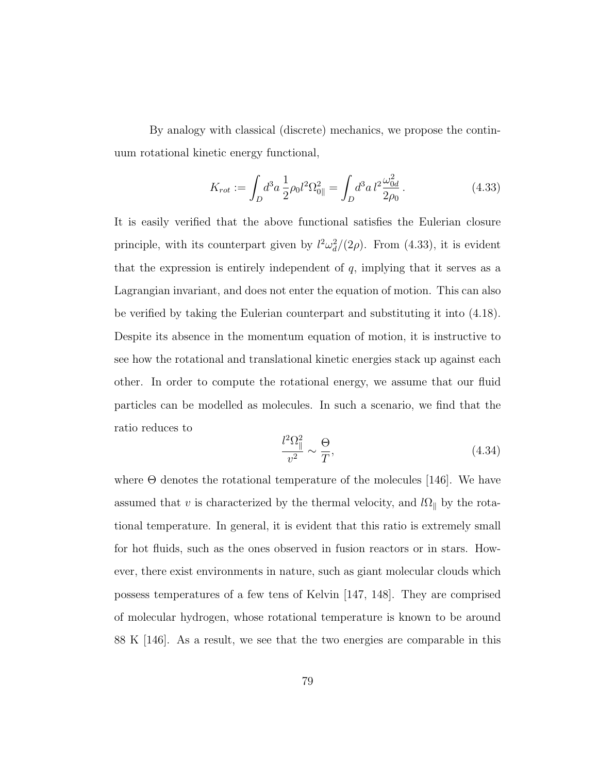By analogy with classical (discrete) mechanics, we propose the continuum rotational kinetic energy functional,

$$
K_{rot} := \int_{D} d^{3}a \, \frac{1}{2} \rho_{0} l^{2} \Omega_{0\parallel}^{2} = \int_{D} d^{3}a \, l^{2} \frac{\omega_{0d}^{2}}{2\rho_{0}} \,. \tag{4.33}
$$

It is easily verified that the above functional satisfies the Eulerian closure principle, with its counterpart given by  $l^2\omega_d^2/(2\rho)$ . From (4.33), it is evident that the expression is entirely independent of  $q$ , implying that it serves as a Lagrangian invariant, and does not enter the equation of motion. This can also be verified by taking the Eulerian counterpart and substituting it into (4.18). Despite its absence in the momentum equation of motion, it is instructive to see how the rotational and translational kinetic energies stack up against each other. In order to compute the rotational energy, we assume that our fluid particles can be modelled as molecules. In such a scenario, we find that the ratio reduces to

$$
\frac{l^2\Omega_{\parallel}^2}{v^2} \sim \frac{\Theta}{T},\tag{4.34}
$$

where  $\Theta$  denotes the rotational temperature of the molecules [146]. We have assumed that v is characterized by the thermal velocity, and  $l\Omega_{\parallel}$  by the rotational temperature. In general, it is evident that this ratio is extremely small for hot fluids, such as the ones observed in fusion reactors or in stars. However, there exist environments in nature, such as giant molecular clouds which possess temperatures of a few tens of Kelvin [147, 148]. They are comprised of molecular hydrogen, whose rotational temperature is known to be around 88 K [146]. As a result, we see that the two energies are comparable in this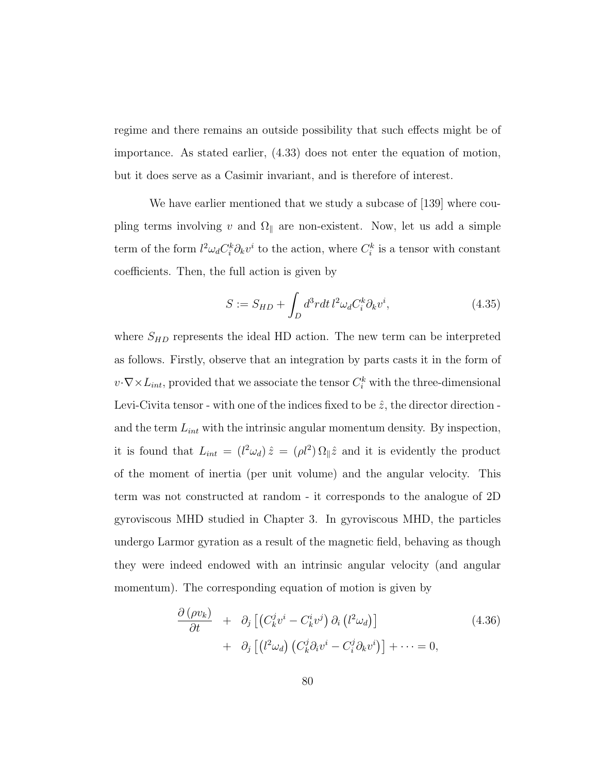regime and there remains an outside possibility that such effects might be of importance. As stated earlier, (4.33) does not enter the equation of motion, but it does serve as a Casimir invariant, and is therefore of interest.

We have earlier mentioned that we study a subcase of [139] where coupling terms involving v and  $\Omega_{\parallel}$  are non-existent. Now, let us add a simple term of the form  $l^2\omega_d C_i^k \partial_k v^i$  to the action, where  $C_i^k$  is a tensor with constant coefficients. Then, the full action is given by

$$
S := S_{HD} + \int_{D} d^3r dt \, l^2 \omega_d C_i^k \partial_k v^i, \tag{4.35}
$$

where  $S_{HD}$  represents the ideal HD action. The new term can be interpreted as follows. Firstly, observe that an integration by parts casts it in the form of  $v \cdot \nabla \times L_{int}$ , provided that we associate the tensor  $C_i^k$  with the three-dimensional Levi-Civita tensor - with one of the indices fixed to be  $\hat{z}$ , the director direction and the term  $L_{int}$  with the intrinsic angular momentum density. By inspection, it is found that  $L_{int} = (l^2 \omega_d) \hat{z} = (\rho l^2) \Omega_{\parallel} \hat{z}$  and it is evidently the product of the moment of inertia (per unit volume) and the angular velocity. This term was not constructed at random - it corresponds to the analogue of 2D gyroviscous MHD studied in Chapter 3. In gyroviscous MHD, the particles undergo Larmor gyration as a result of the magnetic field, behaving as though they were indeed endowed with an intrinsic angular velocity (and angular momentum). The corresponding equation of motion is given by

$$
\frac{\partial (\rho v_k)}{\partial t} + \partial_j \left[ \left( C_k^j v^i - C_k^i v^j \right) \partial_i \left( l^2 \omega_d \right) \right] \n+ \partial_j \left[ \left( l^2 \omega_d \right) \left( C_k^j \partial_i v^i - C_i^j \partial_k v^i \right) \right] + \dots = 0,
$$
\n(4.36)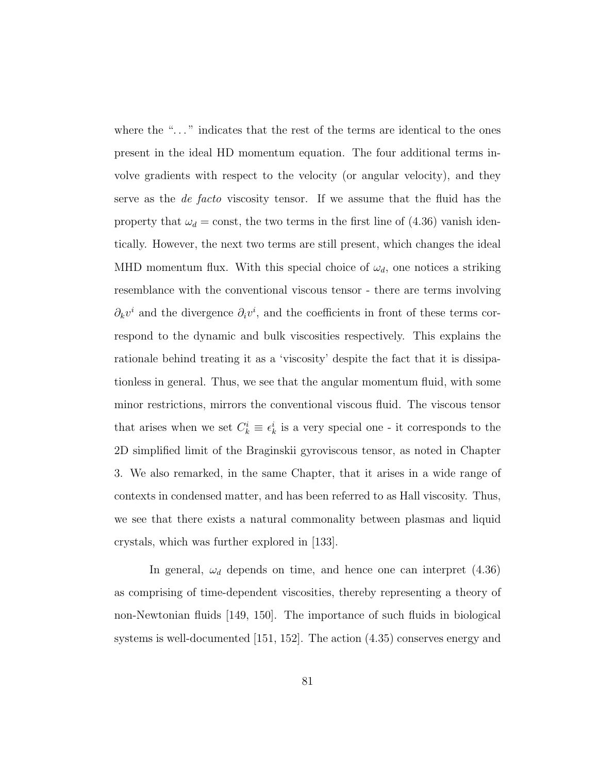where the "..." indicates that the rest of the terms are identical to the ones present in the ideal HD momentum equation. The four additional terms involve gradients with respect to the velocity (or angular velocity), and they serve as the de facto viscosity tensor. If we assume that the fluid has the property that  $\omega_d = \text{const}$ , the two terms in the first line of (4.36) vanish identically. However, the next two terms are still present, which changes the ideal MHD momentum flux. With this special choice of  $\omega_d$ , one notices a striking resemblance with the conventional viscous tensor - there are terms involving  $\partial_k v^i$  and the divergence  $\partial_i v^i$ , and the coefficients in front of these terms correspond to the dynamic and bulk viscosities respectively. This explains the rationale behind treating it as a 'viscosity' despite the fact that it is dissipationless in general. Thus, we see that the angular momentum fluid, with some minor restrictions, mirrors the conventional viscous fluid. The viscous tensor that arises when we set  $C_k^i \equiv \epsilon_k^i$  is a very special one - it corresponds to the 2D simplified limit of the Braginskii gyroviscous tensor, as noted in Chapter 3. We also remarked, in the same Chapter, that it arises in a wide range of contexts in condensed matter, and has been referred to as Hall viscosity. Thus, we see that there exists a natural commonality between plasmas and liquid crystals, which was further explored in [133].

In general,  $\omega_d$  depends on time, and hence one can interpret (4.36) as comprising of time-dependent viscosities, thereby representing a theory of non-Newtonian fluids [149, 150]. The importance of such fluids in biological systems is well-documented [151, 152]. The action (4.35) conserves energy and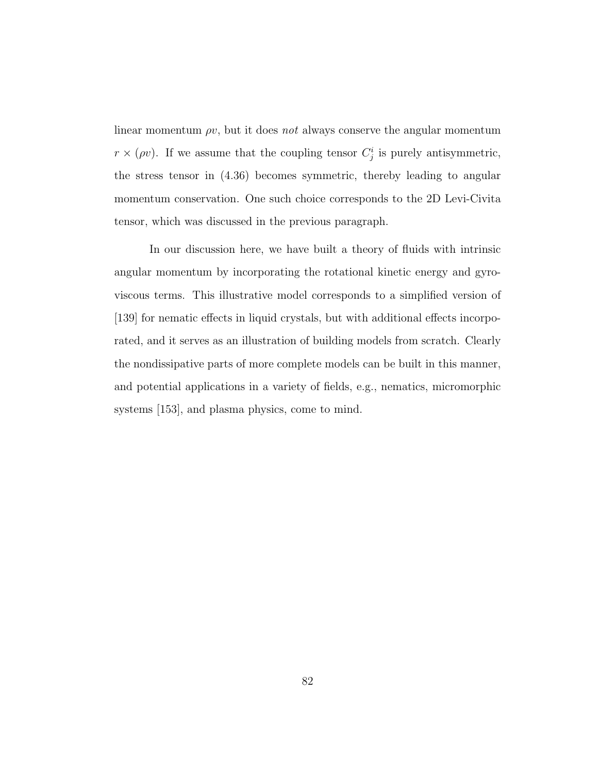linear momentum  $\rho v$ , but it does not always conserve the angular momentum  $r \times (\rho v)$ . If we assume that the coupling tensor  $C_j^i$  is purely antisymmetric, the stress tensor in (4.36) becomes symmetric, thereby leading to angular momentum conservation. One such choice corresponds to the 2D Levi-Civita tensor, which was discussed in the previous paragraph.

In our discussion here, we have built a theory of fluids with intrinsic angular momentum by incorporating the rotational kinetic energy and gyroviscous terms. This illustrative model corresponds to a simplified version of [139] for nematic effects in liquid crystals, but with additional effects incorporated, and it serves as an illustration of building models from scratch. Clearly the nondissipative parts of more complete models can be built in this manner, and potential applications in a variety of fields, e.g., nematics, micromorphic systems [153], and plasma physics, come to mind.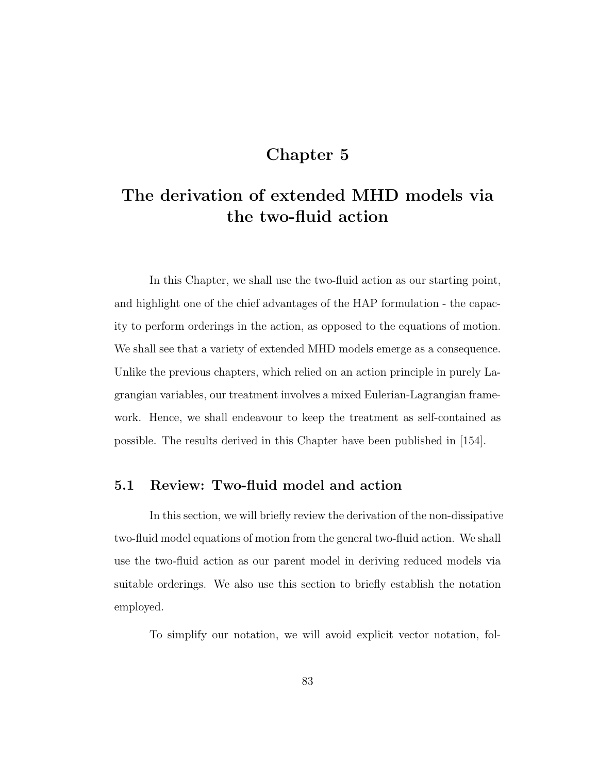## Chapter 5

# The derivation of extended MHD models via the two-fluid action

In this Chapter, we shall use the two-fluid action as our starting point, and highlight one of the chief advantages of the HAP formulation - the capacity to perform orderings in the action, as opposed to the equations of motion. We shall see that a variety of extended MHD models emerge as a consequence. Unlike the previous chapters, which relied on an action principle in purely Lagrangian variables, our treatment involves a mixed Eulerian-Lagrangian framework. Hence, we shall endeavour to keep the treatment as self-contained as possible. The results derived in this Chapter have been published in [154].

## 5.1 Review: Two-fluid model and action

In this section, we will briefly review the derivation of the non-dissipative two-fluid model equations of motion from the general two-fluid action. We shall use the two-fluid action as our parent model in deriving reduced models via suitable orderings. We also use this section to briefly establish the notation employed.

To simplify our notation, we will avoid explicit vector notation, fol-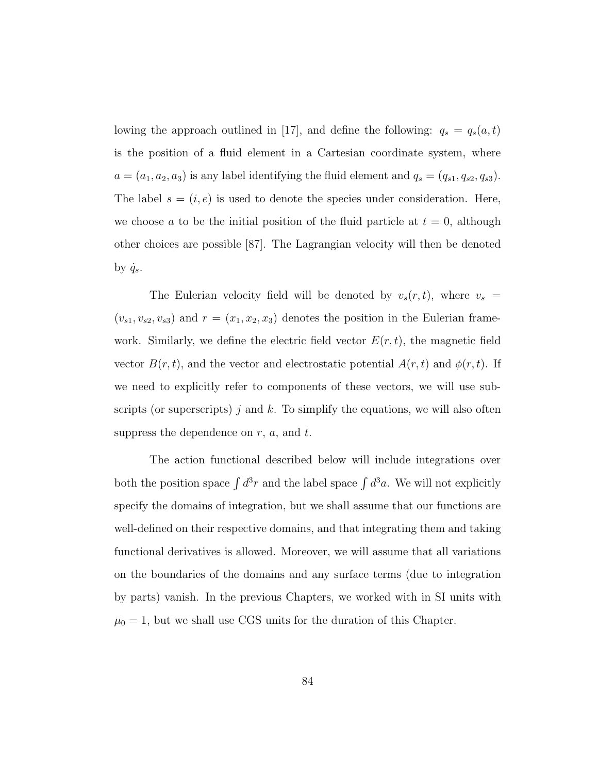lowing the approach outlined in [17], and define the following:  $q_s = q_s(a, t)$ is the position of a fluid element in a Cartesian coordinate system, where  $a = (a_1, a_2, a_3)$  is any label identifying the fluid element and  $q_s = (q_{s1}, q_{s2}, q_{s3})$ . The label  $s = (i, e)$  is used to denote the species under consideration. Here, we choose a to be the initial position of the fluid particle at  $t = 0$ , although other choices are possible [87]. The Lagrangian velocity will then be denoted by  $\dot{q}_s$ .

The Eulerian velocity field will be denoted by  $v_s(r, t)$ , where  $v_s =$  $(v_{s1}, v_{s2}, v_{s3})$  and  $r = (x_1, x_2, x_3)$  denotes the position in the Eulerian framework. Similarly, we define the electric field vector  $E(r, t)$ , the magnetic field vector  $B(r, t)$ , and the vector and electrostatic potential  $A(r, t)$  and  $\phi(r, t)$ . If we need to explicitly refer to components of these vectors, we will use subscripts (or superscripts) j and k. To simplify the equations, we will also often suppress the dependence on  $r$ ,  $a$ , and  $t$ .

The action functional described below will include integrations over both the position space  $\int d^3r$  and the label space  $\int d^3a$ . We will not explicitly specify the domains of integration, but we shall assume that our functions are well-defined on their respective domains, and that integrating them and taking functional derivatives is allowed. Moreover, we will assume that all variations on the boundaries of the domains and any surface terms (due to integration by parts) vanish. In the previous Chapters, we worked with in SI units with  $\mu_0 = 1$ , but we shall use CGS units for the duration of this Chapter.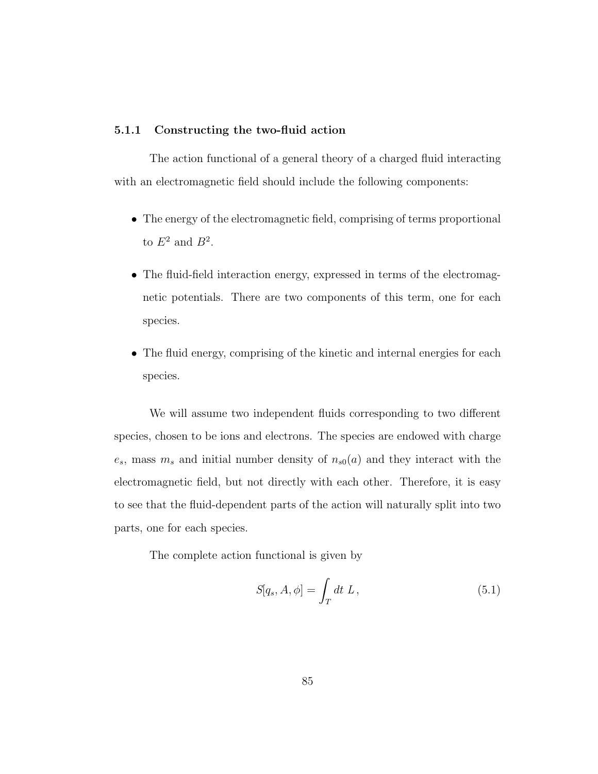#### 5.1.1 Constructing the two-fluid action

The action functional of a general theory of a charged fluid interacting with an electromagnetic field should include the following components:

- The energy of the electromagnetic field, comprising of terms proportional to  $E^2$  and  $B^2$ .
- The fluid-field interaction energy, expressed in terms of the electromagnetic potentials. There are two components of this term, one for each species.
- The fluid energy, comprising of the kinetic and internal energies for each species.

We will assume two independent fluids corresponding to two different species, chosen to be ions and electrons. The species are endowed with charge  $e_s$ , mass  $m_s$  and initial number density of  $n_{s0}(a)$  and they interact with the electromagnetic field, but not directly with each other. Therefore, it is easy to see that the fluid-dependent parts of the action will naturally split into two parts, one for each species.

The complete action functional is given by

$$
S[q_s, A, \phi] = \int_T dt L, \qquad (5.1)
$$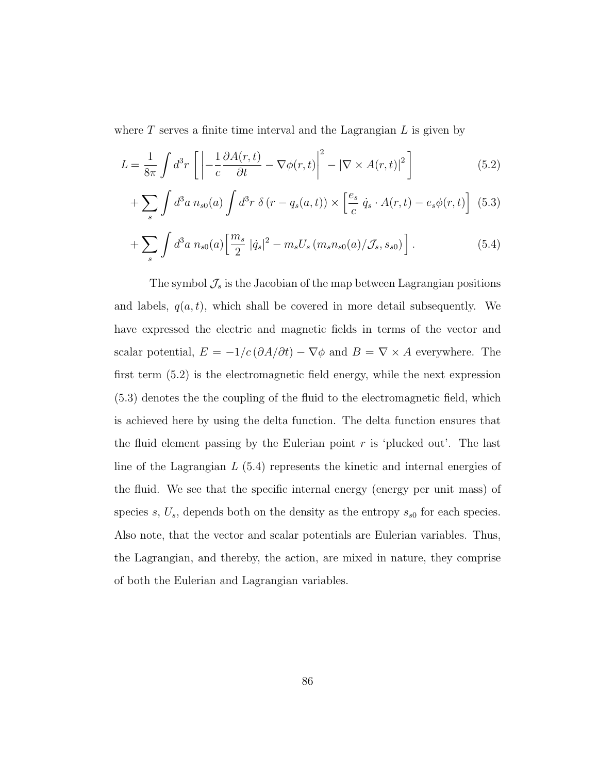where  $T$  serves a finite time interval and the Lagrangian  $L$  is given by

$$
L = \frac{1}{8\pi} \int d^3r \left[ \left| -\frac{1}{c} \frac{\partial A(r,t)}{\partial t} - \nabla \phi(r,t) \right|^2 - \left| \nabla \times A(r,t) \right|^2 \right] \tag{5.2}
$$

$$
+\sum_{s} \int d^{3}a \, n_{s0}(a) \int d^{3}r \, \delta\left(r-q_{s}(a,t)\right) \times \left[\frac{e_{s}}{c} \dot{q}_{s} \cdot A(r,t) - e_{s} \phi(r,t)\right] \tag{5.3}
$$

$$
+\sum_{s} \int d^{3}a \; n_{s0}(a) \left[ \frac{m_{s}}{2} \; |\dot{q}_{s}|^{2} - m_{s} U_{s} \left( m_{s} n_{s0}(a) / \mathcal{J}_{s}, s_{s0} \right) \right]. \tag{5.4}
$$

The symbol  $\mathcal{J}_s$  is the Jacobian of the map between Lagrangian positions and labels,  $q(a, t)$ , which shall be covered in more detail subsequently. We have expressed the electric and magnetic fields in terms of the vector and scalar potential,  $E = -1/c (\partial A/\partial t) - \nabla \phi$  and  $B = \nabla \times A$  everywhere. The first term (5.2) is the electromagnetic field energy, while the next expression (5.3) denotes the the coupling of the fluid to the electromagnetic field, which is achieved here by using the delta function. The delta function ensures that the fluid element passing by the Eulerian point  $r$  is 'plucked out'. The last line of the Lagrangian  $L(5.4)$  represents the kinetic and internal energies of the fluid. We see that the specific internal energy (energy per unit mass) of species s,  $U_s$ , depends both on the density as the entropy  $s_{s0}$  for each species. Also note, that the vector and scalar potentials are Eulerian variables. Thus, the Lagrangian, and thereby, the action, are mixed in nature, they comprise of both the Eulerian and Lagrangian variables.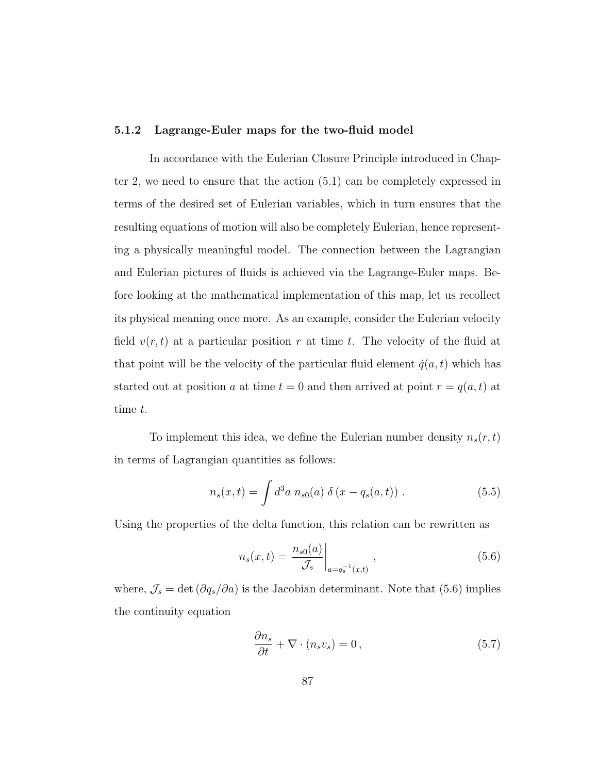#### 5.1.2 Lagrange-Euler maps for the two-fluid model

In accordance with the Eulerian Closure Principle introduced in Chapter 2, we need to ensure that the action (5.1) can be completely expressed in terms of the desired set of Eulerian variables, which in turn ensures that the resulting equations of motion will also be completely Eulerian, hence representing a physically meaningful model. The connection between the Lagrangian and Eulerian pictures of fluids is achieved via the Lagrange-Euler maps. Before looking at the mathematical implementation of this map, let us recollect its physical meaning once more. As an example, consider the Eulerian velocity field  $v(r, t)$  at a particular position r at time t. The velocity of the fluid at that point will be the velocity of the particular fluid element  $\dot{q}(a, t)$  which has started out at position a at time  $t = 0$  and then arrived at point  $r = q(a, t)$  at time t.

To implement this idea, we define the Eulerian number density  $n_s(\boldsymbol{r},t)$ in terms of Lagrangian quantities as follows:

$$
n_s(x,t) = \int d^3a \ n_{s0}(a) \ \delta(x - q_s(a,t)) \ . \tag{5.5}
$$

Using the properties of the delta function, this relation can be rewritten as

$$
n_s(x,t) = \frac{n_{s0}(a)}{\mathcal{J}_s} \bigg|_{a = q_s^{-1}(x,t)}, \qquad (5.6)
$$

where,  $\mathcal{J}_s = \det (\partial q_s/\partial a)$  is the Jacobian determinant. Note that (5.6) implies the continuity equation

$$
\frac{\partial n_s}{\partial t} + \nabla \cdot (n_s v_s) = 0, \qquad (5.7)
$$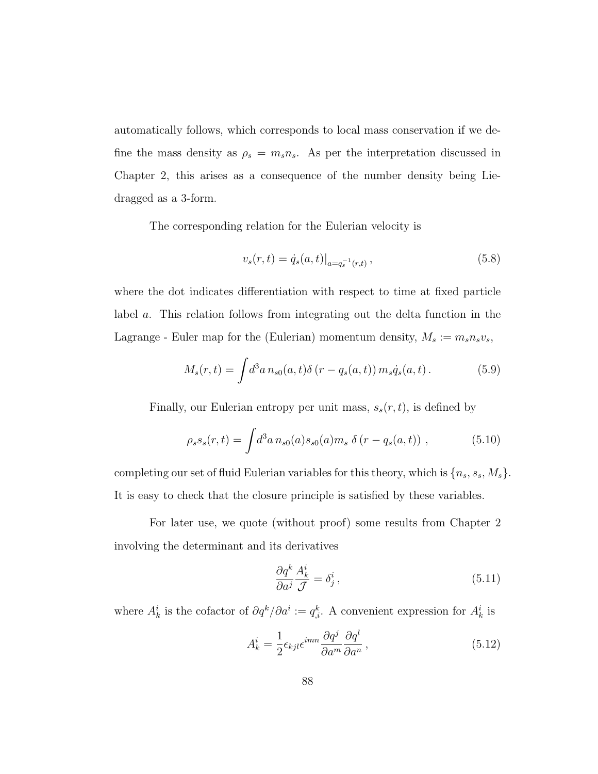automatically follows, which corresponds to local mass conservation if we define the mass density as  $\rho_s = m_s n_s$ . As per the interpretation discussed in Chapter 2, this arises as a consequence of the number density being Liedragged as a 3-form.

The corresponding relation for the Eulerian velocity is

$$
v_s(r,t) = \dot{q}_s(a,t)|_{a=q_s^{-1}(r,t)},
$$
\n(5.8)

where the dot indicates differentiation with respect to time at fixed particle label a. This relation follows from integrating out the delta function in the Lagrange - Euler map for the (Eulerian) momentum density,  $M_s := m_s n_s v_s$ ,

$$
M_s(r,t) = \int d^3a \, n_{s0}(a,t) \delta(r - q_s(a,t)) \, m_s \dot{q}_s(a,t) \,. \tag{5.9}
$$

Finally, our Eulerian entropy per unit mass,  $s_s(r, t)$ , is defined by

$$
\rho_s s_s(r,t) = \int d^3 a \, n_{s0}(a) s_{s0}(a) m_s \, \delta(r - q_s(a,t)) \;, \tag{5.10}
$$

completing our set of fluid Eulerian variables for this theory, which is  $\{n_s, s_s, M_s\}$ . It is easy to check that the closure principle is satisfied by these variables.

For later use, we quote (without proof) some results from Chapter 2 involving the determinant and its derivatives

$$
\frac{\partial q^k}{\partial a^j} \frac{A^i_k}{\mathcal{J}} = \delta^i_j \,, \tag{5.11}
$$

where  $A_k^i$  is the cofactor of  $\partial q^k / \partial a^i := q_{i}^k$ . A convenient expression for  $A_k^i$  is

$$
A_k^i = \frac{1}{2} \epsilon_{kjl} \epsilon^{imn} \frac{\partial q^j}{\partial a^m} \frac{\partial q^l}{\partial a^n} , \qquad (5.12)
$$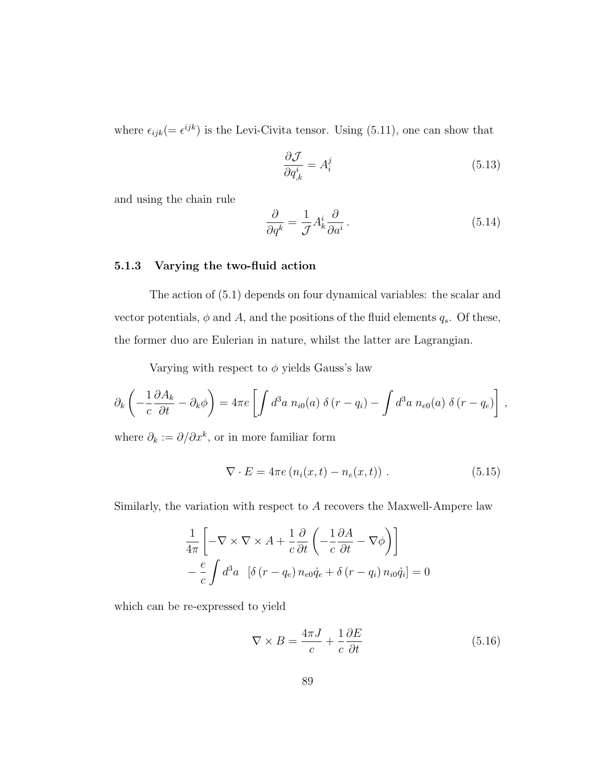where  $\epsilon_{ijk} = \epsilon^{ijk}$  is the Levi-Civita tensor. Using (5.11), one can show that

$$
\frac{\partial \mathcal{J}}{\partial q^i_{,k}} = A^j_i \tag{5.13}
$$

and using the chain rule

$$
\frac{\partial}{\partial q^k} = \frac{1}{\mathcal{J}} A^i_k \frac{\partial}{\partial a^i} \,. \tag{5.14}
$$

### 5.1.3 Varying the two-fluid action

The action of (5.1) depends on four dynamical variables: the scalar and vector potentials,  $\phi$  and  $A$ , and the positions of the fluid elements  $q_s$ . Of these, the former duo are Eulerian in nature, whilst the latter are Lagrangian.

Varying with respect to  $\phi$  yields Gauss's law

$$
\partial_k \left( -\frac{1}{c} \frac{\partial A_k}{\partial t} - \partial_k \phi \right) = 4\pi e \left[ \int d^3 a \; n_{i0}(a) \; \delta \left( r - q_i \right) - \int d^3 a \; n_{e0}(a) \; \delta \left( r - q_e \right) \right] \,,
$$

where  $\partial_k := \partial/\partial x^k$ , or in more familiar form

$$
\nabla \cdot E = 4\pi e \left( n_i(x, t) - n_e(x, t) \right) . \tag{5.15}
$$

Similarly, the variation with respect to A recovers the Maxwell-Ampere law

$$
\frac{1}{4\pi} \left[ -\nabla \times \nabla \times A + \frac{1}{c} \frac{\partial}{\partial t} \left( -\frac{1}{c} \frac{\partial A}{\partial t} - \nabla \phi \right) \right]
$$

$$
- \frac{e}{c} \int d^3 a \left[ \delta (r - q_e) n_{e0} \dot{q}_e + \delta (r - q_i) n_{i0} \dot{q}_i \right] = 0
$$

which can be re-expressed to yield

$$
\nabla \times B = \frac{4\pi J}{c} + \frac{1}{c} \frac{\partial E}{\partial t}
$$
 (5.16)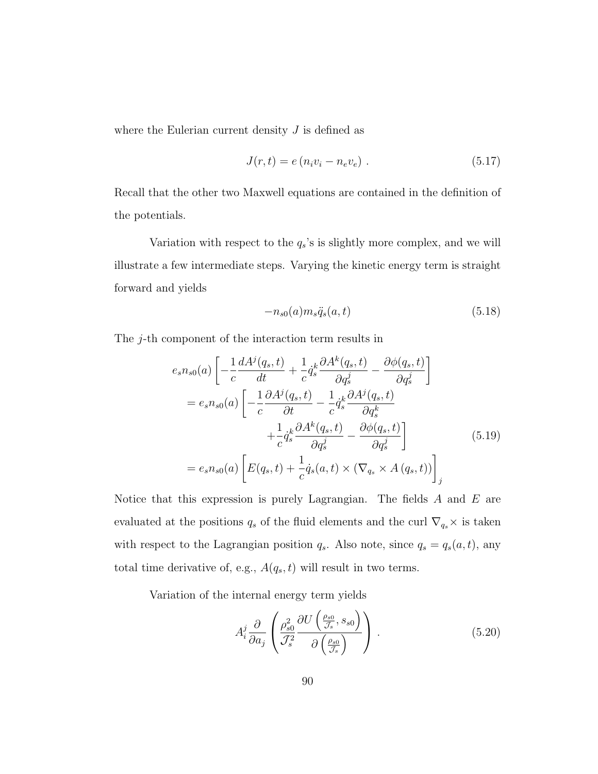where the Eulerian current density  $J$  is defined as

$$
J(r,t) = e (n_i v_i - n_e v_e) . \t\t(5.17)
$$

Recall that the other two Maxwell equations are contained in the definition of the potentials.

Variation with respect to the  $q_s$ 's is slightly more complex, and we will illustrate a few intermediate steps. Varying the kinetic energy term is straight forward and yields

$$
-n_{s0}(a)m_s\ddot{q}_s(a,t) \tag{5.18}
$$

The *j*-th component of the interaction term results in

$$
e_{s}n_{s0}(a)\left[-\frac{1}{c}\frac{dA^{j}(q_{s},t)}{dt}+\frac{1}{c}\dot{q}_{s}^{k}\frac{\partial A^{k}(q_{s},t)}{\partial q_{s}^{j}}-\frac{\partial\phi(q_{s},t)}{\partial q_{s}^{j}}\right]
$$

$$
=e_{s}n_{s0}(a)\left[-\frac{1}{c}\frac{\partial A^{j}(q_{s},t)}{\partial t}-\frac{1}{c}\dot{q}_{s}^{k}\frac{\partial A^{j}(q_{s},t)}{\partial q_{s}^{k}}+\frac{1}{c}\dot{q}_{s}^{k}\frac{\partial A^{k}(q_{s},t)}{\partial q_{s}^{j}}-\frac{\partial\phi(q_{s},t)}{\partial q_{s}^{j}}\right]
$$

$$
=e_{s}n_{s0}(a)\left[E(q_{s},t)+\frac{1}{c}\dot{q}_{s}(a,t)\times(\nabla_{q_{s}}\times A(q_{s},t))\right]_{j}
$$
(5.19)

Notice that this expression is purely Lagrangian. The fields  $A$  and  $E$  are evaluated at the positions  $q_s$  of the fluid elements and the curl  $\nabla_{q_s}\times$  is taken with respect to the Lagrangian position  $q_s$ . Also note, since  $q_s = q_s(a, t)$ , any total time derivative of, e.g.,  $A(q_s, t)$  will result in two terms.

Variation of the internal energy term yields

$$
A_i^j \frac{\partial}{\partial a_j} \left( \frac{\rho_{s0}^2}{\mathcal{J}_s^2} \frac{\partial U \left( \frac{\rho_{s0}}{\mathcal{J}_s}, s_{s0} \right)}{\partial \left( \frac{\rho_{s0}}{\mathcal{J}_s} \right)} \right) \,. \tag{5.20}
$$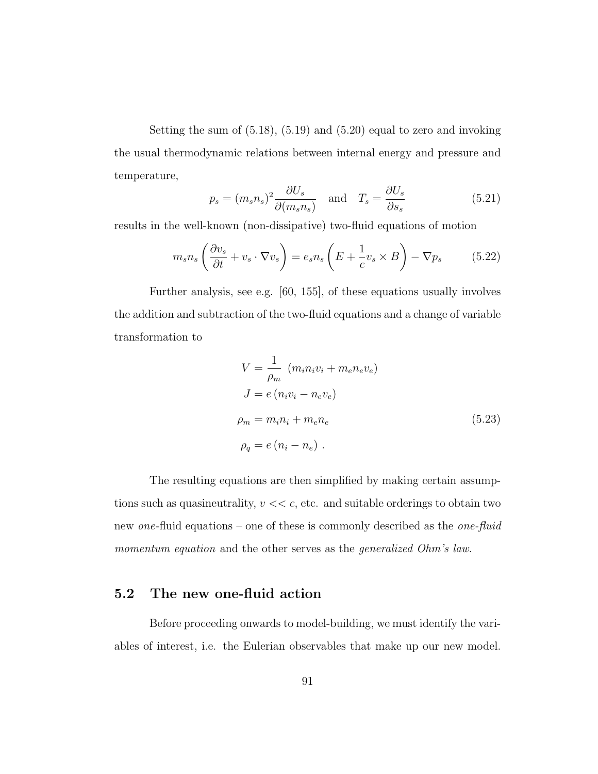Setting the sum of (5.18), (5.19) and (5.20) equal to zero and invoking the usual thermodynamic relations between internal energy and pressure and temperature,

$$
p_s = (m_s n_s)^2 \frac{\partial U_s}{\partial (m_s n_s)} \quad \text{and} \quad T_s = \frac{\partial U_s}{\partial s_s} \tag{5.21}
$$

results in the well-known (non-dissipative) two-fluid equations of motion

$$
m_s n_s \left(\frac{\partial v_s}{\partial t} + v_s \cdot \nabla v_s\right) = e_s n_s \left(E + \frac{1}{c} v_s \times B\right) - \nabla p_s \tag{5.22}
$$

Further analysis, see e.g. [60, 155], of these equations usually involves the addition and subtraction of the two-fluid equations and a change of variable transformation to

$$
V = \frac{1}{\rho_m} (m_i n_i v_i + m_e n_e v_e)
$$
  
\n
$$
J = e (n_i v_i - n_e v_e)
$$
  
\n
$$
\rho_m = m_i n_i + m_e n_e
$$
  
\n
$$
\rho_q = e (n_i - n_e) .
$$
\n(5.23)

The resulting equations are then simplified by making certain assumptions such as quasineutrality,  $v \ll c$ , etc. and suitable orderings to obtain two new one-fluid equations – one of these is commonly described as the one-fluid momentum equation and the other serves as the *generalized Ohm's law*.

## 5.2 The new one-fluid action

Before proceeding onwards to model-building, we must identify the variables of interest, i.e. the Eulerian observables that make up our new model.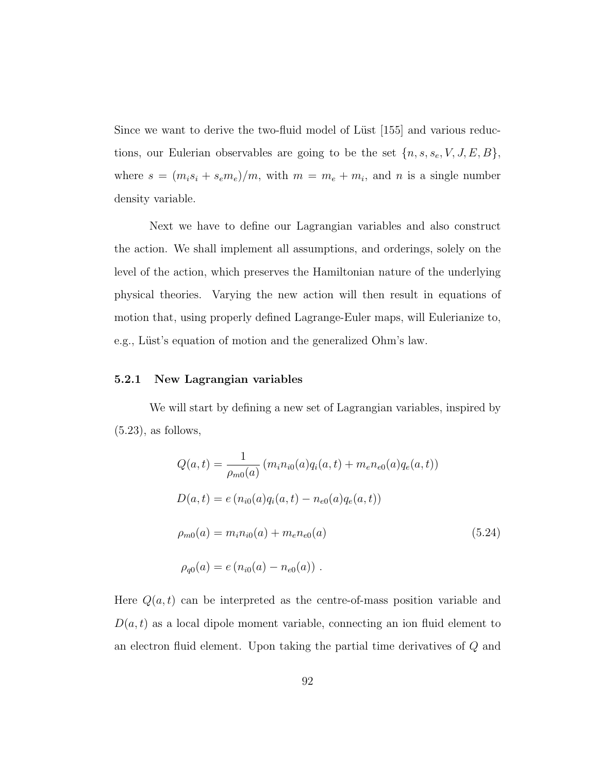Since we want to derive the two-fluid model of Lüst [155] and various reductions, our Eulerian observables are going to be the set  $\{n, s, s_e, V, J, E, B\}$ , where  $s = (m_i s_i + s_e m_e)/m$ , with  $m = m_e + m_i$ , and n is a single number density variable.

Next we have to define our Lagrangian variables and also construct the action. We shall implement all assumptions, and orderings, solely on the level of the action, which preserves the Hamiltonian nature of the underlying physical theories. Varying the new action will then result in equations of motion that, using properly defined Lagrange-Euler maps, will Eulerianize to, e.g., Lüst's equation of motion and the generalized Ohm's law.

#### 5.2.1 New Lagrangian variables

We will start by defining a new set of Lagrangian variables, inspired by  $(5.23)$ , as follows,

$$
Q(a,t) = \frac{1}{\rho_{m0}(a)} (m_i n_{i0}(a) q_i(a,t) + m_e n_{e0}(a) q_e(a,t))
$$
  
\n
$$
D(a,t) = e (n_{i0}(a) q_i(a,t) - n_{e0}(a) q_e(a,t))
$$
  
\n
$$
\rho_{m0}(a) = m_i n_{i0}(a) + m_e n_{e0}(a)
$$
  
\n
$$
\rho_{q0}(a) = e (n_{i0}(a) - n_{e0}(a)) .
$$
\n(5.24)

Here  $Q(a, t)$  can be interpreted as the centre-of-mass position variable and  $D(a, t)$  as a local dipole moment variable, connecting an ion fluid element to an electron fluid element. Upon taking the partial time derivatives of Q and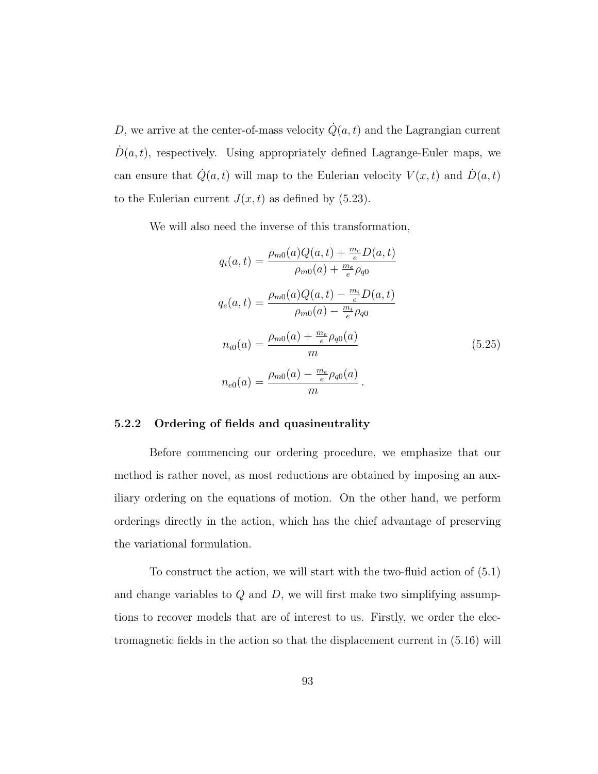D, we arrive at the center-of-mass velocity  $\dot{Q}(a, t)$  and the Lagrangian current  $\dot{D}(a, t)$ , respectively. Using appropriately defined Lagrange-Euler maps, we can ensure that  $\dot{Q}(a, t)$  will map to the Eulerian velocity  $V(x, t)$  and  $\dot{D}(a, t)$ to the Eulerian current  $J(x, t)$  as defined by (5.23).

We will also need the inverse of this transformation,

$$
q_i(a,t) = \frac{\rho_{m0}(a)Q(a,t) + \frac{m_e}{e}D(a,t)}{\rho_{m0}(a) + \frac{m_e}{e}\rho_{q0}}
$$

$$
q_e(a,t) = \frac{\rho_{m0}(a)Q(a,t) - \frac{m_i}{e}D(a,t)}{\rho_{m0}(a) - \frac{m_i}{e}\rho_{q0}}
$$

$$
n_{i0}(a) = \frac{\rho_{m0}(a) + \frac{m_e}{e}\rho_{q0}(a)}{m}
$$

$$
n_{e0}(a) = \frac{\rho_{m0}(a) - \frac{m_e}{e}\rho_{q0}(a)}{m}.
$$
(5.25)

## 5.2.2 Ordering of fields and quasineutrality

Before commencing our ordering procedure, we emphasize that our method is rather novel, as most reductions are obtained by imposing an auxiliary ordering on the equations of motion. On the other hand, we perform orderings directly in the action, which has the chief advantage of preserving the variational formulation.

To construct the action, we will start with the two-fluid action of (5.1) and change variables to  $Q$  and  $D$ , we will first make two simplifying assumptions to recover models that are of interest to us. Firstly, we order the electromagnetic fields in the action so that the displacement current in (5.16) will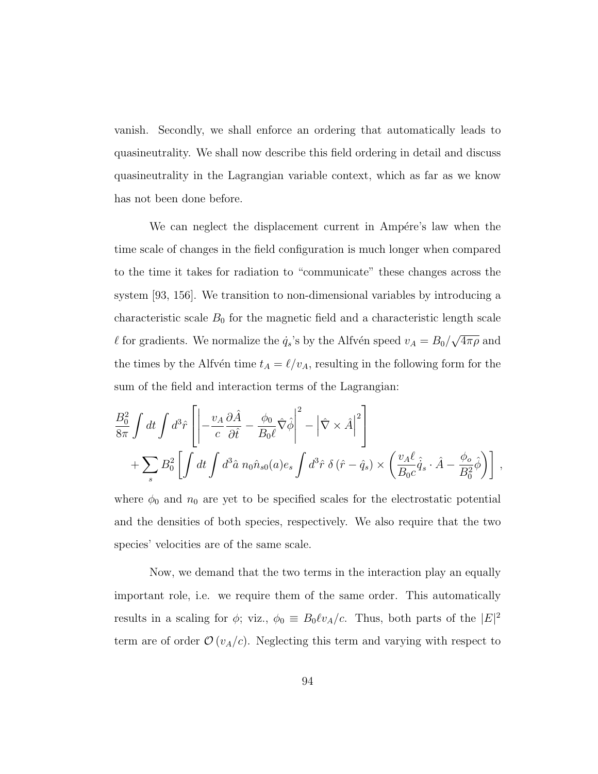vanish. Secondly, we shall enforce an ordering that automatically leads to quasineutrality. We shall now describe this field ordering in detail and discuss quasineutrality in the Lagrangian variable context, which as far as we know has not been done before.

We can neglect the displacement current in Ampére's law when the time scale of changes in the field configuration is much longer when compared to the time it takes for radiation to "communicate" these changes across the system [93, 156]. We transition to non-dimensional variables by introducing a characteristic scale  $B_0$  for the magnetic field and a characteristic length scale  $\ell$  for gradients. We normalize the  $\dot{q}_s$ 's by the Alfvén speed  $v_A = B_0/$ √  $\overline{4\pi\rho}$  and the times by the Alfvén time  $t_A = \ell/v_A$ , resulting in the following form for the sum of the field and interaction terms of the Lagrangian:

$$
\frac{B_0^2}{8\pi} \int dt \int d^3\hat{r} \left[ \left| -\frac{v_A}{c} \frac{\partial \hat{A}}{\partial \hat{t}} - \frac{\phi_0}{B_0 \ell} \hat{\nabla} \hat{\phi} \right|^2 - \left| \hat{\nabla} \times \hat{A} \right|^2 \right] + \sum_s B_0^2 \left[ \int dt \int d^3\hat{a} \; n_0 \hat{n}_{s0}(a) e_s \int d^3\hat{r} \; \delta(\hat{r} - \hat{q}_s) \times \left( \frac{v_A \ell}{B_0 c} \hat{q}_s \cdot \hat{A} - \frac{\phi_o}{B_0^2} \hat{\phi} \right) \right],
$$

where  $\phi_0$  and  $n_0$  are yet to be specified scales for the electrostatic potential and the densities of both species, respectively. We also require that the two species' velocities are of the same scale.

Now, we demand that the two terms in the interaction play an equally important role, i.e. we require them of the same order. This automatically results in a scaling for  $\phi$ ; viz.,  $\phi_0 \equiv B_0 \ell v_A/c$ . Thus, both parts of the  $|E|^2$ term are of order  $\mathcal{O}(v_A/c)$ . Neglecting this term and varying with respect to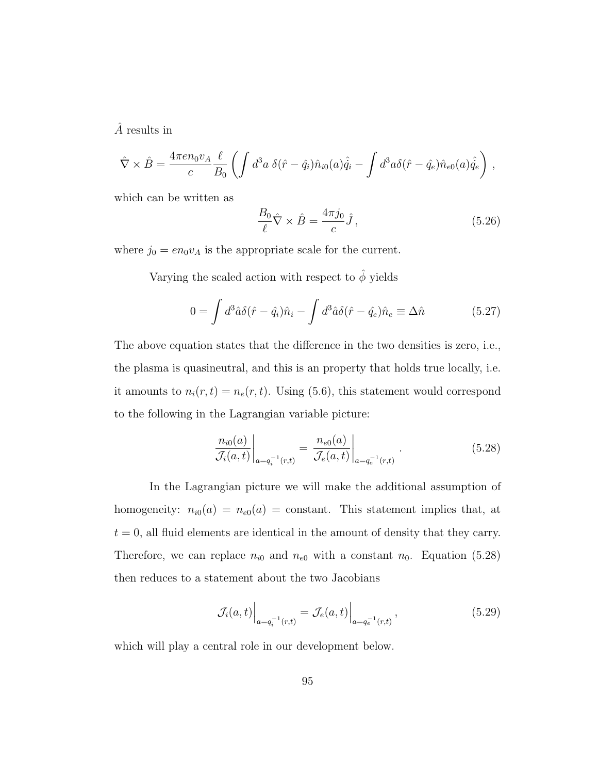$\hat{A}$  results in

$$
\hat{\nabla} \times \hat{B} = \frac{4\pi e n_0 v_A}{c} \frac{\ell}{B_0} \left( \int d^3a \; \delta(\hat{r} - \hat{q}_i) \hat{n}_{i0}(a) \hat{q}_i - \int d^3a \delta(\hat{r} - \hat{q}_e) \hat{n}_{e0}(a) \hat{q}_e \right) ,
$$

which can be written as

$$
\frac{B_0}{\ell}\hat{\nabla} \times \hat{B} = \frac{4\pi j_0}{c}\hat{J},\qquad(5.26)
$$

where  $j_0 = en_0v_A$  is the appropriate scale for the current.

Varying the scaled action with respect to  $\hat{\phi}$  yields

$$
0 = \int d^3\hat{a}\delta(\hat{r} - \hat{q}_i)\hat{n}_i - \int d^3\hat{a}\delta(\hat{r} - \hat{q}_e)\hat{n}_e \equiv \Delta\hat{n}
$$
 (5.27)

The above equation states that the difference in the two densities is zero, i.e., the plasma is quasineutral, and this is an property that holds true locally, i.e. it amounts to  $n_i(r, t) = n_e(r, t)$ . Using (5.6), this statement would correspond to the following in the Lagrangian variable picture:

$$
\frac{n_{i0}(a)}{\mathcal{J}_i(a,t)}\bigg|_{a=q_i^{-1}(r,t)} = \frac{n_{e0}(a)}{\mathcal{J}_e(a,t)}\bigg|_{a=q_e^{-1}(r,t)}.
$$
\n(5.28)

In the Lagrangian picture we will make the additional assumption of homogeneity:  $n_{i0}(a) = n_{e0}(a) = \text{constant}$ . This statement implies that, at  $t = 0$ , all fluid elements are identical in the amount of density that they carry. Therefore, we can replace  $n_{i0}$  and  $n_{e0}$  with a constant  $n_0$ . Equation (5.28) then reduces to a statement about the two Jacobians

$$
\mathcal{J}_i(a,t)\Big|_{a=q_i^{-1}(r,t)} = \mathcal{J}_e(a,t)\Big|_{a=q_e^{-1}(r,t)},
$$
\n(5.29)

which will play a central role in our development below.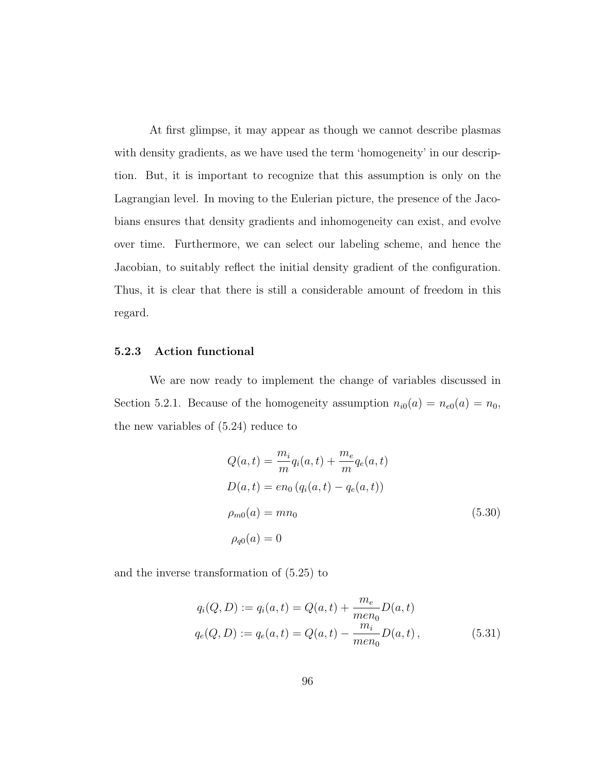At first glimpse, it may appear as though we cannot describe plasmas with density gradients, as we have used the term 'homogeneity' in our description. But, it is important to recognize that this assumption is only on the Lagrangian level. In moving to the Eulerian picture, the presence of the Jacobians ensures that density gradients and inhomogeneity can exist, and evolve over time. Furthermore, we can select our labeling scheme, and hence the Jacobian, to suitably reflect the initial density gradient of the configuration. Thus, it is clear that there is still a considerable amount of freedom in this regard.

### 5.2.3 Action functional

We are now ready to implement the change of variables discussed in Section 5.2.1. Because of the homogeneity assumption  $n_{i0}(a) = n_{e0}(a) = n_0$ , the new variables of (5.24) reduce to

$$
Q(a,t) = \frac{m_i}{m} q_i(a,t) + \frac{m_e}{m} q_e(a,t)
$$
  
\n
$$
D(a,t) = en_0 (q_i(a,t) - q_e(a,t))
$$
  
\n
$$
\rho_{m0}(a) = mn_0
$$
  
\n
$$
\rho_{q0}(a) = 0
$$
\n(5.30)

and the inverse transformation of (5.25) to

$$
q_i(Q, D) := q_i(a, t) = Q(a, t) + \frac{m_e}{men_0}D(a, t)
$$
  

$$
q_e(Q, D) := q_e(a, t) = Q(a, t) - \frac{m_i}{men_0}D(a, t),
$$
 (5.31)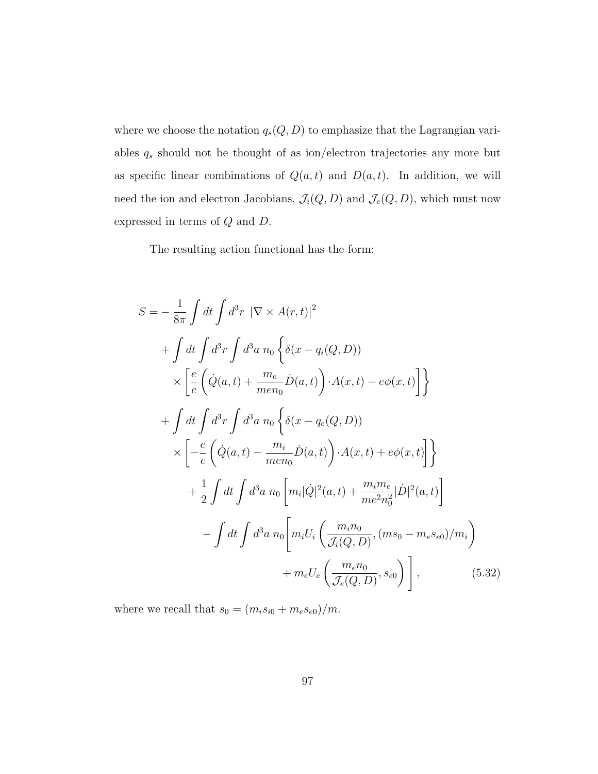where we choose the notation  $q_s(Q, D)$  to emphasize that the Lagrangian variables  $q_s$  should not be thought of as ion/electron trajectories any more but as specific linear combinations of  $Q(a, t)$  and  $D(a, t)$ . In addition, we will need the ion and electron Jacobians,  $\mathcal{J}_i(Q, D)$  and  $\mathcal{J}_e(Q, D)$ , which must now expressed in terms of Q and D.

The resulting action functional has the form:

$$
S = -\frac{1}{8\pi} \int dt \int d^3r \ |\nabla \times A(r,t)|^2
$$
  
+ 
$$
\int dt \int d^3r \int d^3a \ n_0 \left\{ \delta(x - q_i(Q, D)) \right\}
$$
  

$$
\times \left[ \frac{e}{c} \left( \dot{Q}(a, t) + \frac{m_e}{men_0} \dot{D}(a, t) \right) \cdot A(x, t) - e\phi(x, t) \right] \right\}
$$
  
+ 
$$
\int dt \int d^3r \int d^3a \ n_0 \left\{ \delta(x - q_e(Q, D)) \right\}
$$
  

$$
\times \left[ -\frac{e}{c} \left( \dot{Q}(a, t) - \frac{m_i}{men_0} \dot{D}(a, t) \right) \cdot A(x, t) + e\phi(x, t) \right] \right\}
$$
  
+ 
$$
\frac{1}{2} \int dt \int d^3a \ n_0 \left[ m_i |\dot{Q}|^2(a, t) + \frac{m_i m_e}{me^2 n_0^2} |\dot{D}|^2(a, t) \right]
$$
  
- 
$$
\int dt \int d^3a \ n_0 \left[ m_i U_i \left( \frac{m_i n_0}{\mathcal{J}_i(Q, D)}, (m s_0 - m_e s_{e0})/m_i \right) + m_e U_e \left( \frac{m_e n_0}{\mathcal{J}_e(Q, D)}, s_{e0} \right) \right], \tag{5.32}
$$

where we recall that  $s_0 = (m_i s_{i0} + m_e s_{e0})/m$ .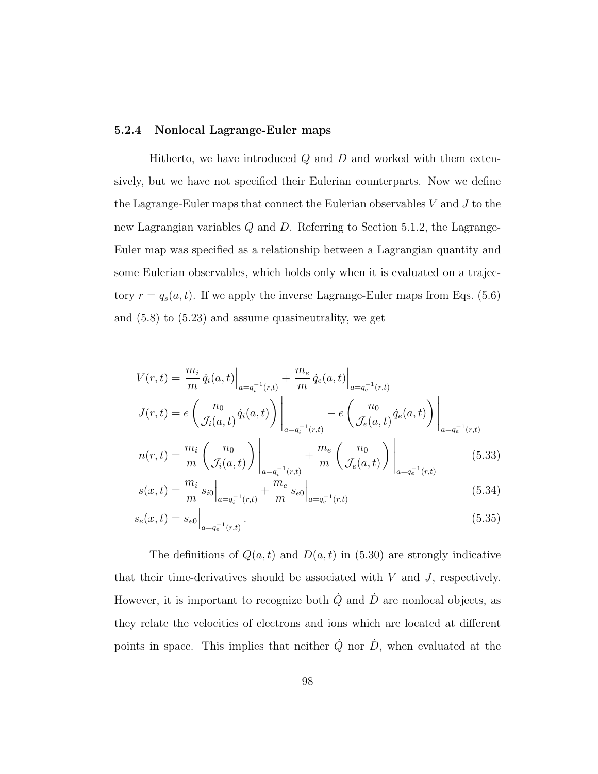### 5.2.4 Nonlocal Lagrange-Euler maps

Hitherto, we have introduced  $Q$  and  $D$  and worked with them extensively, but we have not specified their Eulerian counterparts. Now we define the Lagrange-Euler maps that connect the Eulerian observables  $V$  and  $J$  to the new Lagrangian variables Q and D. Referring to Section 5.1.2, the Lagrange-Euler map was specified as a relationship between a Lagrangian quantity and some Eulerian observables, which holds only when it is evaluated on a trajectory  $r = q_s(a, t)$ . If we apply the inverse Lagrange-Euler maps from Eqs. (5.6) and (5.8) to (5.23) and assume quasineutrality, we get

$$
V(r,t) = \frac{m_i}{m} \dot{q}_i(a,t) \Big|_{a=q_i^{-1}(r,t)} + \frac{m_e}{m} \dot{q}_e(a,t) \Big|_{a=q_e^{-1}(r,t)}
$$
  
\n
$$
J(r,t) = e\left(\frac{n_0}{\mathcal{J}_i(a,t)} \dot{q}_i(a,t)\right) \Big|_{a=q_i^{-1}(r,t)} - e\left(\frac{n_0}{\mathcal{J}_e(a,t)} \dot{q}_e(a,t)\right) \Big|_{a=q_e^{-1}(r,t)}
$$
  
\n
$$
n(r,t) = \frac{m_i}{m} \left(\frac{n_0}{\mathcal{J}_i(a,t)}\right) \Big|_{a=q_i^{-1}(r,t)} + \frac{m_e}{m} \left(\frac{n_0}{\mathcal{J}_e(a,t)}\right) \Big|_{a=q_e^{-1}(r,t)}
$$
(5.33)

$$
s(x,t) = \frac{m_i}{m} s_{i0} \Big|_{a = q_i^{-1}(r,t)} + \frac{m_e}{m} s_{e0} \Big|_{a = q_e^{-1}(r,t)}
$$
(5.34)

$$
s_e(x,t) = s_{e0} \Big|_{a = q_e^{-1}(r,t)}.
$$
\n(5.35)

The definitions of  $Q(a, t)$  and  $D(a, t)$  in (5.30) are strongly indicative that their time-derivatives should be associated with  $V$  and  $J$ , respectively. However, it is important to recognize both  $\dot{Q}$  and  $\dot{D}$  are nonlocal objects, as they relate the velocities of electrons and ions which are located at different points in space. This implies that neither  $\dot{Q}$  nor  $\dot{D}$ , when evaluated at the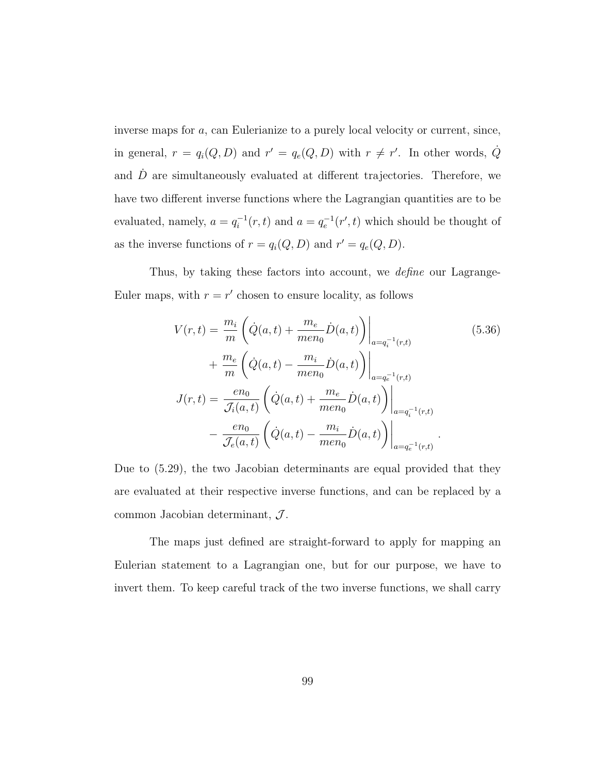inverse maps for a, can Eulerianize to a purely local velocity or current, since, in general,  $r = q_i(Q, D)$  and  $r' = q_e(Q, D)$  with  $r \neq r'$ . In other words,  $\dot{Q}$ and  $\ddot{D}$  are simultaneously evaluated at different trajectories. Therefore, we have two different inverse functions where the Lagrangian quantities are to be evaluated, namely,  $a = q_i^{-1}$  $i_l^{-1}(r,t)$  and  $a = q_e^{-1}(r',t)$  which should be thought of as the inverse functions of  $r = q_i(Q, D)$  and  $r' = q_e(Q, D)$ .

Thus, by taking these factors into account, we *define* our Lagrange-Euler maps, with  $r = r'$  chosen to ensure locality, as follows

$$
V(r,t) = \frac{m_i}{m} \left( \dot{Q}(a,t) + \frac{m_e}{men_0} \dot{D}(a,t) \right) \Big|_{a=q_i^{-1}(r,t)}
$$
(5.36)  
+ 
$$
\frac{m_e}{m} \left( \dot{Q}(a,t) - \frac{m_i}{men_0} \dot{D}(a,t) \right) \Big|_{a=q_e^{-1}(r,t)}
$$
  

$$
J(r,t) = \frac{en_0}{\mathcal{J}_i(a,t)} \left( \dot{Q}(a,t) + \frac{m_e}{men_0} \dot{D}(a,t) \right) \Big|_{a=q_i^{-1}(r,t)}
$$
  
- 
$$
\frac{en_0}{\mathcal{J}_e(a,t)} \left( \dot{Q}(a,t) - \frac{m_i}{men_0} \dot{D}(a,t) \right) \Big|_{a=q_e^{-1}(r,t)}.
$$

Due to (5.29), the two Jacobian determinants are equal provided that they are evaluated at their respective inverse functions, and can be replaced by a common Jacobian determinant,  $\mathcal{J}$ .

The maps just defined are straight-forward to apply for mapping an Eulerian statement to a Lagrangian one, but for our purpose, we have to invert them. To keep careful track of the two inverse functions, we shall carry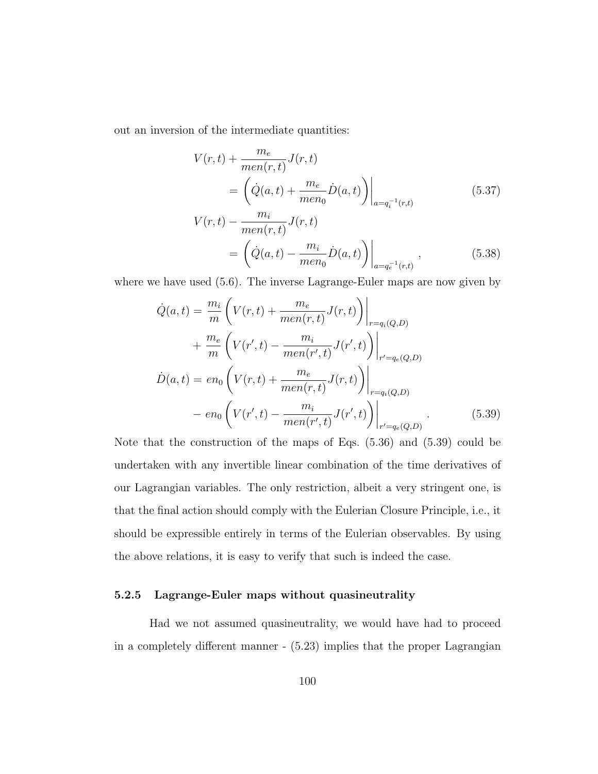out an inversion of the intermediate quantities:

$$
V(r,t) + \frac{m_e}{men(r,t)}J(r,t)
$$
  
=  $\left(\dot{Q}(a,t) + \frac{m_e}{men_0}\dot{D}(a,t)\right)\Big|_{a=q_i^{-1}(r,t)}$  (5.37)  

$$
V(r,t) - \frac{m_i}{men(r,t)}J(r,t)
$$
  
=  $\left(\dot{Q}(a,t) - \frac{m_i}{men_0}\dot{D}(a,t)\right)\Big|_{a=q_e^{-1}(r,t)},$  (5.38)

where we have used (5.6). The inverse Lagrange-Euler maps are now given by

$$
\dot{Q}(a,t) = \frac{m_i}{m} \left( V(r,t) + \frac{m_e}{men(r,t)} J(r,t) \right) \Big|_{r=q_i(Q,D)}
$$
  
+ 
$$
\frac{m_e}{m} \left( V(r',t) - \frac{m_i}{men(r',t)} J(r',t) \right) \Big|_{r'=q_e(Q,D)}
$$
  

$$
\dot{D}(a,t) = en_0 \left( V(r,t) + \frac{m_e}{men(r,t)} J(r,t) \right) \Big|_{r=q_i(Q,D)}
$$
  
- 
$$
en_0 \left( V(r',t) - \frac{m_i}{men(r',t)} J(r',t) \right) \Big|_{r'=q_e(Q,D)}
$$
 (5.39)

Note that the construction of the maps of Eqs. (5.36) and (5.39) could be undertaken with any invertible linear combination of the time derivatives of our Lagrangian variables. The only restriction, albeit a very stringent one, is that the final action should comply with the Eulerian Closure Principle, i.e., it should be expressible entirely in terms of the Eulerian observables. By using the above relations, it is easy to verify that such is indeed the case.

### 5.2.5 Lagrange-Euler maps without quasineutrality

Had we not assumed quasineutrality, we would have had to proceed in a completely different manner - (5.23) implies that the proper Lagrangian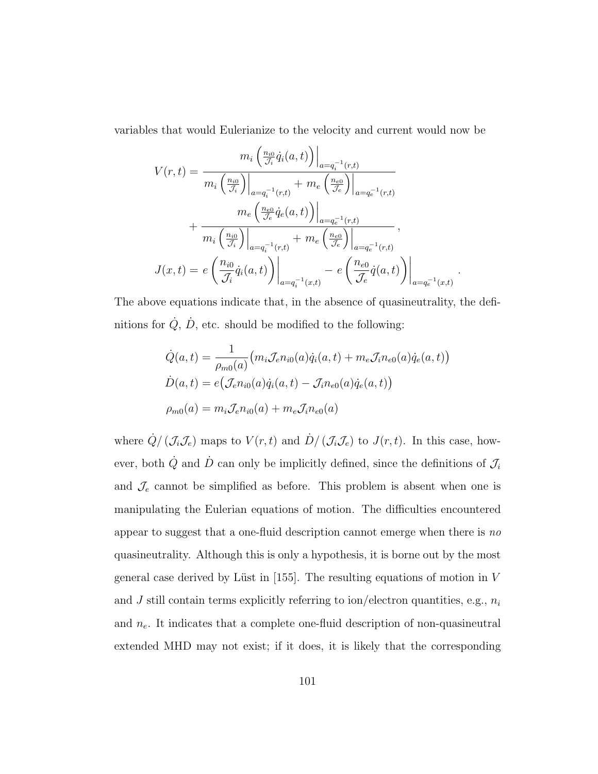variables that would Eulerianize to the velocity and current would now be

$$
V(r,t) = \frac{m_i \left(\frac{n_{i0}}{\mathcal{J}_i} \dot{q}_i(a,t)\right)\Big|_{a=q_i^{-1}(r,t)}}{m_i \left(\frac{n_{i0}}{\mathcal{J}_i}\right)\Big|_{a=q_i^{-1}(r,t)} + m_e \left(\frac{n_{e0}}{\mathcal{J}_e}\right)\Big|_{a=q_e^{-1}(r,t)}} + \frac{m_e \left(\frac{n_{e0}}{\mathcal{J}_e} \dot{q}_e(a,t)\right)\Big|_{a=q_e^{-1}(r,t)}}{m_i \left(\frac{n_{i0}}{\mathcal{J}_i}\right)\Big|_{a=q_i^{-1}(r,t)} + m_e \left(\frac{n_{e0}}{\mathcal{J}_e}\right)\Big|_{a=q_e^{-1}(r,t)}},
$$
  

$$
J(x,t) = e \left(\frac{n_{i0}}{\mathcal{J}_i} \dot{q}_i(a,t)\right)\Big|_{a=q_i^{-1}(x,t)} - e \left(\frac{n_{e0}}{\mathcal{J}_e} \dot{q}(a,t)\right)\Big|_{a=q_e^{-1}(x,t)}
$$

The above equations indicate that, in the absence of quasineutrality, the definitions for  $\dot{Q}$ ,  $\dot{D}$ , etc. should be modified to the following:

.

$$
\dot{Q}(a,t) = \frac{1}{\rho_{m0}(a)} \big( m_i \mathcal{J}_e n_{i0}(a) \dot{q}_i(a,t) + m_e \mathcal{J}_i n_{e0}(a) \dot{q}_e(a,t) \big)
$$
  

$$
\dot{D}(a,t) = e \big( \mathcal{J}_e n_{i0}(a) \dot{q}_i(a,t) - \mathcal{J}_i n_{e0}(a) \dot{q}_e(a,t) \big)
$$
  

$$
\rho_{m0}(a) = m_i \mathcal{J}_e n_{i0}(a) + m_e \mathcal{J}_i n_{e0}(a)
$$

where  $\dot{Q}/(\mathcal{J}_i\mathcal{J}_e)$  maps to  $V(r,t)$  and  $\dot{D}/(\mathcal{J}_i\mathcal{J}_e)$  to  $J(r,t)$ . In this case, however, both  $\dot{Q}$  and  $\dot{D}$  can only be implicitly defined, since the definitions of  $\mathcal{J}_i$ and  $\mathcal{J}_e$  cannot be simplified as before. This problem is absent when one is manipulating the Eulerian equations of motion. The difficulties encountered appear to suggest that a one-fluid description cannot emerge when there is no quasineutrality. Although this is only a hypothesis, it is borne out by the most general case derived by Lüst in [155]. The resulting equations of motion in  $V$ and  $J$  still contain terms explicitly referring to ion/electron quantities, e.g.,  $n_i$ and  $n_e$ . It indicates that a complete one-fluid description of non-quasineutral extended MHD may not exist; if it does, it is likely that the corresponding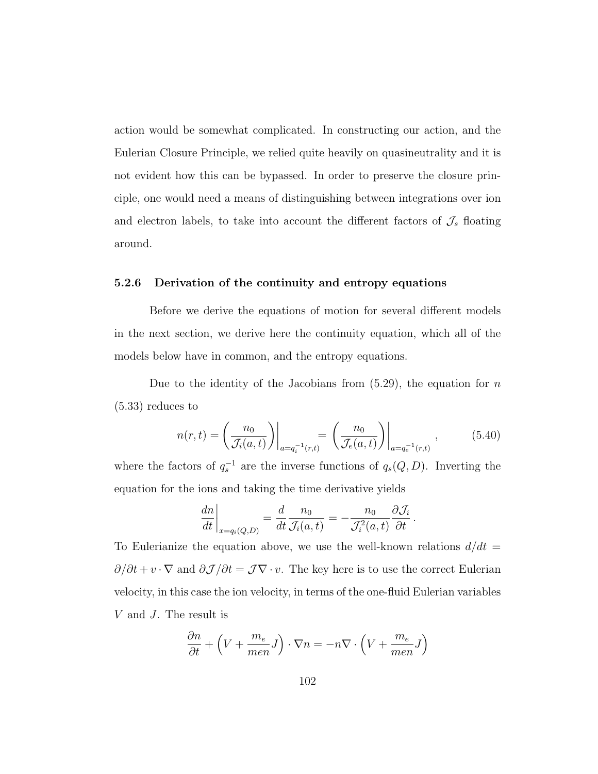action would be somewhat complicated. In constructing our action, and the Eulerian Closure Principle, we relied quite heavily on quasineutrality and it is not evident how this can be bypassed. In order to preserve the closure principle, one would need a means of distinguishing between integrations over ion and electron labels, to take into account the different factors of  $\mathcal{J}_s$  floating around.

### 5.2.6 Derivation of the continuity and entropy equations

Before we derive the equations of motion for several different models in the next section, we derive here the continuity equation, which all of the models below have in common, and the entropy equations.

Due to the identity of the Jacobians from  $(5.29)$ , the equation for n (5.33) reduces to

$$
n(r,t) = \left(\frac{n_0}{\mathcal{J}_i(a,t)}\right)\Big|_{a=q_i^{-1}(r,t)} = \left(\frac{n_0}{\mathcal{J}_e(a,t)}\right)\Big|_{a=q_e^{-1}(r,t)},\tag{5.40}
$$

where the factors of  $q_s^{-1}$  are the inverse functions of  $q_s(Q, D)$ . Inverting the equation for the ions and taking the time derivative yields

$$
\left. \frac{dn}{dt} \right|_{x=q_i(Q,D)} = \frac{d}{dt} \frac{n_0}{\mathcal{J}_i(a,t)} = -\frac{n_0}{\mathcal{J}_i^2(a,t)} \frac{\partial \mathcal{J}_i}{\partial t}.
$$

To Eulerianize the equation above, we use the well-known relations  $d/dt =$  $\partial/\partial t + v \cdot \nabla$  and  $\partial \mathcal{J}/\partial t = \mathcal{J}\nabla \cdot v$ . The key here is to use the correct Eulerian velocity, in this case the ion velocity, in terms of the one-fluid Eulerian variables V and J. The result is

$$
\frac{\partial n}{\partial t} + \left(V + \frac{m_e}{men}J\right) \cdot \nabla n = -n\nabla \cdot \left(V + \frac{m_e}{men}J\right)
$$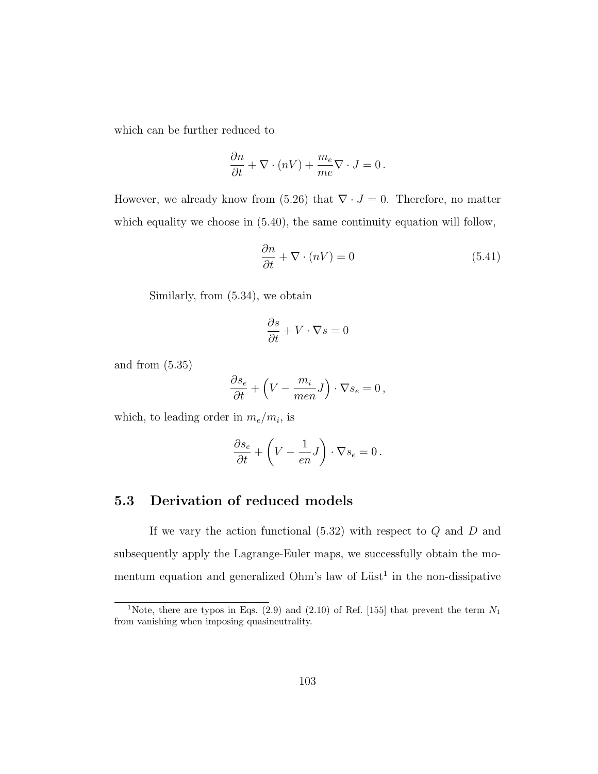which can be further reduced to

$$
\frac{\partial n}{\partial t} + \nabla \cdot (nV) + \frac{m_e}{me} \nabla \cdot J = 0.
$$

However, we already know from (5.26) that  $\nabla \cdot J = 0$ . Therefore, no matter which equality we choose in  $(5.40)$ , the same continuity equation will follow,

$$
\frac{\partial n}{\partial t} + \nabla \cdot (nV) = 0 \tag{5.41}
$$

Similarly, from (5.34), we obtain

$$
\frac{\partial s}{\partial t} + V \cdot \nabla s = 0
$$

and from (5.35)

$$
\frac{\partial s_e}{\partial t} + \left(V - \frac{m_i}{men}J\right) \cdot \nabla s_e = 0,
$$

which, to leading order in  $m_e/m_i$ , is

$$
\frac{\partial s_e}{\partial t} + \left(V - \frac{1}{en}J\right) \cdot \nabla s_e = 0.
$$

# 5.3 Derivation of reduced models

If we vary the action functional  $(5.32)$  with respect to  $Q$  and  $D$  and subsequently apply the Lagrange-Euler maps, we successfully obtain the momentum equation and generalized Ohm's law of  $List<sup>1</sup>$  in the non-dissipative

<sup>&</sup>lt;sup>1</sup>Note, there are typos in Eqs. (2.9) and (2.10) of Ref. [155] that prevent the term  $N_1$ from vanishing when imposing quasineutrality.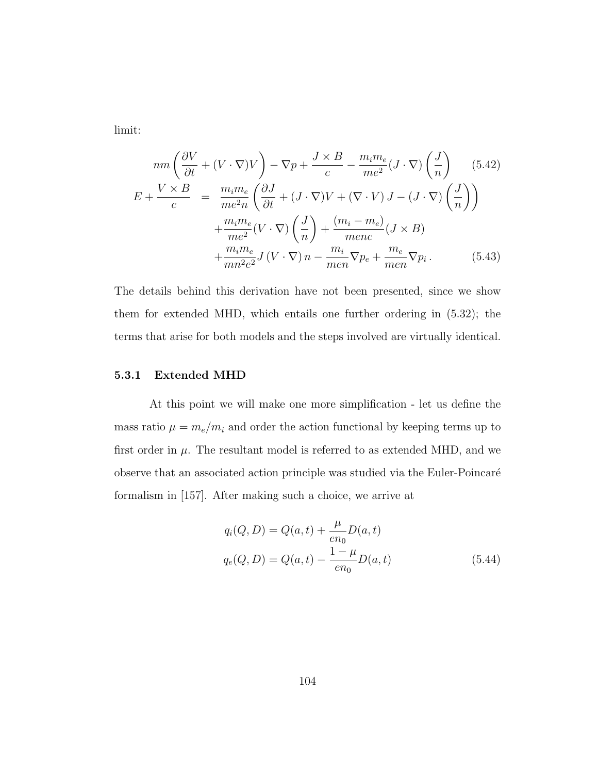limit:

$$
nm\left(\frac{\partial V}{\partial t} + (V \cdot \nabla)V\right) - \nabla p + \frac{J \times B}{c} - \frac{m_i m_e}{me^2}(J \cdot \nabla)\left(\frac{J}{n}\right) \quad (5.42)
$$
  
\n
$$
E + \frac{V \times B}{c} = \frac{m_i m_e}{me^2 n} \left(\frac{\partial J}{\partial t} + (J \cdot \nabla)V + (\nabla \cdot V)J - (J \cdot \nabla)\left(\frac{J}{n}\right)\right)
$$
  
\n
$$
+ \frac{m_i m_e}{me^2}(V \cdot \nabla)\left(\frac{J}{n}\right) + \frac{(m_i - m_e)}{m enc}(J \times B)
$$
  
\n
$$
+ \frac{m_i m_e}{mn^2 e^2}J(V \cdot \nabla)n - \frac{m_i}{men}\nabla p_e + \frac{m_e}{men}\nabla p_i. \quad (5.43)
$$

The details behind this derivation have not been presented, since we show them for extended MHD, which entails one further ordering in (5.32); the terms that arise for both models and the steps involved are virtually identical.

#### 5.3.1 Extended MHD

At this point we will make one more simplification - let us define the mass ratio  $\mu = m_e/m_i$  and order the action functional by keeping terms up to first order in  $\mu$ . The resultant model is referred to as extended MHD, and we observe that an associated action principle was studied via the Euler-Poincaré formalism in [157]. After making such a choice, we arrive at

$$
q_i(Q, D) = Q(a, t) + \frac{\mu}{en_0} D(a, t)
$$
  

$$
q_e(Q, D) = Q(a, t) - \frac{1 - \mu}{en_0} D(a, t)
$$
 (5.44)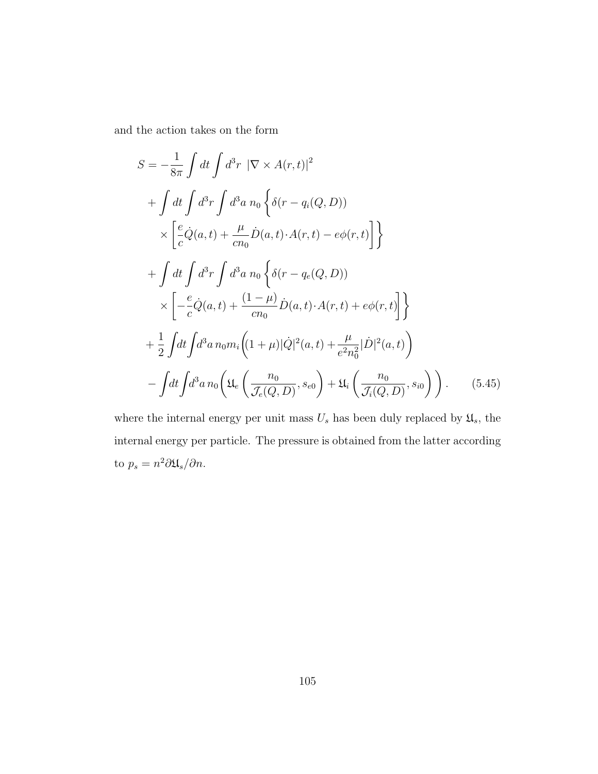and the action takes on the form

$$
S = -\frac{1}{8\pi} \int dt \int d^3r \ |\nabla \times A(r,t)|^2
$$
  
+ 
$$
\int dt \int d^3r \int d^3a \ n_0 \left\{ \delta(r - q_i(Q, D)) \right\}
$$
  

$$
\times \left[ \frac{e}{c} \dot{Q}(a, t) + \frac{\mu}{cn_0} \dot{D}(a, t) \cdot A(r, t) - e\phi(r, t) \right] \right\}
$$
  
+ 
$$
\int dt \int d^3r \int d^3a \ n_0 \left\{ \delta(r - q_e(Q, D)) \right\}
$$
  

$$
\times \left[ -\frac{e}{c} \dot{Q}(a, t) + \frac{(1 - \mu)}{cn_0} \dot{D}(a, t) \cdot A(r, t) + e\phi(r, t) \right] \right\}
$$
  
+ 
$$
\frac{1}{2} \int dt \int d^3a \ n_0 m_i \left( (1 + \mu) |\dot{Q}|^2(a, t) + \frac{\mu}{e^2 n_0^2} |\dot{D}|^2(a, t) \right)
$$
  
- 
$$
\int dt \int d^3a \ n_0 \left( \mathfrak{U}_e \left( \frac{n_0}{\mathcal{J}_e(Q, D)}, s_{e0} \right) + \mathfrak{U}_i \left( \frac{n_0}{\mathcal{J}_i(Q, D)}, s_{i0} \right) \right).
$$
(5.45)

where the internal energy per unit mass  $U_s$  has been duly replaced by  $\mathfrak{U}_s,$  the internal energy per particle. The pressure is obtained from the latter according to  $p_s = n^2 \partial \mathfrak{U}_s / \partial n$ .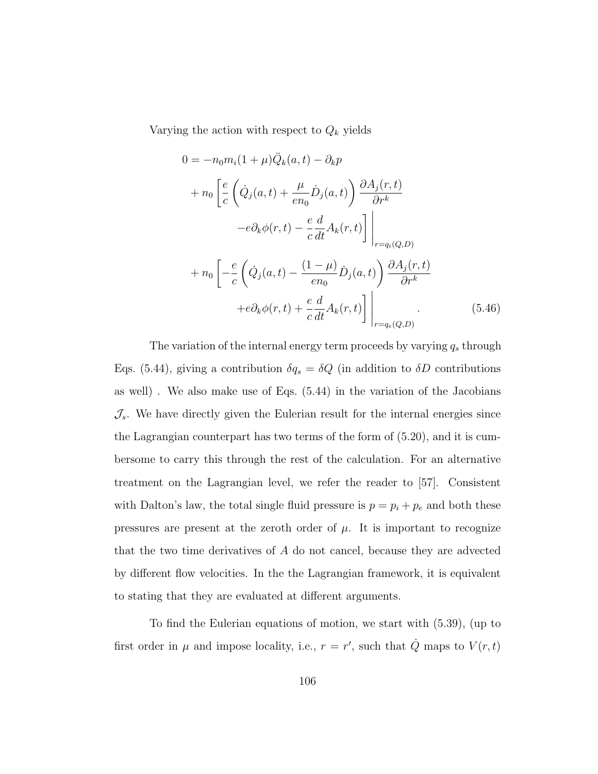Varying the action with respect to  $Q_k$  yields

$$
0 = -n_0 m_i (1 + \mu) \ddot{Q}_k(a, t) - \partial_k p
$$
  
+ 
$$
n_0 \left[ \frac{e}{c} \left( \dot{Q}_j(a, t) + \frac{\mu}{en_0} \dot{D}_j(a, t) \right) \frac{\partial A_j(r, t)}{\partial r^k} -e \partial_k \phi(r, t) - \frac{e}{c} \frac{d}{dt} A_k(r, t) \right] \Big|_{r = q_i(Q, D)}
$$
  
+ 
$$
n_0 \left[ -\frac{e}{c} \left( \dot{Q}_j(a, t) - \frac{(1 - \mu)}{en_0} \dot{D}_j(a, t) \right) \frac{\partial A_j(r, t)}{\partial r^k} +e \partial_k \phi(r, t) + \frac{e}{c} \frac{d}{dt} A_k(r, t) \right] \Big|_{r = q_e(Q, D)}
$$
(5.46)

The variation of the internal energy term proceeds by varying  $q_s$  through Eqs. (5.44), giving a contribution  $\delta q_s = \delta Q$  (in addition to  $\delta D$  contributions as well) . We also make use of Eqs. (5.44) in the variation of the Jacobians  $\mathcal{J}_s$ . We have directly given the Eulerian result for the internal energies since the Lagrangian counterpart has two terms of the form of (5.20), and it is cumbersome to carry this through the rest of the calculation. For an alternative treatment on the Lagrangian level, we refer the reader to [57]. Consistent with Dalton's law, the total single fluid pressure is  $p = p_i + p_e$  and both these pressures are present at the zeroth order of  $\mu$ . It is important to recognize that the two time derivatives of A do not cancel, because they are advected by different flow velocities. In the the Lagrangian framework, it is equivalent to stating that they are evaluated at different arguments.

To find the Eulerian equations of motion, we start with (5.39), (up to first order in  $\mu$  and impose locality, i.e.,  $r = r'$ , such that  $\dot{Q}$  maps to  $V(r, t)$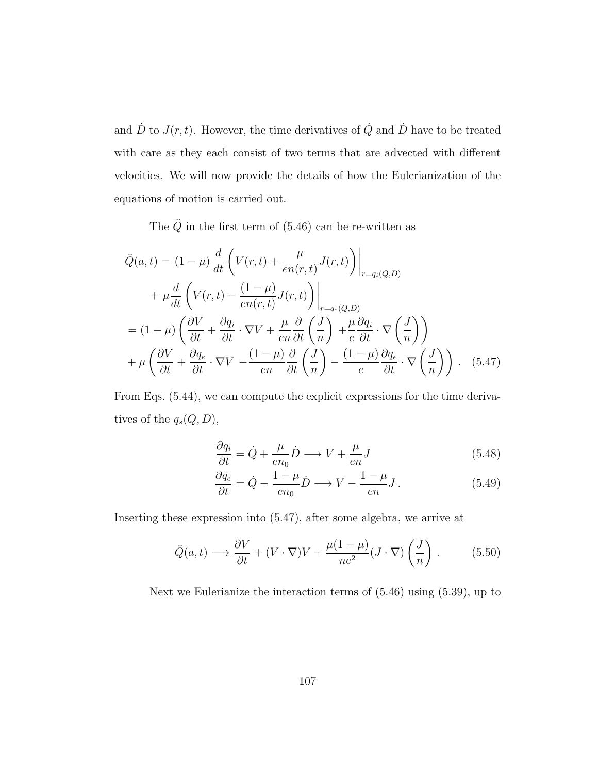and  $\dot{D}$  to  $J(r, t)$ . However, the time derivatives of  $\dot{Q}$  and  $\dot{D}$  have to be treated with care as they each consist of two terms that are advected with different velocities. We will now provide the details of how the Eulerianization of the equations of motion is carried out.

The  $\ddot{Q}$  in the first term of (5.46) can be re-written as

$$
\ddot{Q}(a,t) = (1 - \mu) \frac{d}{dt} \left( V(r,t) + \frac{\mu}{en(r,t)} J(r,t) \right) \Big|_{r = q_i(Q,D)}
$$
  
+ 
$$
\mu \frac{d}{dt} \left( V(r,t) - \frac{(1 - \mu)}{en(r,t)} J(r,t) \right) \Big|_{r = q_e(Q,D)}
$$
  
= 
$$
(1 - \mu) \left( \frac{\partial V}{\partial t} + \frac{\partial q_i}{\partial t} \cdot \nabla V + \frac{\mu}{en} \frac{\partial}{\partial t} \left( \frac{J}{n} \right) + \frac{\mu}{e} \frac{\partial q_i}{\partial t} \cdot \nabla \left( \frac{J}{n} \right) \right)
$$
  
+ 
$$
\mu \left( \frac{\partial V}{\partial t} + \frac{\partial q_e}{\partial t} \cdot \nabla V - \frac{(1 - \mu)}{en} \frac{\partial}{\partial t} \left( \frac{J}{n} \right) - \frac{(1 - \mu)}{e} \frac{\partial q_e}{\partial t} \cdot \nabla \left( \frac{J}{n} \right) \right).
$$
 (5.47)

From Eqs. (5.44), we can compute the explicit expressions for the time derivatives of the  $q_s(Q, D)$ ,

$$
\frac{\partial q_i}{\partial t} = \dot{Q} + \frac{\mu}{en_0} \dot{D} \longrightarrow V + \frac{\mu}{en} J \tag{5.48}
$$

$$
\frac{\partial q_e}{\partial t} = \dot{Q} - \frac{1 - \mu}{en_0} \dot{D} \longrightarrow V - \frac{1 - \mu}{en} J. \tag{5.49}
$$

Inserting these expression into (5.47), after some algebra, we arrive at

$$
\ddot{Q}(a,t) \longrightarrow \frac{\partial V}{\partial t} + (V \cdot \nabla)V + \frac{\mu(1-\mu)}{ne^2} (J \cdot \nabla) \left(\frac{J}{n}\right). \tag{5.50}
$$

Next we Eulerianize the interaction terms of (5.46) using (5.39), up to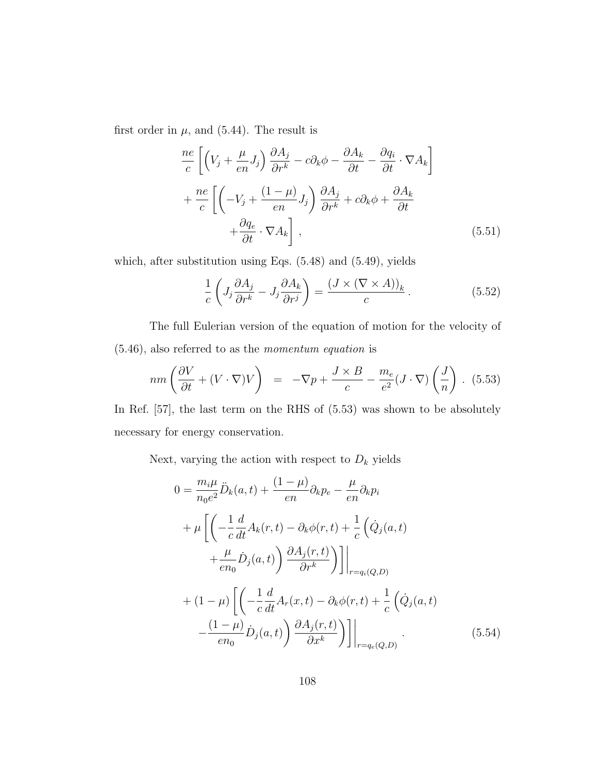first order in  $\mu$ , and (5.44). The result is

$$
\frac{ne}{c}\left[\left(V_j + \frac{\mu}{en}J_j\right)\frac{\partial A_j}{\partial r^k} - c\partial_k\phi - \frac{\partial A_k}{\partial t} - \frac{\partial q_i}{\partial t} \cdot \nabla A_k\right] \n+ \frac{ne}{c}\left[\left(-V_j + \frac{(1-\mu)}{en}J_j\right)\frac{\partial A_j}{\partial r^k} + c\partial_k\phi + \frac{\partial A_k}{\partial t} + \frac{\partial q_e}{\partial t} \cdot \nabla A_k\right],
$$
\n(5.51)

which, after substitution using Eqs. (5.48) and (5.49), yields

$$
\frac{1}{c} \left( J_j \frac{\partial A_j}{\partial r^k} - J_j \frac{\partial A_k}{\partial r^j} \right) = \frac{(J \times (\nabla \times A))_k}{c} . \tag{5.52}
$$

The full Eulerian version of the equation of motion for the velocity of (5.46), also referred to as the momentum equation is

$$
nm\left(\frac{\partial V}{\partial t} + (V \cdot \nabla)V\right) = -\nabla p + \frac{J \times B}{c} - \frac{m_e}{e^2}(J \cdot \nabla)\left(\frac{J}{n}\right). (5.53)
$$

In Ref. [57], the last term on the RHS of  $(5.53)$  was shown to be absolutely necessary for energy conservation.

Next, varying the action with respect to  $D_k$  yields

$$
0 = \frac{m_i \mu}{n_0 e^2} \ddot{D}_k(a, t) + \frac{(1 - \mu)}{en} \partial_k p_e - \frac{\mu}{en} \partial_k p_i
$$
  
+ 
$$
\mu \left[ \left( -\frac{1}{c} \frac{d}{dt} A_k(r, t) - \partial_k \phi(r, t) + \frac{1}{c} \left( \dot{Q}_j(a, t) \right) + \frac{\mu}{en_0} \dot{D}_j(a, t) \right) \frac{\partial A_j(r, t)}{\partial r^k} \right) \right] \Big|_{r = q_i(Q, D)}
$$
  
+ 
$$
(1 - \mu) \left[ \left( -\frac{1}{c} \frac{d}{dt} A_r(x, t) - \partial_k \phi(r, t) + \frac{1}{c} \left( \dot{Q}_j(a, t) \right) - \frac{(1 - \mu)}{en_0} \dot{D}_j(a, t) \right) \frac{\partial A_j(r, t)}{\partial x^k} \right) \Big] \Big|_{r = q_e(Q, D)}
$$
(5.54)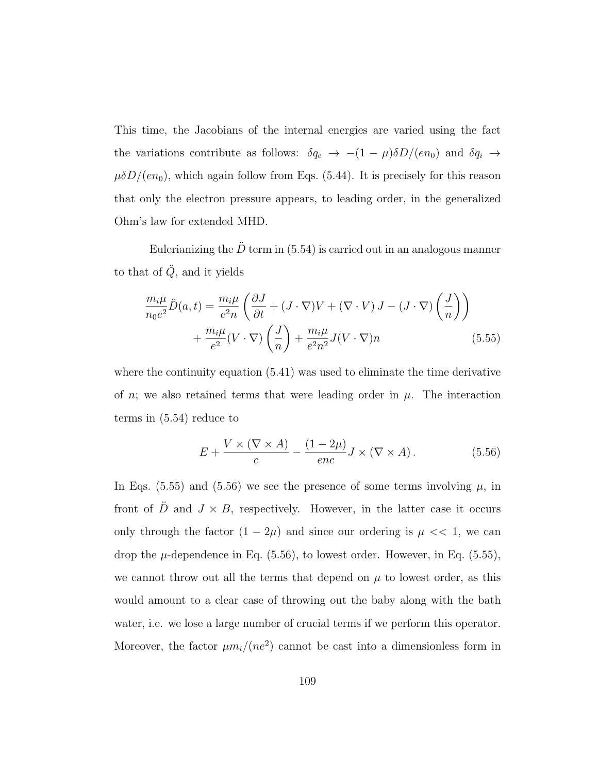This time, the Jacobians of the internal energies are varied using the fact the variations contribute as follows:  $\delta q_e \rightarrow -(1 - \mu) \delta D/(en_0)$  and  $\delta q_i \rightarrow$  $\mu\delta D/(en_0)$ , which again follow from Eqs. (5.44). It is precisely for this reason that only the electron pressure appears, to leading order, in the generalized Ohm's law for extended MHD.

Eulerianizing the  $\ddot{D}$  term in (5.54) is carried out in an analogous manner to that of  $\ddot{Q}$ , and it yields

$$
\frac{m_i \mu}{n_0 e^2} \ddot{D}(a, t) = \frac{m_i \mu}{e^2 n} \left( \frac{\partial J}{\partial t} + (J \cdot \nabla) V + (\nabla \cdot V) J - (J \cdot \nabla) \left( \frac{J}{n} \right) \right) + \frac{m_i \mu}{e^2} (V \cdot \nabla) \left( \frac{J}{n} \right) + \frac{m_i \mu}{e^2 n^2} J (V \cdot \nabla) n
$$
(5.55)

where the continuity equation (5.41) was used to eliminate the time derivative of n; we also retained terms that were leading order in  $\mu$ . The interaction terms in (5.54) reduce to

$$
E + \frac{V \times (\nabla \times A)}{c} - \frac{(1 - 2\mu)}{enc} J \times (\nabla \times A). \tag{5.56}
$$

In Eqs. (5.55) and (5.56) we see the presence of some terms involving  $\mu$ , in front of  $\ddot{D}$  and  $J \times B$ , respectively. However, in the latter case it occurs only through the factor  $(1 - 2\mu)$  and since our ordering is  $\mu \ll 1$ , we can drop the  $\mu$ -dependence in Eq. (5.56), to lowest order. However, in Eq. (5.55), we cannot throw out all the terms that depend on  $\mu$  to lowest order, as this would amount to a clear case of throwing out the baby along with the bath water, i.e. we lose a large number of crucial terms if we perform this operator. Moreover, the factor  $\mu m_i/(ne^2)$  cannot be cast into a dimensionless form in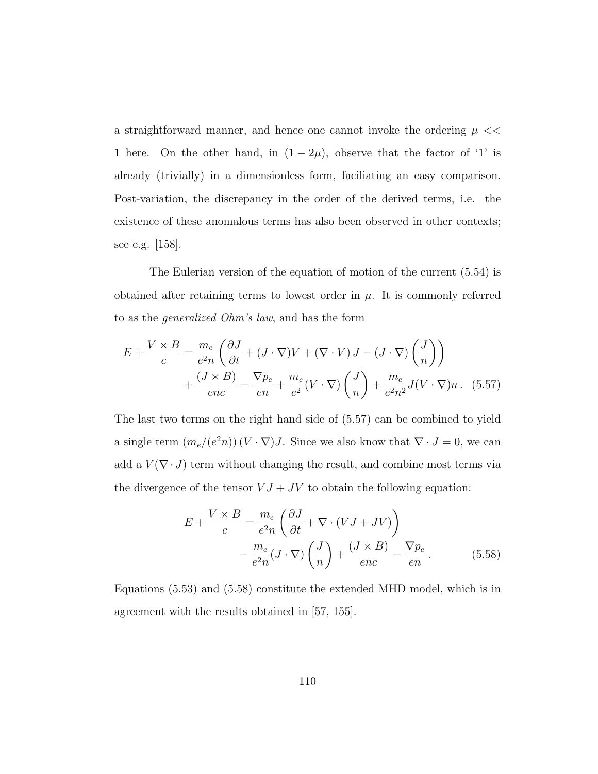a straightforward manner, and hence one cannot invoke the ordering  $\mu \ll$ 1 here. On the other hand, in  $(1 - 2\mu)$ , observe that the factor of '1' is already (trivially) in a dimensionless form, faciliating an easy comparison. Post-variation, the discrepancy in the order of the derived terms, i.e. the existence of these anomalous terms has also been observed in other contexts; see e.g. [158].

The Eulerian version of the equation of motion of the current (5.54) is obtained after retaining terms to lowest order in  $\mu$ . It is commonly referred to as the generalized Ohm's law, and has the form

$$
E + \frac{V \times B}{c} = \frac{m_e}{e^2 n} \left( \frac{\partial J}{\partial t} + (J \cdot \nabla) V + (\nabla \cdot V) J - (J \cdot \nabla) \left( \frac{J}{n} \right) \right)
$$

$$
+ \frac{(J \times B)}{enc} - \frac{\nabla p_e}{en} + \frac{m_e}{e^2} (V \cdot \nabla) \left( \frac{J}{n} \right) + \frac{m_e}{e^2 n^2} J (V \cdot \nabla) n. \tag{5.57}
$$

The last two terms on the right hand side of (5.57) can be combined to yield a single term  $(m_e/(e^2n))(V \cdot \nabla)J$ . Since we also know that  $\nabla \cdot J = 0$ , we can add a  $V(\nabla \cdot J)$  term without changing the result, and combine most terms via the divergence of the tensor  $VJ + JV$  to obtain the following equation:

$$
E + \frac{V \times B}{c} = \frac{m_e}{e^2 n} \left( \frac{\partial J}{\partial t} + \nabla \cdot (V J + J V) \right)
$$

$$
- \frac{m_e}{e^2 n} (J \cdot \nabla) \left( \frac{J}{n} \right) + \frac{(J \times B)}{enc} - \frac{\nabla p_e}{en}.
$$
(5.58)

Equations (5.53) and (5.58) constitute the extended MHD model, which is in agreement with the results obtained in [57, 155].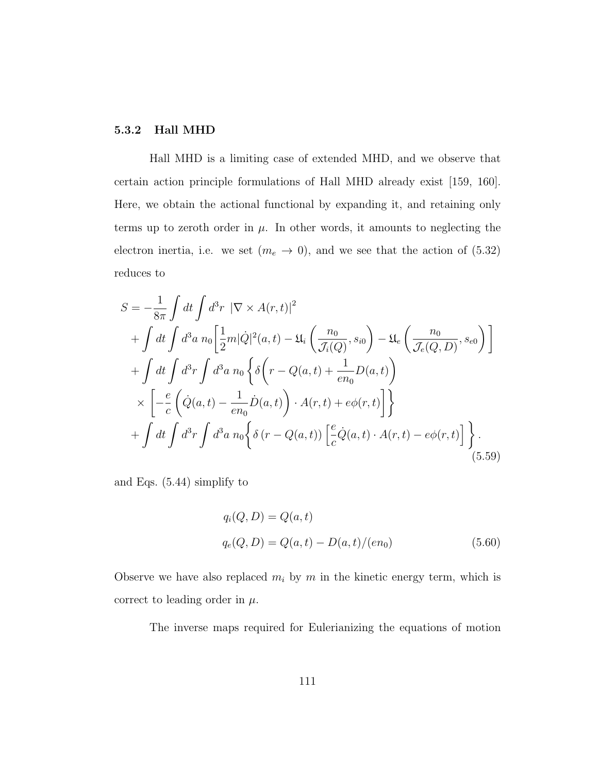# 5.3.2 Hall MHD

Hall MHD is a limiting case of extended MHD, and we observe that certain action principle formulations of Hall MHD already exist [159, 160]. Here, we obtain the actional functional by expanding it, and retaining only terms up to zeroth order in  $\mu$ . In other words, it amounts to neglecting the electron inertia, i.e. we set  $(m_e \to 0)$ , and we see that the action of (5.32) reduces to

$$
S = -\frac{1}{8\pi} \int dt \int d^3r \ |\nabla \times A(r,t)|^2
$$
  
+ 
$$
\int dt \int d^3a \ n_0 \left[ \frac{1}{2}m|\dot{Q}|^2(a,t) - \mathfrak{U}_i \left( \frac{n_0}{\mathcal{J}_i(Q)}, s_{i0} \right) - \mathfrak{U}_e \left( \frac{n_0}{\mathcal{J}_e(Q,D)}, s_{e0} \right) \right]
$$
  
+ 
$$
\int dt \int d^3r \int d^3a \ n_0 \left\{ \delta \left( r - Q(a,t) + \frac{1}{en_0}D(a,t) \right) \right\}
$$
  

$$
\times \left[ -\frac{e}{c} \left( \dot{Q}(a,t) - \frac{1}{en_0} \dot{D}(a,t) \right) \cdot A(r,t) + e\phi(r,t) \right] \right\}
$$
  
+ 
$$
\int dt \int d^3r \int d^3a \ n_0 \left\{ \delta \left( r - Q(a,t) \right) \left[ \frac{e}{c} \dot{Q}(a,t) \cdot A(r,t) - e\phi(r,t) \right] \right\}.
$$
  
(5.59)

and Eqs. (5.44) simplify to

$$
q_i(Q, D) = Q(a, t)
$$
  
\n
$$
q_e(Q, D) = Q(a, t) - D(a, t)/(en_0)
$$
\n(5.60)

Observe we have also replaced  $m_i$  by  $m$  in the kinetic energy term, which is correct to leading order in  $\mu$ .

The inverse maps required for Eulerianizing the equations of motion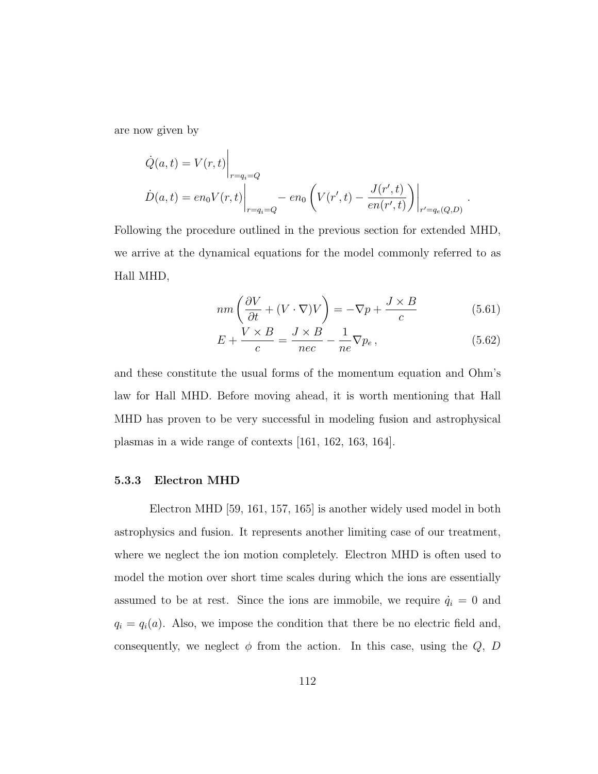are now given by

$$
\dot{Q}(a,t) = V(r,t) \Big|_{r=q_i=Q}
$$
  

$$
\dot{D}(a,t) = en_0 V(r,t) \Big|_{r=q_i=Q} - en_0 \left( V(r',t) - \frac{J(r',t)}{en(r',t)} \right) \Big|_{r'=q_e(Q,D)}
$$

Following the procedure outlined in the previous section for extended MHD, we arrive at the dynamical equations for the model commonly referred to as Hall MHD,

$$
nm\left(\frac{\partial V}{\partial t} + (V \cdot \nabla)V\right) = -\nabla p + \frac{J \times B}{c}
$$
\n(5.61)

.

$$
E + \frac{V \times B}{c} = \frac{J \times B}{nec} - \frac{1}{ne} \nabla p_e, \qquad (5.62)
$$

and these constitute the usual forms of the momentum equation and Ohm's law for Hall MHD. Before moving ahead, it is worth mentioning that Hall MHD has proven to be very successful in modeling fusion and astrophysical plasmas in a wide range of contexts [161, 162, 163, 164].

### 5.3.3 Electron MHD

Electron MHD [59, 161, 157, 165] is another widely used model in both astrophysics and fusion. It represents another limiting case of our treatment, where we neglect the ion motion completely. Electron MHD is often used to model the motion over short time scales during which the ions are essentially assumed to be at rest. Since the ions are immobile, we require  $\dot{q}_i = 0$  and  $q_i = q_i(a)$ . Also, we impose the condition that there be no electric field and, consequently, we neglect  $\phi$  from the action. In this case, using the  $Q$ ,  $D$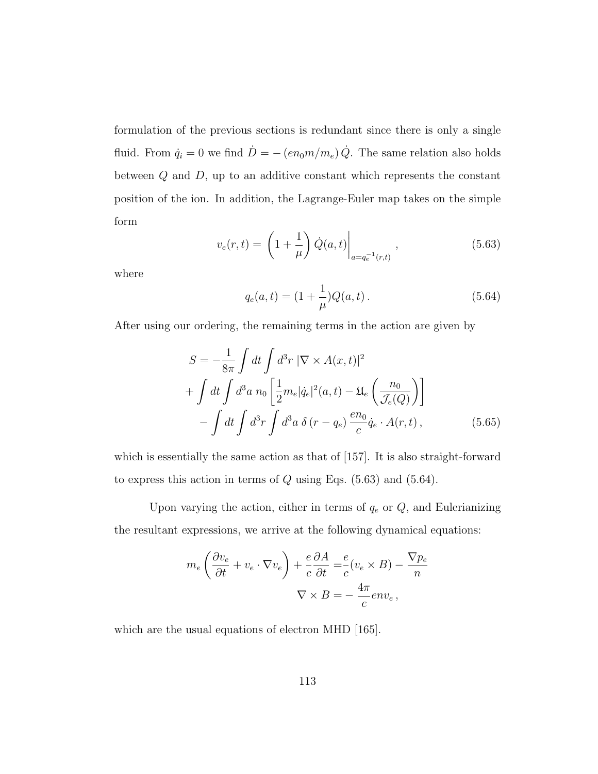formulation of the previous sections is redundant since there is only a single fluid. From  $\dot{q}_i = 0$  we find  $\dot{D} = -(en_0m/m_e)\dot{Q}$ . The same relation also holds between  $Q$  and  $D$ , up to an additive constant which represents the constant position of the ion. In addition, the Lagrange-Euler map takes on the simple form

$$
v_e(r,t) = \left(1 + \frac{1}{\mu}\right) \dot{Q}(a,t) \Big|_{a = q_e^{-1}(r,t)}, \qquad (5.63)
$$

where

$$
q_e(a,t) = (1 + \frac{1}{\mu})Q(a,t).
$$
 (5.64)

After using our ordering, the remaining terms in the action are given by

$$
S = -\frac{1}{8\pi} \int dt \int d^3r \, |\nabla \times A(x,t)|^2
$$
  
+ 
$$
\int dt \int d^3a \, n_0 \left[ \frac{1}{2} m_e |\dot{q}_e|^2(a,t) - \mathfrak{U}_e \left( \frac{n_0}{\mathcal{J}_e(Q)} \right) \right]
$$
  
- 
$$
\int dt \int d^3r \int d^3a \, \delta(r - q_e) \frac{en_0}{c} \dot{q}_e \cdot A(r,t), \qquad (5.65)
$$

which is essentially the same action as that of [157]. It is also straight-forward to express this action in terms of  $Q$  using Eqs. (5.63) and (5.64).

Upon varying the action, either in terms of  $q_e$  or  $Q$ , and Eulerianizing the resultant expressions, we arrive at the following dynamical equations:

$$
m_e \left( \frac{\partial v_e}{\partial t} + v_e \cdot \nabla v_e \right) + \frac{e}{c} \frac{\partial A}{\partial t} = \frac{e}{c} (v_e \times B) - \frac{\nabla p_e}{n}
$$

$$
\nabla \times B = -\frac{4\pi}{c} e n v_e,
$$

which are the usual equations of electron MHD [165].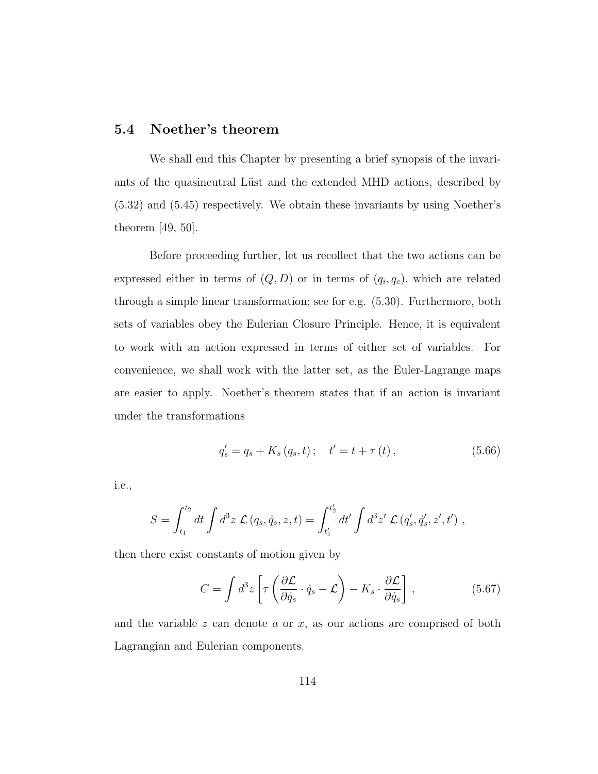# 5.4 Noether's theorem

We shall end this Chapter by presenting a brief synopsis of the invariants of the quasineutral Lüst and the extended MHD actions, described by (5.32) and (5.45) respectively. We obtain these invariants by using Noether's theorem [49, 50].

Before proceeding further, let us recollect that the two actions can be expressed either in terms of  $(Q, D)$  or in terms of  $(q_i, q_e)$ , which are related through a simple linear transformation; see for e.g. (5.30). Furthermore, both sets of variables obey the Eulerian Closure Principle. Hence, it is equivalent to work with an action expressed in terms of either set of variables. For convenience, we shall work with the latter set, as the Euler-Lagrange maps are easier to apply. Noether's theorem states that if an action is invariant under the transformations

$$
q'_{s} = q_{s} + K_{s}(q_{s}, t); \quad t' = t + \tau(t), \qquad (5.66)
$$

i.e.,

$$
S = \int_{t_1}^{t_2} dt \int d^3 z \mathcal{L}(q_s, \dot{q}_s, z, t) = \int_{t'_1}^{t'_2} dt' \int d^3 z' \mathcal{L}(q'_s, \dot{q}'_s, z', t'),
$$

then there exist constants of motion given by

$$
C = \int d^3 z \left[ \tau \left( \frac{\partial \mathcal{L}}{\partial \dot{q}_s} \cdot \dot{q}_s - \mathcal{L} \right) - K_s \cdot \frac{\partial \mathcal{L}}{\partial \dot{q}_s} \right],
$$
 (5.67)

and the variable  $z$  can denote  $a$  or  $x$ , as our actions are comprised of both Lagrangian and Eulerian components.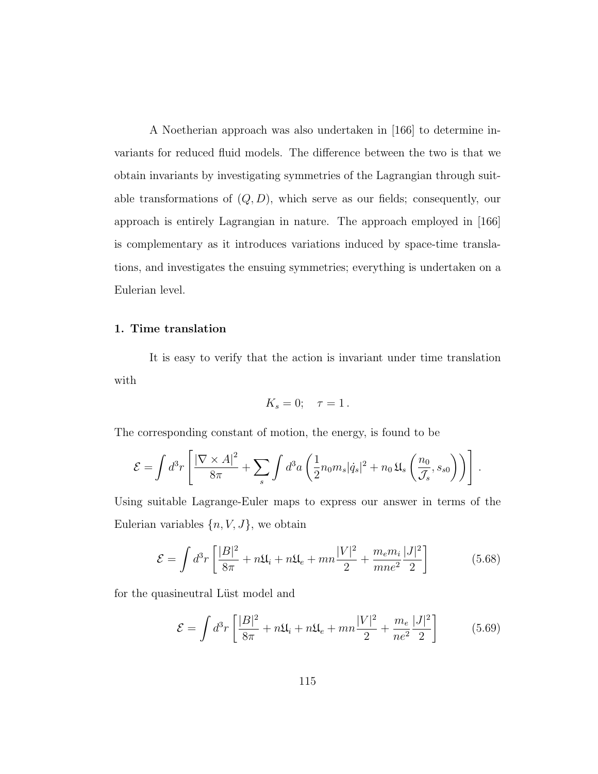A Noetherian approach was also undertaken in [166] to determine invariants for reduced fluid models. The difference between the two is that we obtain invariants by investigating symmetries of the Lagrangian through suitable transformations of  $(Q, D)$ , which serve as our fields; consequently, our approach is entirely Lagrangian in nature. The approach employed in [166] is complementary as it introduces variations induced by space-time translations, and investigates the ensuing symmetries; everything is undertaken on a Eulerian level.

### 1. Time translation

It is easy to verify that the action is invariant under time translation with

$$
K_s = 0; \quad \tau = 1.
$$

The corresponding constant of motion, the energy, is found to be

$$
\mathcal{E} = \int d^3r \left[ \frac{|\nabla \times A|^2}{8\pi} + \sum_s \int d^3a \left( \frac{1}{2} n_0 m_s |\dot{q}_s|^2 + n_0 \mathfrak{U}_s \left( \frac{n_0}{\mathcal{J}_s}, s_{s0} \right) \right) \right].
$$

Using suitable Lagrange-Euler maps to express our answer in terms of the Eulerian variables  $\{n, V, J\}$ , we obtain

$$
\mathcal{E} = \int d^3r \left[ \frac{|B|^2}{8\pi} + n\mathfrak{U}_i + n\mathfrak{U}_e + mn \frac{|V|^2}{2} + \frac{m_e m_i}{m n_e^2} \frac{|J|^2}{2} \right] \tag{5.68}
$$

for the quasineutral Lüst model and

$$
\mathcal{E} = \int d^3r \left[ \frac{|B|^2}{8\pi} + n\mathfrak{U}_i + n\mathfrak{U}_e + mn \frac{|V|^2}{2} + \frac{m_e}{ne^2} \frac{|J|^2}{2} \right] \tag{5.69}
$$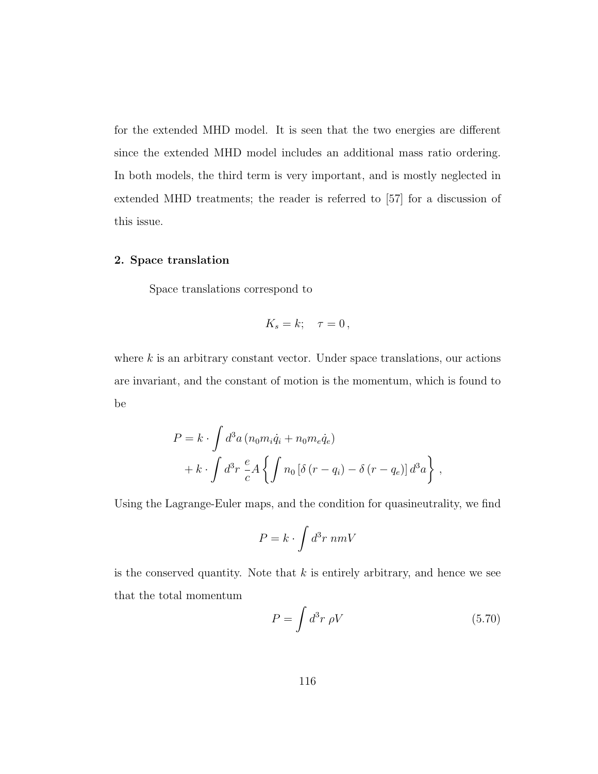for the extended MHD model. It is seen that the two energies are different since the extended MHD model includes an additional mass ratio ordering. In both models, the third term is very important, and is mostly neglected in extended MHD treatments; the reader is referred to [57] for a discussion of this issue.

# 2. Space translation

Space translations correspond to

$$
K_s = k; \quad \tau = 0\,,
$$

where  $k$  is an arbitrary constant vector. Under space translations, our actions are invariant, and the constant of motion is the momentum, which is found to be

$$
P = k \cdot \int d^3a (n_0 m_i \dot{q}_i + n_0 m_e \dot{q}_e)
$$
  
+ 
$$
k \cdot \int d^3r \frac{e}{c} A \left\{ \int n_0 \left[ \delta (r - q_i) - \delta (r - q_e) \right] d^3a \right\},
$$

Using the Lagrange-Euler maps, and the condition for quasineutrality, we find

$$
P = k \cdot \int d^3r \; nmV
$$

is the conserved quantity. Note that  $k$  is entirely arbitrary, and hence we see that the total momentum

$$
P = \int d^3r \; \rho V \tag{5.70}
$$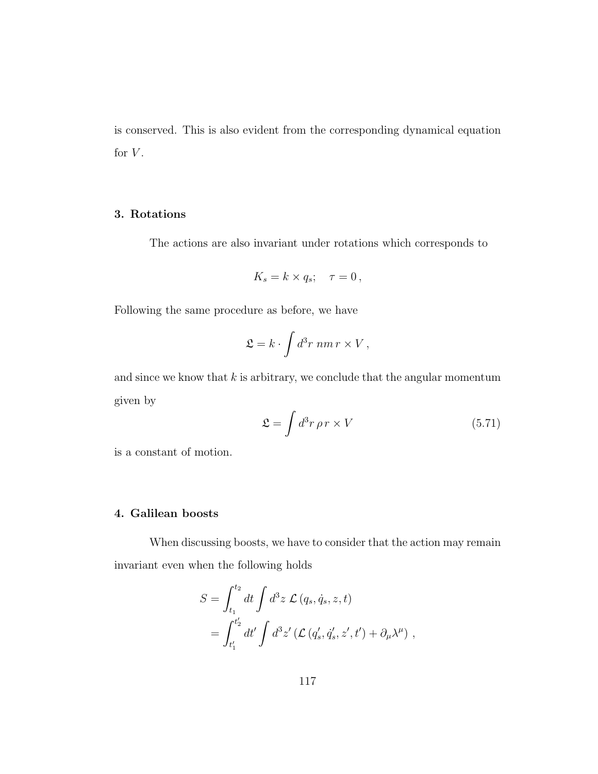is conserved. This is also evident from the corresponding dynamical equation for  $V$ .

# 3. Rotations

The actions are also invariant under rotations which corresponds to

$$
K_s = k \times q_s; \quad \tau = 0\,,
$$

Following the same procedure as before, we have

$$
\mathfrak{L}=k\cdot\int d^3r\;nm\,r\times V\,,
$$

and since we know that  $k$  is arbitrary, we conclude that the angular momentum given by

$$
\mathfrak{L} = \int d^3 r \,\rho \, r \times V \tag{5.71}
$$

is a constant of motion.

# 4. Galilean boosts

When discussing boosts, we have to consider that the action may remain invariant even when the following holds

$$
S = \int_{t_1}^{t_2} dt \int d^3z \mathcal{L}(q_s, \dot{q}_s, z, t)
$$
  
= 
$$
\int_{t'_1}^{t'_2} dt' \int d^3z' (\mathcal{L}(q'_s, \dot{q}'_s, z', t') + \partial_\mu \lambda^\mu) ,
$$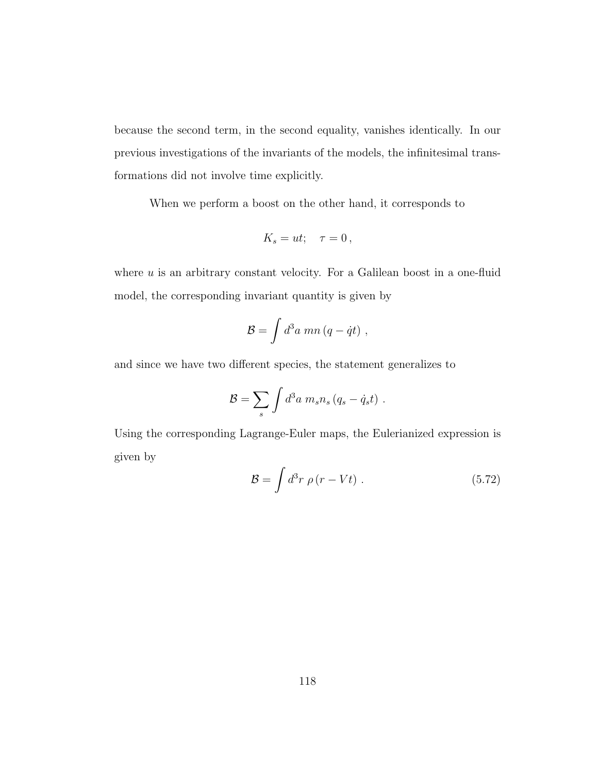because the second term, in the second equality, vanishes identically. In our previous investigations of the invariants of the models, the infinitesimal transformations did not involve time explicitly.

When we perform a boost on the other hand, it corresponds to

$$
K_s = ut; \quad \tau = 0\,,
$$

where  $u$  is an arbitrary constant velocity. For a Galilean boost in a one-fluid model, the corresponding invariant quantity is given by

$$
\mathcal{B} = \int d^3a \; mn \left( q - \dot{q}t \right) \, ,
$$

and since we have two different species, the statement generalizes to

$$
\mathcal{B} = \sum_s \int d^3a \; m_s n_s \left( q_s - \dot{q}_s t \right) \, .
$$

Using the corresponding Lagrange-Euler maps, the Eulerianized expression is given by

$$
\mathcal{B} = \int d^3r \; \rho \left( r - Vt \right) \,. \tag{5.72}
$$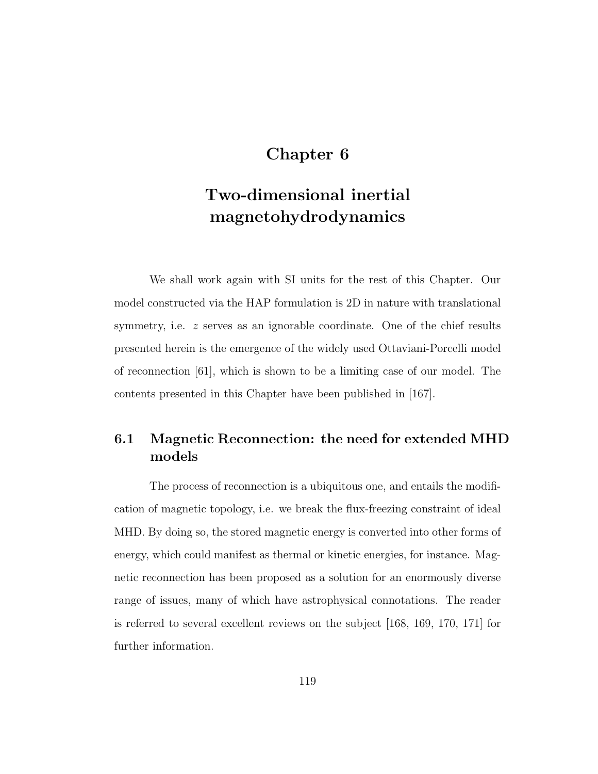# Chapter 6

# Two-dimensional inertial magnetohydrodynamics

We shall work again with SI units for the rest of this Chapter. Our model constructed via the HAP formulation is 2D in nature with translational symmetry, i.e.  $z$  serves as an ignorable coordinate. One of the chief results presented herein is the emergence of the widely used Ottaviani-Porcelli model of reconnection [61], which is shown to be a limiting case of our model. The contents presented in this Chapter have been published in [167].

# 6.1 Magnetic Reconnection: the need for extended MHD models

The process of reconnection is a ubiquitous one, and entails the modification of magnetic topology, i.e. we break the flux-freezing constraint of ideal MHD. By doing so, the stored magnetic energy is converted into other forms of energy, which could manifest as thermal or kinetic energies, for instance. Magnetic reconnection has been proposed as a solution for an enormously diverse range of issues, many of which have astrophysical connotations. The reader is referred to several excellent reviews on the subject [168, 169, 170, 171] for further information.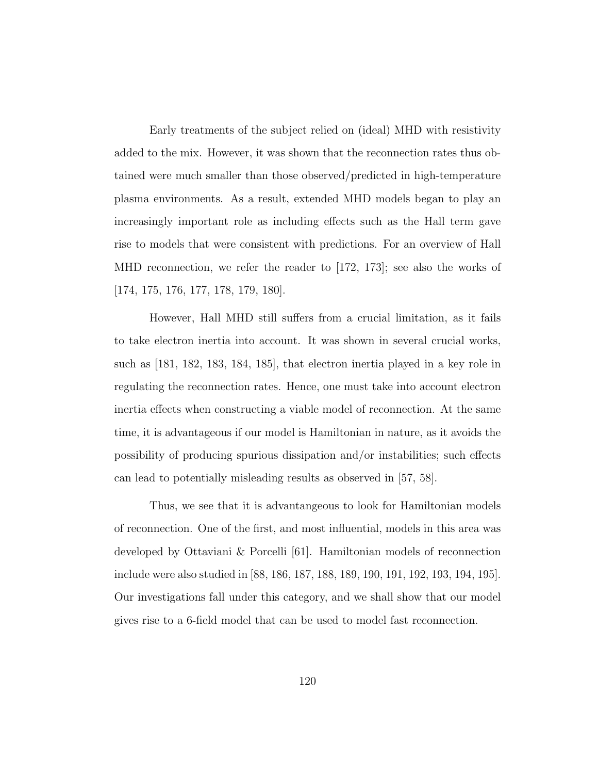Early treatments of the subject relied on (ideal) MHD with resistivity added to the mix. However, it was shown that the reconnection rates thus obtained were much smaller than those observed/predicted in high-temperature plasma environments. As a result, extended MHD models began to play an increasingly important role as including effects such as the Hall term gave rise to models that were consistent with predictions. For an overview of Hall MHD reconnection, we refer the reader to [172, 173]; see also the works of [174, 175, 176, 177, 178, 179, 180].

However, Hall MHD still suffers from a crucial limitation, as it fails to take electron inertia into account. It was shown in several crucial works, such as [181, 182, 183, 184, 185], that electron inertia played in a key role in regulating the reconnection rates. Hence, one must take into account electron inertia effects when constructing a viable model of reconnection. At the same time, it is advantageous if our model is Hamiltonian in nature, as it avoids the possibility of producing spurious dissipation and/or instabilities; such effects can lead to potentially misleading results as observed in [57, 58].

Thus, we see that it is advantangeous to look for Hamiltonian models of reconnection. One of the first, and most influential, models in this area was developed by Ottaviani & Porcelli [61]. Hamiltonian models of reconnection include were also studied in [88, 186, 187, 188, 189, 190, 191, 192, 193, 194, 195]. Our investigations fall under this category, and we shall show that our model gives rise to a 6-field model that can be used to model fast reconnection.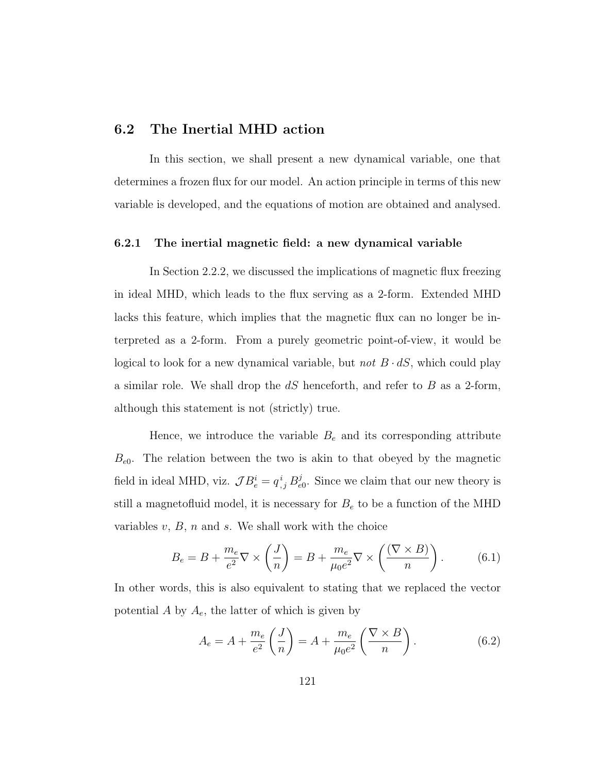# 6.2 The Inertial MHD action

In this section, we shall present a new dynamical variable, one that determines a frozen flux for our model. An action principle in terms of this new variable is developed, and the equations of motion are obtained and analysed.

# 6.2.1 The inertial magnetic field: a new dynamical variable

In Section 2.2.2, we discussed the implications of magnetic flux freezing in ideal MHD, which leads to the flux serving as a 2-form. Extended MHD lacks this feature, which implies that the magnetic flux can no longer be interpreted as a 2-form. From a purely geometric point-of-view, it would be logical to look for a new dynamical variable, but *not*  $B \cdot dS$ , which could play a similar role. We shall drop the  $dS$  henceforth, and refer to  $B$  as a 2-form, although this statement is not (strictly) true.

Hence, we introduce the variable  $B_e$  and its corresponding attribute  $B_{e0}$ . The relation between the two is akin to that obeyed by the magnetic field in ideal MHD, viz.  $\mathcal{J}B_e^i = q_{,j}^i B_e^j$  $_{e0}^{j}$ . Since we claim that our new theory is still a magnetofluid model, it is necessary for  $B_e$  to be a function of the MHD variables  $v, B, n$  and  $s$ . We shall work with the choice

$$
B_e = B + \frac{m_e}{e^2} \nabla \times \left(\frac{J}{n}\right) = B + \frac{m_e}{\mu_0 e^2} \nabla \times \left(\frac{(\nabla \times B)}{n}\right). \tag{6.1}
$$

In other words, this is also equivalent to stating that we replaced the vector potential A by  $A_e$ , the latter of which is given by

$$
A_e = A + \frac{m_e}{e^2} \left(\frac{J}{n}\right) = A + \frac{m_e}{\mu_0 e^2} \left(\frac{\nabla \times B}{n}\right). \tag{6.2}
$$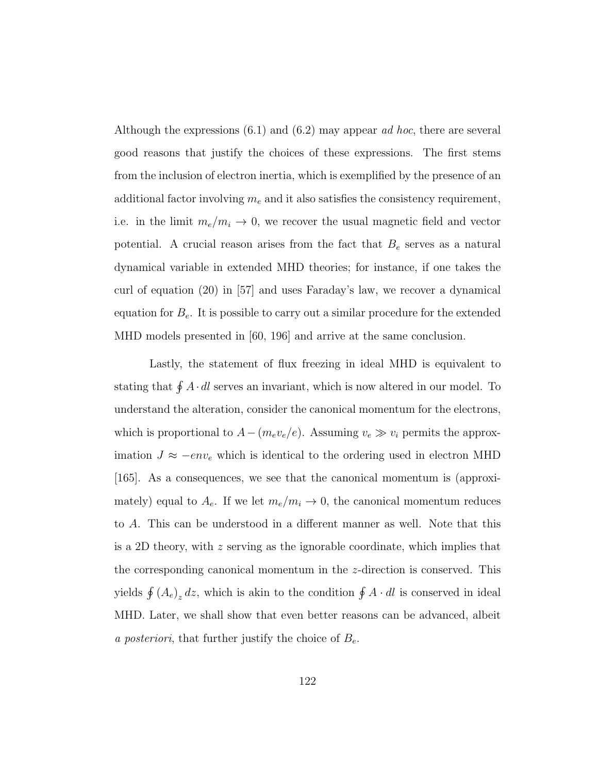Although the expressions  $(6.1)$  and  $(6.2)$  may appear *ad hoc*, there are several good reasons that justify the choices of these expressions. The first stems from the inclusion of electron inertia, which is exemplified by the presence of an additional factor involving  $m_e$  and it also satisfies the consistency requirement, i.e. in the limit  $m_e/m_i \rightarrow 0$ , we recover the usual magnetic field and vector potential. A crucial reason arises from the fact that  $B_e$  serves as a natural dynamical variable in extended MHD theories; for instance, if one takes the curl of equation (20) in [57] and uses Faraday's law, we recover a dynamical equation for  $B_e$ . It is possible to carry out a similar procedure for the extended MHD models presented in [60, 196] and arrive at the same conclusion.

Lastly, the statement of flux freezing in ideal MHD is equivalent to stating that  $\oint A \cdot dl$  serves an invariant, which is now altered in our model. To understand the alteration, consider the canonical momentum for the electrons, which is proportional to  $A-(m_e v_e/e)$ . Assuming  $v_e \gg v_i$  permits the approximation  $J \approx -\epsilon n v_e$  which is identical to the ordering used in electron MHD [165]. As a consequences, we see that the canonical momentum is (approximately) equal to  $A_e$ . If we let  $m_e/m_i \rightarrow 0$ , the canonical momentum reduces to A. This can be understood in a different manner as well. Note that this is a 2D theory, with  $z$  serving as the ignorable coordinate, which implies that the corresponding canonical momentum in the z-direction is conserved. This yields  $\oint (A_e)_z dz$ , which is akin to the condition  $\oint A \cdot dl$  is conserved in ideal MHD. Later, we shall show that even better reasons can be advanced, albeit a posteriori, that further justify the choice of  $B_e$ .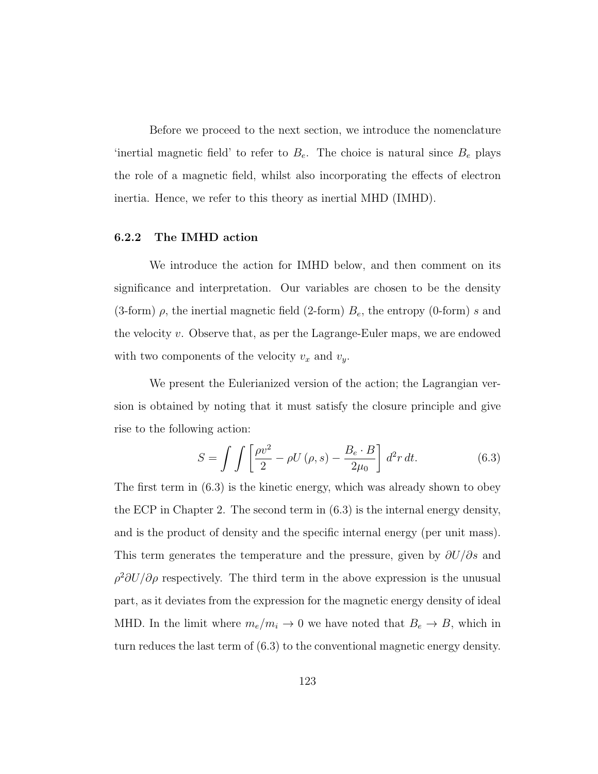Before we proceed to the next section, we introduce the nomenclature 'inertial magnetic field' to refer to  $B_e$ . The choice is natural since  $B_e$  plays the role of a magnetic field, whilst also incorporating the effects of electron inertia. Hence, we refer to this theory as inertial MHD (IMHD).

### 6.2.2 The IMHD action

We introduce the action for IMHD below, and then comment on its significance and interpretation. Our variables are chosen to be the density (3-form)  $\rho$ , the inertial magnetic field (2-form)  $B_e$ , the entropy (0-form) s and the velocity  $v$ . Observe that, as per the Lagrange-Euler maps, we are endowed with two components of the velocity  $v_x$  and  $v_y$ .

We present the Eulerianized version of the action; the Lagrangian version is obtained by noting that it must satisfy the closure principle and give rise to the following action:

$$
S = \int \int \left[ \frac{\rho v^2}{2} - \rho U(\rho, s) - \frac{B_e \cdot B}{2\mu_0} \right] d^2 r dt.
$$
 (6.3)

The first term in (6.3) is the kinetic energy, which was already shown to obey the ECP in Chapter 2. The second term in (6.3) is the internal energy density, and is the product of density and the specific internal energy (per unit mass). This term generates the temperature and the pressure, given by  $\partial U/\partial s$  and  $\rho^2 \partial U/\partial \rho$  respectively. The third term in the above expression is the unusual part, as it deviates from the expression for the magnetic energy density of ideal MHD. In the limit where  $m_e/m_i \rightarrow 0$  we have noted that  $B_e \rightarrow B$ , which in turn reduces the last term of (6.3) to the conventional magnetic energy density.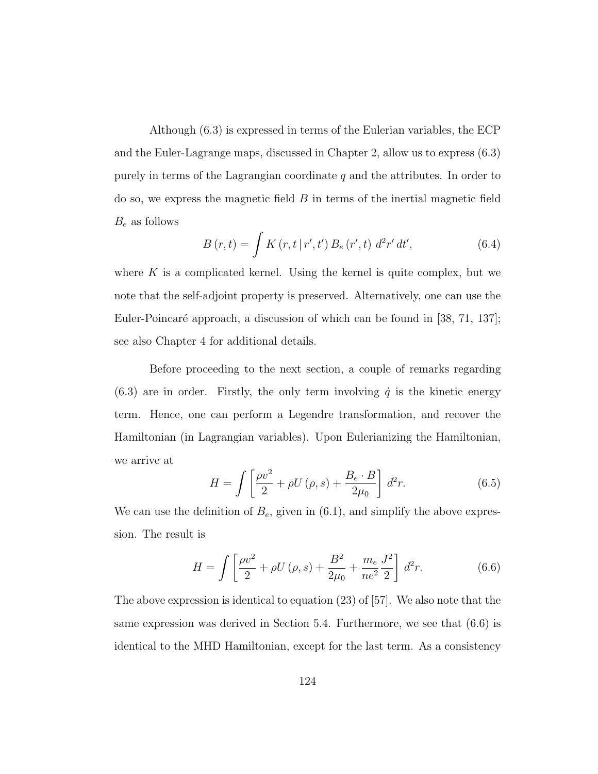Although (6.3) is expressed in terms of the Eulerian variables, the ECP and the Euler-Lagrange maps, discussed in Chapter 2, allow us to express (6.3) purely in terms of the Lagrangian coordinate  $q$  and the attributes. In order to  $\alpha$  so, we express the magnetic field  $\beta$  in terms of the inertial magnetic field  $B_e$  as follows

$$
B(r,t) = \int K(r,t | r',t') B_e(r',t) d^2r' dt',
$$
\n(6.4)

where  $K$  is a complicated kernel. Using the kernel is quite complex, but we note that the self-adjoint property is preserved. Alternatively, one can use the Euler-Poincaré approach, a discussion of which can be found in [38, 71, 137]; see also Chapter 4 for additional details.

Before proceeding to the next section, a couple of remarks regarding (6.3) are in order. Firstly, the only term involving  $\dot{q}$  is the kinetic energy term. Hence, one can perform a Legendre transformation, and recover the Hamiltonian (in Lagrangian variables). Upon Eulerianizing the Hamiltonian, we arrive at

$$
H = \int \left[\frac{\rho v^2}{2} + \rho U(\rho, s) + \frac{B_e \cdot B}{2\mu_0}\right] d^2 r. \tag{6.5}
$$

We can use the definition of  $B_e$ , given in  $(6.1)$ , and simplify the above expression. The result is

$$
H = \int \left[ \frac{\rho v^2}{2} + \rho U(\rho, s) + \frac{B^2}{2\mu_0} + \frac{m_e}{n e^2} \frac{J^2}{2} \right] d^2 r. \tag{6.6}
$$

The above expression is identical to equation (23) of [57]. We also note that the same expression was derived in Section 5.4. Furthermore, we see that (6.6) is identical to the MHD Hamiltonian, except for the last term. As a consistency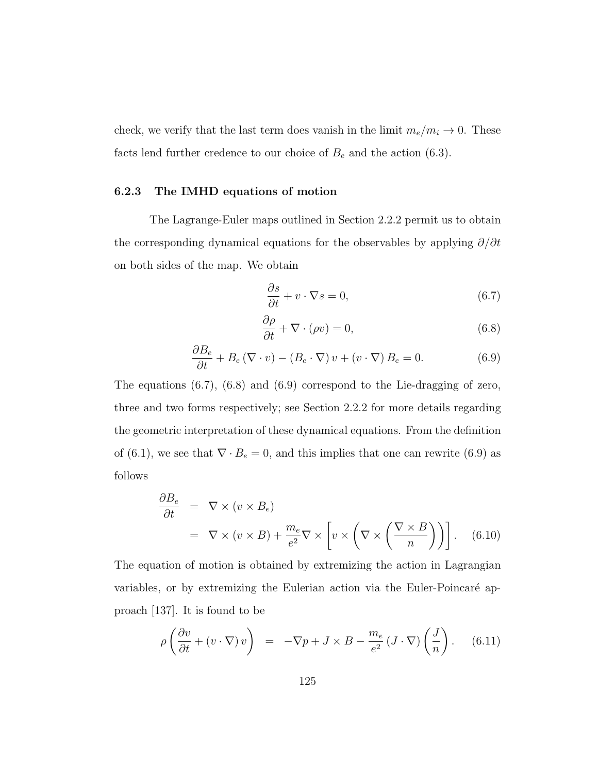check, we verify that the last term does vanish in the limit  $m_e/m_i \rightarrow 0$ . These facts lend further credence to our choice of  $B_e$  and the action (6.3).

### 6.2.3 The IMHD equations of motion

The Lagrange-Euler maps outlined in Section 2.2.2 permit us to obtain the corresponding dynamical equations for the observables by applying  $\partial/\partial t$ on both sides of the map. We obtain

$$
\frac{\partial s}{\partial t} + v \cdot \nabla s = 0,\tag{6.7}
$$

$$
\frac{\partial \rho}{\partial t} + \nabla \cdot (\rho v) = 0,\tag{6.8}
$$

$$
\frac{\partial B_e}{\partial t} + B_e (\nabla \cdot v) - (B_e \cdot \nabla) v + (v \cdot \nabla) B_e = 0.
$$
 (6.9)

The equations (6.7), (6.8) and (6.9) correspond to the Lie-dragging of zero, three and two forms respectively; see Section 2.2.2 for more details regarding the geometric interpretation of these dynamical equations. From the definition of (6.1), we see that  $\nabla \cdot B_e = 0$ , and this implies that one can rewrite (6.9) as follows

$$
\frac{\partial B_e}{\partial t} = \nabla \times (v \times B_e)
$$
\n
$$
= \nabla \times (v \times B) + \frac{m_e}{e^2} \nabla \times \left[ v \times \left( \nabla \times \left( \frac{\nabla \times B}{n} \right) \right) \right]. \quad (6.10)
$$

The equation of motion is obtained by extremizing the action in Lagrangian variables, or by extremizing the Eulerian action via the Euler-Poincaré approach [137]. It is found to be

$$
\rho\left(\frac{\partial v}{\partial t} + (v \cdot \nabla) v\right) = -\nabla p + J \times B - \frac{m_e}{e^2} (J \cdot \nabla) \left(\frac{J}{n}\right). \tag{6.11}
$$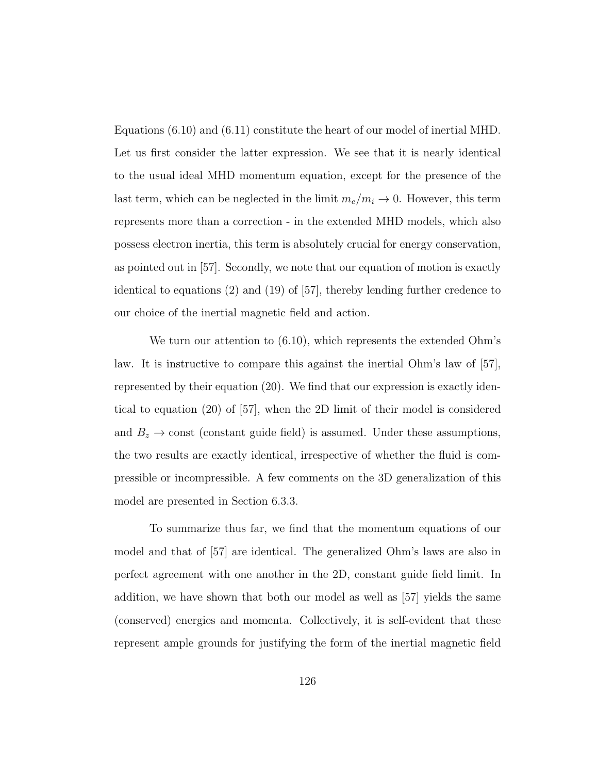Equations (6.10) and (6.11) constitute the heart of our model of inertial MHD. Let us first consider the latter expression. We see that it is nearly identical to the usual ideal MHD momentum equation, except for the presence of the last term, which can be neglected in the limit  $m_e/m_i \rightarrow 0$ . However, this term represents more than a correction - in the extended MHD models, which also possess electron inertia, this term is absolutely crucial for energy conservation, as pointed out in [57]. Secondly, we note that our equation of motion is exactly identical to equations (2) and (19) of [57], thereby lending further credence to our choice of the inertial magnetic field and action.

We turn our attention to (6.10), which represents the extended Ohm's law. It is instructive to compare this against the inertial Ohm's law of [57], represented by their equation (20). We find that our expression is exactly identical to equation (20) of [57], when the 2D limit of their model is considered and  $B_z \rightarrow$  const (constant guide field) is assumed. Under these assumptions, the two results are exactly identical, irrespective of whether the fluid is compressible or incompressible. A few comments on the 3D generalization of this model are presented in Section 6.3.3.

To summarize thus far, we find that the momentum equations of our model and that of [57] are identical. The generalized Ohm's laws are also in perfect agreement with one another in the 2D, constant guide field limit. In addition, we have shown that both our model as well as [57] yields the same (conserved) energies and momenta. Collectively, it is self-evident that these represent ample grounds for justifying the form of the inertial magnetic field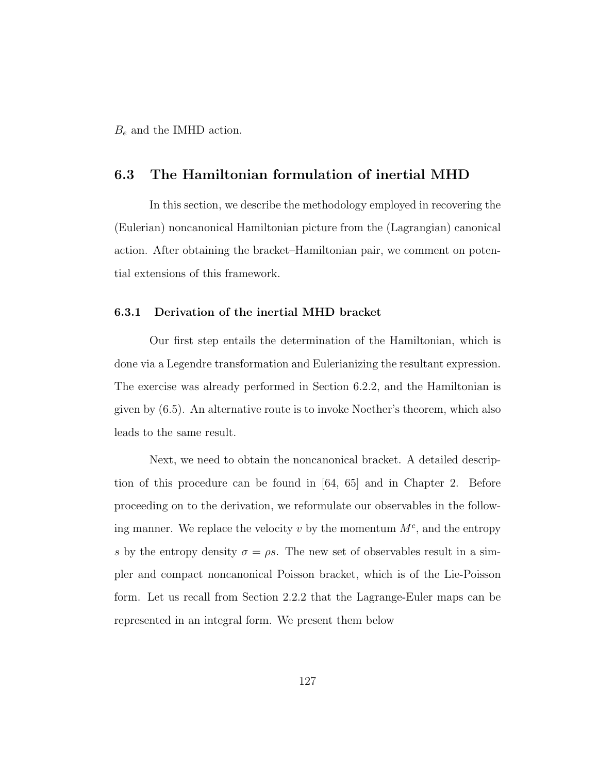$B_e$  and the IMHD action.

# 6.3 The Hamiltonian formulation of inertial MHD

In this section, we describe the methodology employed in recovering the (Eulerian) noncanonical Hamiltonian picture from the (Lagrangian) canonical action. After obtaining the bracket–Hamiltonian pair, we comment on potential extensions of this framework.

### 6.3.1 Derivation of the inertial MHD bracket

Our first step entails the determination of the Hamiltonian, which is done via a Legendre transformation and Eulerianizing the resultant expression. The exercise was already performed in Section 6.2.2, and the Hamiltonian is given by (6.5). An alternative route is to invoke Noether's theorem, which also leads to the same result.

Next, we need to obtain the noncanonical bracket. A detailed description of this procedure can be found in [64, 65] and in Chapter 2. Before proceeding on to the derivation, we reformulate our observables in the following manner. We replace the velocity  $v$  by the momentum  $M<sup>c</sup>$ , and the entropy s by the entropy density  $\sigma = \rho s$ . The new set of observables result in a simpler and compact noncanonical Poisson bracket, which is of the Lie-Poisson form. Let us recall from Section 2.2.2 that the Lagrange-Euler maps can be represented in an integral form. We present them below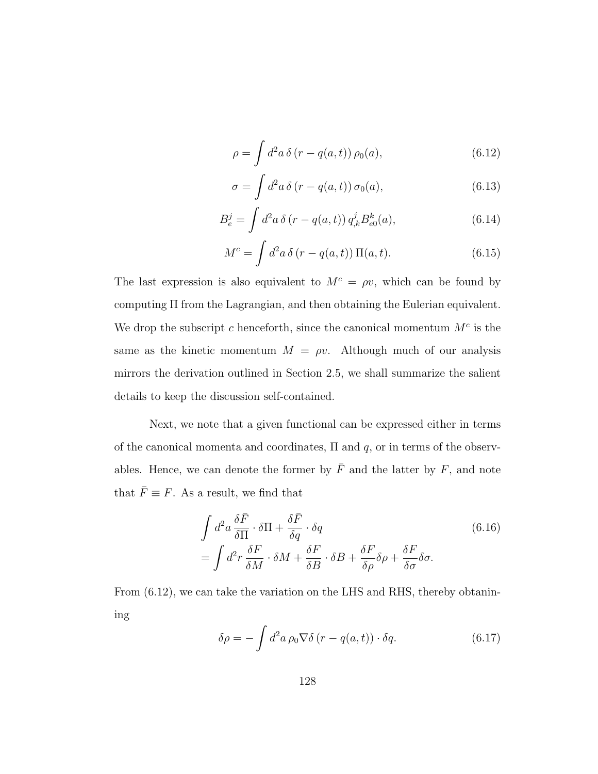$$
\rho = \int d^2 a \, \delta (r - q(a, t)) \, \rho_0(a), \tag{6.12}
$$

$$
\sigma = \int d^2a \,\delta \left( r - q(a, t) \right) \sigma_0(a),\tag{6.13}
$$

$$
B_e^j = \int d^2a \, \delta(r - q(a, t)) \, q_{,k}^j B_{e0}^k(a), \tag{6.14}
$$

$$
M^{c} = \int d^{2}a \,\delta(r - q(a, t)) \,\Pi(a, t). \tag{6.15}
$$

The last expression is also equivalent to  $M<sup>c</sup> = \rho v$ , which can be found by computing Π from the Lagrangian, and then obtaining the Eulerian equivalent. We drop the subscript c henceforth, since the canonical momentum  $M<sup>c</sup>$  is the same as the kinetic momentum  $M = \rho v$ . Although much of our analysis mirrors the derivation outlined in Section 2.5, we shall summarize the salient details to keep the discussion self-contained.

Next, we note that a given functional can be expressed either in terms of the canonical momenta and coordinates,  $\Pi$  and  $q$ , or in terms of the observables. Hence, we can denote the former by  $\overline{F}$  and the latter by  $F$ , and note that  $\bar{F} \equiv F$ . As a result, we find that

$$
\int d^2 a \frac{\delta \bar{F}}{\delta \Pi} \cdot \delta \Pi + \frac{\delta \bar{F}}{\delta q} \cdot \delta q
$$
\n
$$
= \int d^2 r \frac{\delta F}{\delta M} \cdot \delta M + \frac{\delta F}{\delta B} \cdot \delta B + \frac{\delta F}{\delta \rho} \delta \rho + \frac{\delta F}{\delta \sigma} \delta \sigma.
$$
\n(6.16)

From  $(6.12)$ , we can take the variation on the LHS and RHS, thereby obtanining

$$
\delta \rho = -\int d^2 a \, \rho_0 \nabla \delta \left( r - q(a, t) \right) \cdot \delta q. \tag{6.17}
$$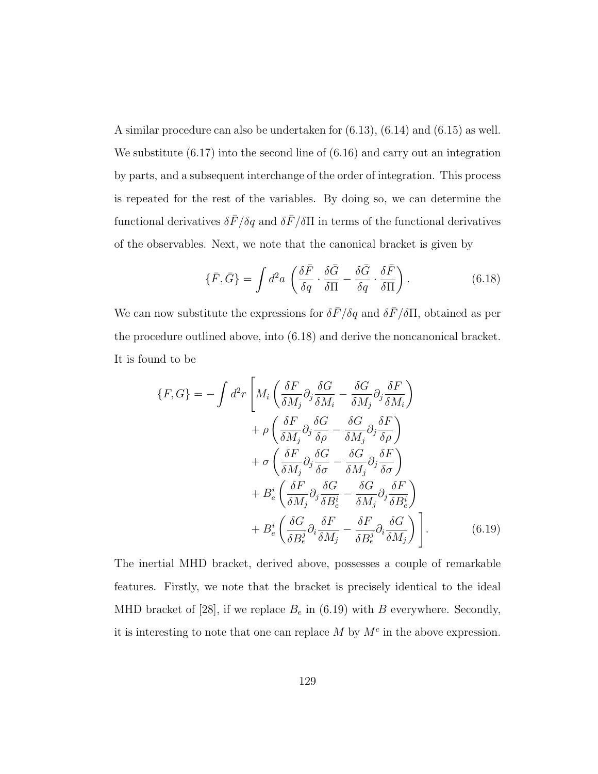A similar procedure can also be undertaken for (6.13), (6.14) and (6.15) as well. We substitute (6.17) into the second line of (6.16) and carry out an integration by parts, and a subsequent interchange of the order of integration. This process is repeated for the rest of the variables. By doing so, we can determine the functional derivatives  $\delta \bar{F}/\delta q$  and  $\delta \bar{F}/\delta \Pi$  in terms of the functional derivatives of the observables. Next, we note that the canonical bracket is given by

$$
\{\bar{F}, \bar{G}\} = \int d^2 a \left( \frac{\delta \bar{F}}{\delta q} \cdot \frac{\delta \bar{G}}{\delta \Pi} - \frac{\delta \bar{G}}{\delta q} \cdot \frac{\delta \bar{F}}{\delta \Pi} \right). \tag{6.18}
$$

We can now substitute the expressions for  $\delta \bar{F}/\delta q$  and  $\delta \bar{F}/\delta \Pi$ , obtained as per the procedure outlined above, into (6.18) and derive the noncanonical bracket. It is found to be

$$
\{F, G\} = -\int d^2r \left[ M_i \left( \frac{\delta F}{\delta M_j} \partial_j \frac{\delta G}{\delta M_i} - \frac{\delta G}{\delta M_j} \partial_j \frac{\delta F}{\delta M_i} \right) \right. \\
\left. + \rho \left( \frac{\delta F}{\delta M_j} \partial_j \frac{\delta G}{\delta \rho} - \frac{\delta G}{\delta M_j} \partial_j \frac{\delta F}{\delta \rho} \right) \right. \\
\left. + \sigma \left( \frac{\delta F}{\delta M_j} \partial_j \frac{\delta G}{\delta \sigma} - \frac{\delta G}{\delta M_j} \partial_j \frac{\delta F}{\delta \sigma} \right) \right. \\
\left. + B_e^i \left( \frac{\delta F}{\delta M_j} \partial_j \frac{\delta G}{\delta B_e^i} - \frac{\delta G}{\delta M_j} \partial_j \frac{\delta F}{\delta B_e^i} \right) \right. \\
\left. + B_e^i \left( \frac{\delta G}{\delta B_e^j} \partial_i \frac{\delta F}{\delta M_j} - \frac{\delta F}{\delta B_e^j} \partial_i \frac{\delta G}{\delta M_j} \right) \right]. \tag{6.19}
$$

The inertial MHD bracket, derived above, possesses a couple of remarkable features. Firstly, we note that the bracket is precisely identical to the ideal MHD bracket of [28], if we replace  $B_e$  in (6.19) with B everywhere. Secondly, it is interesting to note that one can replace  $M$  by  $M<sup>c</sup>$  in the above expression.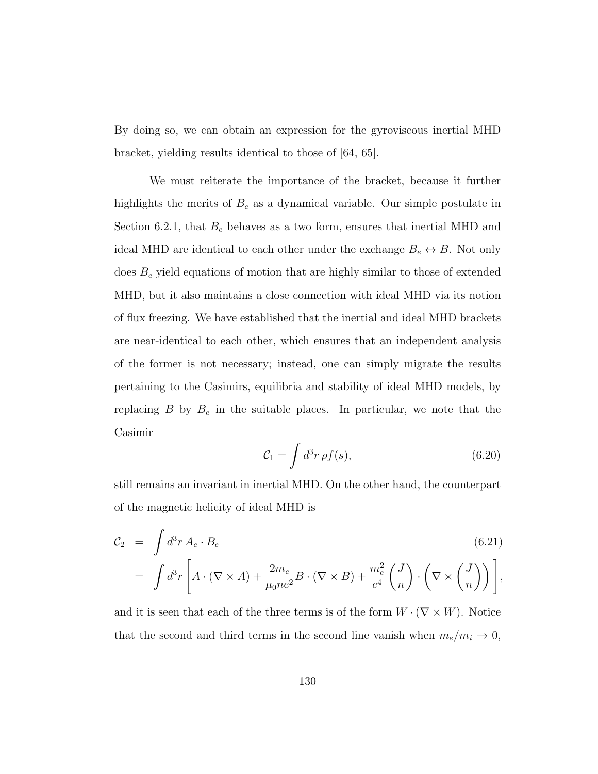By doing so, we can obtain an expression for the gyroviscous inertial MHD bracket, yielding results identical to those of [64, 65].

We must reiterate the importance of the bracket, because it further highlights the merits of  $B_e$  as a dynamical variable. Our simple postulate in Section 6.2.1, that  $B_e$  behaves as a two form, ensures that inertial MHD and ideal MHD are identical to each other under the exchange  $B_e \leftrightarrow B$ . Not only does  $B<sub>e</sub>$  yield equations of motion that are highly similar to those of extended MHD, but it also maintains a close connection with ideal MHD via its notion of flux freezing. We have established that the inertial and ideal MHD brackets are near-identical to each other, which ensures that an independent analysis of the former is not necessary; instead, one can simply migrate the results pertaining to the Casimirs, equilibria and stability of ideal MHD models, by replacing B by  $B_e$  in the suitable places. In particular, we note that the Casimir

$$
\mathcal{C}_1 = \int d^3r \,\rho f(s),\tag{6.20}
$$

still remains an invariant in inertial MHD. On the other hand, the counterpart of the magnetic helicity of ideal MHD is

$$
\mathcal{C}_2 = \int d^3r A_e \cdot B_e
$$
\n
$$
= \int d^3r \left[ A \cdot (\nabla \times A) + \frac{2m_e}{\mu_0 n e^2} B \cdot (\nabla \times B) + \frac{m_e^2}{e^4} \left( \frac{J}{n} \right) \cdot \left( \nabla \times \left( \frac{J}{n} \right) \right) \right],
$$
\n(6.21)

and it is seen that each of the three terms is of the form  $W \cdot (\nabla \times W)$ . Notice that the second and third terms in the second line vanish when  $m_e/m_i \rightarrow 0$ ,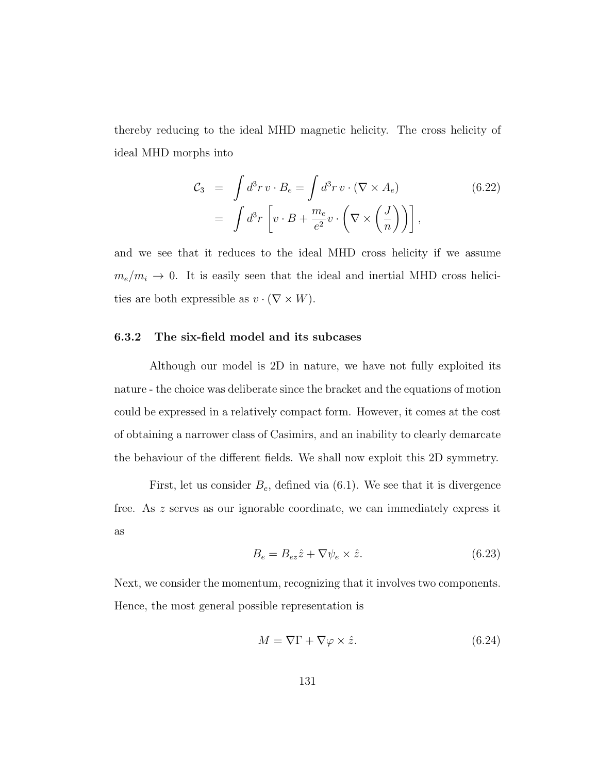thereby reducing to the ideal MHD magnetic helicity. The cross helicity of ideal MHD morphs into

$$
\mathcal{C}_3 = \int d^3 r \, v \cdot B_e = \int d^3 r \, v \cdot (\nabla \times A_e) \tag{6.22}
$$
\n
$$
= \int d^3 r \left[ v \cdot B + \frac{m_e}{e^2} v \cdot \left( \nabla \times \left( \frac{J}{n} \right) \right) \right],
$$

and we see that it reduces to the ideal MHD cross helicity if we assume  $m_e/m_i \rightarrow 0$ . It is easily seen that the ideal and inertial MHD cross helicities are both expressible as  $v \cdot (\nabla \times W)$ .

#### 6.3.2 The six-field model and its subcases

Although our model is 2D in nature, we have not fully exploited its nature - the choice was deliberate since the bracket and the equations of motion could be expressed in a relatively compact form. However, it comes at the cost of obtaining a narrower class of Casimirs, and an inability to clearly demarcate the behaviour of the different fields. We shall now exploit this 2D symmetry.

First, let us consider  $B_e$ , defined via  $(6.1)$ . We see that it is divergence free. As z serves as our ignorable coordinate, we can immediately express it as

$$
B_e = B_{ez}\hat{z} + \nabla \psi_e \times \hat{z}.\tag{6.23}
$$

Next, we consider the momentum, recognizing that it involves two components. Hence, the most general possible representation is

$$
M = \nabla \Gamma + \nabla \varphi \times \hat{z}.\tag{6.24}
$$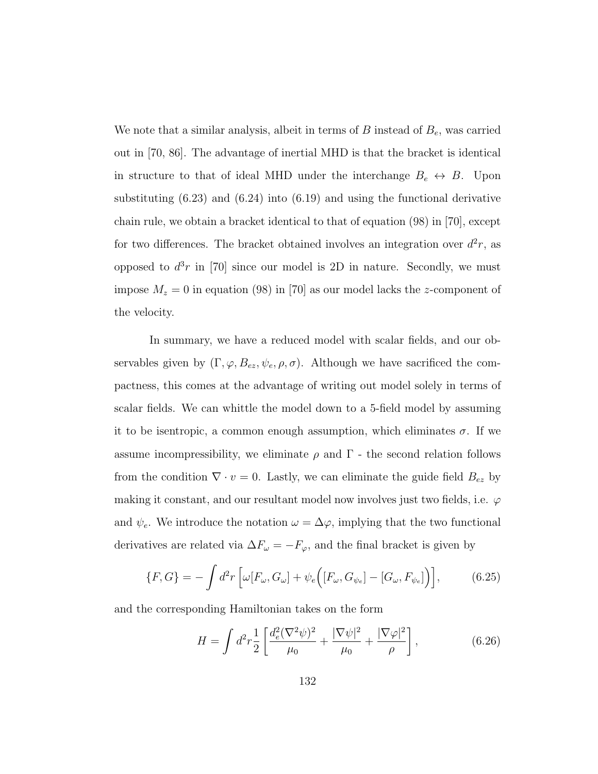We note that a similar analysis, albeit in terms of  $B$  instead of  $B<sub>e</sub>$ , was carried out in [70, 86]. The advantage of inertial MHD is that the bracket is identical in structure to that of ideal MHD under the interchange  $B_e \leftrightarrow B$ . Upon substituting (6.23) and (6.24) into (6.19) and using the functional derivative chain rule, we obtain a bracket identical to that of equation (98) in [70], except for two differences. The bracket obtained involves an integration over  $d^2r$ , as opposed to  $d^3r$  in [70] since our model is 2D in nature. Secondly, we must impose  $M_z = 0$  in equation (98) in [70] as our model lacks the z-component of the velocity.

In summary, we have a reduced model with scalar fields, and our observables given by  $(\Gamma, \varphi, B_{ez}, \psi_e, \rho, \sigma)$ . Although we have sacrificed the compactness, this comes at the advantage of writing out model solely in terms of scalar fields. We can whittle the model down to a 5-field model by assuming it to be isentropic, a common enough assumption, which eliminates  $\sigma$ . If we assume incompressibility, we eliminate  $\rho$  and  $\Gamma$  - the second relation follows from the condition  $\nabla \cdot v = 0$ . Lastly, we can eliminate the guide field  $B_{ez}$  by making it constant, and our resultant model now involves just two fields, i.e.  $\varphi$ and  $\psi_e$ . We introduce the notation  $\omega = \Delta \varphi$ , implying that the two functional derivatives are related via  $\Delta F_{\omega} = -F_{\varphi}$ , and the final bracket is given by

$$
\{F,G\} = -\int d^2r \left[\omega[F_{\omega},G_{\omega}] + \psi_e \Big([F_{\omega},G_{\psi_e}] - [G_{\omega},F_{\psi_e}]\Big)\right],\tag{6.25}
$$

and the corresponding Hamiltonian takes on the form

$$
H = \int d^2 r \frac{1}{2} \left[ \frac{d_e^2 (\nabla^2 \psi)^2}{\mu_0} + \frac{|\nabla \psi|^2}{\mu_0} + \frac{|\nabla \varphi|^2}{\rho} \right],\tag{6.26}
$$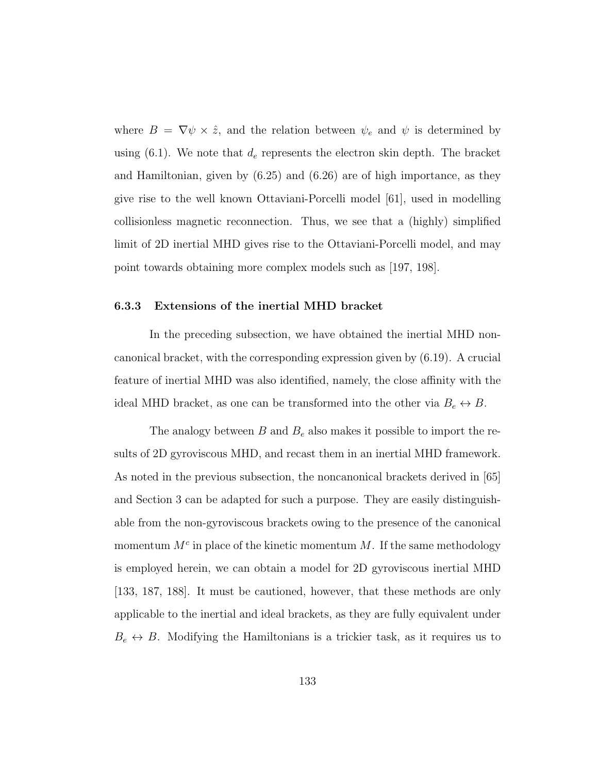where  $B = \nabla \psi \times \hat{z}$ , and the relation between  $\psi_e$  and  $\psi$  is determined by using (6.1). We note that  $d_e$  represents the electron skin depth. The bracket and Hamiltonian, given by (6.25) and (6.26) are of high importance, as they give rise to the well known Ottaviani-Porcelli model [61], used in modelling collisionless magnetic reconnection. Thus, we see that a (highly) simplified limit of 2D inertial MHD gives rise to the Ottaviani-Porcelli model, and may point towards obtaining more complex models such as [197, 198].

### 6.3.3 Extensions of the inertial MHD bracket

In the preceding subsection, we have obtained the inertial MHD noncanonical bracket, with the corresponding expression given by (6.19). A crucial feature of inertial MHD was also identified, namely, the close affinity with the ideal MHD bracket, as one can be transformed into the other via  $B_e \leftrightarrow B$ .

The analogy between  $B$  and  $B_e$  also makes it possible to import the results of 2D gyroviscous MHD, and recast them in an inertial MHD framework. As noted in the previous subsection, the noncanonical brackets derived in [65] and Section 3 can be adapted for such a purpose. They are easily distinguishable from the non-gyroviscous brackets owing to the presence of the canonical momentum  $M<sup>c</sup>$  in place of the kinetic momentum M. If the same methodology is employed herein, we can obtain a model for 2D gyroviscous inertial MHD [133, 187, 188]. It must be cautioned, however, that these methods are only applicable to the inertial and ideal brackets, as they are fully equivalent under  $B_e \leftrightarrow B$ . Modifying the Hamiltonians is a trickier task, as it requires us to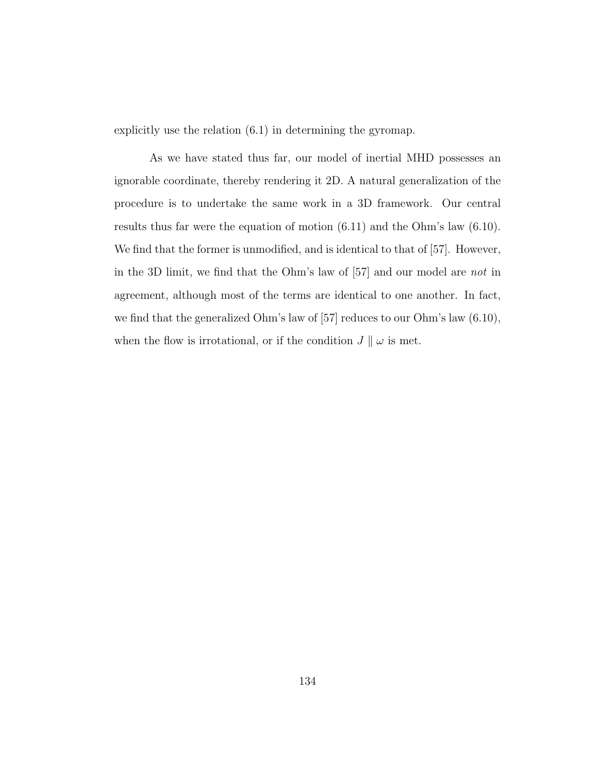explicitly use the relation (6.1) in determining the gyromap.

As we have stated thus far, our model of inertial MHD possesses an ignorable coordinate, thereby rendering it 2D. A natural generalization of the procedure is to undertake the same work in a 3D framework. Our central results thus far were the equation of motion (6.11) and the Ohm's law (6.10). We find that the former is unmodified, and is identical to that of [57]. However, in the 3D limit, we find that the Ohm's law of [57] and our model are not in agreement, although most of the terms are identical to one another. In fact, we find that the generalized Ohm's law of [57] reduces to our Ohm's law (6.10), when the flow is irrotational, or if the condition  $J \parallel \omega$  is met.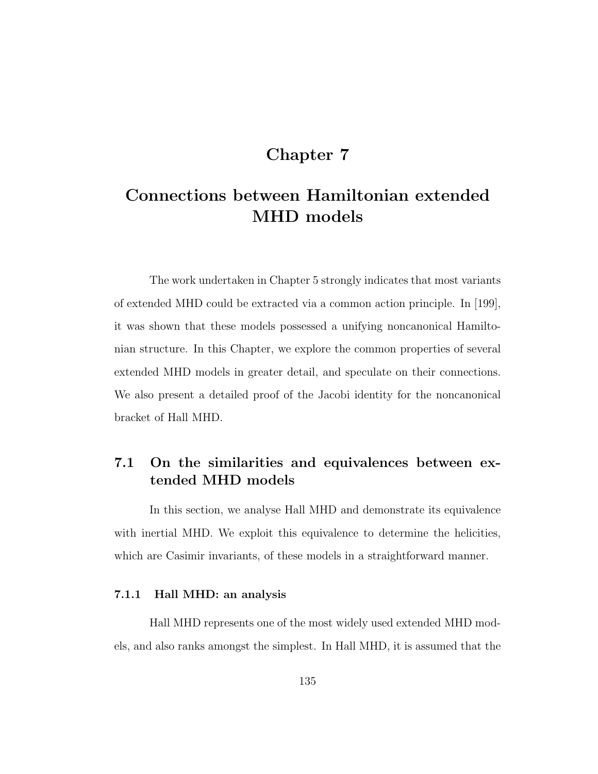## Chapter 7

# Connections between Hamiltonian extended MHD models

The work undertaken in Chapter 5 strongly indicates that most variants of extended MHD could be extracted via a common action principle. In [199], it was shown that these models possessed a unifying noncanonical Hamiltonian structure. In this Chapter, we explore the common properties of several extended MHD models in greater detail, and speculate on their connections. We also present a detailed proof of the Jacobi identity for the noncanonical bracket of Hall MHD.

## 7.1 On the similarities and equivalences between extended MHD models

In this section, we analyse Hall MHD and demonstrate its equivalence with inertial MHD. We exploit this equivalence to determine the helicities, which are Casimir invariants, of these models in a straightforward manner.

### 7.1.1 Hall MHD: an analysis

Hall MHD represents one of the most widely used extended MHD models, and also ranks amongst the simplest. In Hall MHD, it is assumed that the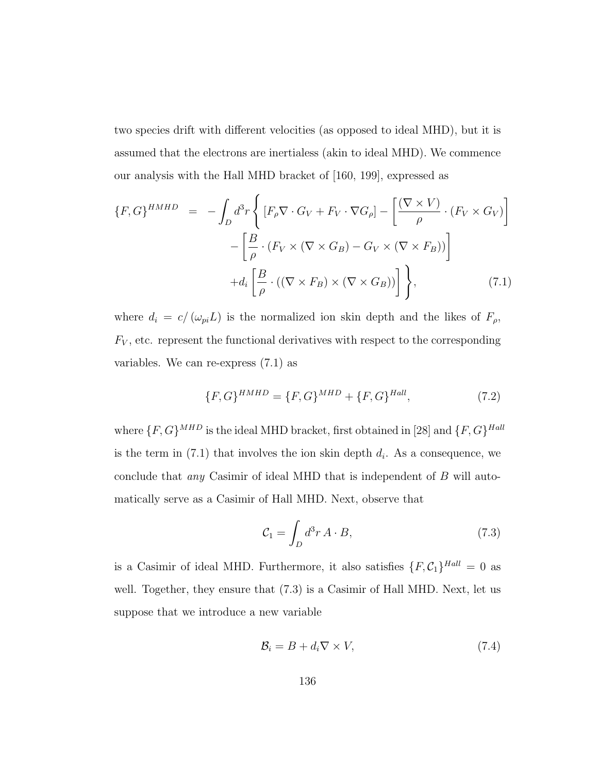two species drift with different velocities (as opposed to ideal MHD), but it is assumed that the electrons are inertialess (akin to ideal MHD). We commence our analysis with the Hall MHD bracket of [160, 199], expressed as

$$
\{F, G\}^{HMHD} = -\int_{D} d^{3}r \left\{ \left[ F_{\rho} \nabla \cdot G_{V} + F_{V} \cdot \nabla G_{\rho} \right] - \left[ \frac{(\nabla \times V)}{\rho} \cdot (F_{V} \times G_{V}) \right] - \left[ \frac{B}{\rho} \cdot (F_{V} \times (\nabla \times G_{B}) - G_{V} \times (\nabla \times F_{B})) \right] + d_{i} \left[ \frac{B}{\rho} \cdot ((\nabla \times F_{B}) \times (\nabla \times G_{B})) \right] \right\}, \tag{7.1}
$$

where  $d_i = c / (\omega_{pi} L)$  is the normalized ion skin depth and the likes of  $F_{\rho}$ ,  $F_V$ , etc. represent the functional derivatives with respect to the corresponding variables. We can re-express (7.1) as

$$
\{F, G\}^{HMHD} = \{F, G\}^{MHD} + \{F, G\}^{Hall},\tag{7.2}
$$

where  $\{F, G\}^{MHD}$  is the ideal MHD bracket, first obtained in [28] and  $\{F, G\}^{Hall}$ is the term in  $(7.1)$  that involves the ion skin depth  $d_i$ . As a consequence, we conclude that any Casimir of ideal MHD that is independent of B will automatically serve as a Casimir of Hall MHD. Next, observe that

$$
\mathcal{C}_1 = \int_D d^3 r \, A \cdot B,\tag{7.3}
$$

is a Casimir of ideal MHD. Furthermore, it also satisfies  $\{F, C_1\}^{Hall} = 0$  as well. Together, they ensure that  $(7.3)$  is a Casimir of Hall MHD. Next, let us suppose that we introduce a new variable

$$
\mathcal{B}_i = B + d_i \nabla \times V,\tag{7.4}
$$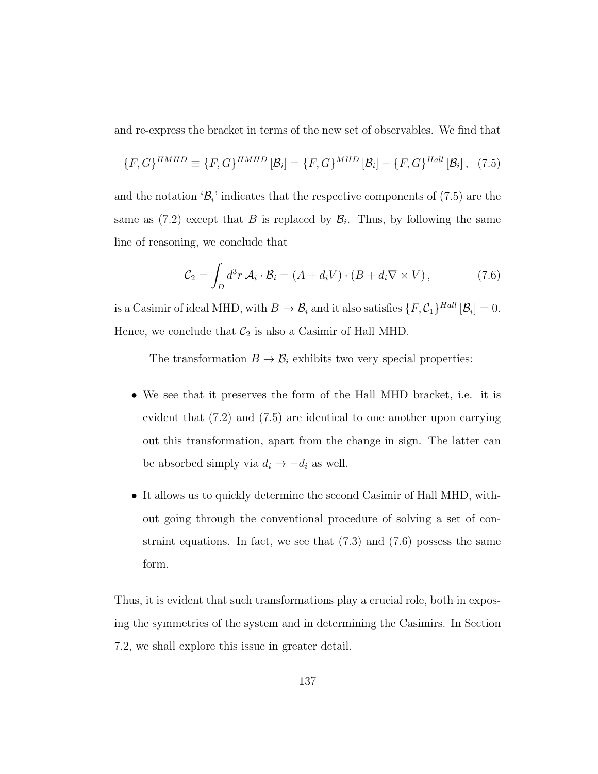and re-express the bracket in terms of the new set of observables. We find that

$$
\{F,G\}^{HMHD} \equiv \{F,G\}^{HMHD} [\mathcal{B}_i] = \{F,G\}^{MHD} [\mathcal{B}_i] - \{F,G\}^{Hall} [\mathcal{B}_i], \quad (7.5)
$$

and the notation ' $\mathcal{B}_i$ ' indicates that the respective components of (7.5) are the same as  $(7.2)$  except that B is replaced by  $\mathcal{B}_i$ . Thus, by following the same line of reasoning, we conclude that

$$
\mathcal{C}_2 = \int_D d^3r \,\mathcal{A}_i \cdot \mathcal{B}_i = (A + d_i V) \cdot (B + d_i \nabla \times V) \,, \tag{7.6}
$$

is a Casimir of ideal MHD, with  $B \to \mathcal{B}_i$  and it also satisfies  $\{F, \mathcal{C}_1\}^{Hall}$   $[\mathcal{B}_i] = 0$ . Hence, we conclude that  $C_2$  is also a Casimir of Hall MHD.

The transformation  $B \to \mathcal{B}_i$  exhibits two very special properties:

- We see that it preserves the form of the Hall MHD bracket, i.e. it is evident that (7.2) and (7.5) are identical to one another upon carrying out this transformation, apart from the change in sign. The latter can be absorbed simply via  $d_i \rightarrow -d_i$  as well.
- It allows us to quickly determine the second Casimir of Hall MHD, without going through the conventional procedure of solving a set of constraint equations. In fact, we see that  $(7.3)$  and  $(7.6)$  possess the same form.

Thus, it is evident that such transformations play a crucial role, both in exposing the symmetries of the system and in determining the Casimirs. In Section 7.2, we shall explore this issue in greater detail.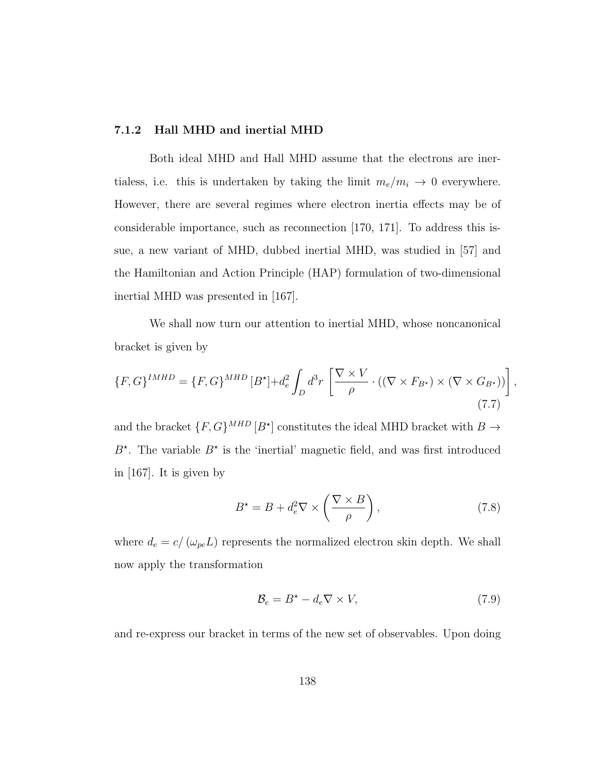### 7.1.2 Hall MHD and inertial MHD

Both ideal MHD and Hall MHD assume that the electrons are inertialess, i.e. this is undertaken by taking the limit  $m_e/m_i \rightarrow 0$  everywhere. However, there are several regimes where electron inertia effects may be of considerable importance, such as reconnection [170, 171]. To address this issue, a new variant of MHD, dubbed inertial MHD, was studied in [57] and the Hamiltonian and Action Principle (HAP) formulation of two-dimensional inertial MHD was presented in [167].

We shall now turn our attention to inertial MHD, whose noncanonical bracket is given by

$$
\{F, G\}^{IMHD} = \{F, G\}^{MHD} [B^{\star}] + d_e^2 \int_D d^3r \left[ \frac{\nabla \times V}{\rho} \cdot ((\nabla \times F_{B^{\star}}) \times (\nabla \times G_{B^{\star}})) \right],
$$
\n(7.7)

and the bracket  $\{F, G\}^{MHD}$   $[B^{\star}]$  constitutes the ideal MHD bracket with  $B \to$  $B^*$ . The variable  $B^*$  is the 'inertial' magnetic field, and was first introduced in [167]. It is given by

$$
B^* = B + d_e^2 \nabla \times \left(\frac{\nabla \times B}{\rho}\right),\tag{7.8}
$$

where  $d_e = c / (\omega_{pe} L)$  represents the normalized electron skin depth. We shall now apply the transformation

$$
\mathcal{B}_e = B^* - d_e \nabla \times V,\tag{7.9}
$$

and re-express our bracket in terms of the new set of observables. Upon doing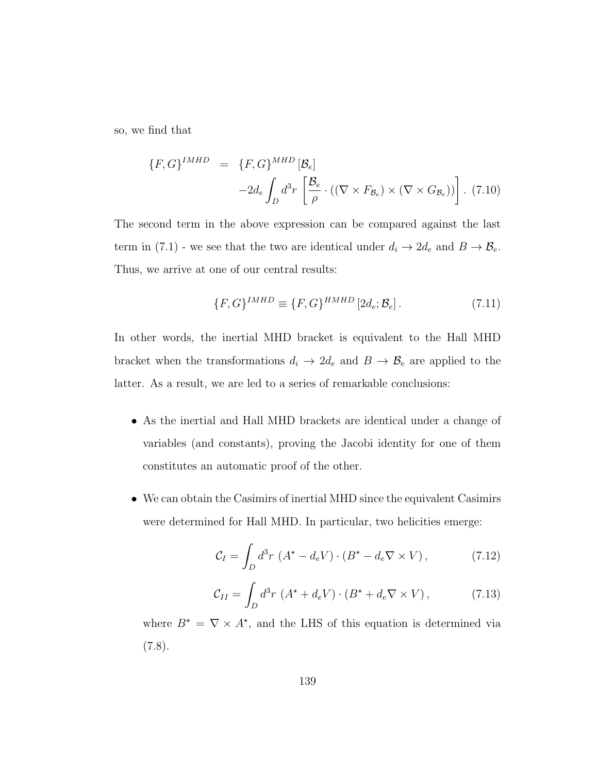so, we find that

$$
\{F, G\}^{IMHD} = \{F, G\}^{MHD} [\mathcal{B}_e]
$$

$$
-2d_e \int_D d^3r \left[ \frac{\mathcal{B}_e}{\rho} \cdot ((\nabla \times F_{\mathcal{B}_e}) \times (\nabla \times G_{\mathcal{B}_e})) \right]. \tag{7.10}
$$

The second term in the above expression can be compared against the last term in (7.1) - we see that the two are identical under  $d_i \to 2d_e$  and  $B \to \mathcal{B}_e$ . Thus, we arrive at one of our central results:

$$
\{F, G\}^{IMHD} \equiv \{F, G\}^{HMHD} \left[2d_e; \mathcal{B}_e\right].\tag{7.11}
$$

In other words, the inertial MHD bracket is equivalent to the Hall MHD bracket when the transformations  $d_i \rightarrow 2d_e$  and  $B \rightarrow \mathcal{B}_e$  are applied to the latter. As a result, we are led to a series of remarkable conclusions:

- As the inertial and Hall MHD brackets are identical under a change of variables (and constants), proving the Jacobi identity for one of them constitutes an automatic proof of the other.
- We can obtain the Casimirs of inertial MHD since the equivalent Casimirs were determined for Hall MHD. In particular, two helicities emerge:

$$
\mathcal{C}_I = \int_D d^3r \, \left( A^\star - d_e V \right) \cdot \left( B^\star - d_e \nabla \times V \right),\tag{7.12}
$$

$$
\mathcal{C}_{II} = \int_{D} d^3r \, \left( A^\star + d_e V \right) \cdot \left( B^\star + d_e \nabla \times V \right), \tag{7.13}
$$

where  $B^* = \nabla \times A^*$ , and the LHS of this equation is determined via  $(7.8).$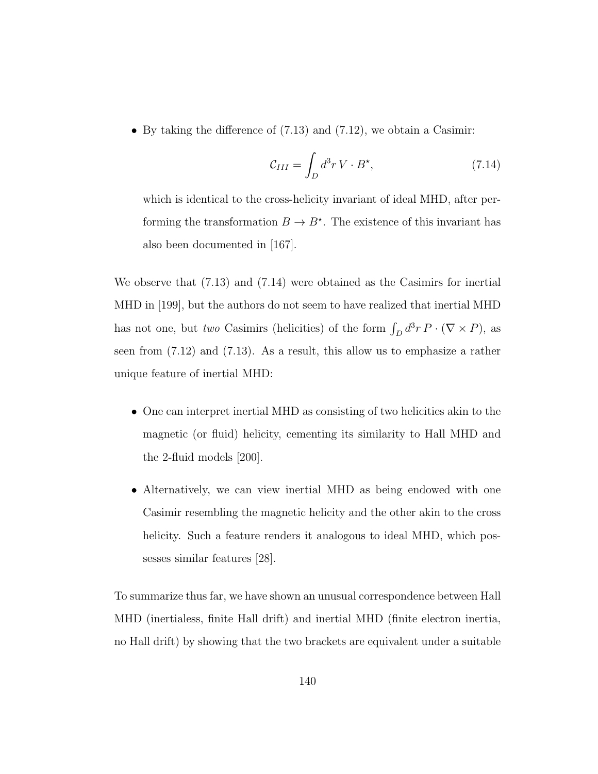• By taking the difference of (7.13) and (7.12), we obtain a Casimir:

$$
\mathcal{C}_{III} = \int_{D} d^{3}r \, V \cdot B^{\star}, \qquad (7.14)
$$

which is identical to the cross-helicity invariant of ideal MHD, after performing the transformation  $B \to B^*$ . The existence of this invariant has also been documented in [167].

We observe that (7.13) and (7.14) were obtained as the Casimirs for inertial MHD in [199], but the authors do not seem to have realized that inertial MHD has not one, but two Casimirs (helicities) of the form  $\int_D d^3r P \cdot (\nabla \times P)$ , as seen from (7.12) and (7.13). As a result, this allow us to emphasize a rather unique feature of inertial MHD:

- One can interpret inertial MHD as consisting of two helicities akin to the magnetic (or fluid) helicity, cementing its similarity to Hall MHD and the 2-fluid models [200].
- Alternatively, we can view inertial MHD as being endowed with one Casimir resembling the magnetic helicity and the other akin to the cross helicity. Such a feature renders it analogous to ideal MHD, which possesses similar features [28].

To summarize thus far, we have shown an unusual correspondence between Hall MHD (inertialess, finite Hall drift) and inertial MHD (finite electron inertia, no Hall drift) by showing that the two brackets are equivalent under a suitable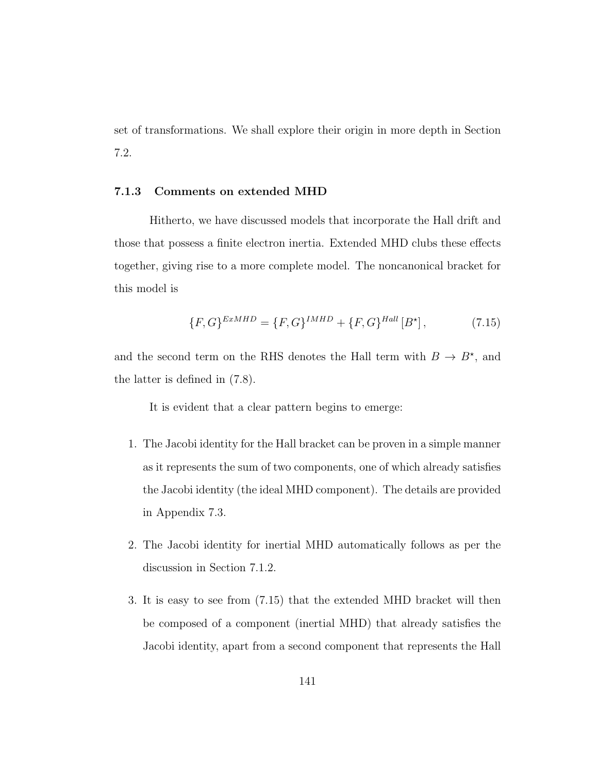set of transformations. We shall explore their origin in more depth in Section 7.2.

### 7.1.3 Comments on extended MHD

Hitherto, we have discussed models that incorporate the Hall drift and those that possess a finite electron inertia. Extended MHD clubs these effects together, giving rise to a more complete model. The noncanonical bracket for this model is

$$
\{F, G\}^{ExMHD} = \{F, G\}^{IMHD} + \{F, G\}^{Hall}[B^{\star}], \tag{7.15}
$$

and the second term on the RHS denotes the Hall term with  $B \to B^*$ , and the latter is defined in (7.8).

It is evident that a clear pattern begins to emerge:

- 1. The Jacobi identity for the Hall bracket can be proven in a simple manner as it represents the sum of two components, one of which already satisfies the Jacobi identity (the ideal MHD component). The details are provided in Appendix 7.3.
- 2. The Jacobi identity for inertial MHD automatically follows as per the discussion in Section 7.1.2.
- 3. It is easy to see from (7.15) that the extended MHD bracket will then be composed of a component (inertial MHD) that already satisfies the Jacobi identity, apart from a second component that represents the Hall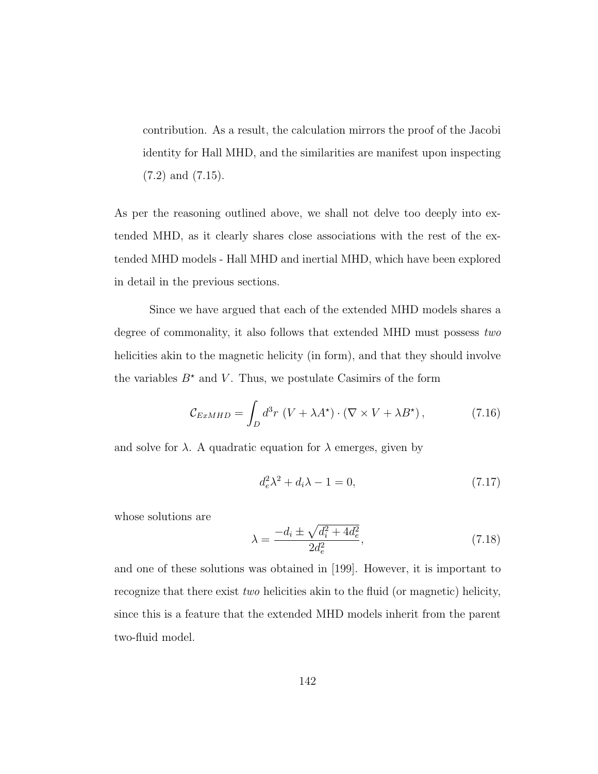contribution. As a result, the calculation mirrors the proof of the Jacobi identity for Hall MHD, and the similarities are manifest upon inspecting (7.2) and (7.15).

As per the reasoning outlined above, we shall not delve too deeply into extended MHD, as it clearly shares close associations with the rest of the extended MHD models - Hall MHD and inertial MHD, which have been explored in detail in the previous sections.

Since we have argued that each of the extended MHD models shares a degree of commonality, it also follows that extended MHD must possess two helicities akin to the magnetic helicity (in form), and that they should involve the variables  $B^*$  and V. Thus, we postulate Casimirs of the form

$$
\mathcal{C}_{ExMHD} = \int_{D} d^3r \, \left( V + \lambda A^{\star} \right) \cdot \left( \nabla \times V + \lambda B^{\star} \right), \tag{7.16}
$$

and solve for  $\lambda$ . A quadratic equation for  $\lambda$  emerges, given by

$$
d_e^2 \lambda^2 + d_i \lambda - 1 = 0,\t\t(7.17)
$$

whose solutions are

$$
\lambda = \frac{-d_i \pm \sqrt{d_i^2 + 4d_e^2}}{2d_e^2},\tag{7.18}
$$

and one of these solutions was obtained in [199]. However, it is important to recognize that there exist two helicities akin to the fluid (or magnetic) helicity, since this is a feature that the extended MHD models inherit from the parent two-fluid model.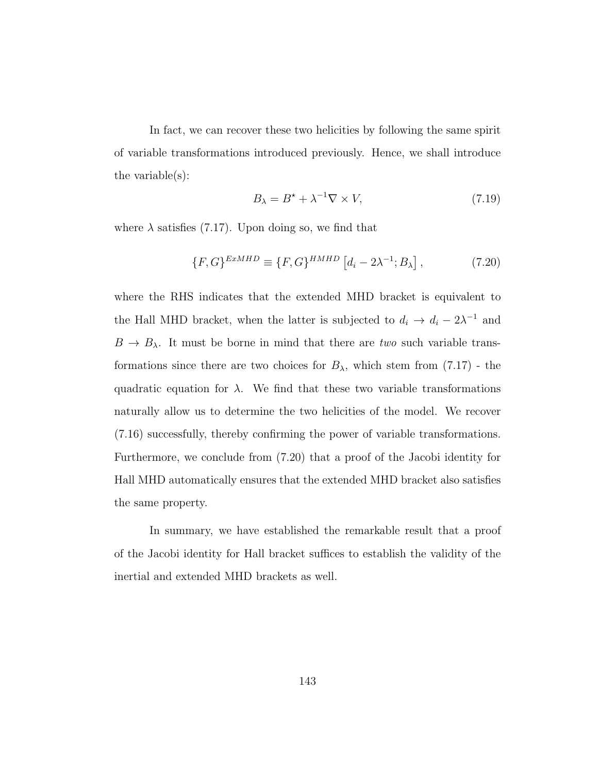In fact, we can recover these two helicities by following the same spirit of variable transformations introduced previously. Hence, we shall introduce the variable(s):

$$
B_{\lambda} = B^{\star} + \lambda^{-1} \nabla \times V, \tag{7.19}
$$

where  $\lambda$  satisfies (7.17). Upon doing so, we find that

$$
\{F, G\}^{ExMHD} \equiv \{F, G\}^{HMHD} \left[d_i - 2\lambda^{-1}; B_\lambda\right],\tag{7.20}
$$

where the RHS indicates that the extended MHD bracket is equivalent to the Hall MHD bracket, when the latter is subjected to  $d_i \to d_i - 2\lambda^{-1}$  and  $B \to B_{\lambda}$ . It must be borne in mind that there are *two* such variable transformations since there are two choices for  $B_{\lambda}$ , which stem from (7.17) - the quadratic equation for  $\lambda$ . We find that these two variable transformations naturally allow us to determine the two helicities of the model. We recover (7.16) successfully, thereby confirming the power of variable transformations. Furthermore, we conclude from (7.20) that a proof of the Jacobi identity for Hall MHD automatically ensures that the extended MHD bracket also satisfies the same property.

In summary, we have established the remarkable result that a proof of the Jacobi identity for Hall bracket suffices to establish the validity of the inertial and extended MHD brackets as well.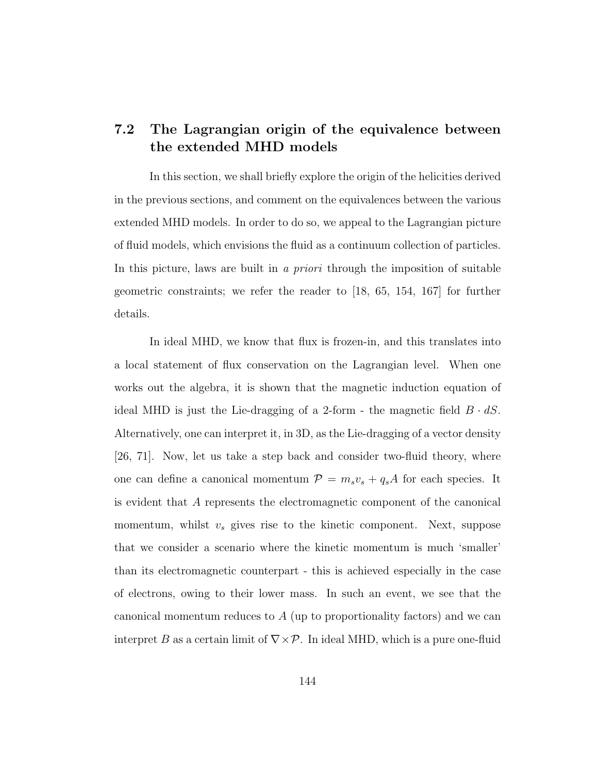## 7.2 The Lagrangian origin of the equivalence between the extended MHD models

In this section, we shall briefly explore the origin of the helicities derived in the previous sections, and comment on the equivalences between the various extended MHD models. In order to do so, we appeal to the Lagrangian picture of fluid models, which envisions the fluid as a continuum collection of particles. In this picture, laws are built in a priori through the imposition of suitable geometric constraints; we refer the reader to [18, 65, 154, 167] for further details.

In ideal MHD, we know that flux is frozen-in, and this translates into a local statement of flux conservation on the Lagrangian level. When one works out the algebra, it is shown that the magnetic induction equation of ideal MHD is just the Lie-dragging of a 2-form - the magnetic field  $B \cdot dS$ . Alternatively, one can interpret it, in 3D, as the Lie-dragging of a vector density [26, 71]. Now, let us take a step back and consider two-fluid theory, where one can define a canonical momentum  $P = m_s v_s + q_s A$  for each species. It is evident that A represents the electromagnetic component of the canonical momentum, whilst  $v_s$  gives rise to the kinetic component. Next, suppose that we consider a scenario where the kinetic momentum is much 'smaller' than its electromagnetic counterpart - this is achieved especially in the case of electrons, owing to their lower mass. In such an event, we see that the canonical momentum reduces to A (up to proportionality factors) and we can interpret B as a certain limit of  $\nabla \times \mathcal{P}$ . In ideal MHD, which is a pure one-fluid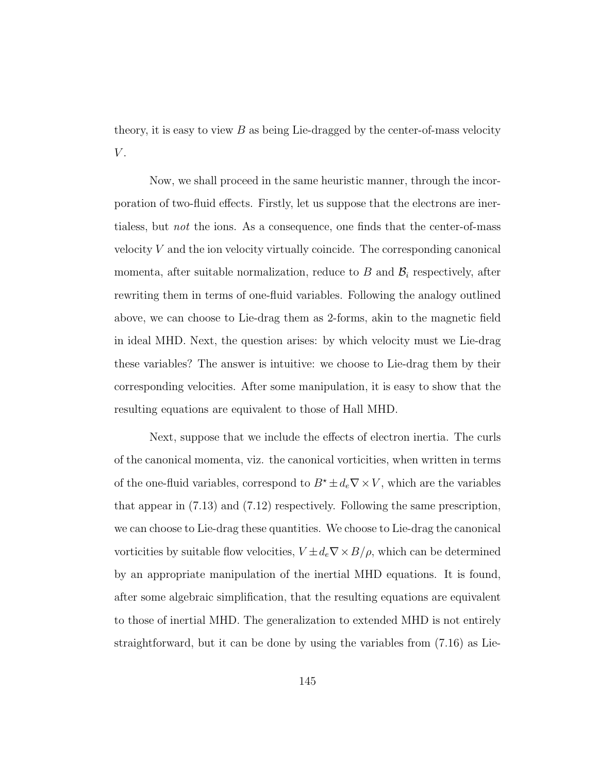theory, it is easy to view  $B$  as being Lie-dragged by the center-of-mass velocity  $V$ .

Now, we shall proceed in the same heuristic manner, through the incorporation of two-fluid effects. Firstly, let us suppose that the electrons are inertialess, but not the ions. As a consequence, one finds that the center-of-mass velocity  $V$  and the ion velocity virtually coincide. The corresponding canonical momenta, after suitable normalization, reduce to  $B$  and  $\mathcal{B}_i$  respectively, after rewriting them in terms of one-fluid variables. Following the analogy outlined above, we can choose to Lie-drag them as 2-forms, akin to the magnetic field in ideal MHD. Next, the question arises: by which velocity must we Lie-drag these variables? The answer is intuitive: we choose to Lie-drag them by their corresponding velocities. After some manipulation, it is easy to show that the resulting equations are equivalent to those of Hall MHD.

Next, suppose that we include the effects of electron inertia. The curls of the canonical momenta, viz. the canonical vorticities, when written in terms of the one-fluid variables, correspond to  $B^* \pm d_e \nabla \times V$ , which are the variables that appear in (7.13) and (7.12) respectively. Following the same prescription, we can choose to Lie-drag these quantities. We choose to Lie-drag the canonical vorticities by suitable flow velocities,  $V \pm d_e \nabla \times B/\rho,$  which can be determined by an appropriate manipulation of the inertial MHD equations. It is found, after some algebraic simplification, that the resulting equations are equivalent to those of inertial MHD. The generalization to extended MHD is not entirely straightforward, but it can be done by using the variables from (7.16) as Lie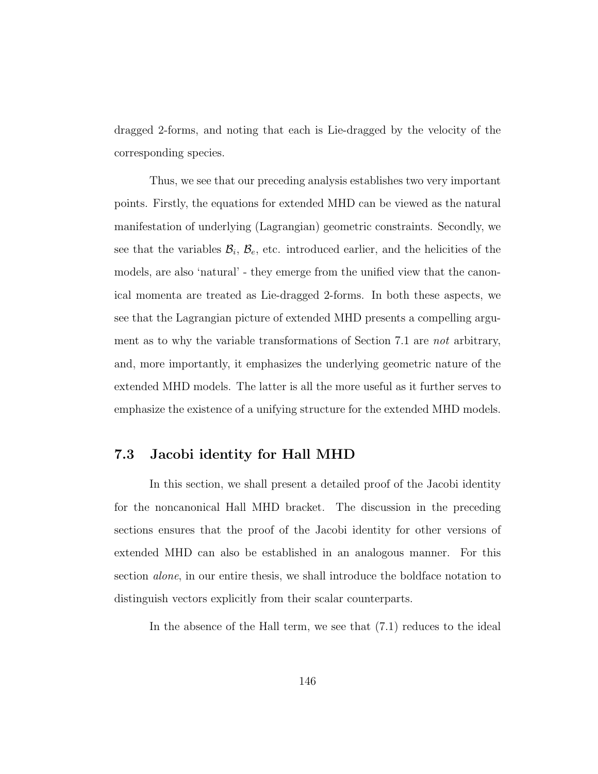dragged 2-forms, and noting that each is Lie-dragged by the velocity of the corresponding species.

Thus, we see that our preceding analysis establishes two very important points. Firstly, the equations for extended MHD can be viewed as the natural manifestation of underlying (Lagrangian) geometric constraints. Secondly, we see that the variables  $\mathcal{B}_i$ ,  $\mathcal{B}_e$ , etc. introduced earlier, and the helicities of the models, are also 'natural' - they emerge from the unified view that the canonical momenta are treated as Lie-dragged 2-forms. In both these aspects, we see that the Lagrangian picture of extended MHD presents a compelling argument as to why the variable transformations of Section 7.1 are not arbitrary, and, more importantly, it emphasizes the underlying geometric nature of the extended MHD models. The latter is all the more useful as it further serves to emphasize the existence of a unifying structure for the extended MHD models.

### 7.3 Jacobi identity for Hall MHD

In this section, we shall present a detailed proof of the Jacobi identity for the noncanonical Hall MHD bracket. The discussion in the preceding sections ensures that the proof of the Jacobi identity for other versions of extended MHD can also be established in an analogous manner. For this section alone, in our entire thesis, we shall introduce the boldface notation to distinguish vectors explicitly from their scalar counterparts.

In the absence of the Hall term, we see that (7.1) reduces to the ideal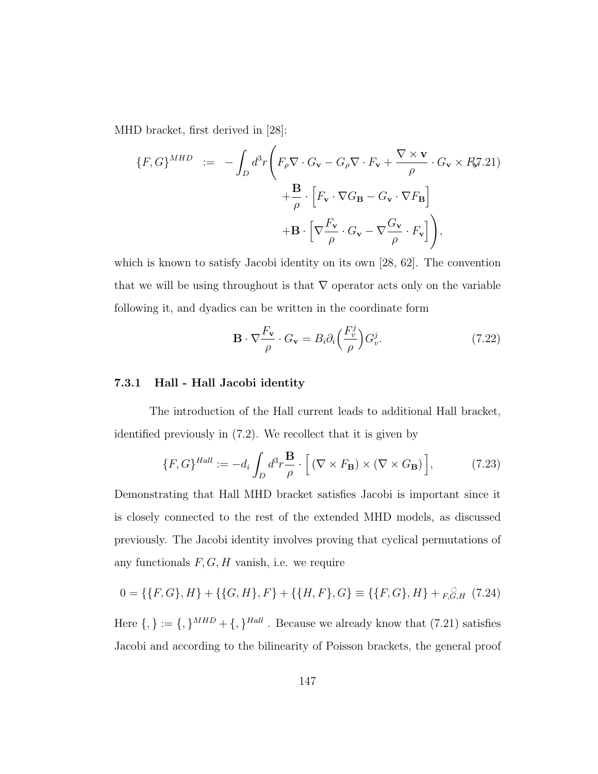MHD bracket, first derived in [28]:

$$
\{F, G\}^{MHD} := -\int_{D} d^{3}r \left( F_{\rho} \nabla \cdot G_{\mathbf{v}} - G_{\rho} \nabla \cdot F_{\mathbf{v}} + \frac{\nabla \times \mathbf{v}}{\rho} \cdot G_{\mathbf{v}} \times F_{\mathbf{v}} 21 \right) + \frac{\mathbf{B}}{\rho} \cdot \left[ F_{\mathbf{v}} \cdot \nabla G_{\mathbf{B}} - G_{\mathbf{v}} \cdot \nabla F_{\mathbf{B}} \right] + \mathbf{B} \cdot \left[ \nabla \frac{F_{\mathbf{v}}}{\rho} \cdot G_{\mathbf{v}} - \nabla \frac{G_{\mathbf{v}}}{\rho} \cdot F_{\mathbf{v}} \right] \right),
$$

which is known to satisfy Jacobi identity on its own [28, 62]. The convention that we will be using throughout is that  $\nabla$  operator acts only on the variable following it, and dyadics can be written in the coordinate form

$$
\mathbf{B} \cdot \nabla \frac{F_{\mathbf{v}}}{\rho} \cdot G_{\mathbf{v}} = B_i \partial_i \left( \frac{F_v^j}{\rho} \right) G_v^j. \tag{7.22}
$$

### 7.3.1 Hall - Hall Jacobi identity

The introduction of the Hall current leads to additional Hall bracket, identified previously in (7.2). We recollect that it is given by

$$
\{F, G\}^{Hall} := -d_i \int_D d^3 r \frac{\mathbf{B}}{\rho} \cdot \left[ \left( \nabla \times F_\mathbf{B} \right) \times \left( \nabla \times G_\mathbf{B} \right) \right],\tag{7.23}
$$

Demonstrating that Hall MHD bracket satisfies Jacobi is important since it is closely connected to the rest of the extended MHD models, as discussed previously. The Jacobi identity involves proving that cyclical permutations of any functionals  $F, G, H$  vanish, i.e. we require

$$
0 = \{\{F, G\}, H\} + \{\{G, H\}, F\} + \{\{H, F\}, G\} \equiv \{\{F, G\}, H\} + F, G, H \tag{7.24}
$$

Here  $\{,\} := \{,\}^{MHD} + \{,\}^{Hall}$ . Because we already know that  $(7.21)$  satisfies Jacobi and according to the bilinearity of Poisson brackets, the general proof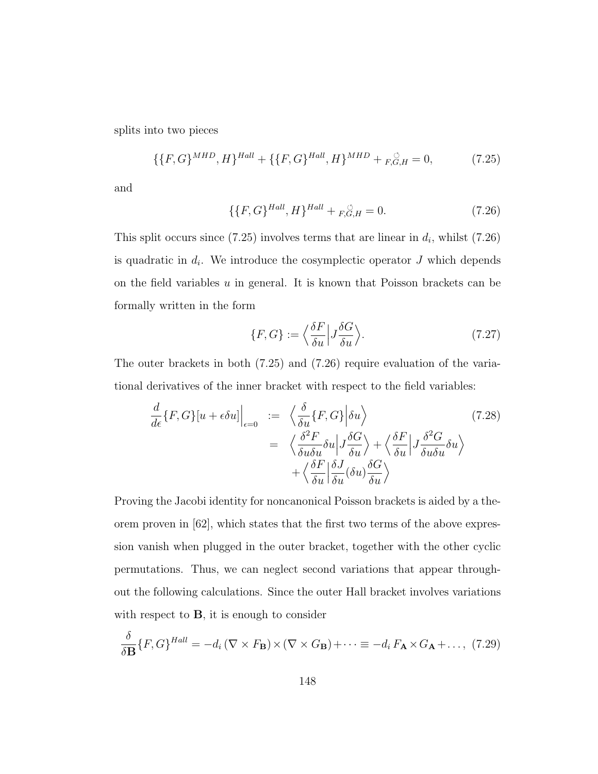splits into two pieces

$$
\{\{F,G\}^{MHD},H\}^{Hall} + \{\{F,G\}^{Hall},H\}^{MHD} + F,G,H = 0,\tag{7.25}
$$

and

$$
\{\{F, G\}^{Hall}, H\}^{Hall} + F_{,G,H}^{\circ} = 0. \tag{7.26}
$$

This split occurs since (7.25) involves terms that are linear in  $d_i$ , whilst (7.26) is quadratic in  $d_i$ . We introduce the cosymplectic operator J which depends on the field variables  $u$  in general. It is known that Poisson brackets can be formally written in the form

$$
\{F, G\} := \left\langle \frac{\delta F}{\delta u} \middle| J \frac{\delta G}{\delta u} \right\rangle. \tag{7.27}
$$

The outer brackets in both (7.25) and (7.26) require evaluation of the variational derivatives of the inner bracket with respect to the field variables:

$$
\frac{d}{d\epsilon} \{F, G\} [u + \epsilon \delta u] \Big|_{\epsilon=0} := \left\langle \frac{\delta}{\delta u} \{F, G\} \Big| \delta u \right\rangle
$$
\n
$$
= \left\langle \frac{\delta^2 F}{\delta u \delta u} \delta u \Big| J \frac{\delta G}{\delta u} \right\rangle + \left\langle \frac{\delta F}{\delta u} \Big| J \frac{\delta^2 G}{\delta u \delta u} \delta u \right\rangle
$$
\n
$$
+ \left\langle \frac{\delta F}{\delta u} \Big| \frac{\delta J}{\delta u} (\delta u) \frac{\delta G}{\delta u} \right\rangle
$$
\n(7.28)

Proving the Jacobi identity for noncanonical Poisson brackets is aided by a theorem proven in [62], which states that the first two terms of the above expression vanish when plugged in the outer bracket, together with the other cyclic permutations. Thus, we can neglect second variations that appear throughout the following calculations. Since the outer Hall bracket involves variations with respect to  $\bf{B}$ , it is enough to consider

$$
\frac{\delta}{\delta \mathbf{B}} \{ F, G \}^{Hall} = -d_i \left( \nabla \times F_{\mathbf{B}} \right) \times \left( \nabla \times G_{\mathbf{B}} \right) + \dots \equiv -d_i \, F_{\mathbf{A}} \times G_{\mathbf{A}} + \dots, \tag{7.29}
$$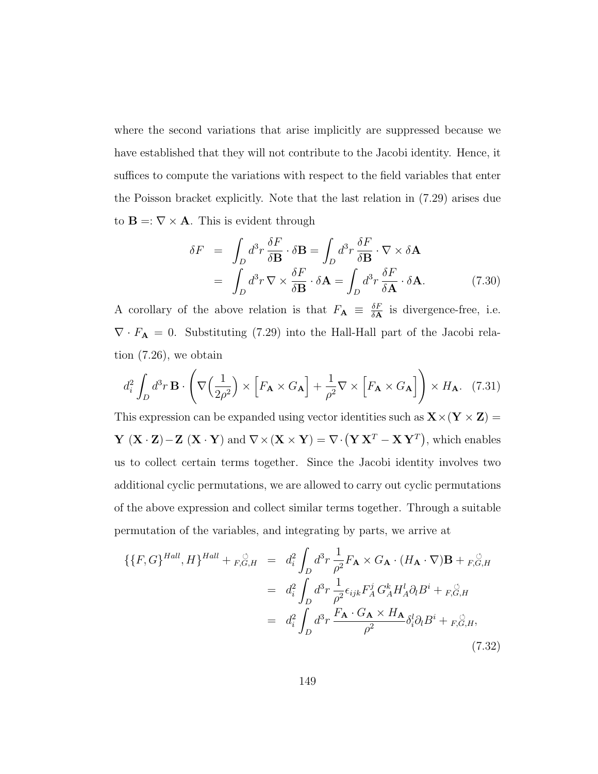where the second variations that arise implicitly are suppressed because we have established that they will not contribute to the Jacobi identity. Hence, it suffices to compute the variations with respect to the field variables that enter the Poisson bracket explicitly. Note that the last relation in (7.29) arises due to  $\mathbf{B} = \nabla \times \mathbf{A}$ . This is evident through

$$
\delta F = \int_D d^3 r \frac{\delta F}{\delta \mathbf{B}} \cdot \delta \mathbf{B} = \int_D d^3 r \frac{\delta F}{\delta \mathbf{B}} \cdot \nabla \times \delta \mathbf{A}
$$

$$
= \int_D d^3 r \nabla \times \frac{\delta F}{\delta \mathbf{B}} \cdot \delta \mathbf{A} = \int_D d^3 r \frac{\delta F}{\delta \mathbf{A}} \cdot \delta \mathbf{A}.
$$
(7.30)

A corollary of the above relation is that  $F_{\mathbf{A}} \equiv \frac{\delta F}{\delta \mathbf{A}}$  $\frac{\partial F}{\partial \mathbf{A}}$  is divergence-free, i.e.  $\nabla \cdot F_{\mathbf{A}} = 0$ . Substituting (7.29) into the Hall-Hall part of the Jacobi relation (7.26), we obtain

$$
d_i^2 \int_D d^3 r \, \mathbf{B} \cdot \left( \nabla \left( \frac{1}{2\rho^2} \right) \times \left[ F_\mathbf{A} \times G_\mathbf{A} \right] + \frac{1}{\rho^2} \nabla \times \left[ F_\mathbf{A} \times G_\mathbf{A} \right] \right) \times H_\mathbf{A}.\tag{7.31}
$$

This expression can be expanded using vector identities such as  $\mathbf{X}\times(\mathbf{Y}\times\mathbf{Z})=$  $\mathbf{Y}(\mathbf{X} \cdot \mathbf{Z}) - \mathbf{Z}(\mathbf{X} \cdot \mathbf{Y})$  and  $\nabla \times (\mathbf{X} \times \mathbf{Y}) = \nabla \cdot (\mathbf{Y} \mathbf{X}^T - \mathbf{X} \mathbf{Y}^T)$ , which enables us to collect certain terms together. Since the Jacobi identity involves two additional cyclic permutations, we are allowed to carry out cyclic permutations of the above expression and collect similar terms together. Through a suitable permutation of the variables, and integrating by parts, we arrive at

$$
\{ \{F, G\}^{Hall}, H \}^{Hall} + F, G, H = d_i^2 \int_D d^3r \frac{1}{\rho^2} F_{\mathbf{A}} \times G_{\mathbf{A}} \cdot (H_{\mathbf{A}} \cdot \nabla) \mathbf{B} + F, G, H
$$
  

$$
= d_i^2 \int_D d^3r \frac{1}{\rho^2} \epsilon_{ijk} F_A^j G_A^k H_A^l \partial_l B^i + F, G, H
$$
  

$$
= d_i^2 \int_D d^3r \frac{F_{\mathbf{A}} \cdot G_{\mathbf{A}} \times H_{\mathbf{A}}}{\rho^2} \delta_i^l \partial_l B^i + F, G, H,
$$
\n(7.32)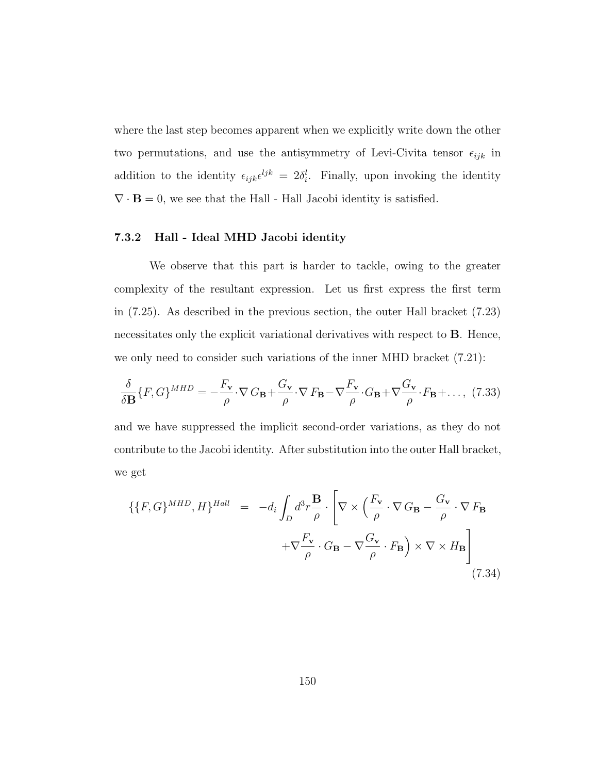where the last step becomes apparent when we explicitly write down the other two permutations, and use the antisymmetry of Levi-Civita tensor  $\epsilon_{ijk}$  in addition to the identity  $\epsilon_{ijk} \epsilon^{ljk} = 2\delta_i^l$ . Finally, upon invoking the identity  $\nabla \cdot \mathbf{B} = 0$ , we see that the Hall - Hall Jacobi identity is satisfied.

### 7.3.2 Hall - Ideal MHD Jacobi identity

We observe that this part is harder to tackle, owing to the greater complexity of the resultant expression. Let us first express the first term in (7.25). As described in the previous section, the outer Hall bracket (7.23) necessitates only the explicit variational derivatives with respect to **B**. Hence, we only need to consider such variations of the inner MHD bracket  $(7.21)$ :

$$
\frac{\delta}{\delta \mathbf{B}} \{ F, G \}^{MHD} = -\frac{F_{\mathbf{v}}}{\rho} \cdot \nabla \, G_{\mathbf{B}} + \frac{G_{\mathbf{v}}}{\rho} \cdot \nabla \, F_{\mathbf{B}} - \nabla \frac{F_{\mathbf{v}}}{\rho} \cdot G_{\mathbf{B}} + \nabla \frac{G_{\mathbf{v}}}{\rho} \cdot F_{\mathbf{B}} + \dots, \tag{7.33}
$$

and we have suppressed the implicit second-order variations, as they do not contribute to the Jacobi identity. After substitution into the outer Hall bracket, we get

$$
\{ \{F, G\}^{MHD}, H \}^{Hall} = -d_i \int_D d^3 r \frac{\mathbf{B}}{\rho} \cdot \left[ \nabla \times \left( \frac{F_\mathbf{v}}{\rho} \cdot \nabla G_\mathbf{B} - \frac{G_\mathbf{v}}{\rho} \cdot \nabla F_\mathbf{B} \right. \right. \\ \left. + \nabla \frac{F_\mathbf{v}}{\rho} \cdot G_\mathbf{B} - \nabla \frac{G_\mathbf{v}}{\rho} \cdot F_\mathbf{B} \right) \times \nabla \times H_\mathbf{B} \right] \tag{7.34}
$$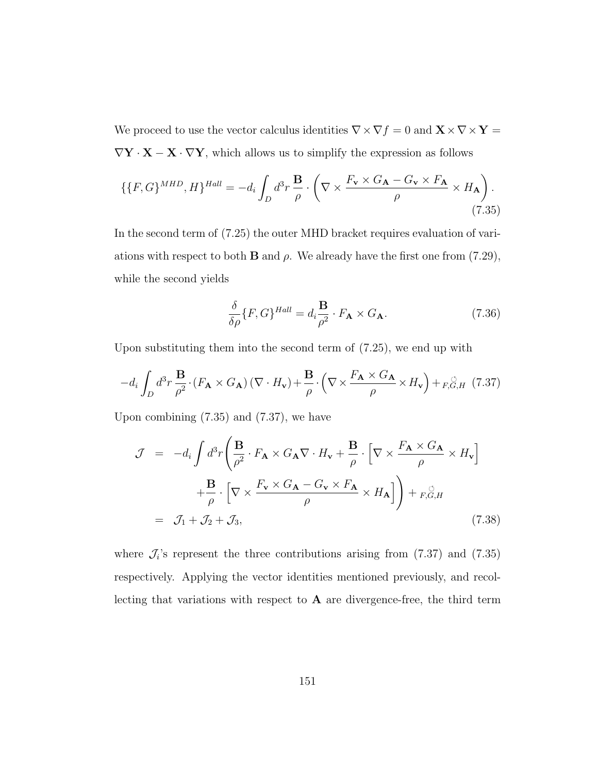We proceed to use the vector calculus identities  $\nabla\times\nabla f=0$  and  ${\bf X}\times\nabla\times{\bf Y}=\bf0$  $\nabla \mathbf{Y}\cdot\mathbf{X}-\mathbf{X}\cdot\nabla\mathbf{Y},$  which allows us to simplify the expression as follows

$$
\{\{F, G\}^{MHD}, H\}^{Hall} = -d_i \int_D d^3 r \frac{\mathbf{B}}{\rho} \cdot \left(\nabla \times \frac{F_\mathbf{v} \times G_\mathbf{A} - G_\mathbf{v} \times F_\mathbf{A}}{\rho} \times H_\mathbf{A}\right). \tag{7.35}
$$

In the second term of (7.25) the outer MHD bracket requires evaluation of variations with respect to both **B** and  $\rho$ . We already have the first one from (7.29), while the second yields

$$
\frac{\delta}{\delta \rho} \{ F, G \}^{Hall} = d_i \frac{\mathbf{B}}{\rho^2} \cdot F_{\mathbf{A}} \times G_{\mathbf{A}}.
$$
 (7.36)

Upon substituting them into the second term of (7.25), we end up with

$$
-d_i \int_D d^3 r \frac{\mathbf{B}}{\rho^2} \cdot (F_\mathbf{A} \times G_\mathbf{A}) (\nabla \cdot H_\mathbf{v}) + \frac{\mathbf{B}}{\rho} \cdot \left( \nabla \times \frac{F_\mathbf{A} \times G_\mathbf{A}}{\rho} \times H_\mathbf{v} \right) +_{F,G,H} (7.37)
$$

Upon combining (7.35) and (7.37), we have

$$
\mathcal{J} = -d_i \int d^3 r \left( \frac{\mathbf{B}}{\rho^2} \cdot F_{\mathbf{A}} \times G_{\mathbf{A}} \nabla \cdot H_{\mathbf{v}} + \frac{\mathbf{B}}{\rho} \cdot \left[ \nabla \times \frac{F_{\mathbf{A}} \times G_{\mathbf{A}}}{\rho} \times H_{\mathbf{v}} \right] + \frac{\mathbf{B}}{\rho} \cdot \left[ \nabla \times \frac{F_{\mathbf{v}} \times G_{\mathbf{A}} - G_{\mathbf{v}} \times F_{\mathbf{A}}}{\rho} \times H_{\mathbf{A}} \right] \right) + F_{\mathbf{v}} \circlearrowright_{\mathcal{G},H}
$$
\n
$$
= \mathcal{J}_1 + \mathcal{J}_2 + \mathcal{J}_3, \tag{7.38}
$$

where  $\mathcal{J}_i$ 's represent the three contributions arising from (7.37) and (7.35) respectively. Applying the vector identities mentioned previously, and recollecting that variations with respect to  $A$  are divergence-free, the third term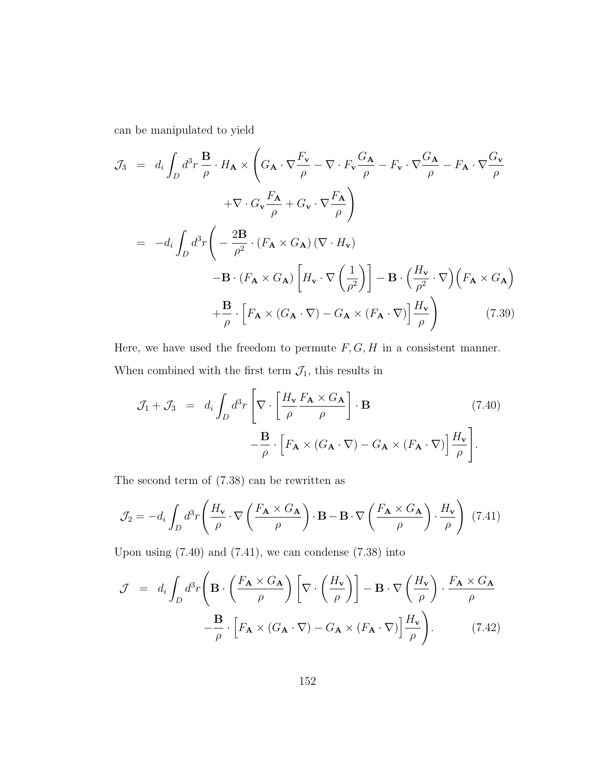can be manipulated to yield

$$
\mathcal{J}_{3} = d_{i} \int_{D} d^{3}r \frac{\mathbf{B}}{\rho} \cdot H_{\mathbf{A}} \times \left( G_{\mathbf{A}} \cdot \nabla \frac{F_{\mathbf{v}}}{\rho} - \nabla \cdot F_{\mathbf{v}} \frac{G_{\mathbf{A}}}{\rho} - F_{\mathbf{v}} \cdot \nabla \frac{G_{\mathbf{A}}}{\rho} - F_{\mathbf{A}} \cdot \nabla \frac{G_{\mathbf{v}}}{\rho} + \nabla \cdot G_{\mathbf{v}} \frac{F_{\mathbf{A}}}{\rho} + G_{\mathbf{v}} \cdot \nabla \frac{F_{\mathbf{A}}}{\rho} \right)
$$
  
\n
$$
= -d_{i} \int_{D} d^{3}r \left( -\frac{2\mathbf{B}}{\rho^{2}} \cdot (F_{\mathbf{A}} \times G_{\mathbf{A}}) (\nabla \cdot H_{\mathbf{v}}) - \mathbf{B} \cdot (F_{\mathbf{A}} \times G_{\mathbf{A}}) \left[ H_{\mathbf{v}} \cdot \nabla \left( \frac{1}{\rho^{2}} \right) \right] - \mathbf{B} \cdot \left( \frac{H_{\mathbf{v}}}{\rho^{2}} \cdot \nabla \right) \left( F_{\mathbf{A}} \times G_{\mathbf{A}} \right) + \frac{\mathbf{B}}{\rho} \cdot \left[ F_{\mathbf{A}} \times (G_{\mathbf{A}} \cdot \nabla) - G_{\mathbf{A}} \times (F_{\mathbf{A}} \cdot \nabla) \right] \frac{H_{\mathbf{v}}}{\rho} \right) \tag{7.39}
$$

Here, we have used the freedom to permute  $F, G, H$  in a consistent manner. When combined with the first term  $\mathcal{J}_1$  this results in

$$
\mathcal{J}_1 + \mathcal{J}_3 = d_i \int_D d^3 r \left[ \nabla \cdot \left[ \frac{H_\mathbf{v}}{\rho} \frac{F_\mathbf{A} \times G_\mathbf{A}}{\rho} \right] \cdot \mathbf{B} \qquad (7.40)
$$

$$
- \frac{\mathbf{B}}{\rho} \cdot \left[ F_\mathbf{A} \times (G_\mathbf{A} \cdot \nabla) - G_\mathbf{A} \times (F_\mathbf{A} \cdot \nabla) \right] \frac{H_\mathbf{v}}{\rho} \right].
$$

The second term of (7.38) can be rewritten as

$$
\mathcal{J}_2 = -d_i \int_D d^3r \left( \frac{H_v}{\rho} \cdot \nabla \left( \frac{F_{\mathbf{A}} \times G_{\mathbf{A}}}{\rho} \right) \cdot \mathbf{B} - \mathbf{B} \cdot \nabla \left( \frac{F_{\mathbf{A}} \times G_{\mathbf{A}}}{\rho} \right) \cdot \frac{H_v}{\rho} \right) (7.41)
$$

Upon using  $(7.40)$  and  $(7.41)$ , we can condense  $(7.38)$  into

$$
\mathcal{J} = d_i \int_D d^3 r \left( \mathbf{B} \cdot \left( \frac{F_{\mathbf{A}} \times G_{\mathbf{A}}}{\rho} \right) \left[ \nabla \cdot \left( \frac{H_{\mathbf{v}}}{\rho} \right) \right] - \mathbf{B} \cdot \nabla \left( \frac{H_{\mathbf{v}}}{\rho} \right) \cdot \frac{F_{\mathbf{A}} \times G_{\mathbf{A}}}{\rho} - \frac{\mathbf{B}}{\rho} \cdot \left[ F_{\mathbf{A}} \times (G_{\mathbf{A}} \cdot \nabla) - G_{\mathbf{A}} \times (F_{\mathbf{A}} \cdot \nabla) \right] \frac{H_{\mathbf{v}}}{\rho} \right). \tag{7.42}
$$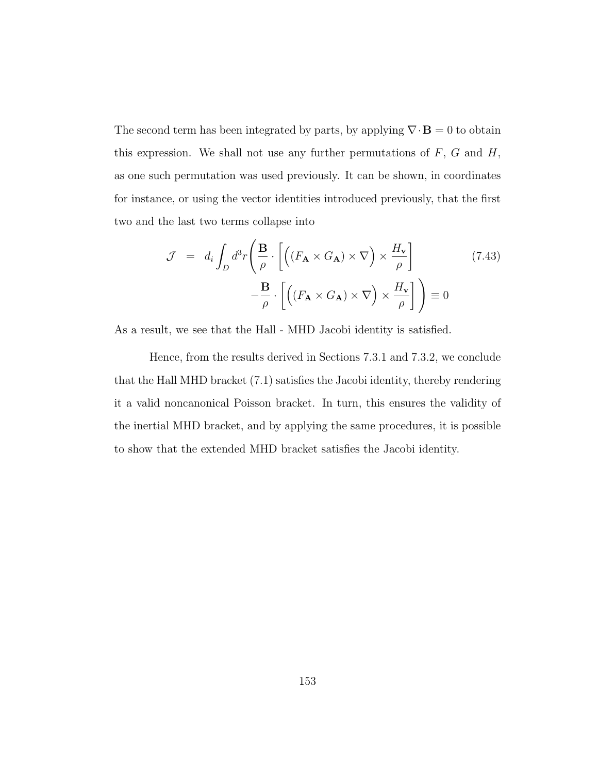The second term has been integrated by parts, by applying  $\nabla \cdot \mathbf{B} = 0$  to obtain this expression. We shall not use any further permutations of  $F$ ,  $G$  and  $H$ , as one such permutation was used previously. It can be shown, in coordinates for instance, or using the vector identities introduced previously, that the first two and the last two terms collapse into

$$
\mathcal{J} = d_i \int_D d^3 r \left( \frac{\mathbf{B}}{\rho} \cdot \left[ \left( (F_\mathbf{A} \times G_\mathbf{A}) \times \nabla \right) \times \frac{H_\mathbf{v}}{\rho} \right] - \frac{\mathbf{B}}{\rho} \cdot \left[ \left( (F_\mathbf{A} \times G_\mathbf{A}) \times \nabla \right) \times \frac{H_\mathbf{v}}{\rho} \right] \right) \equiv 0
$$
\n(7.43)

As a result, we see that the Hall - MHD Jacobi identity is satisfied.

Hence, from the results derived in Sections 7.3.1 and 7.3.2, we conclude that the Hall MHD bracket (7.1) satisfies the Jacobi identity, thereby rendering it a valid noncanonical Poisson bracket. In turn, this ensures the validity of the inertial MHD bracket, and by applying the same procedures, it is possible to show that the extended MHD bracket satisfies the Jacobi identity.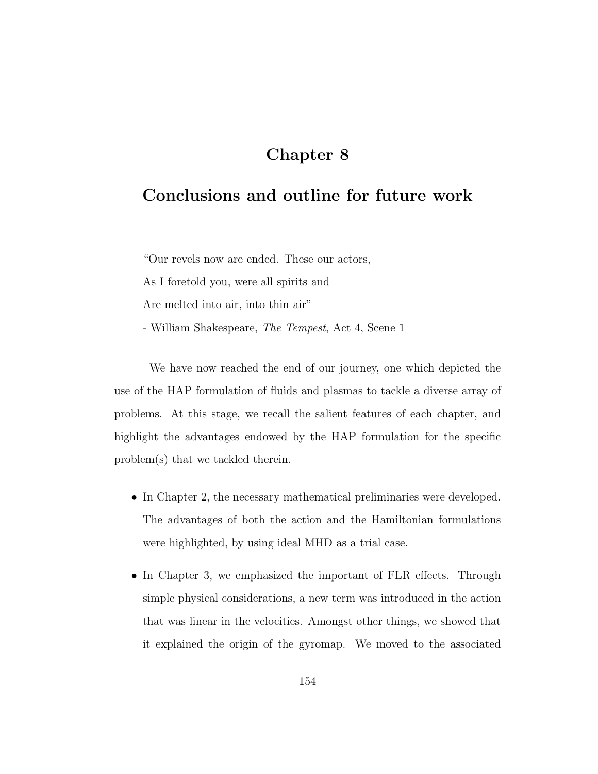## Chapter 8

## Conclusions and outline for future work

"Our revels now are ended. These our actors,

As I foretold you, were all spirits and

Are melted into air, into thin air"

- William Shakespeare, The Tempest, Act 4, Scene 1

We have now reached the end of our journey, one which depicted the use of the HAP formulation of fluids and plasmas to tackle a diverse array of problems. At this stage, we recall the salient features of each chapter, and highlight the advantages endowed by the HAP formulation for the specific problem(s) that we tackled therein.

- In Chapter 2, the necessary mathematical preliminaries were developed. The advantages of both the action and the Hamiltonian formulations were highlighted, by using ideal MHD as a trial case.
- In Chapter 3, we emphasized the important of FLR effects. Through simple physical considerations, a new term was introduced in the action that was linear in the velocities. Amongst other things, we showed that it explained the origin of the gyromap. We moved to the associated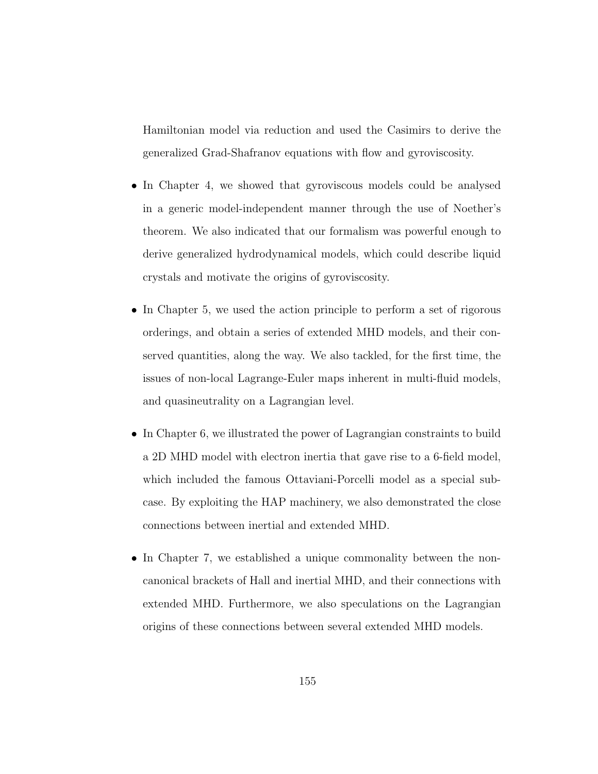Hamiltonian model via reduction and used the Casimirs to derive the generalized Grad-Shafranov equations with flow and gyroviscosity.

- In Chapter 4, we showed that gyroviscous models could be analysed in a generic model-independent manner through the use of Noether's theorem. We also indicated that our formalism was powerful enough to derive generalized hydrodynamical models, which could describe liquid crystals and motivate the origins of gyroviscosity.
- In Chapter 5, we used the action principle to perform a set of rigorous orderings, and obtain a series of extended MHD models, and their conserved quantities, along the way. We also tackled, for the first time, the issues of non-local Lagrange-Euler maps inherent in multi-fluid models, and quasineutrality on a Lagrangian level.
- In Chapter 6, we illustrated the power of Lagrangian constraints to build a 2D MHD model with electron inertia that gave rise to a 6-field model, which included the famous Ottaviani-Porcelli model as a special subcase. By exploiting the HAP machinery, we also demonstrated the close connections between inertial and extended MHD.
- In Chapter 7, we established a unique commonality between the noncanonical brackets of Hall and inertial MHD, and their connections with extended MHD. Furthermore, we also speculations on the Lagrangian origins of these connections between several extended MHD models.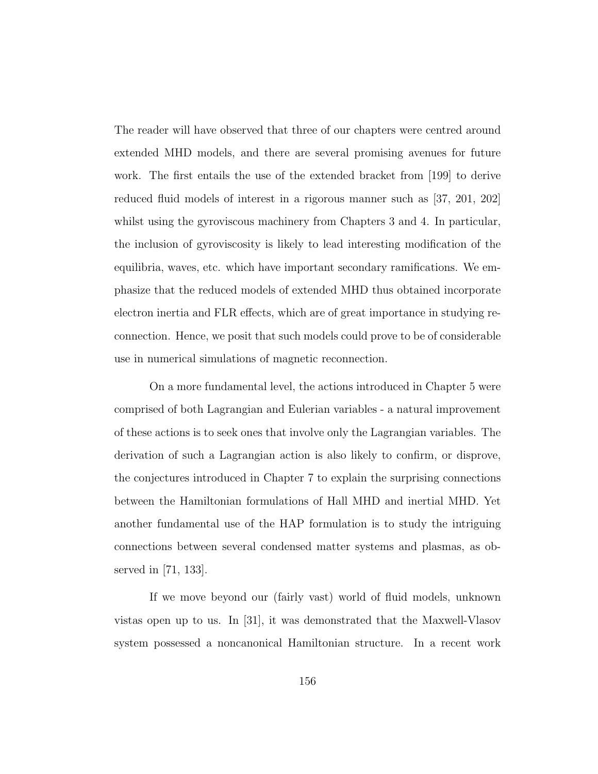The reader will have observed that three of our chapters were centred around extended MHD models, and there are several promising avenues for future work. The first entails the use of the extended bracket from [199] to derive reduced fluid models of interest in a rigorous manner such as [37, 201, 202] whilst using the gyroviscous machinery from Chapters 3 and 4. In particular, the inclusion of gyroviscosity is likely to lead interesting modification of the equilibria, waves, etc. which have important secondary ramifications. We emphasize that the reduced models of extended MHD thus obtained incorporate electron inertia and FLR effects, which are of great importance in studying reconnection. Hence, we posit that such models could prove to be of considerable use in numerical simulations of magnetic reconnection.

On a more fundamental level, the actions introduced in Chapter 5 were comprised of both Lagrangian and Eulerian variables - a natural improvement of these actions is to seek ones that involve only the Lagrangian variables. The derivation of such a Lagrangian action is also likely to confirm, or disprove, the conjectures introduced in Chapter 7 to explain the surprising connections between the Hamiltonian formulations of Hall MHD and inertial MHD. Yet another fundamental use of the HAP formulation is to study the intriguing connections between several condensed matter systems and plasmas, as observed in [71, 133].

If we move beyond our (fairly vast) world of fluid models, unknown vistas open up to us. In [31], it was demonstrated that the Maxwell-Vlasov system possessed a noncanonical Hamiltonian structure. In a recent work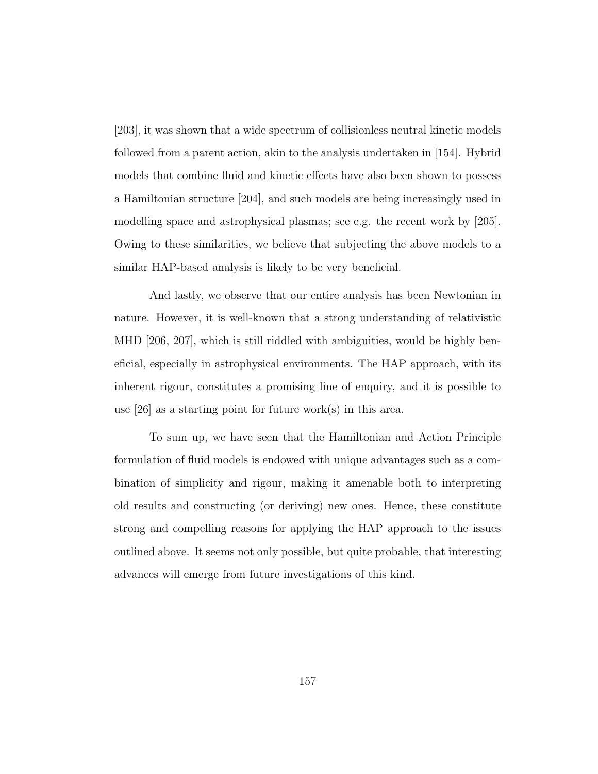[203], it was shown that a wide spectrum of collisionless neutral kinetic models followed from a parent action, akin to the analysis undertaken in [154]. Hybrid models that combine fluid and kinetic effects have also been shown to possess a Hamiltonian structure [204], and such models are being increasingly used in modelling space and astrophysical plasmas; see e.g. the recent work by [205]. Owing to these similarities, we believe that subjecting the above models to a similar HAP-based analysis is likely to be very beneficial.

And lastly, we observe that our entire analysis has been Newtonian in nature. However, it is well-known that a strong understanding of relativistic MHD [206, 207], which is still riddled with ambiguities, would be highly beneficial, especially in astrophysical environments. The HAP approach, with its inherent rigour, constitutes a promising line of enquiry, and it is possible to use  $|26|$  as a starting point for future work(s) in this area.

To sum up, we have seen that the Hamiltonian and Action Principle formulation of fluid models is endowed with unique advantages such as a combination of simplicity and rigour, making it amenable both to interpreting old results and constructing (or deriving) new ones. Hence, these constitute strong and compelling reasons for applying the HAP approach to the issues outlined above. It seems not only possible, but quite probable, that interesting advances will emerge from future investigations of this kind.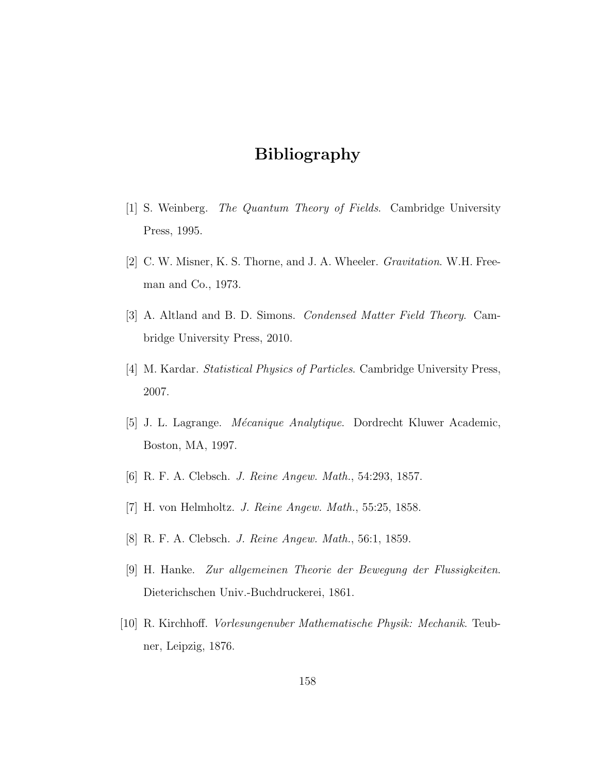# Bibliography

- [1] S. Weinberg. The Quantum Theory of Fields. Cambridge University Press, 1995.
- [2] C. W. Misner, K. S. Thorne, and J. A. Wheeler. Gravitation. W.H. Freeman and Co., 1973.
- [3] A. Altland and B. D. Simons. Condensed Matter Field Theory. Cambridge University Press, 2010.
- [4] M. Kardar. Statistical Physics of Particles. Cambridge University Press, 2007.
- [5] J. L. Lagrange. *Mécanique Analytique*. Dordrecht Kluwer Academic, Boston, MA, 1997.
- [6] R. F. A. Clebsch. J. Reine Angew. Math., 54:293, 1857.
- [7] H. von Helmholtz. J. Reine Angew. Math., 55:25, 1858.
- [8] R. F. A. Clebsch. J. Reine Angew. Math., 56:1, 1859.
- [9] H. Hanke. Zur allgemeinen Theorie der Bewegung der Flussigkeiten. Dieterichschen Univ.-Buchdruckerei, 1861.
- [10] R. Kirchhoff. Vorlesungenuber Mathematische Physik: Mechanik. Teubner, Leipzig, 1876.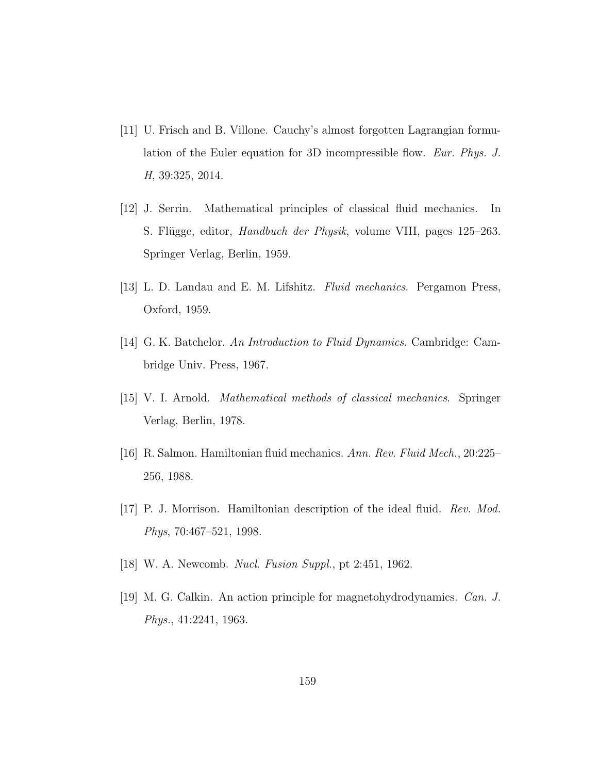- [11] U. Frisch and B. Villone. Cauchy's almost forgotten Lagrangian formulation of the Euler equation for 3D incompressible flow. Eur. Phys. J. H, 39:325, 2014.
- [12] J. Serrin. Mathematical principles of classical fluid mechanics. In S. Flügge, editor, *Handbuch der Physik*, volume VIII, pages 125–263. Springer Verlag, Berlin, 1959.
- [13] L. D. Landau and E. M. Lifshitz. Fluid mechanics. Pergamon Press, Oxford, 1959.
- [14] G. K. Batchelor. An Introduction to Fluid Dynamics. Cambridge: Cambridge Univ. Press, 1967.
- [15] V. I. Arnold. Mathematical methods of classical mechanics. Springer Verlag, Berlin, 1978.
- [16] R. Salmon. Hamiltonian fluid mechanics. Ann. Rev. Fluid Mech., 20:225– 256, 1988.
- [17] P. J. Morrison. Hamiltonian description of the ideal fluid. Rev. Mod. Phys, 70:467–521, 1998.
- [18] W. A. Newcomb. Nucl. Fusion Suppl., pt 2:451, 1962.
- [19] M. G. Calkin. An action principle for magnetohydrodynamics. Can. J. Phys., 41:2241, 1963.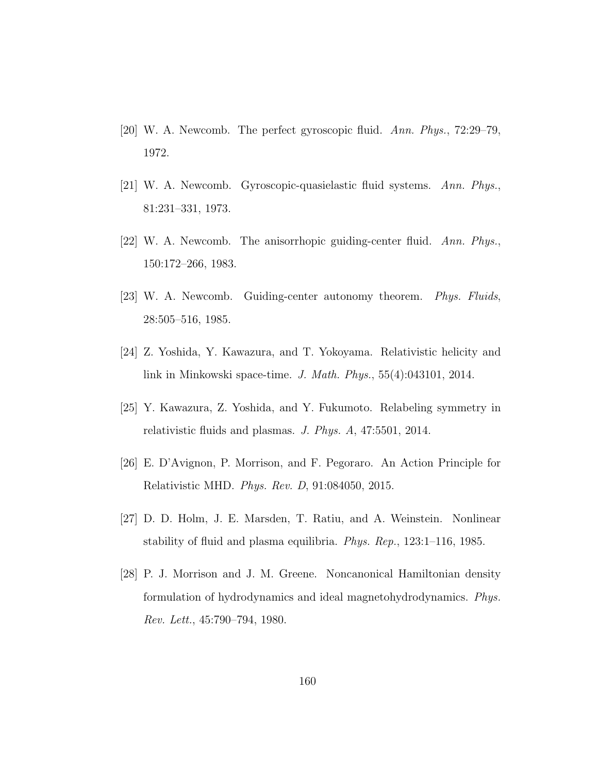- [20] W. A. Newcomb. The perfect gyroscopic fluid. Ann. Phys., 72:29–79, 1972.
- [21] W. A. Newcomb. Gyroscopic-quasielastic fluid systems. Ann. Phys., 81:231–331, 1973.
- [22] W. A. Newcomb. The anisorrhopic guiding-center fluid. Ann. Phys., 150:172–266, 1983.
- [23] W. A. Newcomb. Guiding-center autonomy theorem. Phys. Fluids, 28:505–516, 1985.
- [24] Z. Yoshida, Y. Kawazura, and T. Yokoyama. Relativistic helicity and link in Minkowski space-time. J. Math. Phys., 55(4):043101, 2014.
- [25] Y. Kawazura, Z. Yoshida, and Y. Fukumoto. Relabeling symmetry in relativistic fluids and plasmas. J. Phys. A, 47:5501, 2014.
- [26] E. D'Avignon, P. Morrison, and F. Pegoraro. An Action Principle for Relativistic MHD. Phys. Rev. D, 91:084050, 2015.
- [27] D. D. Holm, J. E. Marsden, T. Ratiu, and A. Weinstein. Nonlinear stability of fluid and plasma equilibria. Phys. Rep., 123:1–116, 1985.
- [28] P. J. Morrison and J. M. Greene. Noncanonical Hamiltonian density formulation of hydrodynamics and ideal magnetohydrodynamics. Phys. Rev. Lett., 45:790–794, 1980.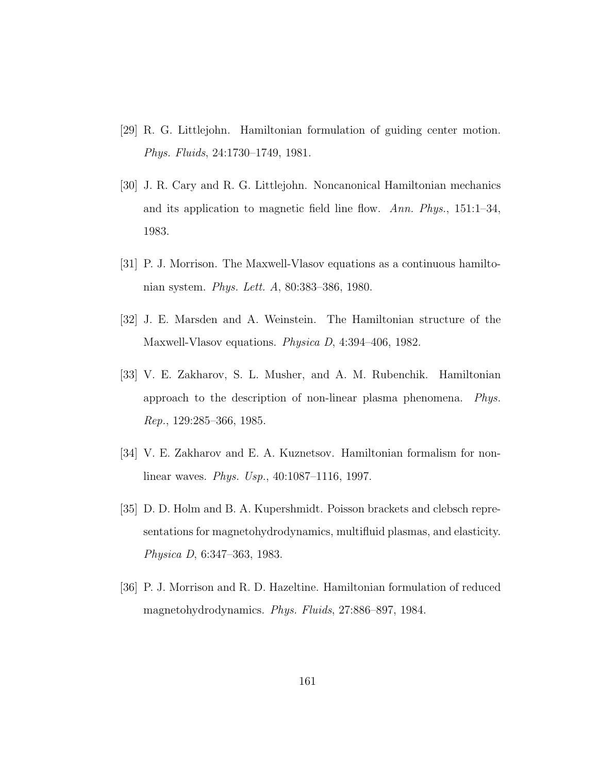- [29] R. G. Littlejohn. Hamiltonian formulation of guiding center motion. Phys. Fluids, 24:1730–1749, 1981.
- [30] J. R. Cary and R. G. Littlejohn. Noncanonical Hamiltonian mechanics and its application to magnetic field line flow. Ann. Phys.,  $151:1-34$ , 1983.
- [31] P. J. Morrison. The Maxwell-Vlasov equations as a continuous hamiltonian system. Phys. Lett. A, 80:383–386, 1980.
- [32] J. E. Marsden and A. Weinstein. The Hamiltonian structure of the Maxwell-Vlasov equations. Physica D, 4:394–406, 1982.
- [33] V. E. Zakharov, S. L. Musher, and A. M. Rubenchik. Hamiltonian approach to the description of non-linear plasma phenomena. Phys. Rep., 129:285–366, 1985.
- [34] V. E. Zakharov and E. A. Kuznetsov. Hamiltonian formalism for nonlinear waves. Phys. Usp., 40:1087–1116, 1997.
- [35] D. D. Holm and B. A. Kupershmidt. Poisson brackets and clebsch representations for magnetohydrodynamics, multifluid plasmas, and elasticity. Physica D, 6:347–363, 1983.
- [36] P. J. Morrison and R. D. Hazeltine. Hamiltonian formulation of reduced magnetohydrodynamics. Phys. Fluids, 27:886–897, 1984.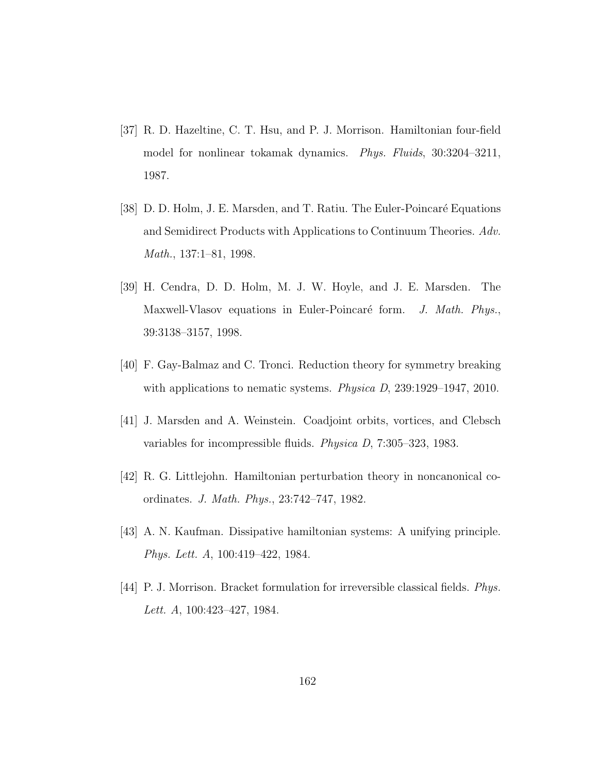- [37] R. D. Hazeltine, C. T. Hsu, and P. J. Morrison. Hamiltonian four-field model for nonlinear tokamak dynamics. Phys. Fluids, 30:3204–3211, 1987.
- [38] D. D. Holm, J. E. Marsden, and T. Ratiu. The Euler-Poincaré Equations and Semidirect Products with Applications to Continuum Theories. Adv. Math., 137:1–81, 1998.
- [39] H. Cendra, D. D. Holm, M. J. W. Hoyle, and J. E. Marsden. The Maxwell-Vlasov equations in Euler-Poincaré form. J. Math. Phys., 39:3138–3157, 1998.
- [40] F. Gay-Balmaz and C. Tronci. Reduction theory for symmetry breaking with applications to nematic systems. *Physica D*, 239:1929–1947, 2010.
- [41] J. Marsden and A. Weinstein. Coadjoint orbits, vortices, and Clebsch variables for incompressible fluids. Physica D, 7:305–323, 1983.
- [42] R. G. Littlejohn. Hamiltonian perturbation theory in noncanonical coordinates. J. Math. Phys., 23:742–747, 1982.
- [43] A. N. Kaufman. Dissipative hamiltonian systems: A unifying principle. Phys. Lett. A, 100:419–422, 1984.
- [44] P. J. Morrison. Bracket formulation for irreversible classical fields. Phys. Lett. A, 100:423–427, 1984.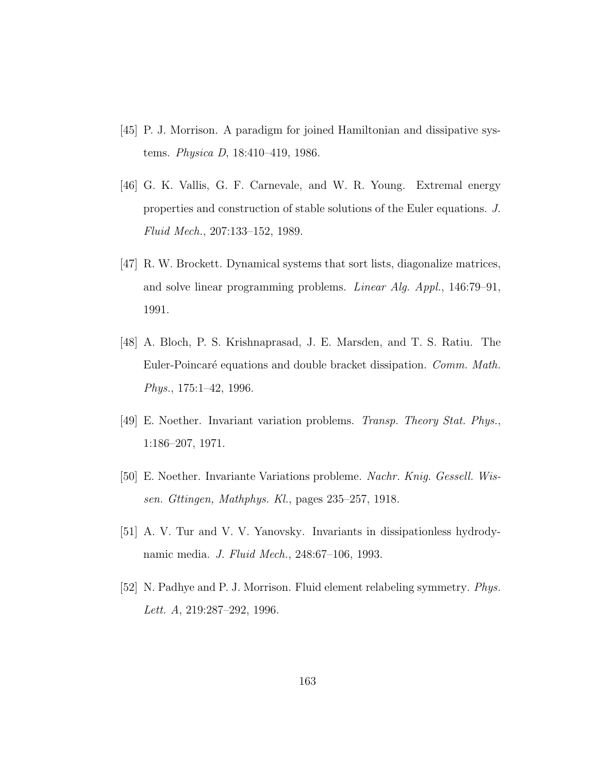- [45] P. J. Morrison. A paradigm for joined Hamiltonian and dissipative systems. Physica D, 18:410–419, 1986.
- [46] G. K. Vallis, G. F. Carnevale, and W. R. Young. Extremal energy properties and construction of stable solutions of the Euler equations. J. Fluid Mech., 207:133–152, 1989.
- [47] R. W. Brockett. Dynamical systems that sort lists, diagonalize matrices, and solve linear programming problems. Linear Alg. Appl., 146:79–91, 1991.
- [48] A. Bloch, P. S. Krishnaprasad, J. E. Marsden, and T. S. Ratiu. The Euler-Poincaré equations and double bracket dissipation. Comm. Math. Phys., 175:1–42, 1996.
- [49] E. Noether. Invariant variation problems. Transp. Theory Stat. Phys., 1:186–207, 1971.
- [50] E. Noether. Invariante Variations probleme. Nachr. Knig. Gessell. Wissen. Gttingen, Mathphys. Kl., pages 235–257, 1918.
- [51] A. V. Tur and V. V. Yanovsky. Invariants in dissipationless hydrodynamic media. J. Fluid Mech., 248:67–106, 1993.
- [52] N. Padhye and P. J. Morrison. Fluid element relabeling symmetry. Phys. Lett. A, 219:287–292, 1996.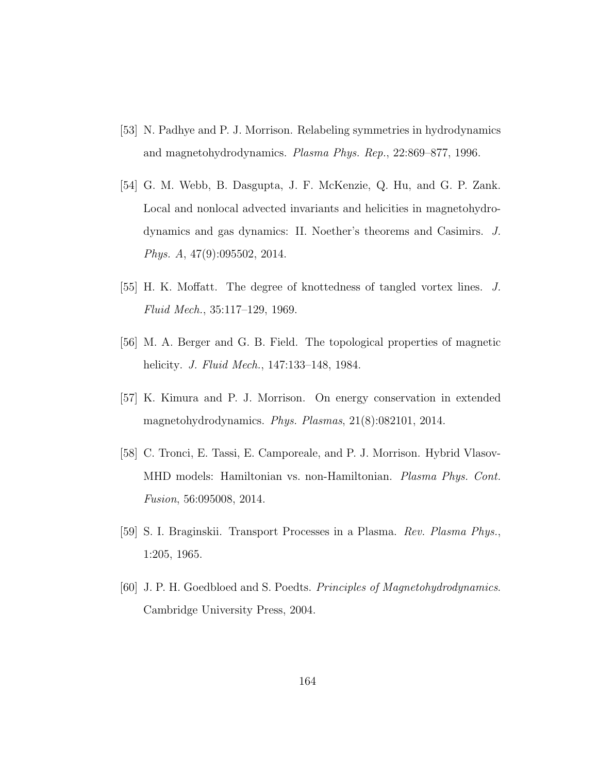- [53] N. Padhye and P. J. Morrison. Relabeling symmetries in hydrodynamics and magnetohydrodynamics. Plasma Phys. Rep., 22:869–877, 1996.
- [54] G. M. Webb, B. Dasgupta, J. F. McKenzie, Q. Hu, and G. P. Zank. Local and nonlocal advected invariants and helicities in magnetohydrodynamics and gas dynamics: II. Noether's theorems and Casimirs. J. Phys. A, 47(9):095502, 2014.
- [55] H. K. Moffatt. The degree of knottedness of tangled vortex lines. J. Fluid Mech., 35:117–129, 1969.
- [56] M. A. Berger and G. B. Field. The topological properties of magnetic helicity. J. Fluid Mech., 147:133–148, 1984.
- [57] K. Kimura and P. J. Morrison. On energy conservation in extended magnetohydrodynamics. Phys. Plasmas, 21(8):082101, 2014.
- [58] C. Tronci, E. Tassi, E. Camporeale, and P. J. Morrison. Hybrid Vlasov-MHD models: Hamiltonian vs. non-Hamiltonian. Plasma Phys. Cont. Fusion, 56:095008, 2014.
- [59] S. I. Braginskii. Transport Processes in a Plasma. Rev. Plasma Phys., 1:205, 1965.
- [60] J. P. H. Goedbloed and S. Poedts. Principles of Magnetohydrodynamics. Cambridge University Press, 2004.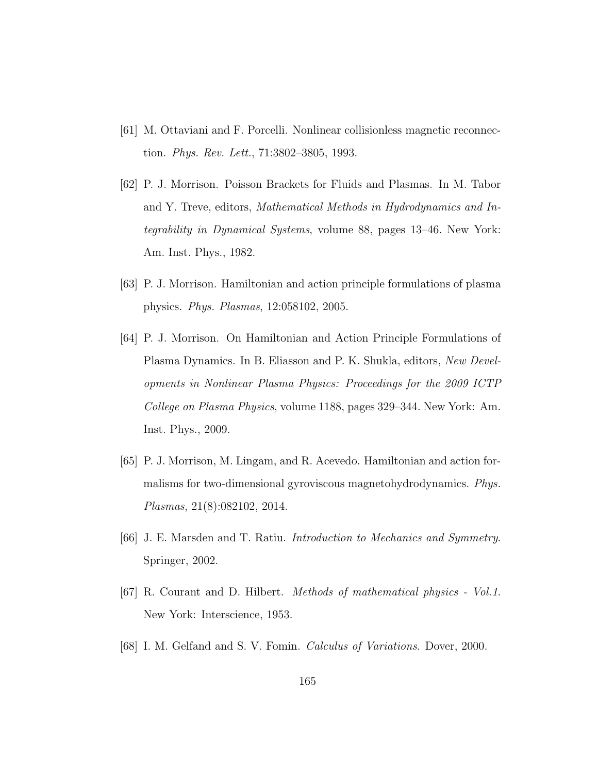- [61] M. Ottaviani and F. Porcelli. Nonlinear collisionless magnetic reconnection. Phys. Rev. Lett., 71:3802–3805, 1993.
- [62] P. J. Morrison. Poisson Brackets for Fluids and Plasmas. In M. Tabor and Y. Treve, editors, Mathematical Methods in Hydrodynamics and Integrability in Dynamical Systems, volume 88, pages 13–46. New York: Am. Inst. Phys., 1982.
- [63] P. J. Morrison. Hamiltonian and action principle formulations of plasma physics. Phys. Plasmas, 12:058102, 2005.
- [64] P. J. Morrison. On Hamiltonian and Action Principle Formulations of Plasma Dynamics. In B. Eliasson and P. K. Shukla, editors, New Developments in Nonlinear Plasma Physics: Proceedings for the 2009 ICTP College on Plasma Physics, volume 1188, pages 329–344. New York: Am. Inst. Phys., 2009.
- [65] P. J. Morrison, M. Lingam, and R. Acevedo. Hamiltonian and action formalisms for two-dimensional gyroviscous magnetohydrodynamics. Phys. Plasmas, 21(8):082102, 2014.
- [66] J. E. Marsden and T. Ratiu. Introduction to Mechanics and Symmetry. Springer, 2002.
- [67] R. Courant and D. Hilbert. Methods of mathematical physics Vol.1. New York: Interscience, 1953.
- [68] I. M. Gelfand and S. V. Fomin. Calculus of Variations. Dover, 2000.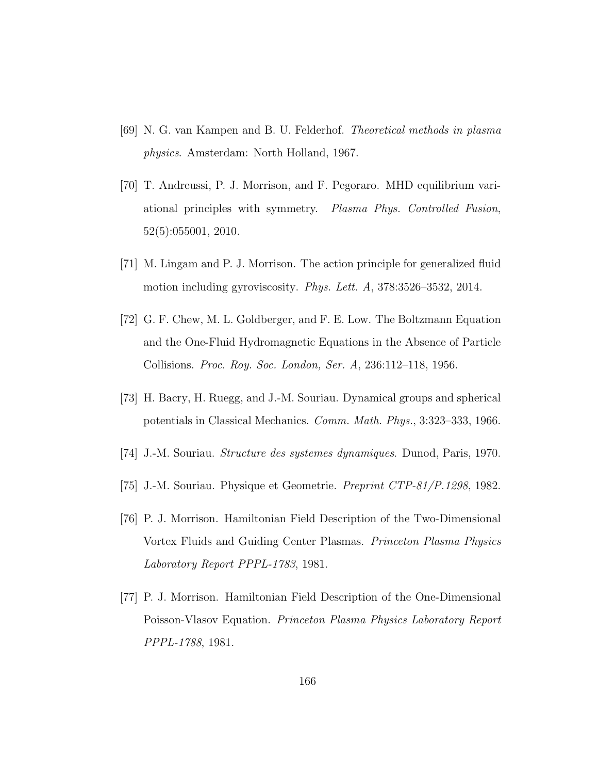- [69] N. G. van Kampen and B. U. Felderhof. Theoretical methods in plasma physics. Amsterdam: North Holland, 1967.
- [70] T. Andreussi, P. J. Morrison, and F. Pegoraro. MHD equilibrium variational principles with symmetry. Plasma Phys. Controlled Fusion, 52(5):055001, 2010.
- [71] M. Lingam and P. J. Morrison. The action principle for generalized fluid motion including gyroviscosity. Phys. Lett. A, 378:3526–3532, 2014.
- [72] G. F. Chew, M. L. Goldberger, and F. E. Low. The Boltzmann Equation and the One-Fluid Hydromagnetic Equations in the Absence of Particle Collisions. Proc. Roy. Soc. London, Ser. A, 236:112–118, 1956.
- [73] H. Bacry, H. Ruegg, and J.-M. Souriau. Dynamical groups and spherical potentials in Classical Mechanics. Comm. Math. Phys., 3:323–333, 1966.
- [74] J.-M. Souriau. Structure des systemes dynamiques. Dunod, Paris, 1970.
- [75] J.-M. Souriau. Physique et Geometrie. Preprint CTP-81/P.1298, 1982.
- [76] P. J. Morrison. Hamiltonian Field Description of the Two-Dimensional Vortex Fluids and Guiding Center Plasmas. Princeton Plasma Physics Laboratory Report PPPL-1783, 1981.
- [77] P. J. Morrison. Hamiltonian Field Description of the One-Dimensional Poisson-Vlasov Equation. Princeton Plasma Physics Laboratory Report PPPL-1788, 1981.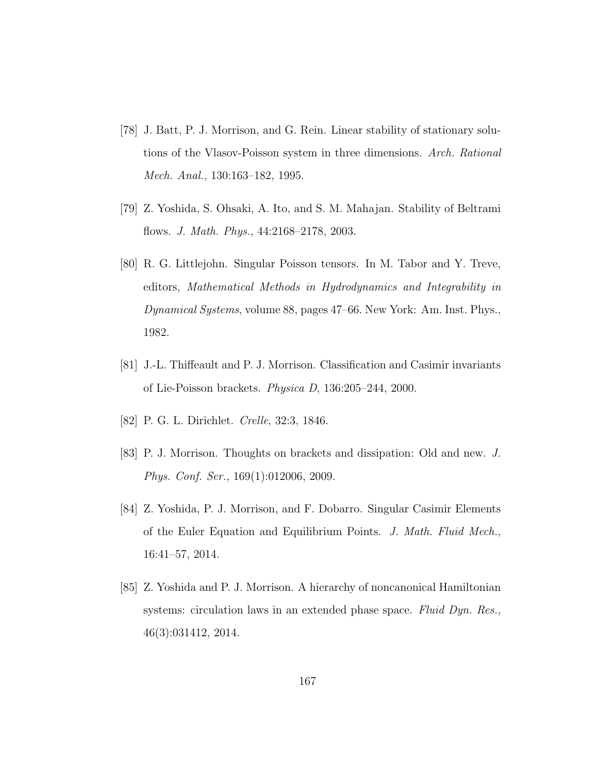- [78] J. Batt, P. J. Morrison, and G. Rein. Linear stability of stationary solutions of the Vlasov-Poisson system in three dimensions. Arch. Rational Mech. Anal., 130:163–182, 1995.
- [79] Z. Yoshida, S. Ohsaki, A. Ito, and S. M. Mahajan. Stability of Beltrami flows. J. Math. Phys., 44:2168–2178, 2003.
- [80] R. G. Littlejohn. Singular Poisson tensors. In M. Tabor and Y. Treve, editors, Mathematical Methods in Hydrodynamics and Integrability in Dynamical Systems, volume 88, pages 47–66. New York: Am. Inst. Phys., 1982.
- [81] J.-L. Thiffeault and P. J. Morrison. Classification and Casimir invariants of Lie-Poisson brackets. Physica D, 136:205–244, 2000.
- [82] P. G. L. Dirichlet. Crelle, 32:3, 1846.
- [83] P. J. Morrison. Thoughts on brackets and dissipation: Old and new. J. Phys. Conf. Ser., 169(1):012006, 2009.
- [84] Z. Yoshida, P. J. Morrison, and F. Dobarro. Singular Casimir Elements of the Euler Equation and Equilibrium Points. J. Math. Fluid Mech., 16:41–57, 2014.
- [85] Z. Yoshida and P. J. Morrison. A hierarchy of noncanonical Hamiltonian systems: circulation laws in an extended phase space. Fluid Dyn. Res., 46(3):031412, 2014.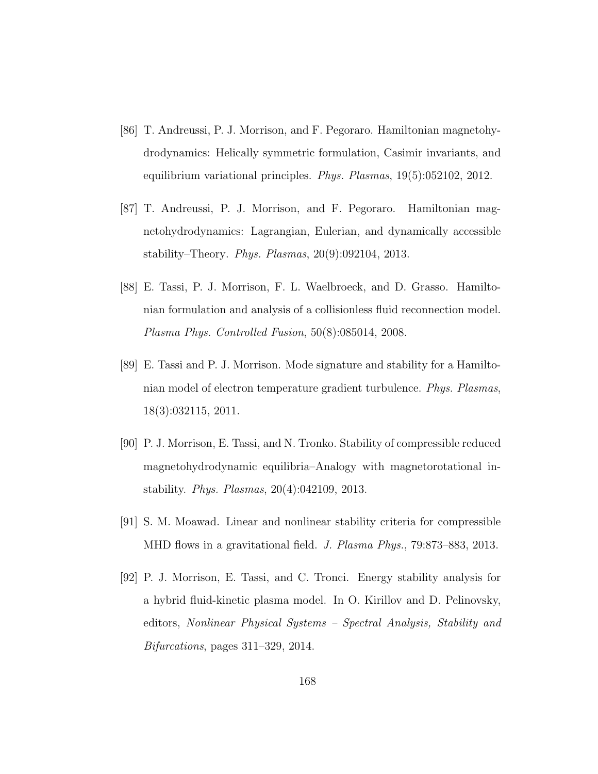- [86] T. Andreussi, P. J. Morrison, and F. Pegoraro. Hamiltonian magnetohydrodynamics: Helically symmetric formulation, Casimir invariants, and equilibrium variational principles. Phys. Plasmas, 19(5):052102, 2012.
- [87] T. Andreussi, P. J. Morrison, and F. Pegoraro. Hamiltonian magnetohydrodynamics: Lagrangian, Eulerian, and dynamically accessible stability–Theory. Phys. Plasmas, 20(9):092104, 2013.
- [88] E. Tassi, P. J. Morrison, F. L. Waelbroeck, and D. Grasso. Hamiltonian formulation and analysis of a collisionless fluid reconnection model. Plasma Phys. Controlled Fusion, 50(8):085014, 2008.
- [89] E. Tassi and P. J. Morrison. Mode signature and stability for a Hamiltonian model of electron temperature gradient turbulence. Phys. Plasmas, 18(3):032115, 2011.
- [90] P. J. Morrison, E. Tassi, and N. Tronko. Stability of compressible reduced magnetohydrodynamic equilibria–Analogy with magnetorotational instability. Phys. Plasmas, 20(4):042109, 2013.
- [91] S. M. Moawad. Linear and nonlinear stability criteria for compressible MHD flows in a gravitational field. *J. Plasma Phys.*, 79:873–883, 2013.
- [92] P. J. Morrison, E. Tassi, and C. Tronci. Energy stability analysis for a hybrid fluid-kinetic plasma model. In O. Kirillov and D. Pelinovsky, editors, Nonlinear Physical Systems – Spectral Analysis, Stability and Bifurcations, pages 311–329, 2014.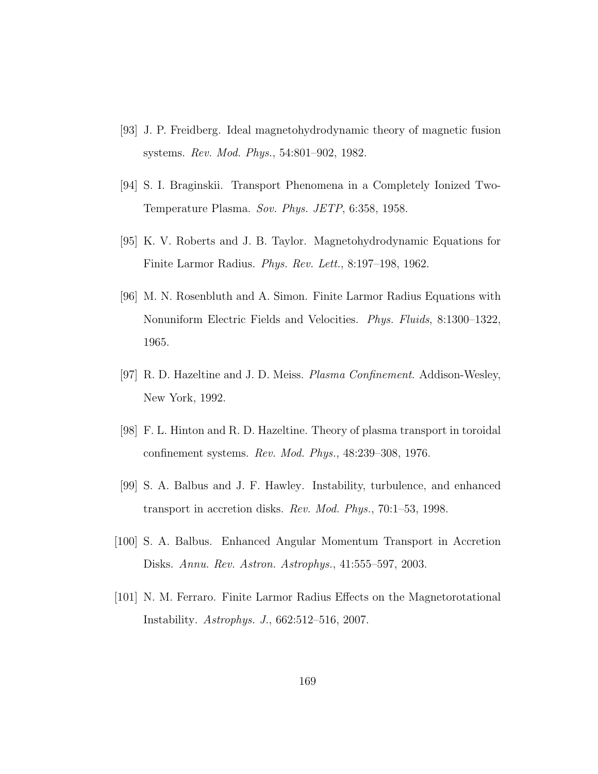- [93] J. P. Freidberg. Ideal magnetohydrodynamic theory of magnetic fusion systems. Rev. Mod. Phys., 54:801–902, 1982.
- [94] S. I. Braginskii. Transport Phenomena in a Completely Ionized Two-Temperature Plasma. Sov. Phys. JETP, 6:358, 1958.
- [95] K. V. Roberts and J. B. Taylor. Magnetohydrodynamic Equations for Finite Larmor Radius. Phys. Rev. Lett., 8:197–198, 1962.
- [96] M. N. Rosenbluth and A. Simon. Finite Larmor Radius Equations with Nonuniform Electric Fields and Velocities. Phys. Fluids, 8:1300–1322, 1965.
- [97] R. D. Hazeltine and J. D. Meiss. Plasma Confinement. Addison-Wesley, New York, 1992.
- [98] F. L. Hinton and R. D. Hazeltine. Theory of plasma transport in toroidal confinement systems. Rev. Mod. Phys., 48:239–308, 1976.
- [99] S. A. Balbus and J. F. Hawley. Instability, turbulence, and enhanced transport in accretion disks. Rev. Mod. Phys., 70:1–53, 1998.
- [100] S. A. Balbus. Enhanced Angular Momentum Transport in Accretion Disks. Annu. Rev. Astron. Astrophys., 41:555–597, 2003.
- [101] N. M. Ferraro. Finite Larmor Radius Effects on the Magnetorotational Instability. Astrophys. J., 662:512–516, 2007.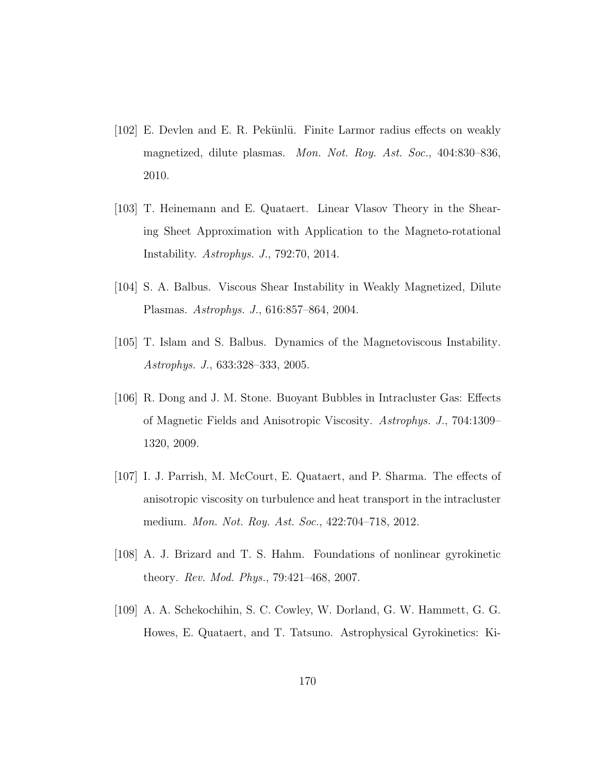- [102] E. Devlen and E. R. Pekünlü. Finite Larmor radius effects on weakly magnetized, dilute plasmas. Mon. Not. Roy. Ast. Soc., 404:830–836, 2010.
- [103] T. Heinemann and E. Quataert. Linear Vlasov Theory in the Shearing Sheet Approximation with Application to the Magneto-rotational Instability. Astrophys. J., 792:70, 2014.
- [104] S. A. Balbus. Viscous Shear Instability in Weakly Magnetized, Dilute Plasmas. Astrophys. J., 616:857–864, 2004.
- [105] T. Islam and S. Balbus. Dynamics of the Magnetoviscous Instability. Astrophys. J., 633:328–333, 2005.
- [106] R. Dong and J. M. Stone. Buoyant Bubbles in Intracluster Gas: Effects of Magnetic Fields and Anisotropic Viscosity. Astrophys. J., 704:1309– 1320, 2009.
- [107] I. J. Parrish, M. McCourt, E. Quataert, and P. Sharma. The effects of anisotropic viscosity on turbulence and heat transport in the intracluster medium. Mon. Not. Roy. Ast. Soc., 422:704–718, 2012.
- [108] A. J. Brizard and T. S. Hahm. Foundations of nonlinear gyrokinetic theory. Rev. Mod. Phys., 79:421–468, 2007.
- [109] A. A. Schekochihin, S. C. Cowley, W. Dorland, G. W. Hammett, G. G. Howes, E. Quataert, and T. Tatsuno. Astrophysical Gyrokinetics: Ki-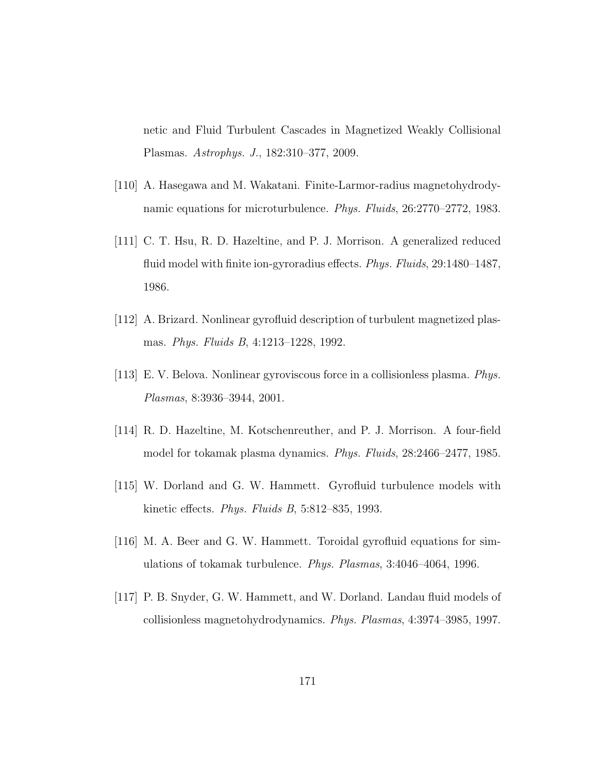netic and Fluid Turbulent Cascades in Magnetized Weakly Collisional Plasmas. Astrophys. J., 182:310–377, 2009.

- [110] A. Hasegawa and M. Wakatani. Finite-Larmor-radius magnetohydrodynamic equations for microturbulence. Phys. Fluids, 26:2770–2772, 1983.
- [111] C. T. Hsu, R. D. Hazeltine, and P. J. Morrison. A generalized reduced fluid model with finite ion-gyroradius effects. *Phys. Fluids*, 29:1480–1487, 1986.
- [112] A. Brizard. Nonlinear gyrofluid description of turbulent magnetized plasmas. Phys. Fluids B, 4:1213–1228, 1992.
- [113] E. V. Belova. Nonlinear gyroviscous force in a collisionless plasma. Phys. Plasmas, 8:3936–3944, 2001.
- [114] R. D. Hazeltine, M. Kotschenreuther, and P. J. Morrison. A four-field model for tokamak plasma dynamics. Phys. Fluids, 28:2466–2477, 1985.
- [115] W. Dorland and G. W. Hammett. Gyrofluid turbulence models with kinetic effects. Phys. Fluids B, 5:812–835, 1993.
- [116] M. A. Beer and G. W. Hammett. Toroidal gyrofluid equations for simulations of tokamak turbulence. Phys. Plasmas, 3:4046–4064, 1996.
- [117] P. B. Snyder, G. W. Hammett, and W. Dorland. Landau fluid models of collisionless magnetohydrodynamics. Phys. Plasmas, 4:3974–3985, 1997.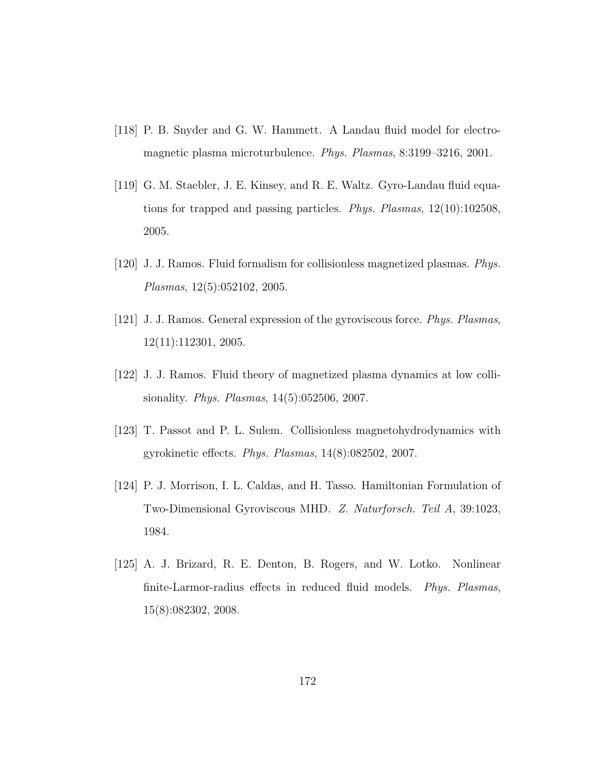- [118] P. B. Snyder and G. W. Hammett. A Landau fluid model for electromagnetic plasma microturbulence. Phys. Plasmas, 8:3199–3216, 2001.
- [119] G. M. Staebler, J. E. Kinsey, and R. E. Waltz. Gyro-Landau fluid equations for trapped and passing particles. Phys. Plasmas, 12(10):102508, 2005.
- [120] J. J. Ramos. Fluid formalism for collisionless magnetized plasmas. Phys. Plasmas, 12(5):052102, 2005.
- [121] J. J. Ramos. General expression of the gyroviscous force. Phys. Plasmas, 12(11):112301, 2005.
- [122] J. J. Ramos. Fluid theory of magnetized plasma dynamics at low collisionality. Phys. Plasmas, 14(5):052506, 2007.
- [123] T. Passot and P. L. Sulem. Collisionless magnetohydrodynamics with gyrokinetic effects. Phys. Plasmas, 14(8):082502, 2007.
- [124] P. J. Morrison, I. L. Caldas, and H. Tasso. Hamiltonian Formulation of Two-Dimensional Gyroviscous MHD. Z. Naturforsch. Teil A, 39:1023, 1984.
- [125] A. J. Brizard, R. E. Denton, B. Rogers, and W. Lotko. Nonlinear finite-Larmor-radius effects in reduced fluid models. Phys. Plasmas, 15(8):082302, 2008.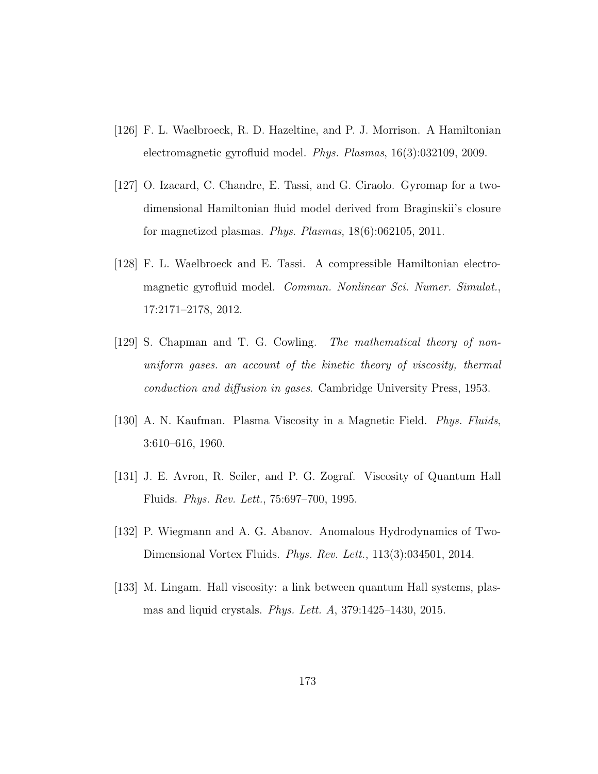- [126] F. L. Waelbroeck, R. D. Hazeltine, and P. J. Morrison. A Hamiltonian electromagnetic gyrofluid model. Phys. Plasmas, 16(3):032109, 2009.
- [127] O. Izacard, C. Chandre, E. Tassi, and G. Ciraolo. Gyromap for a twodimensional Hamiltonian fluid model derived from Braginskii's closure for magnetized plasmas. Phys. Plasmas, 18(6):062105, 2011.
- [128] F. L. Waelbroeck and E. Tassi. A compressible Hamiltonian electromagnetic gyrofluid model. Commun. Nonlinear Sci. Numer. Simulat., 17:2171–2178, 2012.
- [129] S. Chapman and T. G. Cowling. The mathematical theory of nonuniform gases. an account of the kinetic theory of viscosity, thermal conduction and diffusion in gases. Cambridge University Press, 1953.
- [130] A. N. Kaufman. Plasma Viscosity in a Magnetic Field. Phys. Fluids, 3:610–616, 1960.
- [131] J. E. Avron, R. Seiler, and P. G. Zograf. Viscosity of Quantum Hall Fluids. Phys. Rev. Lett., 75:697–700, 1995.
- [132] P. Wiegmann and A. G. Abanov. Anomalous Hydrodynamics of Two-Dimensional Vortex Fluids. Phys. Rev. Lett., 113(3):034501, 2014.
- [133] M. Lingam. Hall viscosity: a link between quantum Hall systems, plasmas and liquid crystals. Phys. Lett. A, 379:1425–1430, 2015.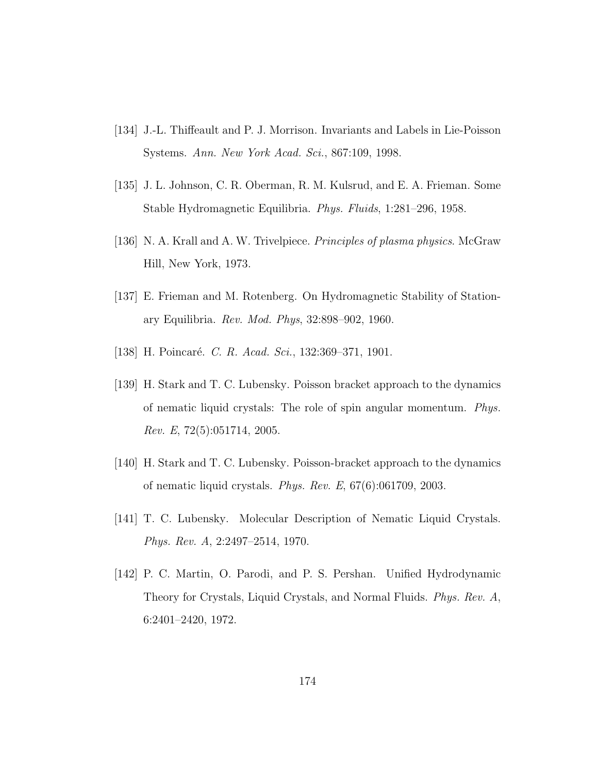- [134] J.-L. Thiffeault and P. J. Morrison. Invariants and Labels in Lie-Poisson Systems. Ann. New York Acad. Sci., 867:109, 1998.
- [135] J. L. Johnson, C. R. Oberman, R. M. Kulsrud, and E. A. Frieman. Some Stable Hydromagnetic Equilibria. Phys. Fluids, 1:281–296, 1958.
- [136] N. A. Krall and A. W. Trivelpiece. *Principles of plasma physics*. McGraw Hill, New York, 1973.
- [137] E. Frieman and M. Rotenberg. On Hydromagnetic Stability of Stationary Equilibria. Rev. Mod. Phys, 32:898–902, 1960.
- [138] H. Poincaré. C. R. Acad. Sci., 132:369–371, 1901.
- [139] H. Stark and T. C. Lubensky. Poisson bracket approach to the dynamics of nematic liquid crystals: The role of spin angular momentum. Phys. Rev. E, 72(5):051714, 2005.
- [140] H. Stark and T. C. Lubensky. Poisson-bracket approach to the dynamics of nematic liquid crystals. Phys. Rev. E, 67(6):061709, 2003.
- [141] T. C. Lubensky. Molecular Description of Nematic Liquid Crystals. Phys. Rev. A, 2:2497–2514, 1970.
- [142] P. C. Martin, O. Parodi, and P. S. Pershan. Unified Hydrodynamic Theory for Crystals, Liquid Crystals, and Normal Fluids. Phys. Rev. A, 6:2401–2420, 1972.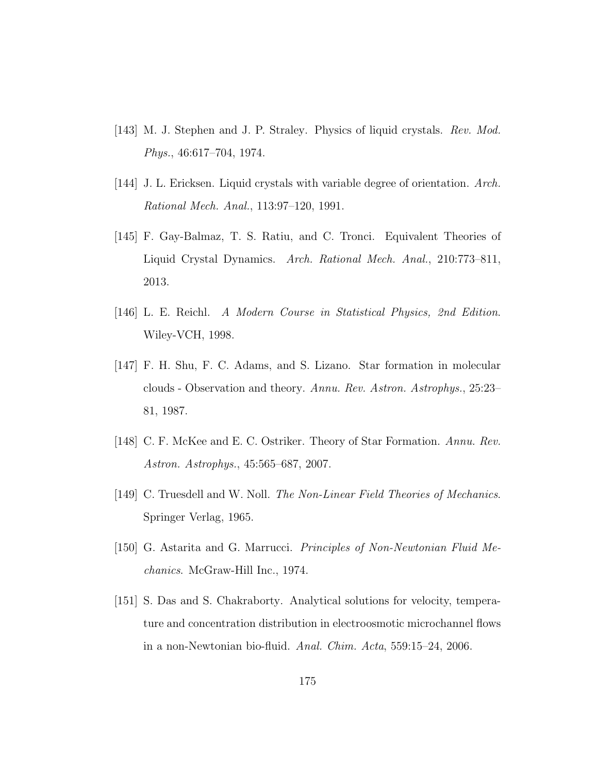- [143] M. J. Stephen and J. P. Straley. Physics of liquid crystals. Rev. Mod. Phys., 46:617–704, 1974.
- [144] J. L. Ericksen. Liquid crystals with variable degree of orientation. Arch. Rational Mech. Anal., 113:97–120, 1991.
- [145] F. Gay-Balmaz, T. S. Ratiu, and C. Tronci. Equivalent Theories of Liquid Crystal Dynamics. Arch. Rational Mech. Anal., 210:773–811, 2013.
- [146] L. E. Reichl. A Modern Course in Statistical Physics, 2nd Edition. Wiley-VCH, 1998.
- [147] F. H. Shu, F. C. Adams, and S. Lizano. Star formation in molecular clouds - Observation and theory. Annu. Rev. Astron. Astrophys., 25:23– 81, 1987.
- [148] C. F. McKee and E. C. Ostriker. Theory of Star Formation. Annu. Rev. Astron. Astrophys., 45:565–687, 2007.
- [149] C. Truesdell and W. Noll. The Non-Linear Field Theories of Mechanics. Springer Verlag, 1965.
- [150] G. Astarita and G. Marrucci. Principles of Non-Newtonian Fluid Mechanics. McGraw-Hill Inc., 1974.
- [151] S. Das and S. Chakraborty. Analytical solutions for velocity, temperature and concentration distribution in electroosmotic microchannel flows in a non-Newtonian bio-fluid. Anal. Chim. Acta, 559:15–24, 2006.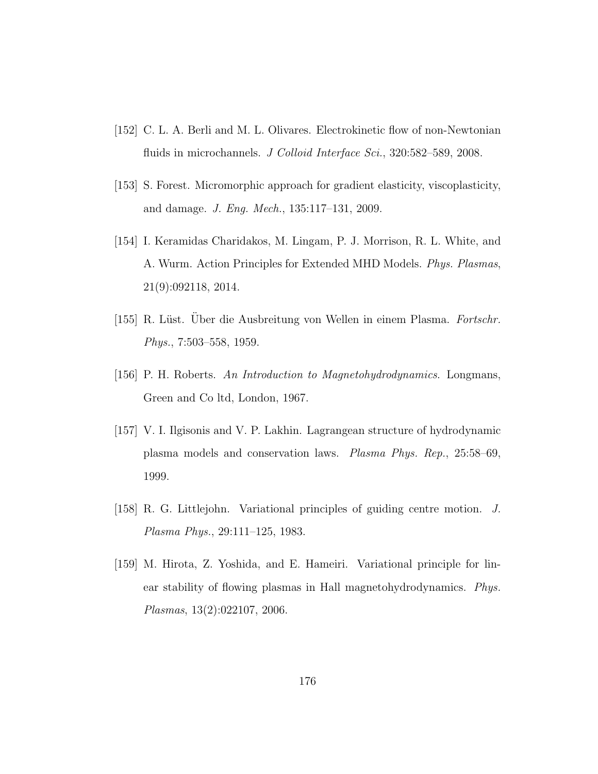- [152] C. L. A. Berli and M. L. Olivares. Electrokinetic flow of non-Newtonian fluids in microchannels. J Colloid Interface Sci., 320:582–589, 2008.
- [153] S. Forest. Micromorphic approach for gradient elasticity, viscoplasticity, and damage. J. Eng. Mech., 135:117–131, 2009.
- [154] I. Keramidas Charidakos, M. Lingam, P. J. Morrison, R. L. White, and A. Wurm. Action Principles for Extended MHD Models. Phys. Plasmas, 21(9):092118, 2014.
- [155] R. Lüst. Uber die Ausbreitung von Wellen in einem Plasma. Fortschr. Phys., 7:503–558, 1959.
- [156] P. H. Roberts. An Introduction to Magnetohydrodynamics. Longmans, Green and Co ltd, London, 1967.
- [157] V. I. Ilgisonis and V. P. Lakhin. Lagrangean structure of hydrodynamic plasma models and conservation laws. Plasma Phys. Rep., 25:58–69, 1999.
- [158] R. G. Littlejohn. Variational principles of guiding centre motion. J. Plasma Phys., 29:111–125, 1983.
- [159] M. Hirota, Z. Yoshida, and E. Hameiri. Variational principle for linear stability of flowing plasmas in Hall magnetohydrodynamics. Phys. Plasmas, 13(2):022107, 2006.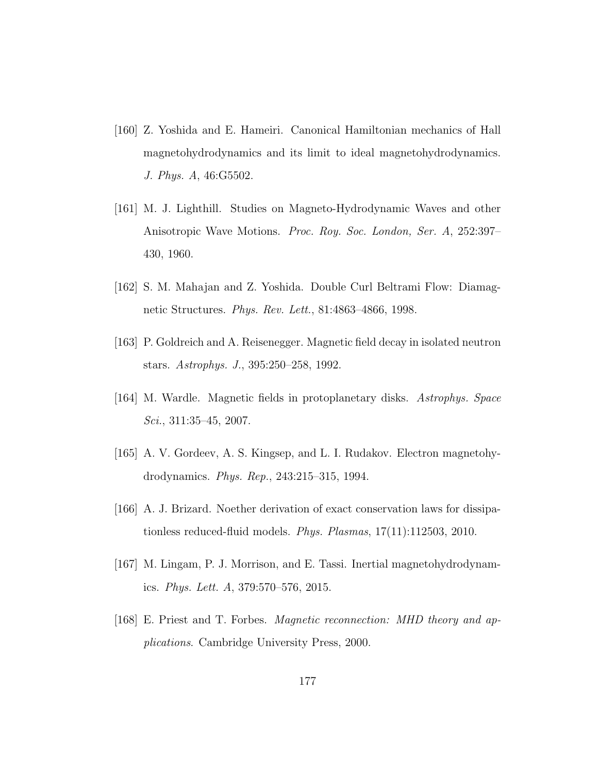- [160] Z. Yoshida and E. Hameiri. Canonical Hamiltonian mechanics of Hall magnetohydrodynamics and its limit to ideal magnetohydrodynamics. J. Phys. A, 46:G5502.
- [161] M. J. Lighthill. Studies on Magneto-Hydrodynamic Waves and other Anisotropic Wave Motions. Proc. Roy. Soc. London, Ser. A, 252:397– 430, 1960.
- [162] S. M. Mahajan and Z. Yoshida. Double Curl Beltrami Flow: Diamagnetic Structures. Phys. Rev. Lett., 81:4863–4866, 1998.
- [163] P. Goldreich and A. Reisenegger. Magnetic field decay in isolated neutron stars. Astrophys. J., 395:250–258, 1992.
- [164] M. Wardle. Magnetic fields in protoplanetary disks. Astrophys. Space Sci., 311:35–45, 2007.
- [165] A. V. Gordeev, A. S. Kingsep, and L. I. Rudakov. Electron magnetohydrodynamics. Phys. Rep., 243:215–315, 1994.
- [166] A. J. Brizard. Noether derivation of exact conservation laws for dissipationless reduced-fluid models. Phys. Plasmas, 17(11):112503, 2010.
- [167] M. Lingam, P. J. Morrison, and E. Tassi. Inertial magnetohydrodynamics. Phys. Lett. A, 379:570–576, 2015.
- [168] E. Priest and T. Forbes. Magnetic reconnection: MHD theory and applications. Cambridge University Press, 2000.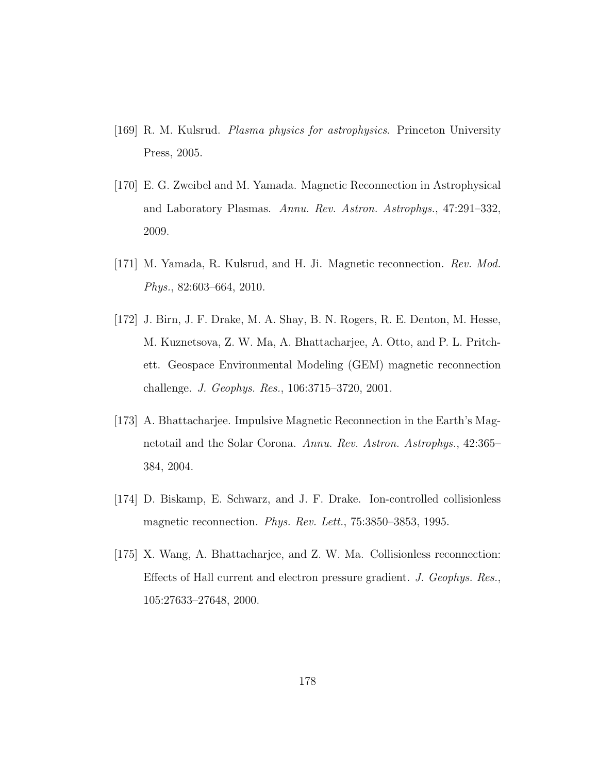- [169] R. M. Kulsrud. Plasma physics for astrophysics. Princeton University Press, 2005.
- [170] E. G. Zweibel and M. Yamada. Magnetic Reconnection in Astrophysical and Laboratory Plasmas. Annu. Rev. Astron. Astrophys., 47:291–332, 2009.
- [171] M. Yamada, R. Kulsrud, and H. Ji. Magnetic reconnection. Rev. Mod. Phys., 82:603–664, 2010.
- [172] J. Birn, J. F. Drake, M. A. Shay, B. N. Rogers, R. E. Denton, M. Hesse, M. Kuznetsova, Z. W. Ma, A. Bhattacharjee, A. Otto, and P. L. Pritchett. Geospace Environmental Modeling (GEM) magnetic reconnection challenge. J. Geophys. Res., 106:3715–3720, 2001.
- [173] A. Bhattacharjee. Impulsive Magnetic Reconnection in the Earth's Magnetotail and the Solar Corona. Annu. Rev. Astron. Astrophys., 42:365– 384, 2004.
- [174] D. Biskamp, E. Schwarz, and J. F. Drake. Ion-controlled collisionless magnetic reconnection. Phys. Rev. Lett., 75:3850–3853, 1995.
- [175] X. Wang, A. Bhattacharjee, and Z. W. Ma. Collisionless reconnection: Effects of Hall current and electron pressure gradient. J. Geophys. Res., 105:27633–27648, 2000.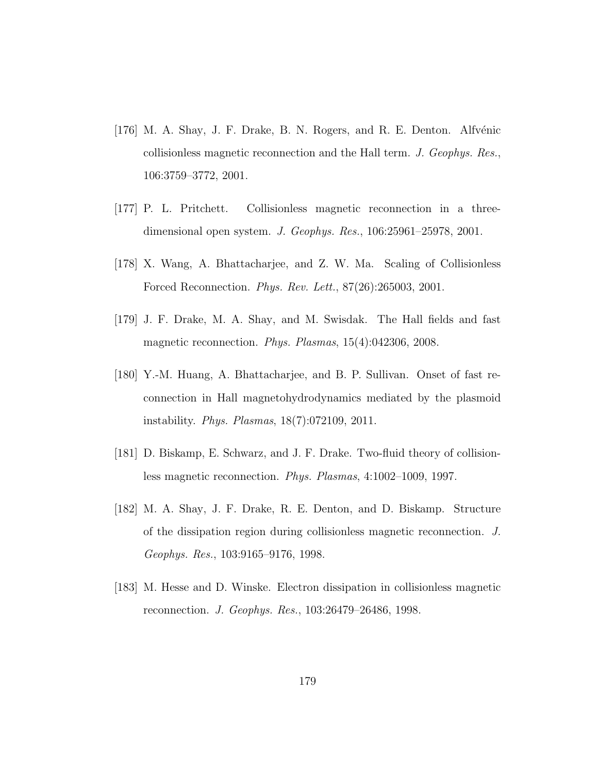- [176] M. A. Shay, J. F. Drake, B. N. Rogers, and R. E. Denton. Alfvénic collisionless magnetic reconnection and the Hall term. J. Geophys. Res., 106:3759–3772, 2001.
- [177] P. L. Pritchett. Collisionless magnetic reconnection in a threedimensional open system. J. Geophys. Res., 106:25961–25978, 2001.
- [178] X. Wang, A. Bhattacharjee, and Z. W. Ma. Scaling of Collisionless Forced Reconnection. Phys. Rev. Lett., 87(26):265003, 2001.
- [179] J. F. Drake, M. A. Shay, and M. Swisdak. The Hall fields and fast magnetic reconnection. Phys. Plasmas, 15(4):042306, 2008.
- [180] Y.-M. Huang, A. Bhattacharjee, and B. P. Sullivan. Onset of fast reconnection in Hall magnetohydrodynamics mediated by the plasmoid instability. Phys. Plasmas, 18(7):072109, 2011.
- [181] D. Biskamp, E. Schwarz, and J. F. Drake. Two-fluid theory of collisionless magnetic reconnection. Phys. Plasmas, 4:1002–1009, 1997.
- [182] M. A. Shay, J. F. Drake, R. E. Denton, and D. Biskamp. Structure of the dissipation region during collisionless magnetic reconnection. J. Geophys. Res., 103:9165–9176, 1998.
- [183] M. Hesse and D. Winske. Electron dissipation in collisionless magnetic reconnection. J. Geophys. Res., 103:26479–26486, 1998.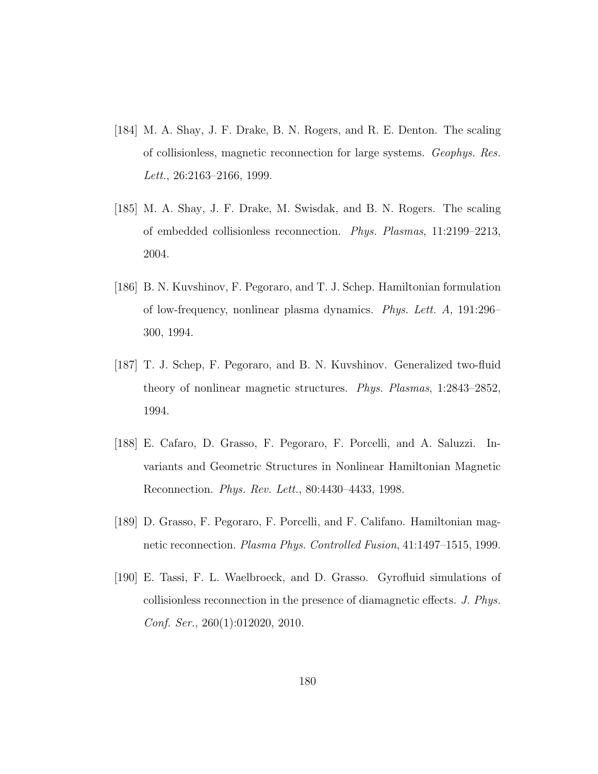- [184] M. A. Shay, J. F. Drake, B. N. Rogers, and R. E. Denton. The scaling of collisionless, magnetic reconnection for large systems. Geophys. Res. Lett., 26:2163–2166, 1999.
- [185] M. A. Shay, J. F. Drake, M. Swisdak, and B. N. Rogers. The scaling of embedded collisionless reconnection. Phys. Plasmas, 11:2199–2213, 2004.
- [186] B. N. Kuvshinov, F. Pegoraro, and T. J. Schep. Hamiltonian formulation of low-frequency, nonlinear plasma dynamics. Phys. Lett. A, 191:296– 300, 1994.
- [187] T. J. Schep, F. Pegoraro, and B. N. Kuvshinov. Generalized two-fluid theory of nonlinear magnetic structures. Phys. Plasmas, 1:2843–2852, 1994.
- [188] E. Cafaro, D. Grasso, F. Pegoraro, F. Porcelli, and A. Saluzzi. Invariants and Geometric Structures in Nonlinear Hamiltonian Magnetic Reconnection. Phys. Rev. Lett., 80:4430–4433, 1998.
- [189] D. Grasso, F. Pegoraro, F. Porcelli, and F. Califano. Hamiltonian magnetic reconnection. Plasma Phys. Controlled Fusion, 41:1497–1515, 1999.
- [190] E. Tassi, F. L. Waelbroeck, and D. Grasso. Gyrofluid simulations of collisionless reconnection in the presence of diamagnetic effects. J. Phys. Conf. Ser., 260(1):012020, 2010.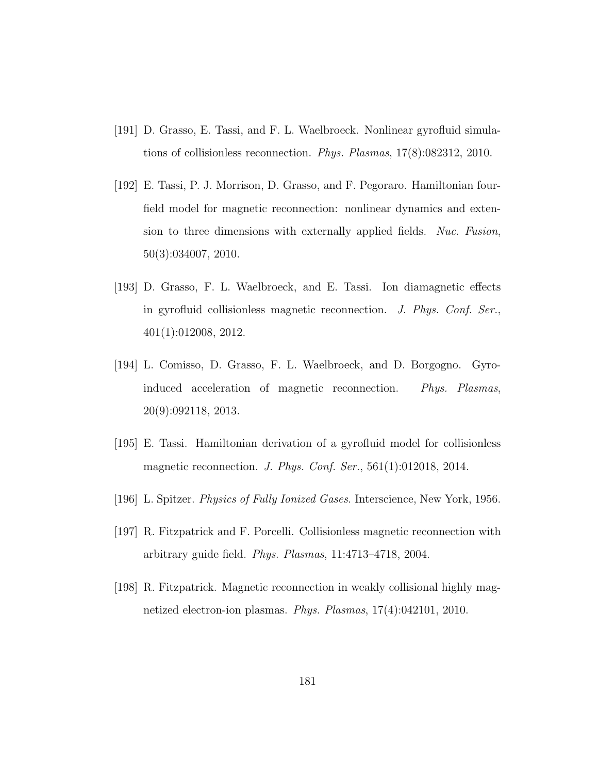- [191] D. Grasso, E. Tassi, and F. L. Waelbroeck. Nonlinear gyrofluid simulations of collisionless reconnection. Phys. Plasmas, 17(8):082312, 2010.
- [192] E. Tassi, P. J. Morrison, D. Grasso, and F. Pegoraro. Hamiltonian fourfield model for magnetic reconnection: nonlinear dynamics and extension to three dimensions with externally applied fields. Nuc. Fusion, 50(3):034007, 2010.
- [193] D. Grasso, F. L. Waelbroeck, and E. Tassi. Ion diamagnetic effects in gyrofluid collisionless magnetic reconnection. J. Phys. Conf. Ser., 401(1):012008, 2012.
- [194] L. Comisso, D. Grasso, F. L. Waelbroeck, and D. Borgogno. Gyroinduced acceleration of magnetic reconnection. Phys. Plasmas, 20(9):092118, 2013.
- [195] E. Tassi. Hamiltonian derivation of a gyrofluid model for collisionless magnetic reconnection. J. Phys. Conf. Ser., 561(1):012018, 2014.
- [196] L. Spitzer. *Physics of Fully Ionized Gases*. Interscience, New York, 1956.
- [197] R. Fitzpatrick and F. Porcelli. Collisionless magnetic reconnection with arbitrary guide field. Phys. Plasmas, 11:4713–4718, 2004.
- [198] R. Fitzpatrick. Magnetic reconnection in weakly collisional highly magnetized electron-ion plasmas. Phys. Plasmas, 17(4):042101, 2010.